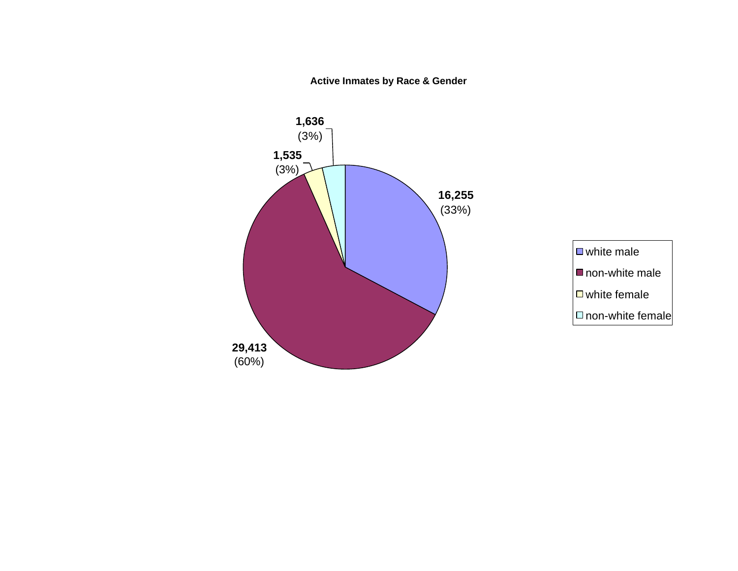**Active Inmates by Race & Gender**



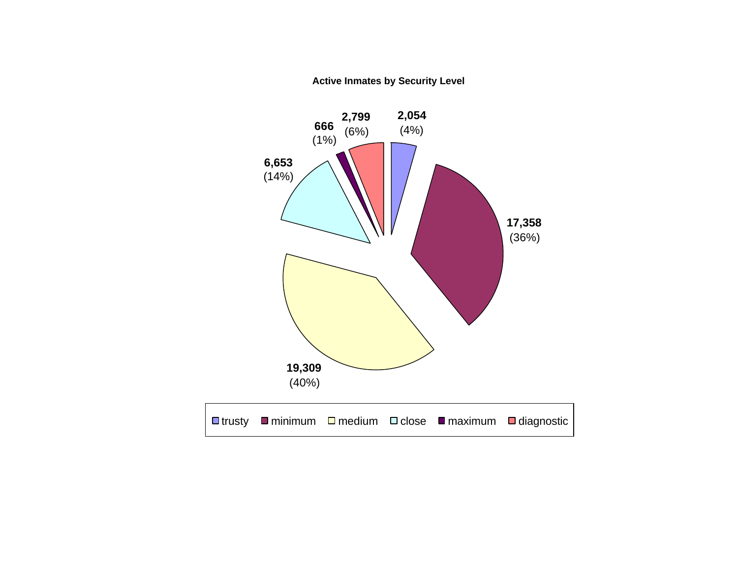**Active Inmates by Security Level**

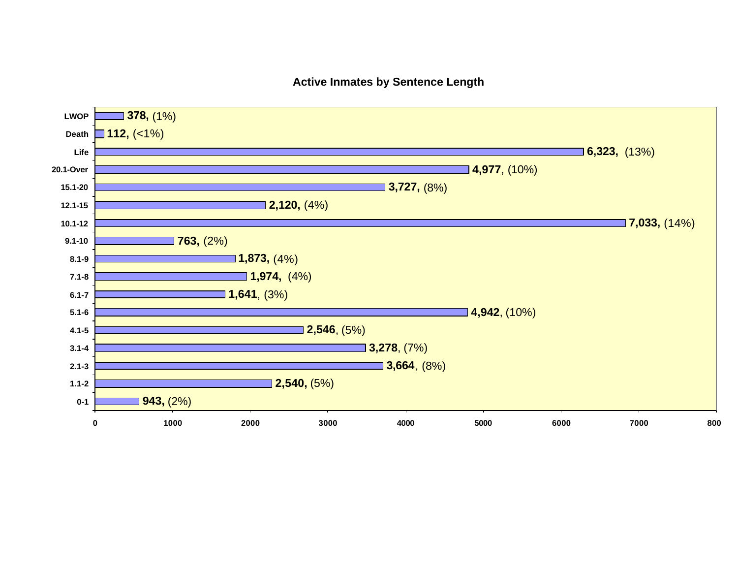### **Active Inmates by Sentence Length**

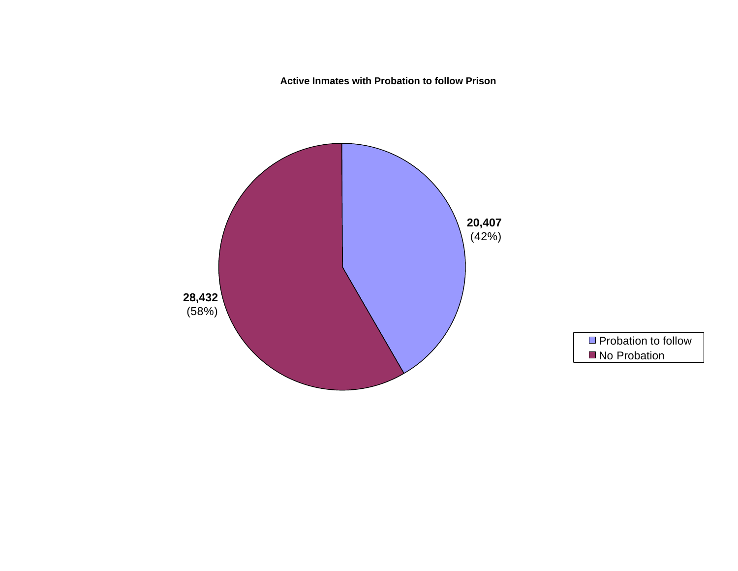**Active Inmates with Probation to follow Prison**



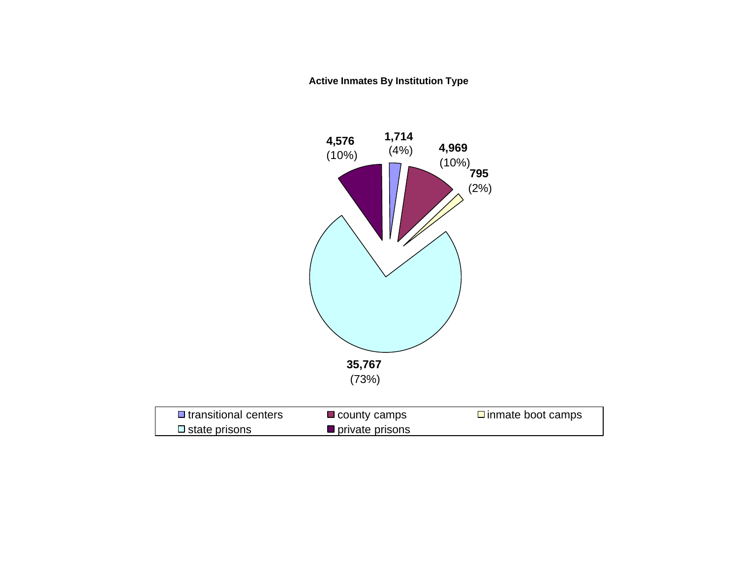**Active Inmates By Institution Type** 

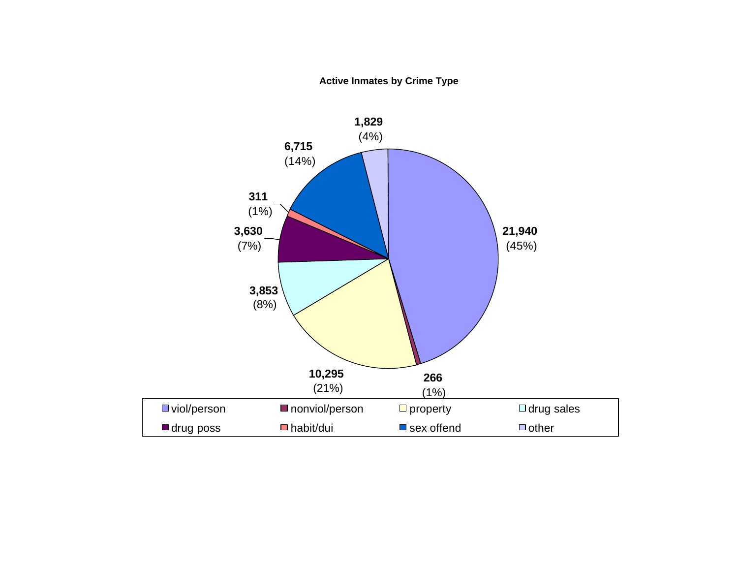**Active Inmates by Crime Type**

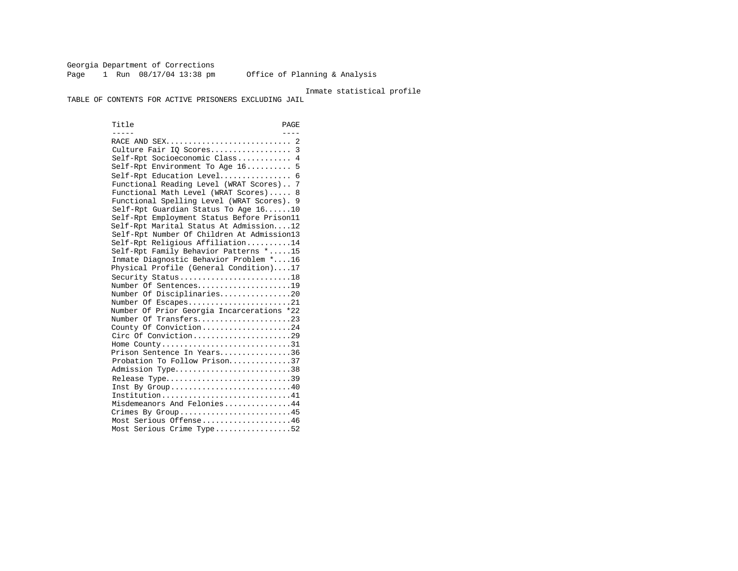Georgia Department of Corrections Page 1 Run  $08/17/04$  13:38 pm Office of Planning & Analysis

#### Inmate statistical profile

TABLE OF CONTENTS FOR ACTIVE PRISONERS EXCLUDING JAIL

Title PAGE ----- ---- RACE AND SEX............................ 2 Culture Fair IQ Scores.................. 3 Self-Rpt Socioeconomic Class............ 4 Self-Rpt Environment To Age 16.......... 5 Self-Rpt Education Level................ 6 Functional Reading Level (WRAT Scores).. 7 Functional Math Level (WRAT Scores)..... 8 Functional Spelling Level (WRAT Scores). 9 Self-Rpt Guardian Status To Age 16......10 Self-Rpt Employment Status Before Prison11 Self-Rpt Marital Status At Admission....12 Self-Rpt Number Of Children At Admission13 Self-Rpt Religious Affiliation..........14 Self-Rpt Family Behavior Patterns \*.....15 Inmate Diagnostic Behavior Problem \*....16 Physical Profile (General Condition)....17 Security Status............................18 Number Of Sentences.....................19 Number Of Disciplinaries................20 Number Of Escapes.........................21 Number Of Prior Georgia Incarcerations \*22 Number Of Transfers.....................23 County Of Conviction....................24 Circ Of Conviction.........................29 Home County.................................31 Prison Sentence In Years................36 Probation To Follow Prison..............37 Admission Type..............................38 Release Type................................39 Inst By Group.............................40 Institution.............................41 Misdemeanors And Felonies...............44 Crimes By Group...........................45 Most Serious Offense....................46 Most Serious Crime Type.................52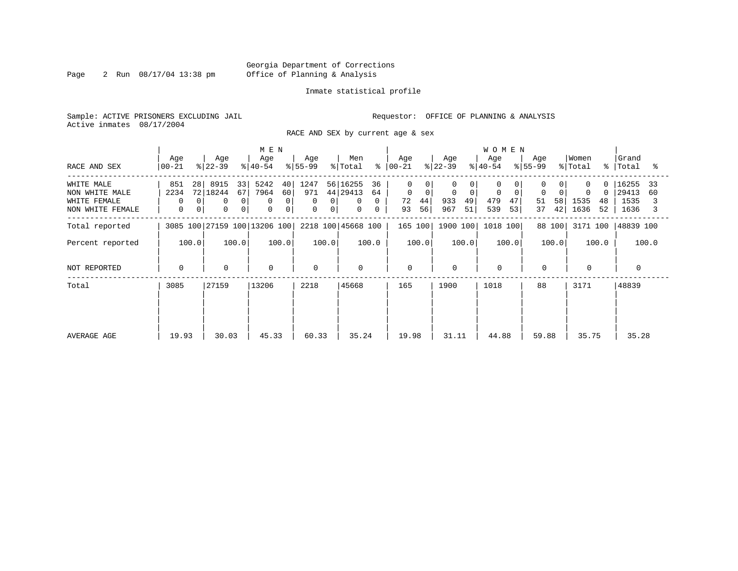Page 2 Run 08/17/04 13:38 pm

#### Inmate statistical profile

Sample: ACTIVE PRISONERS EXCLUDING JAIL **Requestor:** OFFICE OF PLANNING & ANALYSIS Active inmates 08/17/2004

RACE AND SEX by current age & sex

|                                                                  |                                                           |                                                  | M E N                                                                      |                                                                |                                                                |                                                                 |                                                                | <b>WOMEN</b>                          |                                   |                                           |                                            |
|------------------------------------------------------------------|-----------------------------------------------------------|--------------------------------------------------|----------------------------------------------------------------------------|----------------------------------------------------------------|----------------------------------------------------------------|-----------------------------------------------------------------|----------------------------------------------------------------|---------------------------------------|-----------------------------------|-------------------------------------------|--------------------------------------------|
| RACE AND SEX                                                     | Age<br>  00-21                                            | Age<br>$ 22-39 $                                 | Age<br>$ 40-54 $                                                           | Age<br>$8 55-99$                                               | Men<br>% Total                                                 | Age<br>$8   00 - 21$                                            | Age<br>$ 22-39 $                                               | Age<br>$8 40-54$                      | Age<br>$8 55-99$                  | Women<br>% Total                          | Grand<br>%   Total<br>ះ                    |
| WHITE MALE<br>NON WHITE MALE<br>WHITE FEMALE<br>NON WHITE FEMALE | 28<br>851<br>2234<br>$\Omega$<br>0<br>$\overline{0}$<br>0 | 8915<br>33<br>72 18244<br>67<br>0<br>0<br>0<br>0 | 5242<br>40<br>7964<br>60<br>0<br>$\Omega$<br>$\mathbf 0$<br>$\overline{0}$ | 1247<br>971<br>$\mathbf{0}$<br>$\mathbf 0$<br>0<br>$\mathbf 0$ | 56 16255<br>36<br>44 29413<br>64<br>0<br>0<br>$\mathbf 0$<br>0 | $\Omega$<br>$\mathbf 0$<br>$\mathbf 0$<br>72<br>44 <br>56<br>93 | 0<br>$\Omega$<br>0<br>$\overline{0}$<br>933<br>49<br>967<br>51 | $\mathbf 0$<br>479<br>47<br>539<br>53 | $\Omega$<br>51<br>58<br>42 <br>37 | $\Omega$<br>0<br>1535<br>48<br>1636<br>52 | 16255<br>33<br>29413<br>60<br>1535<br>1636 |
| Total reported                                                   |                                                           | 3085 100 27159 100 13206 100                     |                                                                            |                                                                | 2218 100 45668 100                                             | 165 100                                                         | 1900 100                                                       | 1018 100                              | 88 100                            | 3171 100                                  | 48839 100                                  |
| Percent reported                                                 | 100.0                                                     | 100.0                                            | 100.0                                                                      | 100.0                                                          | 100.0                                                          | 100.0                                                           | 100.0                                                          | 100.0                                 | 100.0                             | 100.0                                     | 100.0                                      |
| NOT REPORTED                                                     | 0                                                         | $\mathbf 0$                                      | $\mathbf 0$                                                                | $\Omega$                                                       | $\mathbf 0$                                                    | $\mathbf 0$                                                     | $\Omega$                                                       | $\Omega$                              | $\mathbf 0$                       | $\Omega$                                  |                                            |
| Total                                                            | 3085                                                      | 27159                                            | 13206                                                                      | 2218                                                           | 45668                                                          | 165                                                             | 1900                                                           | 1018                                  | 88                                | 3171                                      | 48839                                      |
| AVERAGE AGE                                                      | 19.93                                                     | 30.03                                            | 45.33                                                                      | 60.33                                                          | 35.24                                                          | 19.98                                                           | 31.11                                                          | 44.88                                 | 59.88                             | 35.75                                     | 35.28                                      |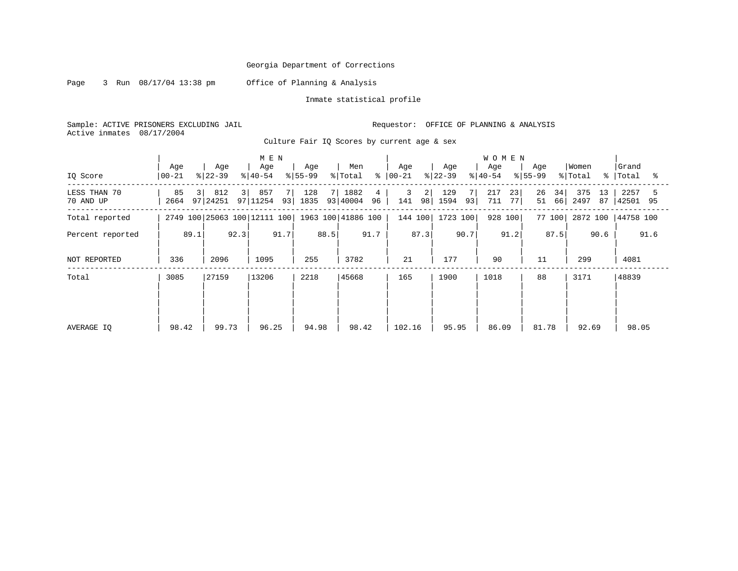Page 3 Run 08/17/04 13:38 pm Office of Planning & Analysis

Inmate statistical profile

Sample: ACTIVE PRISONERS EXCLUDING JAIL Requestor: OFFICE OF PLANNING & ANALYSIS Active inmates 08/17/2004

Culture Fair IQ Scores by current age & sex

|                           |                              |                       | M E N                        |                       |                                 |                      |                         | <b>WOMEN</b>           |                      |                         |                      |
|---------------------------|------------------------------|-----------------------|------------------------------|-----------------------|---------------------------------|----------------------|-------------------------|------------------------|----------------------|-------------------------|----------------------|
| IO Score                  | Age<br>$00 - 21$             | Age<br>$ 22-39 $      | Age<br>$8 40-54$             | Age<br>$ 55-99$       | Men<br>$\frac{6}{6}$<br>% Total | Age<br>$ 00-21 $     | Age<br>$ 22-39 $        | Age<br>$8 40-54$       | Age<br>$8 55-99$     | Women<br>% Total<br>°   | Grand<br> Total<br>ু |
| LESS THAN 70<br>70 AND UP | 85<br>3 <sup>1</sup><br>2664 | 812<br>3 <br>97 24251 | 857<br>97 11254              | 128<br>7 I<br>93 1835 | 1882<br>4<br>93   40004<br>96   | 3<br>2 <br>141<br>98 | 129<br>7<br>93 <br>1594 | 23<br>217<br>77<br>711 | 26<br>34<br>66<br>51 | 375<br>13<br>2497<br>87 | 2257<br>42501 95     |
| Total reported            |                              |                       | 2749 100 25063 100 12111 100 |                       | 1963 100 41886 100              | 144 100              | 1723 100                | 928 100                | 77 100               | 2872 100                | 44758 100            |
| Percent reported          | 89.1                         | 92.3                  | 91.7                         | 88.5                  | 91.7                            | 87.3                 | 90.7                    | 91.2                   | 87.5                 | 90.6                    | 91.6                 |
| NOT REPORTED              | 336                          | 2096                  | 1095                         | 255                   | 3782                            | 21                   | 177                     | 90                     | 11                   | 299                     | 4081                 |
| Total                     | 3085                         | 27159                 | 13206                        | 2218                  | 45668                           | 165                  | 1900                    | 1018                   | 88                   | 3171                    | 48839                |
|                           |                              |                       |                              |                       |                                 |                      |                         |                        |                      |                         |                      |
| AVERAGE IQ                | 98.42                        | 99.73                 | 96.25                        | 94.98                 | 98.42                           | 102.16               | 95.95                   | 86.09                  | 81.78                | 92.69                   | 98.05                |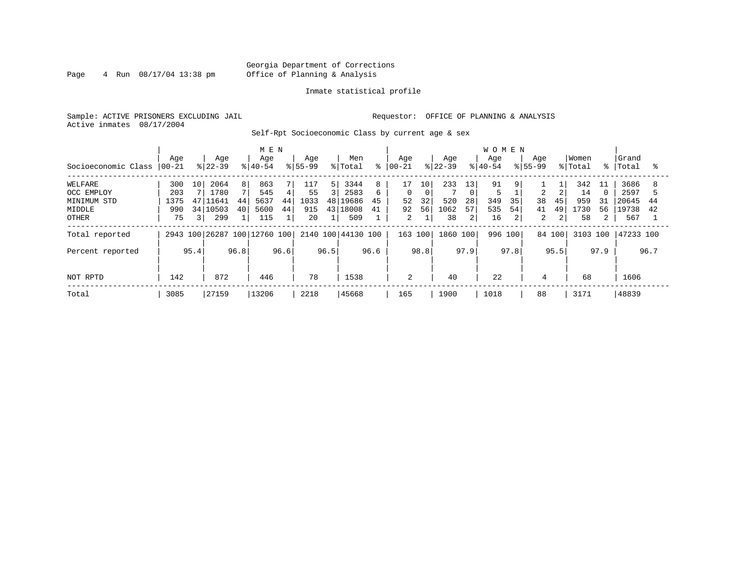### Georgia Department of Corrections Page 4 Run 08/17/04 13:38 pm Office of Planning & Analysis

#### Inmate statistical profile

Sample: ACTIVE PRISONERS EXCLUDING JAIL **Requestor:** OFFICE OF PLANNING & ANALYSIS Active inmates 08/17/2004

Self-Rpt Socioeconomic Class by current age & sex

|                     |          | M E N          |           |                |                              |      |             |      |                    |      |          |      |           |                | <b>WOMEN</b> |      |                |        |          |                |           |      |
|---------------------|----------|----------------|-----------|----------------|------------------------------|------|-------------|------|--------------------|------|----------|------|-----------|----------------|--------------|------|----------------|--------|----------|----------------|-----------|------|
|                     | Age      |                | Age       |                | Age                          |      | Age         |      | Men                |      | Aqe      |      | Age       |                | Aqe          |      | Aqe            |        | Women    |                | Grand     |      |
| Socioeconomic Class | $ 00-21$ |                | $ 22-39 $ |                | $ 40-54 $                    |      | $8155 - 99$ |      | % Total            | °    | $ 00-21$ |      | $8 22-39$ |                | $8 40-54$    |      | $8155 - 99$    |        | % Total  | $\approx$ 1    | Total     | ႜ    |
| WELFARE             | 300      | 10             | 2064      | 8 <sup>1</sup> | 863                          | 7    | 117         | 51   | 3344               | 8    | 17       | 10   | 233       | 13             | 91           | 9    |                |        | 342      | 11             | 3686      |      |
| OCC EMPLOY          | 203      |                | 1780      |                | 545                          | 4    | 55          |      | 2583               |      | $\Omega$ | 0    |           | $\Omega$       |              |      | 2              |        | 14       |                | 2597      |      |
| MINIMUM STD         | 1375     | 47             | 11641     | 44             | 5637                         | 44   | 1033        |      | 48 19686           | 45   | 52       | 32   | 520       | 28             | 349          | 35   | 38             | 45     | 959      | 31             | 20645     | 44   |
| MIDDLE              | 990      |                | 34 10503  | 40             | 5600                         | 44   | 915         | 43   | 18008              | 41   | 92       | 56   | 1062      | 57             | 535          | 54   | 41             | 49     | 1730     | 56             | 19738     | 42   |
| OTHER               | 75       | $\overline{3}$ | 299       |                | 115                          |      | 20          |      | 509                |      | 2        |      | 38        | 2 <sup>1</sup> | 16           |      | $\overline{a}$ | 2      | 58       | $\overline{a}$ | 567       |      |
| Total reported      |          |                |           |                | 2943 100 26287 100 12760 100 |      |             |      | 2140 100 44130 100 |      | 163 100  |      | 1860 100  |                | 996 100      |      |                | 84 100 | 3103 100 |                | 47233 100 |      |
| Percent reported    |          | 95.4           |           | 96.8           |                              | 96.6 |             | 96.5 |                    | 96.6 |          | 98.8 |           | 97.9           |              | 97.8 |                | 95.5   |          | 97.9           |           | 96.7 |
|                     |          |                |           |                |                              |      |             |      |                    |      |          |      |           |                |              |      |                |        |          |                |           |      |
| NOT RPTD            | 142      |                | 872       |                | 446                          |      | 78          |      | 1538               |      | 2        |      | 40        |                | 22           |      | 4              |        | 68       |                | 1606      |      |
| Total               | 3085     |                | 27159     |                | 13206                        |      | 2218        |      | 45668              |      | 165      |      | 1900      |                | 1018         |      | 88             |        | 3171     |                | 48839     |      |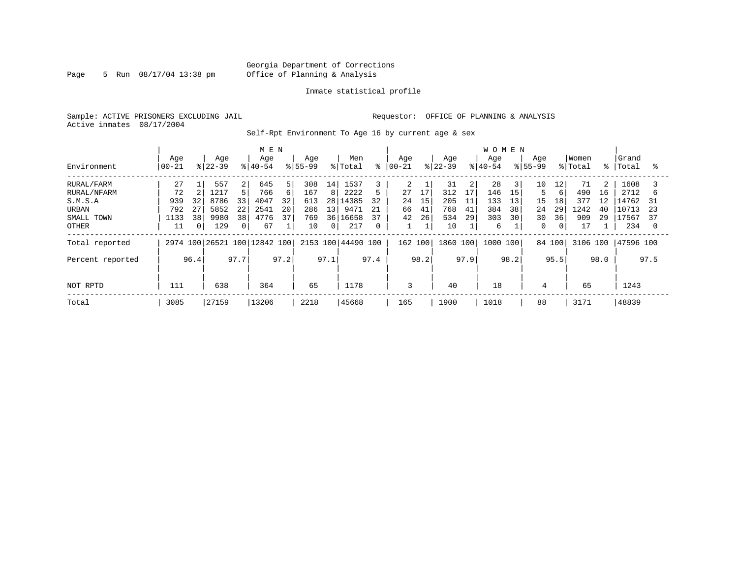Page 5 Run  $08/17/04$  13:38 pm

#### Inmate statistical profile

Sample: ACTIVE PRISONERS EXCLUDING JAIL **Requestor:** OFFICE OF PLANNING & ANALYSIS Active inmates 08/17/2004

Self-Rpt Environment To Age 16 by current age & sex

|                            |                  |                        | M E N                                |                        |                                   |                      |                                   | <b>WOMEN</b>           |                                 |                                 |                            |
|----------------------------|------------------|------------------------|--------------------------------------|------------------------|-----------------------------------|----------------------|-----------------------------------|------------------------|---------------------------------|---------------------------------|----------------------------|
| Environment                | Age<br>$ 00-21$  | Age<br>$8 22-39$       | Age<br>$8 40-54$                     | Age<br>$8155 - 99$     | Men<br>နွ<br>% Total              | Aqe<br>$ 00 - 21$    | Age<br>$8 22-39$                  | Age<br>$ 40-54$        | Aqe<br>$8155 - 99$              | Women<br>% Total<br>$\approx$ 1 | Grand<br>Total<br>°        |
| RURAL/FARM<br>RURAL/NFARM  | 27<br>72         | 557<br>1217            | 5<br>645<br>2<br>5.<br>766<br>6      | 308<br>14<br>167<br>8  | 1537<br>2222<br>5                 | 2<br>17<br>27        | 31<br>$\overline{2}$<br>17<br>312 | 28<br>3<br>146<br>15   | 10<br>12<br>5<br>6              | 71<br>2<br>490<br>16            | 1608<br>2712<br>h          |
| S.M.S.A<br>URBAN           | 939<br>792<br>27 | 32<br>8786<br>5852     | 33<br>32<br>4047<br>22<br>20<br>2541 | 613<br>28<br>286<br>13 | 14385<br>32<br>9471<br>21         | 15<br>24<br>41<br>66 | 205<br>11<br>768<br>41            | 133<br>13<br>384<br>38 | 15<br>18<br>29<br>24            | 377<br>12<br>1242<br>40         | L4762<br>31<br>10713<br>23 |
| SMALL TOWN<br><b>OTHER</b> | 1133<br>11       | 38<br>9980<br>0<br>129 | 38<br>37<br>4776<br>67<br>0          | 769<br>10<br>$\Omega$  | 37<br>36 16658<br>217<br>$\Omega$ | 26<br>42             | 534<br>29<br>10                   | 30<br>303<br>6         | 30<br>36<br>0<br>$\overline{0}$ | 909<br>29<br>17                 | 17567<br>37<br>234<br>- 0  |
| Total reported             |                  |                        | 2974 100 26521 100 12842 100         |                        | 2153 100 44490 100                | 162 100              | 1860 100                          | 1000<br>100            | 84 100                          | 3106 100                        | 47596 100                  |
| Percent reported           | 96.4             | 97.7                   | 97.2                                 | 97.1                   | 97.4                              | 98.2                 | 97.9                              | 98.2                   | 95.5                            | 98.0                            | 97.5                       |
| NOT RPTD                   | 111              | 638                    | 364                                  | 65                     | 1178                              | 3                    | 40                                | 18                     | 4                               | 65                              | 1243                       |
| Total                      | 3085             | 27159                  | 13206                                | 2218                   | 45668                             | 165                  | 1900                              | 1018                   | 88                              | 3171                            | 48839                      |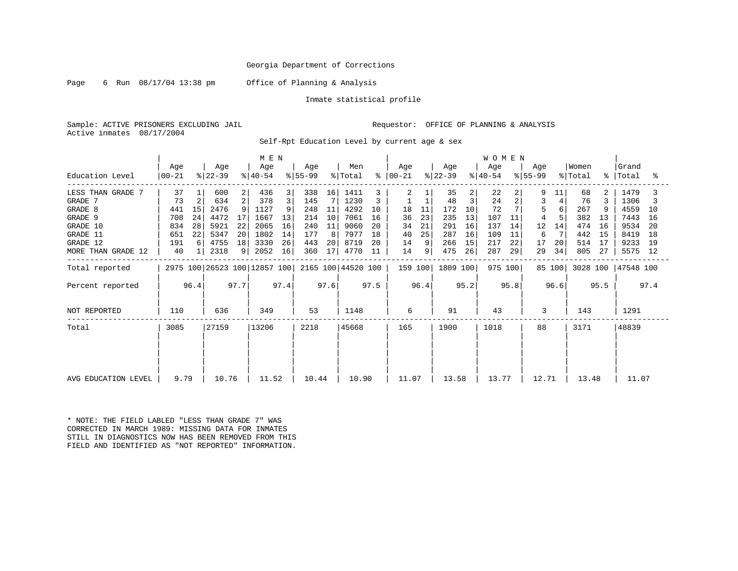Page 6 Run 08/17/04 13:38 pm Office of Planning & Analysis

Inmate statistical profile

Sample: ACTIVE PRISONERS EXCLUDING JAIL **Requestor:** OFFICE OF PLANNING & ANALYSIS Active inmates 08/17/2004

Self-Rpt Education Level by current age & sex

|                     | M E N           |                |                  |      |                              |      |                  |                 |                    |      |                      |      |                  |      | <b>WOMEN</b>     |      |                  |        |                  |      |                |      |
|---------------------|-----------------|----------------|------------------|------|------------------------------|------|------------------|-----------------|--------------------|------|----------------------|------|------------------|------|------------------|------|------------------|--------|------------------|------|----------------|------|
| Education Level     | Age<br>$ 00-21$ |                | Age<br>$ 22-39 $ |      | Age<br>$ 40-54 $             |      | Age<br>$ 55-99 $ |                 | Men<br>% Total     |      | Aqe<br>$8   00 - 21$ |      | Age<br>$ 22-39 $ |      | Age<br>$ 40-54 $ |      | Age<br>$8 55-99$ |        | Women<br>% Total | °≈   | Grand<br>Total | ိင်္ |
| LESS THAN GRADE 7   | 37              |                | 600              | 2    | 436                          | 3    | 338              | 16              | 1411               |      | 2                    |      | 35               | 2    | 22               | 2    | 9                | 11     | 68               |      | 1479           |      |
| GRADE 7             | 73              | $\overline{a}$ | 634              | 2    | 378                          | 3    | 145              |                 | 1230               |      |                      |      | 48               | 3    | 24               | 2    | 3                | 4      | 76               |      | 1306           |      |
| GRADE 8             | 441             | 15             | 2476             |      | 1127                         | 9    | 248              | 11              | 4292               | 10   | 18                   | 11   | 172              | 10   | 72               |      |                  |        | 267              |      | 4559           | 10   |
| GRADE 9             | 708             | 24             | 4472             | 17   | 1667                         | 13   | 214              | 10              | 7061               | 16   | 36                   | 23   | 235              | 13   | 107              | 11   |                  |        | 382              | 13   | 7443           | 16   |
| GRADE 10            | 834             | 28             | 5921             | 22   | 2065                         | 16   | 240              | 11              | 9060               | 20   | 34                   | 21   | 291              | 16   | 137              | 14   | 12               | 14     | 474              | 16   | 9534           | 20   |
| GRADE 11            | 651             | 22             | 5347             | 20   | 1802                         | 14   | 177              | 8               | 7977               | 18   | 40                   | 25   | 287              | 16   | 109              | 11   | 6                |        | 442              | 15   | 8419           | 18   |
| GRADE 12            | 191             |                | 4755             | 18   | 3330                         | 26   | 443              | 20              | 8719               | 20   | 14                   | 9    | 266              | 15   | 217              | 22   | 17               | 20     | 514              | 17   | 9233           | 19   |
| MORE THAN GRADE 12  | 40              |                | 2318             | 9    | 2052                         | 16   | 360              | 17 <sup>1</sup> | 4770               | 11   | 14                   | 9    | 475              | 26   | 287              | 29   | 29               | 34     | 805              | 27   | 5575           | 12   |
| Total reported      |                 |                |                  |      | 2975 100 26523 100 12857 100 |      |                  |                 | 2165 100 44520 100 |      | 159 100              |      | 1809 100         |      | 975 100          |      |                  | 85 100 | 3028 100         |      | 47548 100      |      |
| Percent reported    |                 | 96.4           |                  | 97.7 |                              | 97.4 |                  | 97.6            |                    | 97.5 |                      | 96.4 |                  | 95.2 |                  | 95.8 |                  | 96.6   |                  | 95.5 |                | 97.4 |
| NOT REPORTED        | 110             |                | 636              |      | 349                          |      | 53               |                 | 1148               |      | 6                    |      | 91               |      | 43               |      | 3                |        | 143              |      | 1291           |      |
| Total               | 3085            |                | 27159            |      | 13206                        |      | 2218             |                 | 45668              |      | 165                  |      | 1900             |      | 1018             |      | 88               |        | 3171             |      | 48839          |      |
|                     |                 |                |                  |      |                              |      |                  |                 |                    |      |                      |      |                  |      |                  |      |                  |        |                  |      |                |      |
|                     |                 |                |                  |      |                              |      |                  |                 |                    |      |                      |      |                  |      |                  |      |                  |        |                  |      |                |      |
| AVG EDUCATION LEVEL | 9.79            |                | 10.76            |      | 11.52                        |      | 10.44            |                 | 10.90              |      | 11.07                |      | 13.58            |      | 13.77            |      | 12.71            |        | 13.48            |      | 11.07          |      |

\* NOTE: THE FIELD LABLED "LESS THAN GRADE 7" WAS CORRECTED IN MARCH 1989: MISSING DATA FOR INMATES STILL IN DIAGNOSTICS NOW HAS BEEN REMOVED FROM THIS FIELD AND IDENTIFIED AS "NOT REPORTED" INFORMATION.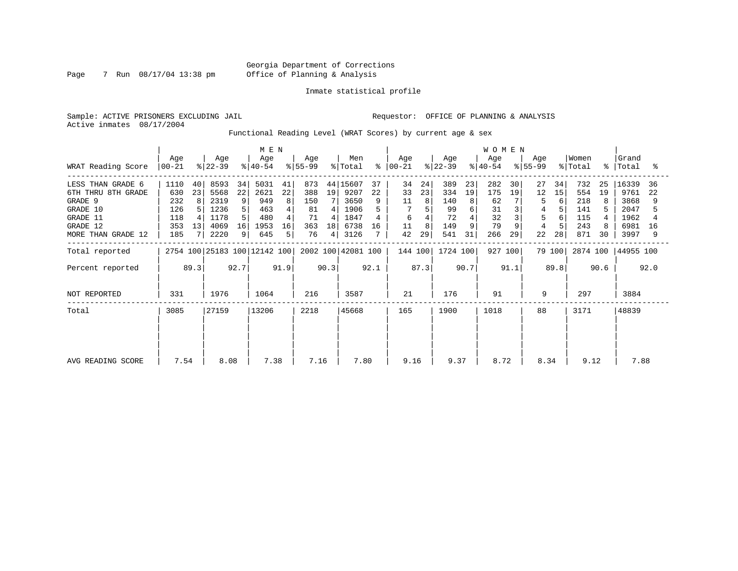Page 7 Run 08/17/04 13:38 pm

#### Inmate statistical profile

Sample: ACTIVE PRISONERS EXCLUDING JAIL **Requestor:** OFFICE OF PLANNING & ANALYSIS Active inmates 08/17/2004

Functional Reading Level (WRAT Scores) by current age & sex

|                                                                                                              | M E N                                          |                     |                                                      |                                    |                                                  |                          |                                            |                         |                                                          |                     |                                 |                     |                                             |                               | W O M E N                                 |                     |                     |                     |                                               |                |                                                       |                     |
|--------------------------------------------------------------------------------------------------------------|------------------------------------------------|---------------------|------------------------------------------------------|------------------------------------|--------------------------------------------------|--------------------------|--------------------------------------------|-------------------------|----------------------------------------------------------|---------------------|---------------------------------|---------------------|---------------------------------------------|-------------------------------|-------------------------------------------|---------------------|---------------------|---------------------|-----------------------------------------------|----------------|-------------------------------------------------------|---------------------|
| WRAT Reading Score                                                                                           | Age<br>$ 00 - 21 $                             |                     | Age<br>$ 22-39 $                                     |                                    | Age<br>$ 40-54 $                                 |                          | Age<br>$8 55-99$                           |                         | Men<br>% Total                                           | နွ                  | Age<br>$ 00-21 $                |                     | Age<br>$ 22-39 $                            |                               | Age<br>$ 40-54 $                          |                     | Age<br>$ 55-99 $    |                     | Women<br>% Total                              | $\approx$ 1    | Grand<br>Total                                        | °                   |
| LESS THAN GRADE 6<br>6TH THRU 8TH GRADE<br>GRADE 9<br>GRADE 10<br>GRADE 11<br>GRADE 12<br>MORE THAN GRADE 12 | 1110<br>630<br>232<br>126<br>118<br>353<br>185 | 40<br>23<br>8<br>13 | 8593<br>5568<br>2319<br>1236<br>1178<br>4069<br>2220 | 34<br>22<br>9<br>5<br>5<br>16<br>9 | 5031<br>2621<br>949<br>463<br>480<br>1953<br>645 | 41<br>22<br>8<br>16<br>5 | 873<br>388<br>150<br>81<br>71<br>363<br>76 | 19<br>4<br>4<br>18<br>4 | 44 15607<br>9207<br>3650<br>1906<br>1847<br>6738<br>3126 | 37<br>22<br>9<br>16 | 34<br>33<br>11<br>6<br>11<br>42 | 24<br>23<br>8<br>29 | 389<br>334<br>140<br>99<br>72<br>149<br>541 | 23<br>19<br>8<br>6<br>9<br>31 | 282<br>175<br>62<br>31<br>32<br>79<br>266 | 30<br>19<br>9<br>29 | 27<br>12<br>5<br>22 | 34<br>15<br>6<br>28 | 732<br>554<br>218<br>141<br>115<br>243<br>871 | 25<br>19<br>30 | 16339<br>9761<br>3868<br>2047<br>1962<br>6981<br>3997 | 36<br>22<br>16<br>9 |
| Total reported                                                                                               |                                                |                     |                                                      |                                    | 2754 100 25183 100 12142 100                     |                          |                                            |                         | 2002 100 42081 100                                       |                     | 144 100                         |                     | 1724 100                                    |                               | 927 100                                   |                     |                     | 79 100              | 2874 100                                      |                | 44955 100                                             |                     |
| Percent reported                                                                                             |                                                | 89.3                |                                                      | 92.7                               |                                                  | 91.9                     |                                            | 90.3                    |                                                          | 92.1                |                                 | 87.3                |                                             | 90.7                          |                                           | 91.1                |                     | 89.8                |                                               | 90.6           |                                                       | 92.0                |
| NOT REPORTED                                                                                                 | 331                                            |                     | 1976                                                 |                                    | 1064                                             |                          | 216                                        |                         | 3587                                                     |                     | 21                              |                     | 176                                         |                               | 91                                        |                     | 9                   |                     | 297                                           |                | 3884                                                  |                     |
| Total                                                                                                        | 3085                                           |                     | 27159                                                |                                    | 13206                                            |                          | 2218                                       |                         | 45668                                                    |                     | 165                             |                     | 1900                                        |                               | 1018                                      |                     | 88                  |                     | 3171                                          |                | 48839                                                 |                     |
| AVG READING SCORE                                                                                            | 7.54                                           |                     | 8.08                                                 |                                    | 7.38                                             |                          | 7.16                                       |                         | 7.80                                                     |                     | 9.16                            |                     | 9.37                                        |                               | 8.72                                      |                     | 8.34                |                     | 9.12                                          |                | 7.88                                                  |                     |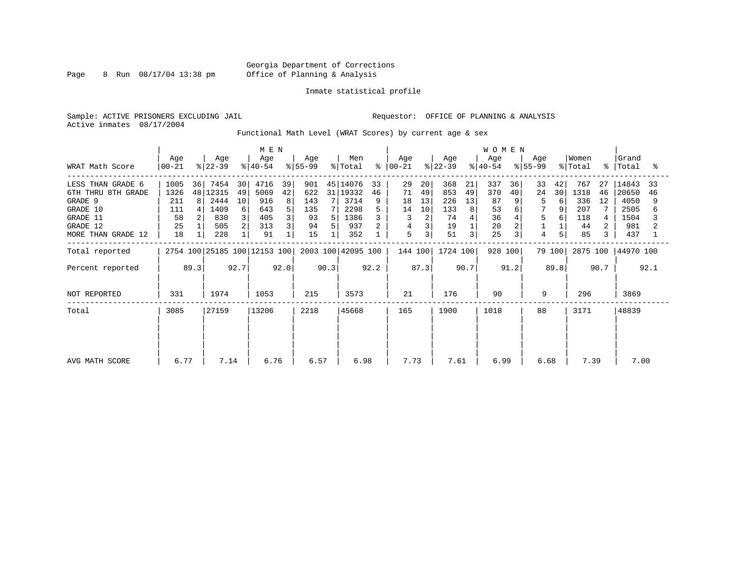Page 8 Run  $08/17/04$  13:38 pm

#### Inmate statistical profile

Sample: ACTIVE PRISONERS EXCLUDING JAIL **Requestor:** OFFICE OF PLANNING & ANALYSIS Active inmates 08/17/2004

Functional Math Level (WRAT Scores) by current age & sex

| WRAT Math Score                                                                                              | Age<br>$00 - 21$                                         | Age<br>$ 22-39 $                                                          | M E N<br>Age<br>$ 40-54 $                                       | Age<br>$ 55-99 $                                              | Men<br>% Total<br>$\approx$                                              | Age<br>00-21                                                                       | Age<br>$ 22-39 $                                                       | <b>WOMEN</b><br>Age<br>$8 40-54$                     | Age<br>$8 55-99$                                        | Women<br>% Total                                               | Grand<br>%   Total<br>°≈                                         |
|--------------------------------------------------------------------------------------------------------------|----------------------------------------------------------|---------------------------------------------------------------------------|-----------------------------------------------------------------|---------------------------------------------------------------|--------------------------------------------------------------------------|------------------------------------------------------------------------------------|------------------------------------------------------------------------|------------------------------------------------------|---------------------------------------------------------|----------------------------------------------------------------|------------------------------------------------------------------|
| LESS THAN GRADE 6<br>6TH THRU 8TH GRADE<br>GRADE 9<br>GRADE 10<br>GRADE 11<br>GRADE 12<br>MORE THAN GRADE 12 | 1005<br>36<br>1326<br>48<br>211<br>111<br>58<br>25<br>18 | 7454<br>30<br>12315<br>49<br>2444<br>10<br>1409<br>6<br>830<br>505<br>228 | 4716<br>39<br>42<br>5069<br>916<br>8<br>643<br>405<br>313<br>91 | 901<br>31 l<br>622<br>143<br>71<br>135<br>93<br>94<br>5<br>15 | 45 14076<br>33<br>19332<br>46<br>3714<br>9<br>2298<br>1386<br>937<br>352 | 29<br>20<br>71<br>49<br>18<br>13<br>14<br>10<br>3<br>4<br>3<br>5<br>3 <sub>1</sub> | 368<br>21<br>853<br>49<br>226<br>13<br>133<br>8<br>74<br>19<br>51<br>3 | 337<br>36<br>370<br>40<br>87<br>53<br>36<br>20<br>25 | 33<br>42<br>24<br>30<br>6<br>5<br>9<br>5<br>6<br>5<br>4 | 767<br>27<br>1318<br>46<br>336<br>12<br>207<br>118<br>44<br>85 | 14843<br>33<br>20650<br>46<br>4050<br>2505<br>1504<br>981<br>437 |
| Total reported                                                                                               |                                                          |                                                                           | 2754 100 25185 100 12153 100                                    |                                                               | 2003 100 42095 100                                                       | 144 100                                                                            | 1724 100                                                               | 928 100                                              | 79 100                                                  | 2875 100                                                       | 44970 100                                                        |
| Percent reported                                                                                             | 89.3                                                     | 92.7                                                                      | 92.0                                                            | 90.3                                                          | 92.2                                                                     | 87.3                                                                               | 90.7                                                                   | 91.2                                                 | 89.8                                                    | 90.7                                                           | 92.1                                                             |
| NOT REPORTED                                                                                                 | 331                                                      | 1974                                                                      | 1053                                                            | 215                                                           | 3573                                                                     | 21                                                                                 | 176                                                                    | 90                                                   | 9                                                       | 296                                                            | 3869                                                             |
| Total                                                                                                        | 3085                                                     | 27159                                                                     | 13206                                                           | 2218                                                          | 45668                                                                    | 165                                                                                | 1900                                                                   | 1018                                                 | 88                                                      | 3171                                                           | 48839                                                            |
| AVG MATH SCORE                                                                                               | 6.77                                                     | 7.14                                                                      | 6.76                                                            | 6.57                                                          | 6.98                                                                     | 7.73                                                                               | 7.61                                                                   | 6.99                                                 | 6.68                                                    | 7.39                                                           | 7.00                                                             |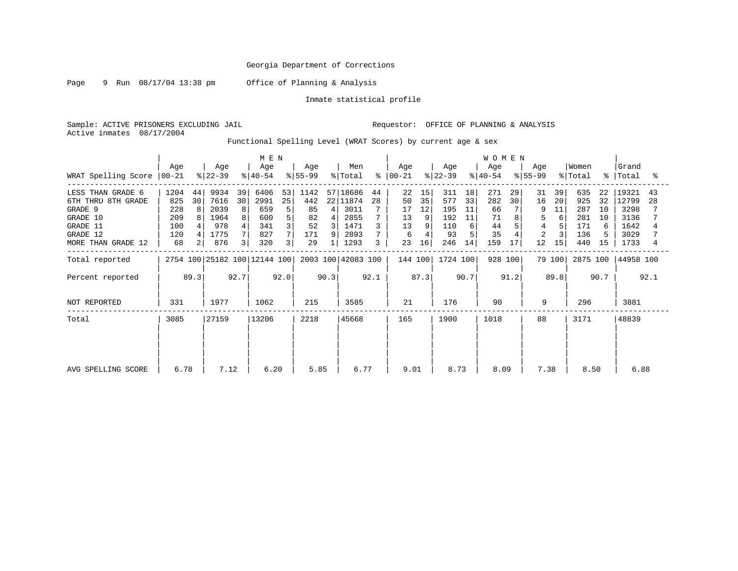Page 9 Run 08/17/04 13:38 pm Office of Planning & Analysis

Inmate statistical profile

Sample: ACTIVE PRISONERS EXCLUDING JAIL Requestor: OFFICE OF PLANNING & ANALYSIS Active inmates 08/17/2004

Functional Spelling Level (WRAT Scores) by current age & sex

| M E N               |                  |      |                  |      |                              |      |                  |      |                    |           |                 |      | <b>WOMEN</b>     |      |                  |      |                    |        |                  |      |                    |      |
|---------------------|------------------|------|------------------|------|------------------------------|------|------------------|------|--------------------|-----------|-----------------|------|------------------|------|------------------|------|--------------------|--------|------------------|------|--------------------|------|
| WRAT Spelling Score | Age<br>$ 00-21 $ |      | Age<br>$ 22-39 $ |      | Age<br>$ 40-54 $             |      | Age<br>$8 55-99$ |      | Men<br>% Total     | $\approx$ | Age<br>$ 00-21$ |      | Age<br>$ 22-39 $ |      | Age<br>$ 40-54 $ |      | Age<br>$8155 - 99$ |        | Women<br>% Total |      | Grand<br>%   Total | ႜ    |
|                     |                  |      |                  |      |                              |      |                  |      |                    |           |                 |      |                  |      |                  |      |                    |        |                  |      |                    |      |
| LESS THAN GRADE 6   | 1204             | 44   | 9934             | 39   | 6406                         | 53   | 1142             |      | 57 18686           | 44        | 22              | 15   | 311              | 18   | 271              | 29   | 31                 | 39     | 635              | 22   | 19321              | 43   |
| 6TH THRU 8TH GRADE  | 825              | 30   | 7616             | 30   | 2991                         | 25   | 442              |      | 22 11874           | 28        | 50              | 35   | 577              | 33   | 282              | 30   | 16                 | 20     | 925              | 32   | 12799              | 28   |
| GRADE 9             | 228              | 8    | 2039             | 8    | 659                          | 5    | 85               | 4    | 3011               |           | 17              | 12   | 195              | 11   | 66               |      |                    | 11     | 287              | 10   | 3298               |      |
| GRADE 10            | 209              |      | 1964             | 8    | 600                          | 5    | 82               | 4    | 2855               |           | 13              |      | 192              | 11   | 71               | 8    |                    | 6      | 281              | 10   | 3136               |      |
| GRADE 11            | 100              |      | 978              |      | 341                          |      | 52               |      | 1471               |           | 13              |      | 110              | 6    | 44               |      | 4                  |        | 171              | 6    | 1642               |      |
| GRADE 12            | 120              |      | 1775             |      | 827                          |      | 171              | 9    | 2893               |           | 6               |      | 93               |      | 35               |      | $\overline{2}$     |        | 136              |      | 3029               |      |
| MORE THAN GRADE 12  | 68               |      | 876              | 3    | 320                          | 3    | 29               |      | 1293               | 3         | 23              | 16   | 246              | 14   | 159              | 17   | 12                 | 15     | 440              | 15   | 1733               |      |
| Total reported      |                  |      |                  |      | 2754 100 25182 100 12144 100 |      |                  |      | 2003 100 42083 100 |           | 144 100         |      | 1724 100         |      | 928 100          |      |                    | 79 100 | 2875 100         |      | 44958 100          |      |
| Percent reported    |                  | 89.3 |                  | 92.7 |                              | 92.0 |                  | 90.3 |                    | 92.1      |                 | 87.3 |                  | 90.7 |                  | 91.2 |                    | 89.8   |                  | 90.7 |                    | 92.1 |
| NOT REPORTED        | 331              |      | 1977             |      | 1062                         |      | 215              |      | 3585               |           | 21              |      | 176              |      | 90               |      | 9                  |        | 296              |      | 3881               |      |
| Total               | 3085             |      | 27159            |      | 13206                        |      | 2218             |      | 45668              |           | 165             |      | 1900             |      | 1018             |      | 88                 |        | 3171             |      | 48839              |      |
|                     |                  |      |                  |      |                              |      |                  |      |                    |           |                 |      |                  |      |                  |      |                    |        |                  |      |                    |      |
| AVG SPELLING SCORE  | 6.78             |      | 7.12             |      | 6.20                         |      | 5.85             |      | 6.77               |           | 9.01            |      | 8.73             |      | 8.09             |      | 7.38               |        | 8.50             |      | 6.88               |      |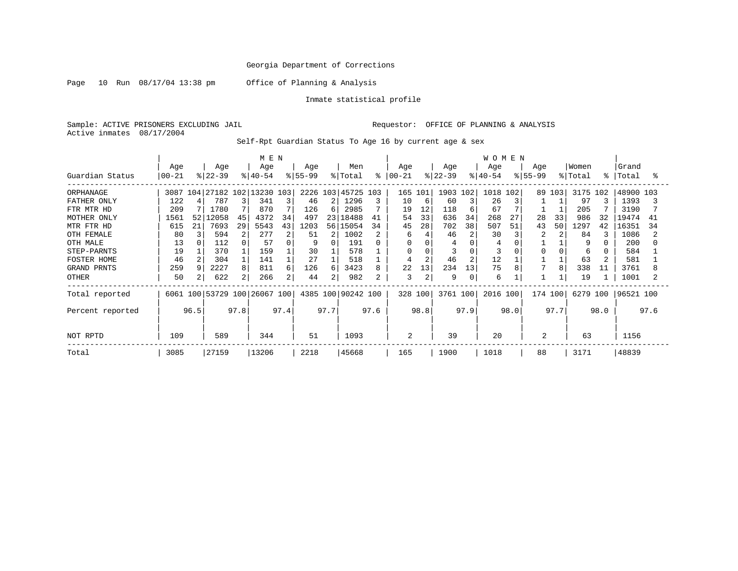Page 10 Run 08/17/04 13:38 pm Office of Planning & Analysis

Inmate statistical profile

Sample: ACTIVE PRISONERS EXCLUDING JAIL Requestor: OFFICE OF PLANNING & ANALYSIS Active inmates 08/17/2004

Self-Rpt Guardian Status To Age 16 by current age & sex

|                  | M E N     |      |                              |                |           |      |             |                |                    |      |               |          |           |      | <b>WOMEN</b> |      |             |      |          |             |           |      |
|------------------|-----------|------|------------------------------|----------------|-----------|------|-------------|----------------|--------------------|------|---------------|----------|-----------|------|--------------|------|-------------|------|----------|-------------|-----------|------|
|                  | Age       |      | Age                          |                | Age       |      | Age         |                | Men                |      | Age           |          | Age       |      | Age          |      | Age         |      | Women    |             | Grand     |      |
| Guardian Status  | $00 - 21$ |      | $ 22-39 $                    |                | $ 40-54 $ |      | $8155 - 99$ |                | % Total            |      | $8   00 - 21$ |          | $ 22-39 $ |      | $8 40-54$    |      | $8155 - 99$ |      | % Total  | $\approx$ 1 | Total     | °    |
| ORPHANAGE        | 3087 104  |      | 27182 102 13230 103          |                |           |      |             |                | 2226 103 45725 103 |      | 165 101       |          | 1903 102  |      | 1018         | 102  | 89          | 103  | 3175 102 |             | 48900 103 |      |
| FATHER ONLY      | 122       |      | 787                          |                | 341       | 3    | 46          | 2 <sub>1</sub> | 1296               | 3    | 10            | -6       | 60        |      | 26           |      |             |      | 97       |             | 1393      |      |
| FTR MTR HD       | 209       |      | 1780                         |                | 870       |      | 126         | б.             | 2985               |      | 19            | 12       | 118       |      | 67           |      |             |      | 205      |             | 3190      |      |
| MOTHER ONLY      | 1561      | 52   | 12058                        | 45             | 4372      | 34   | 497         | 231            | 18488              | 41   | 54            | 33       | 636       | 34   | 268          | 27   | 28          | 33   | 986      | 32          | 19474     | 41   |
| MTR FTR HD       | 615       | 21   | 7693                         | 29             | 5543      | 43   | 1203        | 56 l           | 15054              | 34   | 45            | 28       | 702       | 38   | 507          | 51   | 43          | 50   | 1297     | 42          | 16351     | 34   |
| OTH FEMALE       | 80        |      | 594                          | 2              | 277       | 2    | 51          | $\overline{2}$ | 1002               |      | 6             |          | 46        |      | 30           |      |             |      | 84       |             | 1086      |      |
| OTH MALE         | 13        |      | 112                          |                | 57        |      | 9           |                | 191                |      | $\Omega$      |          |           |      | 4            |      |             |      | 9        |             | 200       |      |
| STEP-PARNTS      | 19        |      | 370                          |                | 159       |      | 30          |                | 578                |      | 0             | $\Omega$ |           |      |              |      |             |      | 6        |             | 584       |      |
| FOSTER HOME      | 46        |      | 304                          |                | 141       |      | 27          |                | 518                |      |               |          | 46        |      | 12           |      |             |      | 63       |             | 581       |      |
| GRAND PRNTS      | 259       |      | 2227                         | 8              | 811       | 6    | 126         | 6              | 3423               | 8    | 22            | 13       | 234       | 13   | 75           |      |             | 8    | 338      | 11          | 3761      |      |
| OTHER            | 50        |      | 622                          | $\overline{2}$ | 266       | 2    | 44          | 2              | 982                |      | 3             |          | 9         | 0    | 6            |      |             |      | 19       |             | 1001      |      |
| Total reported   |           |      | 6061 100 53729 100 26067 100 |                |           |      |             |                | 4385 100 90242 100 |      |               | 328 100  | 3761 100  |      | 2016 100     |      | 174 100     |      | 6279 100 |             | 96521 100 |      |
| Percent reported |           | 96.5 |                              | 97.8           |           | 97.4 |             | 97.7           |                    | 97.6 |               | 98.8     |           | 97.9 |              | 98.0 |             | 97.7 |          | 98.0        |           | 97.6 |
| NOT RPTD         | 109       |      | 589                          |                | 344       |      | 51          |                | 1093               |      | 2             |          | 39        |      | 20           |      | 2           |      | 63       |             | 1156      |      |
| Total            | 3085      |      | 27159                        |                | 13206     |      | 2218        |                | 45668              |      | 165           |          | 1900      |      | 1018         |      | 88          |      | 3171     |             | 48839     |      |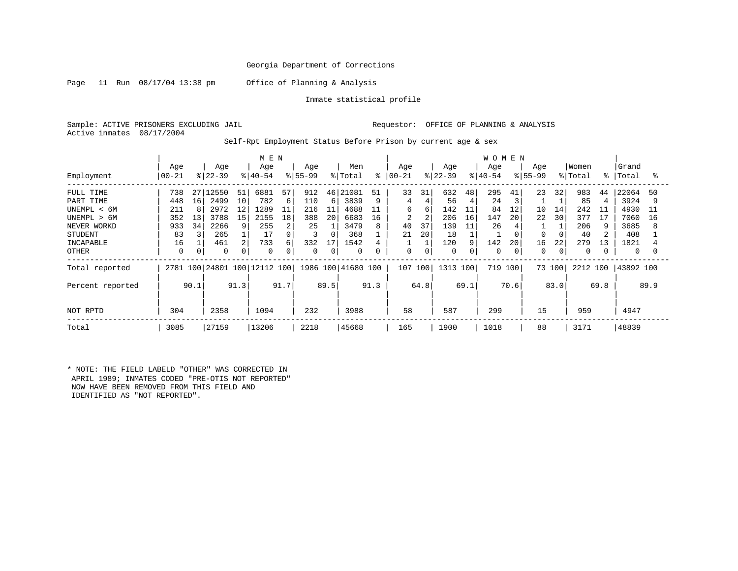Page 11 Run 08/17/04 13:38 pm Office of Planning & Analysis

Inmate statistical profile

Sample: ACTIVE PRISONERS EXCLUDING JAIL **Requestor:** OFFICE OF PLANNING & ANALYSIS Active inmates 08/17/2004

Self-Rpt Employment Status Before Prison by current age & sex

|                  | M E N     |      |           |      |                              |      |             |      |                    |      |            |      |           |      | <b>WOMEN</b>          |      |           |        |          |      |           |      |
|------------------|-----------|------|-----------|------|------------------------------|------|-------------|------|--------------------|------|------------|------|-----------|------|-----------------------|------|-----------|--------|----------|------|-----------|------|
|                  | Age       |      | Age       |      | Age                          |      | Age         |      | Men                |      | Age        |      | Age       |      | Age                   |      | Age       |        | Women    |      | Grand     |      |
| Employment       | $00 - 21$ |      | $ 22-39 $ |      | $ 40-54 $                    |      | $8 55-99$   |      | % Total            | နွ   | $ 00 - 21$ |      | $ 22-39 $ |      | $\frac{1}{6}$   40-54 |      | $ 55-99 $ |        | % Total  | °≈   | Total     | °≈   |
| FULL TIME        | 738       | 27   | 2550      | 51   | 6881                         | 57   | 912         | 46   | 21081              | 51   | 33         | 31   | 632       | 48   | 295                   | 41   | 23        | 32     | 983      | 44   | 22064     | 50   |
| PART TIME        | 448       | 16   | 2499      | 10   | 782                          | 6    | 110         | 6    | 3839               | 9    | 4          | 4    | 56        | 4    | 24                    |      |           |        | 85       |      | 3924      | 9    |
| UNEMPL < 6M      | 211       | 8    | 2972      | 12   | 1289                         | 11   | 216         | 11   | 4688               | 11   | б.         | 6    | 142       | 11   | 84                    | 12   | 10        | 14     | 242      | 11   | 4930      | 11   |
| UNEMPL > 6M      | 352       | 13   | 3788      | 15   | 2155                         | 18   | 388         | 20   | 6683               | 16   | 2          |      | 206       | 16   | 147                   | 20   | 22        | 30     | 377      | 17   | 7060      | 16   |
| NEVER WORKD      | 933       | 34   | 2266      | 9    | 255                          | 2    | 25          |      | 3479               | 8    | 40         | 37   | 139       | 11   | 26                    |      |           |        | 206      |      | 3685      | 8    |
| <b>STUDENT</b>   | 83        |      | 265       |      | 17                           | 0    | 3           |      | 368                |      | 21         | 20   | 18        |      |                       |      | $\Omega$  |        | 40       |      | 408       |      |
| INCAPABLE        | 16        |      | 461       |      | 733                          | 6    | 332         | 17   | 1542               |      |            |      | 120       | 9    | 142                   | 20   | 16        | 22     | 279      | 13   | 1821      |      |
| <b>OTHER</b>     | 0         |      | 0         |      | 0                            | 0    | $\mathbf 0$ |      | 0                  | 0    | 0          | 0    | 0         | 0    | 0                     |      | 0         | 0      | 0        |      | 0         |      |
| Total reported   |           |      |           |      | 2781 100 24801 100 12112 100 |      |             |      | 1986 100 41680 100 |      | 107        | 100  | 1313 100  |      | 719                   | 100  |           | 73 100 | 2212 100 |      | 43892 100 |      |
| Percent reported |           | 90.1 |           | 91.3 |                              | 91.7 |             | 89.5 |                    | 91.3 |            | 64.8 |           | 69.1 |                       | 70.6 |           | 83.0   |          | 69.8 |           | 89.9 |
| NOT RPTD         | 304       |      | 2358      |      | 1094                         |      | 232         |      | 3988               |      | 58         |      | 587       |      | 299                   |      | 15        |        | 959      |      | 4947      |      |
| Total            | 3085      |      | 27159     |      | 13206                        |      | 2218        |      | 45668              |      | 165        |      | 1900      |      | 1018                  |      | 88        |        | 3171     |      | 48839     |      |

\* NOTE: THE FIELD LABELD "OTHER" WAS CORRECTED IN APRIL 1989; INMATES CODED "PRE-OTIS NOT REPORTED" NOW HAVE BEEN REMOVED FROM THIS FIELD AND IDENTIFIED AS "NOT REPORTED".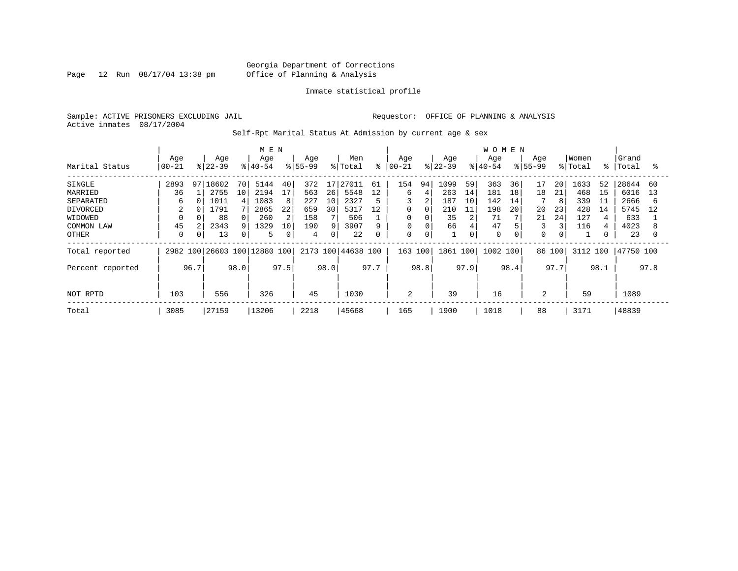Page 12 Run 08/17/04 13:38 pm

#### Inmate statistical profile

Sample: ACTIVE PRISONERS EXCLUDING JAIL **Requestor:** OFFICE OF PLANNING & ANALYSIS Active inmates 08/17/2004

Self-Rpt Marital Status At Admission by current age & sex

|                  |           |      |           |      | M E N                   |      |             |      |                |      |          |             |           |      | <b>WOMEN</b> |      |             |      |         |      |           |      |
|------------------|-----------|------|-----------|------|-------------------------|------|-------------|------|----------------|------|----------|-------------|-----------|------|--------------|------|-------------|------|---------|------|-----------|------|
|                  | Age       |      | Age       |      | Age                     |      | Age         |      | Men            |      | Age      |             | Age       |      | Age          |      | Age         |      | Women   |      | Grand     |      |
| Marital Status   | $00 - 21$ |      | $8 22-39$ |      | $8 40-54$               |      | $8155 - 99$ |      | % Total        | ⊱    | $ 00-21$ |             | $8 22-39$ |      | $8 40-54$    |      | $8155 - 99$ |      | % Total | °≈   | Total     | °≈   |
| SINGLE           | 2893      | 97   | 18602     | 70   | 5144                    | 40   | 372         | 17   | 27011          | 61   | 154      | 94          | 1099      | 59   | 363          | 36   | 17          | 20   | 1633    | 52   | 28644     | 60   |
| MARRIED          | 36        |      | 2755      | 10   | 2194                    | 17   | 563         | 26   | 5548           | 12   | 6        |             | 263       | 14   | 181          | 18   | 18          | 21   | 468     | 15   | 6016      | 13   |
| SEPARATED        | 6         |      | 1011      |      | 1083                    | 8    | 227         | 10   | 2327           | 5    | 3        | 2           | 187       | 10   | 142          | 14   |             | 8    | 339     | 11   | 2666      | 6    |
| <b>DIVORCED</b>  | 2         |      | 1791      |      | 2865                    | 22   | 659         | 30   | 5317           | 12   | 0        | 0           | 210       | 11   | 198          | 20   | 20          | 23   | 428     | 14   | 5745      | 12   |
| WIDOWED          |           |      | 88        |      | 260                     | 2    | 158         |      | 506            |      | 0        |             | 35        | 2    | 71           |      | 21          | 24   | 127     |      | 633       |      |
| COMMON LAW       | 45        |      | 2343      |      | 1329                    | 10   | 190         | q    | 3907           | 9    | $\Omega$ |             | 66        | 4    | 47           |      | 3           | 3    | 116     |      | 4023      |      |
| OTHER            | $\Omega$  | 0    | 13        |      | 5                       | 0    | 4           | 0    | 22             | 0    | 0        | $\mathbf 0$ |           | 0    | 0            |      | 0           | 0    |         |      | 23        |      |
| Total reported   | 2982      |      |           |      | 100 26603 100 12880 100 |      |             |      | 2173 100 44638 | 100  | 163      | 100         | 1861 100  |      | 1002 100     |      | 86 100      |      | 3112    | 100  | 47750 100 |      |
| Percent reported |           | 96.7 |           | 98.0 |                         | 97.5 |             | 98.0 |                | 97.7 |          | 98.8        |           | 97.9 |              | 98.4 |             | 97.7 |         | 98.1 |           | 97.8 |
|                  |           |      |           |      |                         |      |             |      |                |      |          |             |           |      |              |      |             |      |         |      |           |      |
| NOT RPTD         | 103       |      | 556       |      | 326                     |      | 45          |      | 1030           |      | 2        |             | 39        |      | 16           |      | 2           |      | 59      |      | 1089      |      |
| Total            | 3085      |      | 27159     |      | 13206                   |      | 2218        |      | 45668          |      | 165      |             | 1900      |      | 1018         |      | 88          |      | 3171    |      | 48839     |      |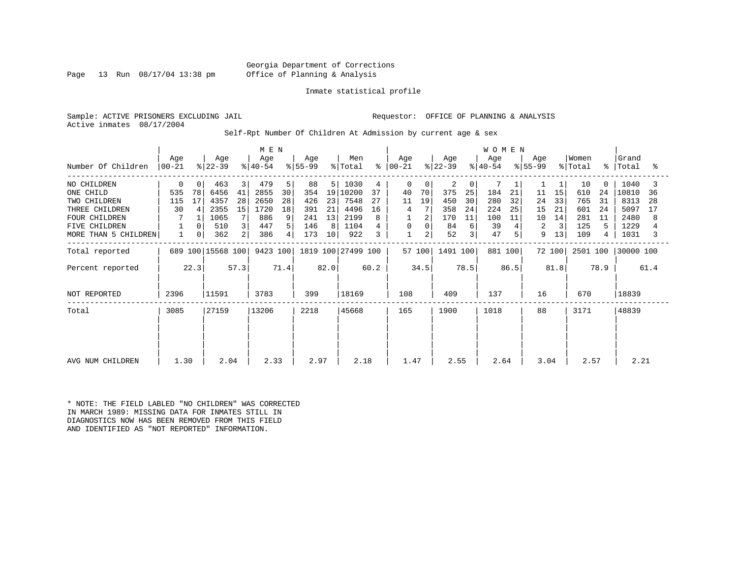Georgia Department of Corrections Page 13 Run 08/17/04 13:38 pm Office of Planning & Analysis

#### Inmate statistical profile

Sample: ACTIVE PRISONERS EXCLUDING JAIL **Requestor:** OFFICE OF PLANNING & ANALYSIS Active inmates 08/17/2004

Self-Rpt Number Of Children At Admission by current age & sex

|                      | M E N            |      |                   |      |                  |      |                 |                |                    |      |              |        |                  |                         | WOMEN            |      |                  |        |                  |          |                    |      |
|----------------------|------------------|------|-------------------|------|------------------|------|-----------------|----------------|--------------------|------|--------------|--------|------------------|-------------------------|------------------|------|------------------|--------|------------------|----------|--------------------|------|
| Number Of Children   | Age<br>$00 - 21$ |      | Age<br>$ 22-39 $  |      | Age<br>$ 40-54 $ |      | Age<br>$ 55-99$ |                | Men<br>% Total     | °    | Age<br>00-21 |        | Age<br>$ 22-39 $ |                         | Age<br>$ 40-54 $ |      | Age<br>$ 55-99 $ |        | Women<br>% Total |          | Grand<br>%   Total | °    |
| NO CHILDREN          | 0                |      | 463               | 3    | 479              | 5    | 88              | 5 <sup>1</sup> | 1030               | 4    | 0            | 0      | 2                | 0                       |                  |      |                  |        | 10               | $\Omega$ | 1040               |      |
| ONE CHILD            | 535              | 78   | 6456              | 41   | 2855             | 30   | 354             |                | 19 10200           | 37   | 40           | 70     | 375              | 25                      | 184              | 21   | 11               | 15     | 610              | 24       | 10810              | 36   |
| TWO CHILDREN         | 115              | 17   | 4357              | 28   | 2650             | 28   | 426             | 23             | 7548               | 27   | 11           | 19     | 450              | 30                      | 280              | 32   | 24               | 33     | 765              | 31       | 8313               | 28   |
| THREE CHILDREN       | 30               | 4    | 2355              | 15   | 1720             | 18   | 391             | 21             | 4496               | 16   | 4            |        | 358              | 24                      | 224              | 25   | 15               | 21     | 601              | 24       | 5097               | 17   |
| <b>FOUR CHILDREN</b> |                  |      | 1065              |      | 886              | 9    | 241             | 13             | 2199               |      |              | 2      | 170              | 11                      | 100              | 11   | 10               | 14     | 281              | 11       | 2480               | 8    |
| FIVE CHILDREN        |                  |      | 510               | 3    | 447              | 5    | 146             | 8              | 1104               |      | 0            | 0      | 84               | 6                       | 39               |      | 2                | 3      | 125              |          | 1229               |      |
| MORE THAN 5 CHILDREN |                  | 0    | 362               | 2    | 386              | 4    | 173             | 10             | 922                |      |              | 2      | 52               | $\overline{\mathbf{3}}$ | 47               |      | 9                | 13     | 109              | 4        | 1031               | 3    |
| Total reported       |                  |      | 689 100 15568 100 |      | 9423 100         |      |                 |                | 1819 100 27499 100 |      |              | 57 100 | 1491 100         |                         | 881              | 100  |                  | 72 100 | 2501 100         |          | 30000 100          |      |
| Percent reported     |                  | 22.3 |                   | 57.3 |                  | 71.4 |                 | 82.0           |                    | 60.2 |              | 34.5   |                  | 78.5                    |                  | 86.5 |                  | 81.8   |                  | 78.9     |                    | 61.4 |
| NOT REPORTED         | 2396             |      | 11591             |      | 3783             |      | 399             |                | 18169              |      | 108          |        | 409              |                         | 137              |      | 16               |        | 670              |          | 18839              |      |
| Total                | 3085             |      | 27159             |      | 13206            |      | 2218            |                | 45668              |      | 165          |        | 1900             |                         | 1018             |      | 88               |        | 3171             |          | 48839              |      |
|                      |                  |      |                   |      |                  |      |                 |                |                    |      |              |        |                  |                         |                  |      |                  |        |                  |          |                    |      |
| AVG NUM CHILDREN     | 1.30             |      | 2.04              |      | 2.33             |      | 2.97            |                | 2.18               |      | 1.47         |        | 2.55             |                         | 2.64             |      | 3.04             |        | 2.57             |          | 2.21               |      |

\* NOTE: THE FIELD LABLED "NO CHILDREN" WAS CORRECTED IN MARCH 1989: MISSING DATA FOR INMATES STILL IN DIAGNOSTICS NOW HAS BEEN REMOVED FROM THIS FIELD AND IDENTIFIED AS "NOT REPORTED" INFORMATION.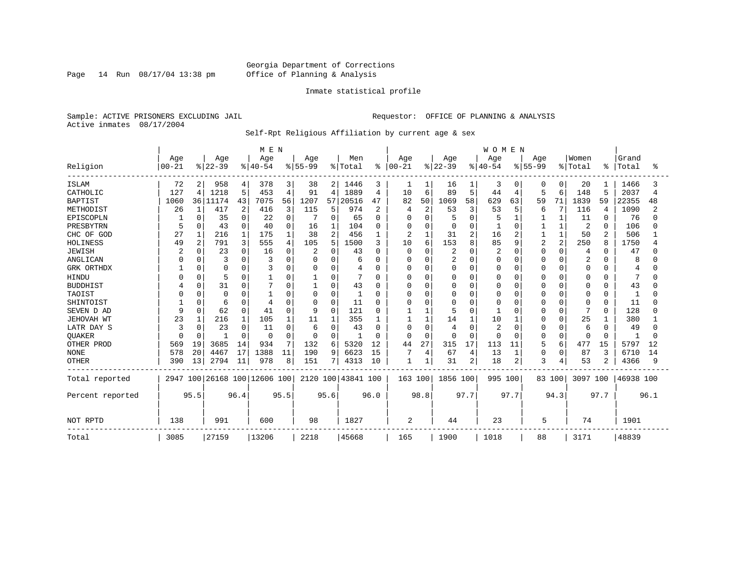Page 14 Run 08/17/04 13:38 pm

#### Inmate statistical profile

Sample: ACTIVE PRISONERS EXCLUDING JAIL **Requestor:** OFFICE OF PLANNING & ANALYSIS Active inmates 08/17/2004

Self-Rpt Religious Affiliation by current age & sex

|                  |           |                |                              |          | M E N     |                |              |          |                    |           |             |                |          |          | <b>WOMEN</b> |          |                |              |              |          |           |      |
|------------------|-----------|----------------|------------------------------|----------|-----------|----------------|--------------|----------|--------------------|-----------|-------------|----------------|----------|----------|--------------|----------|----------------|--------------|--------------|----------|-----------|------|
|                  | Age       |                | Age                          |          | Age       |                | Age          |          | Men                |           | Age         |                | Age      |          | Age          |          | Age            |              | Women        |          | Grand     |      |
| Religion         | $00 - 21$ |                | $ 22-39$                     |          | $8 40-54$ |                | $8 55-99$    |          | % Total            | $\approx$ | $00 - 21$   |                | $ 22-39$ |          | $ 40-54$     |          | $8155 - 99$    |              | % Total      | ႜ        | Total     | °    |
| <b>ISLAM</b>     | 72        | 2              | 958                          | 4        | 378       | 3              | 38           | 2        | 1446               | 3         | 1           |                | 16       | 1        | 3            | 0        | 0              | 0            | 20           |          | 1466      |      |
| CATHOLIC         | 127       | 4              | 1218                         | 5        | 453       | $\overline{4}$ | 91           | 4        | 1889               | 4         | 10          | 6              | 89       | 5        | 44           | 4        | 5              | 6            | 148          | 5        | 2037      | 4    |
| <b>BAPTIST</b>   | 1060      |                | 36 11174                     | 43       | 7075      | 56             | 1207         | 57       | 20516              | 47        | 82          | 50             | 1069     | 58       | 629          | 63       | 59             | 71           | 1839         | 59       | 22355     | 48   |
| METHODIST        | 26        | 1              | 417                          | 2        | 416       | 3              | 115          | 5        | 974                | 2         |             | $\overline{2}$ | 53       | 3        | 53           | 5        | 6              | 7            | 116          | 4        | 1090      |      |
| EPISCOPLN        |           | $\Omega$       | 35                           | 0        | 22        | 0              |              | 0        | 65                 | $\Omega$  |             | $\Omega$       |          | $\Omega$ |              |          |                | 1            | 11           | $\Omega$ | 76        |      |
| PRESBYTRN        | 5         | $\Omega$       | 43                           | $\Omega$ | 40        | 0              | 16           |          | 104                | 0         |             | $\Omega$       | $\Omega$ | $\Omega$ |              | $\Omega$ |                | 1            | 2            | $\Omega$ | 106       |      |
| CHC OF GOD       | 27        |                | 216                          |          | 175       |                | 38           | 2        | 456                | 1         | 2           | 1              | 31       | 2        | 16           | 2        |                | $\mathbf{1}$ | 50           | 2        | 506       |      |
| HOLINESS         | 49        | $\overline{2}$ | 791                          | 3        | 555       | 4              | 105          | 5        | 1500               | 3         | 10          | 6              | 153      | 8        | 85           | 9        | $\overline{a}$ | 2            | 250          | 8        | 1750      |      |
| <b>JEWISH</b>    |           | $\Omega$       | 23                           | U        | 16        | $\Omega$       |              | 0        | 43                 | $\Omega$  | $\Omega$    | $\Omega$       | 2        | $\Omega$ |              | $\Omega$ | U              | 0            | 4            | O        | 47        |      |
| ANGLICAN         |           |                | 3                            |          |           |                | $\Omega$     | 0        | 6                  | N         |             | $\Omega$       | 2        | $\Omega$ | O            | $\Omega$ |                | $\Omega$     | 2            |          | 8         |      |
| GRK ORTHDX       |           | $\Omega$       | 0                            | 0        |           | 0              | $\Omega$     | 0        | 4                  | 0         | ∩           | $\Omega$       | 0        | $\Omega$ | O            | 0        | O              | $\Omega$     | 0            | 0        | 4         |      |
| HINDU            |           | 0              | 5                            | 0        |           | 0              |              | 0        |                    | 0         |             | $\Omega$       |          | $\Omega$ | O            | 0        |                | $\Omega$     | 0            | 0        | 7         |      |
| <b>BUDDHIST</b>  |           |                | 31                           | O        |           | O              |              | 0        | 43                 | O         |             | $\Omega$       |          | $\cap$   |              | $\Omega$ | Ω              | $\Omega$     | 0            | $\Omega$ | 43        |      |
| TAOIST           |           | U              | $\mathbf 0$                  | በ        |           | N              | $\Omega$     | $\Omega$ | -1                 | U         |             | $\Omega$       |          | O        | O            | $\Omega$ | N              | $\Omega$     | 0            | $\Omega$ |           |      |
| SHINTOIST        |           | $\Omega$       | 6                            | 0        |           | O              | <sup>0</sup> | O        | 11                 | 0         |             | $\Omega$       | Ω        | U        |              | $\Omega$ | O              | $\Omega$     | <sup>0</sup> | $\Omega$ | 11        |      |
| SEVEN D AD       |           | $\Omega$       | 62                           | $\Omega$ | 41        | $\Omega$       | 9            | O        | 121                | O         |             |                |          | $\Omega$ |              | $\Omega$ | U              | 0            | 7            | $\Omega$ | 128       |      |
| JEHOVAH WT       | 23        |                | 216                          |          | 105       |                | 11           |          | 355                |           |             |                | 14       |          | 10           |          | N              | $\Omega$     | 25           |          | 380       |      |
| LATR DAY S       | 3         |                | 23                           | 0        | 11        | 0              | 6            | 0        | 43                 | 0         | O           | $\Omega$       | 4        | $\Omega$ |              | 0        | 0              | $\Omega$     | 6            | $\Omega$ | 49        |      |
| QUAKER           |           | $\Omega$       | -1                           | $\Omega$ | 0         | $\Omega$       | $\Omega$     | 0        | -1                 | 0         | ∩           | $\Omega$       | n        | $\Omega$ | U            | $\Omega$ | 0              | $\Omega$     | 0            | $\Omega$ |           |      |
| OTHER PROD       | 569       | 19             | 3685                         | 14       | 934       | 7              | 132          | 6        | 5320               | 12        | 44          | 27             | 315      | 17       | 113          | 11       | 5              | 6            | 477          | 15       | 5797      | 12   |
| <b>NONE</b>      | 578       | 20             | 4467                         | 17       | 1388      | 11             | 190          | 9        | 6623               | 15        |             | 4              | 67       | 4        | 13           | 1        | 0              | 0            | 87           | 3        | 6710      | 14   |
| <b>OTHER</b>     | 390       | 13             | 2794                         | 11       | 978       | 8              | 151          | 7        | 4313               | 10        | $\mathbf 1$ |                | 31       | 2        | 18           | 2        | 3              | 4            | 53           |          | 4366      | 9    |
| Total reported   |           |                | 2947 100 26168 100 12606 100 |          |           |                |              |          | 2120 100 43841 100 |           | 163 100     |                | 1856 100 |          | 995 100      |          |                | 83 100       | 3097 100     |          | 46938 100 |      |
| Percent reported |           | 95.5           |                              | 96.4     |           | 95.5           |              | 95.6     |                    | 96.0      |             | 98.8           |          | 97.7     |              | 97.7     |                | 94.3         |              | 97.7     |           | 96.1 |
| NOT RPTD         | 138       |                | 991                          |          | 600       |                | 98           |          | 1827               |           | 2           |                | 44       |          | 23           |          | 5              |              | 74           |          | 1901      |      |
| Total            | 3085      |                | 27159                        |          | 13206     |                | 2218         |          | 45668              |           | 165         |                | 1900     |          | 1018         |          | 88             |              | 3171         |          | 48839     |      |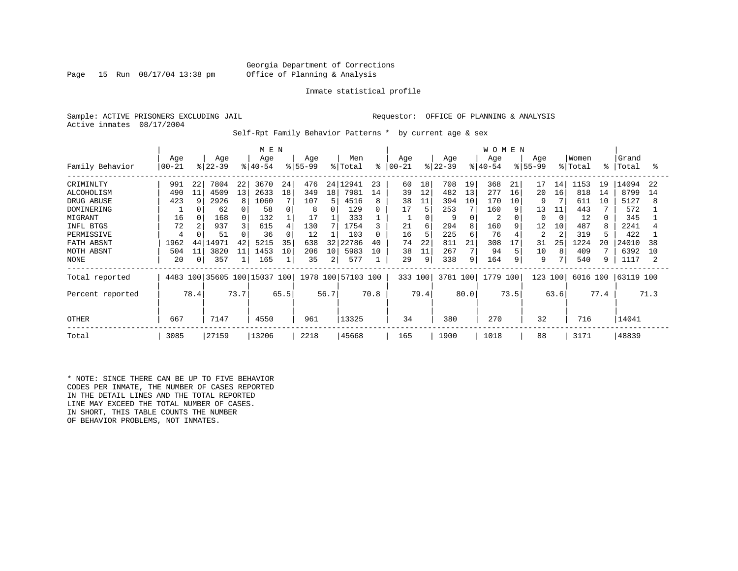#### Georgia Department of Corrections Page 15 Run 08/17/04 13:38 pm Office of Planning & Analysis

#### Inmate statistical profile

Sample: ACTIVE PRISONERS EXCLUDING JAIL **Requestor:** OFFICE OF PLANNING & ANALYSIS Active inmates 08/17/2004

Self-Rpt Family Behavior Patterns \* by current age & sex

|                   | M E N     |                |          |      |                         |          |          |      |                    |      |           |      |           |                | <b>WOMEN</b> |      |          |                |          |      |           |      |
|-------------------|-----------|----------------|----------|------|-------------------------|----------|----------|------|--------------------|------|-----------|------|-----------|----------------|--------------|------|----------|----------------|----------|------|-----------|------|
|                   | Age       |                | Age      |      | Age                     |          | Age      |      | Men                |      | Age       |      | Age       |                | Age          |      | Age      |                | Women    |      | Grand     |      |
| Family Behavior   | $00 - 21$ |                | $ 22-39$ |      | $ 40-54 $               |          | $ 55-99$ |      | % Total            | ႜ    | $00 - 21$ |      | $ 22-39 $ |                | $ 40-54$     |      | $ 55-99$ |                | % Total  | န္   | Total     | ႜ    |
| CRIMINLTY         | 991       | 22             | 7804     | 22   | 3670                    | 24       | 476      |      | 24 12941           | 23   | 60        | 18   | 708       | 19             | 368          | 21   | 17       | 14             | 1153     | 19   | 14094     | 22   |
| <b>ALCOHOLISM</b> | 490       | 11             | 4509     | 13   | 2633                    | 18       | 349      | 18   | 7981               | 14   | 39        | 12   | 482       | 13             | 277          | 16   | 20       | 16             | 818      | 14   | 8799      | 14   |
| DRUG ABUSE        | 423       | 9              | 2926     |      | 1060                    |          | 107      | 5.   | 4516               | 8    | 38        | 11   | 394       | 10             | 170          | 10   | 9        |                | 611      | 10   | 5127      | 8    |
| DOMINERING        |           |                | 62       |      | 58                      | 0        | 8        | 0    | 129                | 0    | 17        | 5    | 253       | 7              | 160          | 9    | 13       | 11             | 443      |      | 572       |      |
| MIGRANT           | 16        |                | 168      |      | 132                     |          | 17       |      | 333                |      |           |      | 9         | $\Omega$       | 2            |      | 0        | $\Omega$       | 12       |      | 345       |      |
| INFL BTGS         | 72        |                | 937      |      | 615                     | 4        | 130      |      | 1754               | 3    | 21        | 6    | 294       | 8              | 160          | 9    | 12       | 10             | 487      |      | 2241      |      |
| PERMISSIVE        | 4         |                | 51       |      | 36                      | $\Omega$ | 12       |      | 103                | 0    | 16        | 5    | 225       | 6              | 76           |      | 2        | $\overline{c}$ | 319      |      | 422       |      |
| FATH ABSNT        | 1962      | 44             | .4971    | 42   | 5215                    | 35       | 638      | 32   | 22786              | 40   | 74        | 22   | 811       | 21             | 308          | 17   | 31       | 25             | 1224     | 20   | 24010     | 38   |
| MOTH ABSNT        | 504       | 11             | 3820     | 11   | 1453                    | 10       | 206      | 10   | 5983               | 10   | 38        | 11   | 267       | $7\phantom{.}$ | 94           |      | 10       | 8              | 409      |      | 6392      | 10   |
| NONE              | 20        | $\overline{0}$ | 357      |      | 165                     |          | 35       | 2    | 577                |      | 29        | 9    | 338       | 9              | 164          | 9    | 9        |                | 540      |      | 1117      |      |
| Total reported    | 4483      |                |          |      | 100 35605 100 15037 100 |          |          |      | 1978 100 57103 100 |      | 333 100   |      | 3781 100  |                | 1779 100     |      | 123      | 100            | 6016 100 |      | 63119 100 |      |
| Percent reported  |           | 78.4           |          | 73.7 |                         | 65.5     |          | 56.7 |                    | 70.8 |           | 79.4 |           | 80.0           |              | 73.5 |          | 63.6           |          | 77.4 |           | 71.3 |
| <b>OTHER</b>      | 667       |                | 7147     |      | 4550                    |          | 961      |      | 13325              |      | 34        |      | 380       |                | 270          |      | 32       |                | 716      |      | 14041     |      |
| Total             | 3085      |                | 27159    |      | 13206                   |          | 2218     |      | 45668              |      | 165       |      | 1900      |                | 1018         |      | 88       |                | 3171     |      | 48839     |      |

\* NOTE: SINCE THERE CAN BE UP TO FIVE BEHAVIOR CODES PER INMATE, THE NUMBER OF CASES REPORTED IN THE DETAIL LINES AND THE TOTAL REPORTED LINE MAY EXCEED THE TOTAL NUMBER OF CASES. IN SHORT, THIS TABLE COUNTS THE NUMBER OF BEHAVIOR PROBLEMS, NOT INMATES.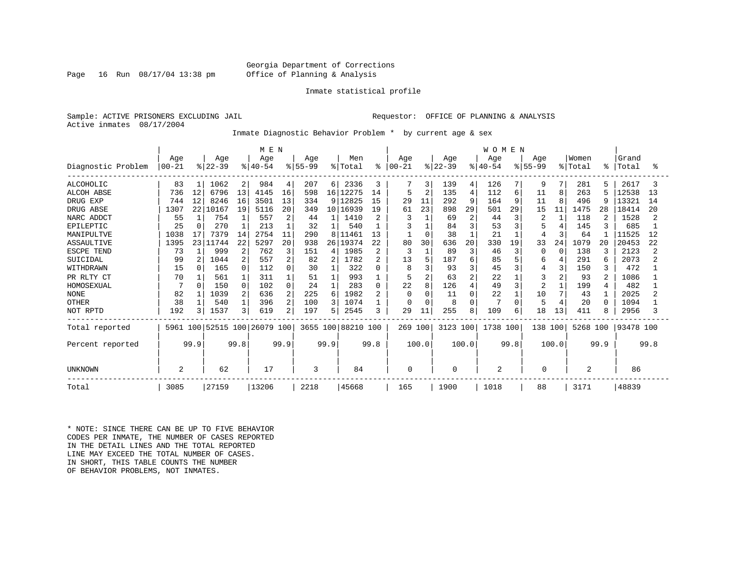#### Georgia Department of Corrections Page 16 Run 08/17/04 13:38 pm Office of Planning & Analysis

#### Inmate statistical profile

Sample: ACTIVE PRISONERS EXCLUDING JAIL **Requestor:** OFFICE OF PLANNING & ANALYSIS Active inmates 08/17/2004

Inmate Diagnostic Behavior Problem \* by current age & sex

|                    |           |          |               |                | M E N     |                |          |                 |                    |                |           |                |           |                | <b>WOMEN</b> |      |             |              |                |                |           |      |
|--------------------|-----------|----------|---------------|----------------|-----------|----------------|----------|-----------------|--------------------|----------------|-----------|----------------|-----------|----------------|--------------|------|-------------|--------------|----------------|----------------|-----------|------|
|                    | Age       |          | Age           |                | Age       |                | Age      |                 | Men                |                | Age       |                | Age       |                | Age          |      | Age         |              | Women          |                | Grand     |      |
| Diagnostic Problem | $00 - 21$ |          | $ 22-39$      |                | $ 40-54$  |                | $ 55-99$ |                 | % Total            | ွေ             | $00 - 21$ |                | $ 22-39 $ |                | $8 40-54$    |      | $8155 - 99$ |              | % Total        | ႜ              | Total     | °≈   |
| ALCOHOLIC          | 83        |          | 1062          | 2 <sub>1</sub> | 984       | 4              | 207      | 6 <sup>1</sup>  | 2336               | 3              | 7         | 3              | 139       | 4              | 126          |      | 9           | 7            | 281            | 5              | 2617      |      |
| <b>ALCOH ABSE</b>  | 736       | 12       | 6796          | 13             | 4145      | 16             | 598      | 16 <sup>1</sup> | 12275              | 14             | 5         | 2              | 135       | $\overline{4}$ | 112          | 6    | 11          | 8            | 263            |                | 12538     | 13   |
| DRUG EXP           | 744       | 12       | 8246          | 16             | 3501      | 13             | 334      |                 | 9 12825            | 15             | 29        | 11             | 292       | 9              | 164          | 9    | 11          | $\mathsf{R}$ | 496            | -9             | 13321     | 14   |
| DRUG ABSE          | 1307      | 22       | 10167         | 19             | 5116      | 20             | 349      | 10 <sup>1</sup> | 16939              | 19             | 61        | 23             | 898       | 29             | 501          | 29   | 15          | 11           | 1475           | 28             | 18414     | 20   |
| NARC ADDCT         | 55        |          | 754           |                | 557       | 2              | 44       |                 | 1410               | 2              |           |                | 69        | $\overline{c}$ | 44           |      | 2           |              | 118            | 2              | 1528      |      |
| EPILEPTIC          | 25        | $\Omega$ | 270           |                | 213       |                | 32       |                 | 540                |                |           |                | 84        | 3              | 53           |      |             |              | 145            |                | 685       |      |
| MANIPULTVE         | 1038      | 17       | 7379          | 14             | 2754      | 11             | 290      | 8               | 11461              | 13             |           | 0              | 38        |                | 21           |      | 4           | 3            | 64             |                | 11525     | 12   |
| ASSAULTIVE         | 1395      | 231      | 11744         | 22             | 5297      | 20             | 938      | 26              | 19374              | 22             | 80        | 30             | 636       | 20             | 330          | 19   | 33          | 24           | 1079           | 20             | 20453     | 22   |
| ESCPE TEND         | 73        |          | 999           | 2              | 762       | 3              | 151      | 4               | 1985               | 2              | 3         | $\mathbf{1}$   | 89        | 3              | 46           | 3    | ∩           | n            | 138            | 3              | 2123      |      |
| SUICIDAL           | 99        | 2        | 1044          | 2              | 557       | 2              | 82       |                 | 1782               | 2              | 13        | 5              | 187       | 6              | 85           |      | 6           |              | 291            | 6              | 2073      |      |
| WITHDRAWN          | 15        |          | 165           | 0              | 112       | 0              | 30       |                 | 322                | U              | 8         | ζ              | 93        | 3              | 45           |      | 4           | 3            | 150            | 3              | 472       |      |
| PR RLTY CT         | 70        |          | 561           |                | 311       |                | 51       |                 | 993                |                | 5         | $\overline{2}$ | 63        | $\overline{2}$ | 22           |      |             | 2            | 93             | 2              | 1086      |      |
| HOMOSEXUAL         |           |          | 150           |                | 102       | $\Omega$       | 24       |                 | 283                | 0              | 22        | 8              | 126       | $\overline{4}$ | 49           |      | 2           |              | 199            | $\overline{4}$ | 482       |      |
| <b>NONE</b>        | 82        |          | 1039          |                | 636       | 2              | 225      | 6               | 1982               | $\overline{2}$ | $\Omega$  | $\Omega$       | 11        | $\Omega$       | 22           |      | 10          | 7            | 43             |                | 2025      |      |
| <b>OTHER</b>       | 38        |          | 540           |                | 396       | 2              | 100      | 3               | 1074               |                |           | $\mathbf 0$    | 8         | $\Omega$       |              |      |             |              | 20             | $\Omega$       | 1094      |      |
| NOT RPTD           | 192       | 3        | 1537          | 3              | 619       | $\overline{2}$ | 197      | 5               | 2545               | 3              | 29        | 11             | 255       | 8              | 109          | 6    | 18          | 13           | 411            | 8              | 2956      |      |
| Total reported     | 5961      |          | 100 52515 100 |                | 26079 100 |                |          |                 | 3655 100 88210 100 |                | 269 100   |                | 3123 100  |                | 1738 100     |      | 138 100     |              | 5268 100       |                | 93478 100 |      |
| Percent reported   |           | 99.9     |               | 99.8           |           | 99.9           |          | 99.9            |                    | 99.8           |           | 100.0          |           | 100.0          |              | 99.8 |             | 100.0        |                | 99.9           |           | 99.8 |
| UNKNOWN            | 2         |          | 62            |                | 17        |                | 3        |                 | 84                 |                | 0         |                | 0         |                | 2            |      | 0           |              | $\overline{2}$ |                | 86        |      |
| Total              | 3085      |          | 27159         |                | 13206     |                | 2218     |                 | 45668              |                | 165       |                | 1900      |                | 1018         |      | 88          |              | 3171           |                | 48839     |      |

\* NOTE: SINCE THERE CAN BE UP TO FIVE BEHAVIOR CODES PER INMATE, THE NUMBER OF CASES REPORTED IN THE DETAIL LINES AND THE TOTAL REPORTED LINE MAY EXCEED THE TOTAL NUMBER OF CASES. IN SHORT, THIS TABLE COUNTS THE NUMBER OF BEHAVIOR PROBLEMS, NOT INMATES.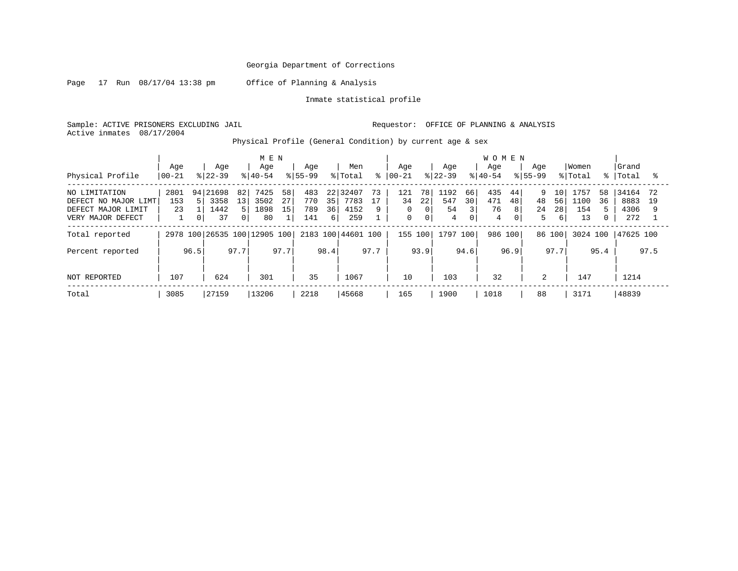Page 17 Run 08/17/04 13:38 pm Office of Planning & Analysis

Inmate statistical profile

Sample: ACTIVE PRISONERS EXCLUDING JAIL Requestor: OFFICE OF PLANNING & ANALYSIS Active inmates 08/17/2004

Physical Profile (General Condition) by current age & sex

|                      |          |      |           |      | M E N                        |      |             |      |                    |      |               |             |           |      | <b>WOMEN</b> |      |             |        |          |             |           |      |
|----------------------|----------|------|-----------|------|------------------------------|------|-------------|------|--------------------|------|---------------|-------------|-----------|------|--------------|------|-------------|--------|----------|-------------|-----------|------|
|                      | Age      |      | Aqe       |      | Age                          |      | Aqe         |      | Men                |      | Age           |             | Aqe       |      | Aqe          |      | Aqe         |        | Women    |             | Grand     |      |
| Physical Profile     | $ 00-21$ |      | $ 22-39 $ |      | $8 40-54$                    |      | $8155 - 99$ |      | % Total            |      | $8   00 - 21$ |             | $ 22-39 $ |      | $8 40-54$    |      | $8155 - 99$ |        | % Total  | $\approx$ 1 | Total     |      |
| NO LIMITATION        | 2801     |      | 94 21698  | 82   | 7425                         | 58   | 483         | 22.2 | 32407              | 73   | 121           | 78          | 1192      | 66   | 435          | 44   | 9           | 10     | 1757     | 58          | 34164     | 72   |
| DEFECT NO MAJOR LIMT | 153      |      | 3358      | 13   | 3502                         | 27   | 770         | 35   | 7783               | 17   | 34            | 22          | 547       | 30   | 471          | 48   | 48          | 56     | 1100     | 36          | 8883      | 19   |
| DEFECT MAJOR LIMIT   | 23       |      | 1442      |      | 1898                         | 15   | 789         | 36   | 4152               | 9    | 0             | $\Omega$    | 54        |      | 76           | 8    | 24          | 28     | 154      |             | 4306      |      |
| VERY MAJOR DEFECT    |          | 0    | 37        | 01   | 80                           |      | 141         | 6    | 259                |      | 0             | $\mathbf 0$ | 4         | 0    | 4            | 01   | 5           | 6      | 13       |             | 272       |      |
| Total reported       |          |      |           |      | 2978 100 26535 100 12905 100 |      |             |      | 2183 100 44601 100 |      | 155 100       |             | 1797 100  |      | 986 100      |      |             | 86 100 | 3024 100 |             | 47625 100 |      |
| Percent reported     |          | 96.5 |           | 97.7 |                              | 97.7 |             | 98.4 |                    | 97.7 |               | 93.9        |           | 94.6 |              | 96.9 |             | 97.7   |          | 95.4        |           | 97.5 |
|                      |          |      |           |      |                              |      |             |      |                    |      |               |             |           |      |              |      |             |        |          |             |           |      |
| NOT REPORTED         | 107      |      | 624       |      | 301                          |      | 35          |      | 1067               |      | 10            |             | 103       |      | 32           |      | 2           |        | 147      |             | 1214      |      |
| Total                | 3085     |      | 27159     |      | 13206                        |      | 2218        |      | 45668              |      | 165           |             | 1900      |      | 1018         |      | 88          |        | 3171     |             | 48839     |      |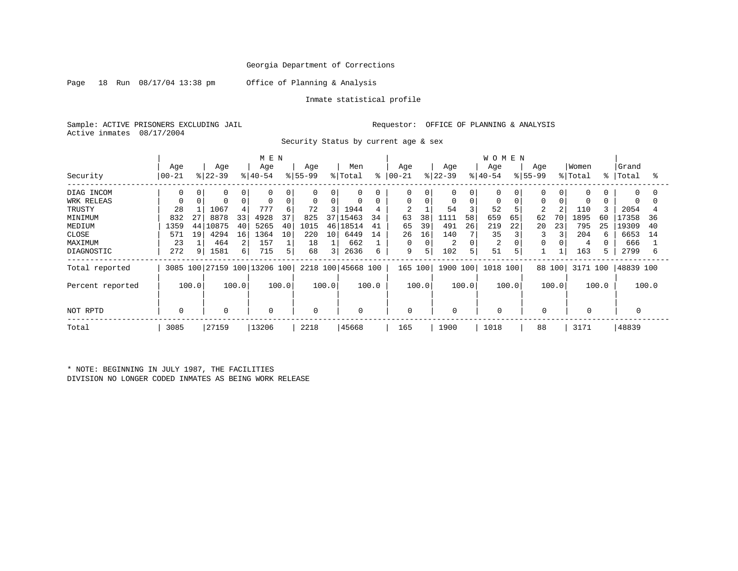Page 18 Run 08/17/04 13:38 pm Office of Planning & Analysis

Inmate statistical profile

Sample: ACTIVE PRISONERS EXCLUDING JAIL **Requestor:** OFFICE OF PLANNING & ANALYSIS Active inmates 08/17/2004

Security Status by current age & sex

|                  |                |          |          |                | M E N                        |          |             |                 |                    |    |                |          |           |             | <b>WOMEN</b> |    |             |          |          |    |           |    |
|------------------|----------------|----------|----------|----------------|------------------------------|----------|-------------|-----------------|--------------------|----|----------------|----------|-----------|-------------|--------------|----|-------------|----------|----------|----|-----------|----|
|                  | Age            |          | Age      |                | Age                          |          | Age         |                 | Men                |    | Age            |          | Age       |             | Age          |    | Age         |          | Women    |    | Grand     |    |
| Security         | 00-21          |          | $ 22-39$ |                | $ 40-54 $                    |          | $ 55-99 $   |                 | % Total            |    | $8   00 - 21$  |          | $ 22-39 $ |             | $8 40-54$    |    | $8155 - 99$ |          | % Total  | °≈ | Total     | °  |
| DIAG INCOM       | <sup>0</sup>   | $\Omega$ | 0        |                | $\Omega$                     | $\Omega$ | 0           | 0               | $\mathbf 0$        | 0  | 0              | 0        | 0         | 0           | 0            |    | $\Omega$    | $\Omega$ | 0        |    | $\Omega$  | O  |
| WRK RELEAS       |                |          | 0        |                | 0                            | 0        | $\mathbf 0$ | 0               | 0                  | 0  | 0              | $\Omega$ | 0         | $\mathbf 0$ | $\Omega$     |    | $\Omega$    |          | 0        |    | $\Omega$  |    |
| TRUSTY           | 28             |          | 1067     |                | 777                          | 6        | 72          | 31              | 1944               | 4  | $\overline{2}$ |          | 54        |             | 52           |    |             |          | 110      |    | 2054      |    |
| MINIMUM          | 832            | 27       | 8878     | 33             | 4928                         | 37       | 825         | 37 $\vert$      | 15463              | 34 | 63             | 38       | 1111      | 58          | 659          | 65 | 62          | 70       | 1895     | 60 | 17358     | 36 |
| MEDIUM           | 1359           | 44       | .0875    | 40             | 5265                         | 40       | 1015        | 46              | 18514              | 41 | 65             | 39       | 491       | 26          | 219          | 22 | 20          | 23       | 795      | 25 | 19309     | 40 |
| CLOSE            | 571            | 19       | 4294     | 16             | 1364                         | 10       | 220         | 10 <sup>1</sup> | 6449               | 14 | 26             | 16       | 140       | 7           | 35           |    | 3           |          | 204      | 6  | 6653      | 14 |
| MAXIMUM          | 23             |          | 464      | $\overline{2}$ | 157                          |          | 18          |                 | 662                |    | 0              |          | 2         | $\Omega$    | 2            |    |             |          | 4        |    | 666       |    |
| DIAGNOSTIC       | 272            | 9        | 1581     | 6              | 715                          | 5        | 68          | 3               | 2636               | 6  | 9              | 5        | 102       | 5           | 51           | 5  |             |          | 163      |    | 2799      | 6  |
| Total reported   |                |          |          |                | 3085 100 27159 100 13206 100 |          |             |                 | 2218 100 45668 100 |    | 165 100        |          | 1900 100  |             | 1018 100     |    |             | 88 100   | 3171 100 |    | 48839 100 |    |
| Percent reported | 100.0<br>100.0 |          |          |                | 100.0                        |          | 100.0       |                 | 100.0              |    | 100.0          |          | 100.0     |             | 100.0        |    | 100.0       |          | 100.0    |    | 100.0     |    |
| NOT RPTD         | 0              |          | 0        |                | 0                            |          | 0           |                 | 0                  |    | 0              |          | 0         |             | 0            |    | $\mathbf 0$ |          | 0        |    |           |    |
| Total            | 3085           |          | 27159    |                | 13206                        |          | 2218        |                 | 45668              |    | 165            |          | 1900      |             | 1018         |    | 88          |          | 3171     |    | 48839     |    |

\* NOTE: BEGINNING IN JULY 1987, THE FACILITIES DIVISION NO LONGER CODED INMATES AS BEING WORK RELEASE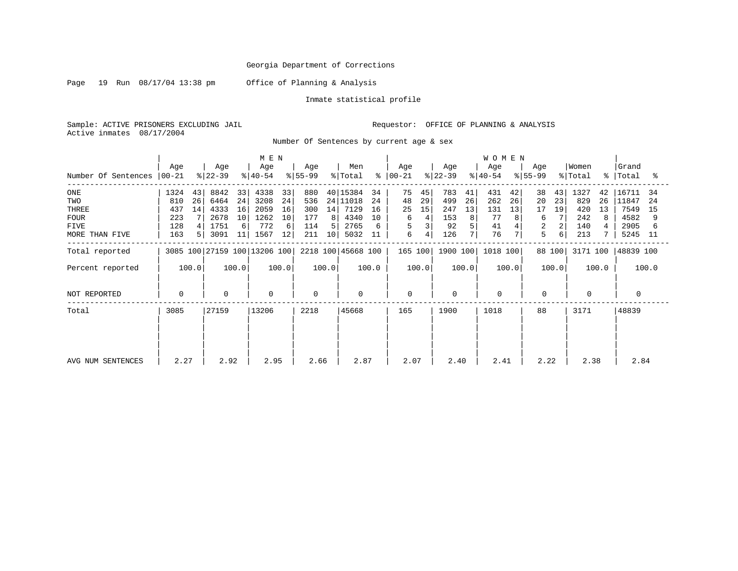Page 19 Run 08/17/04 13:38 pm Office of Planning & Analysis

Inmate statistical profile

Sample: ACTIVE PRISONERS EXCLUDING JAIL Requestor: OFFICE OF PLANNING & ANALYSIS Active inmates 08/17/2004

Number Of Sentences by current age & sex

|                     | M E N     |       |             |       |                              |       |           |       |                    |       |               |       |           |       | <b>WOMEN</b> |       |          |        |          |       |           |       |
|---------------------|-----------|-------|-------------|-------|------------------------------|-------|-----------|-------|--------------------|-------|---------------|-------|-----------|-------|--------------|-------|----------|--------|----------|-------|-----------|-------|
|                     | Age       |       | Age         |       | Age                          |       | Age       |       | Men                |       | Age           |       | Age       |       | Age          |       | Age      |        | Women    |       | Grand     |       |
| Number Of Sentences | $ 00-21 $ |       | $ 22-39 $   |       | $ 40-54 $                    |       | $ 55-99 $ |       | % Total            |       | $8   00 - 21$ |       | $ 22-39 $ |       | $ 40-54 $    |       | $ 55-99$ |        | % Total  |       | %   Total | °≈    |
| ONE                 | 1324      | 43    | 8842        | 33    | 4338                         | 33    | 880       |       | 40 15384           | 34    | 75            | 45    | 783       | 41    | 431          | 42    | 38       | 43     | 1327     | 42    | 16711     | 34    |
| TWO                 | 810       | 26    | 6464        | 24    | 3208                         | 24    | 536       |       | 24 11018           | 24    | 48            | 29    | 499       | 26    | 262          | 26    | 20       | 23     | 829      | 26    | 11847     | 24    |
| THREE               | 437       | 14    | 4333        | 16    | 2059                         | 16    | 300       | 14    | 7129               | 16    | 25            | 15    | 247       | 13    | 131          | 13    | 17       | 19     | 420      | 13    | 7549      | 15    |
| <b>FOUR</b>         | 223       |       | 2678        | 10    | 1262                         | 10    | 177       | 8     | 4340               | 10    | 6             | 4     | 153       | 8     | 77           |       | 6        |        | 242      | 8     | 4582      | 9     |
| <b>FIVE</b>         | 128       |       | 1751        | 6     | 772                          | 6     | 114       |       | 2765               |       | 5             |       | 92        |       | 41           |       | 2        |        | 140      |       | 2905      |       |
| MORE THAN FIVE      | 163       |       | 3091        | 11    | 1567                         | 12    | 211       | 10    | 5032               | 11    | 6             | 4     | 126       |       | 76           | 7     | 5        | 6      | 213      |       | 5245      | -11   |
| Total reported      |           |       |             |       | 3085 100 27159 100 13206 100 |       |           |       | 2218 100 45668 100 |       | 165 100       |       | 1900 100  |       | 1018 100     |       |          | 88 100 | 3171 100 |       | 48839 100 |       |
| Percent reported    |           | 100.0 |             | 100.0 |                              | 100.0 |           | 100.0 |                    | 100.0 |               | 100.0 |           | 100.0 |              | 100.0 |          | 100.0  |          | 100.0 |           | 100.0 |
| NOT REPORTED        | 0         |       | $\mathbf 0$ |       | 0                            |       | $\Omega$  |       | 0                  |       | 0             |       | 0         |       | 0            |       | 0        |        | 0        |       |           |       |
| Total               | 3085      |       | 27159       |       | 13206                        |       | 2218      |       | 45668              |       | 165           |       | 1900      |       | 1018         |       | 88       |        | 3171     |       | 48839     |       |
|                     |           |       |             |       |                              |       |           |       |                    |       |               |       |           |       |              |       |          |        |          |       |           |       |
| AVG NUM SENTENCES   | 2.27      |       | 2.92        |       | 2.95                         |       | 2.66      |       | 2.87               |       | 2.07          |       | 2.40      |       | 2.41         |       | 2.22     |        | 2.38     |       | 2.84      |       |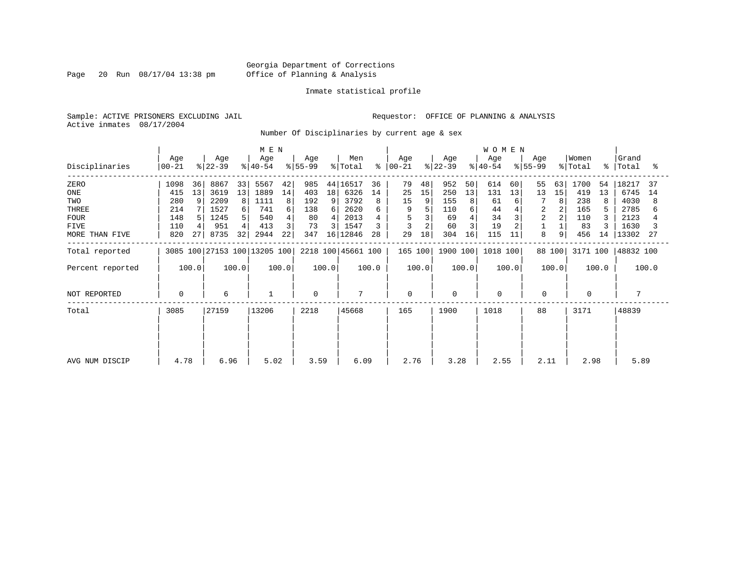Page 20 Run 08/17/04 13:38 pm

#### Inmate statistical profile

Sample: ACTIVE PRISONERS EXCLUDING JAIL **Requestor:** OFFICE OF PLANNING & ANALYSIS Active inmates 08/17/2004

Number Of Disciplinaries by current age & sex

|                  | M E N            |       |                  |       |                              |       |                  |                |                            |       |                  |       |                  |       | <b>WOMEN</b>     |       |                  |        |                  |       |                    |       |
|------------------|------------------|-------|------------------|-------|------------------------------|-------|------------------|----------------|----------------------------|-------|------------------|-------|------------------|-------|------------------|-------|------------------|--------|------------------|-------|--------------------|-------|
| Disciplinaries   | Age<br>$ 00-21 $ |       | Age<br>$ 22-39 $ |       | Age<br>$ 40-54 $             |       | Age<br>$ 55-99 $ |                | Men<br>$\frac{1}{2}$ Total | န္    | Age<br>$00 - 21$ |       | Age<br>$ 22-39 $ |       | Age<br>$8 40-54$ |       | Age<br>$ 55-99 $ |        | Women<br>% Total |       | Grand<br>%   Total | ႜ     |
| ZERO             | 1098             | 36    | 8867             | 33    | 5567                         | 42    | 985              |                | 44 16517                   | 36    | 79               | 48    | 952              | 50    | 614              | 60    | 55               | 63     | 1700             | 54    | 18217              | 37    |
| ONE              | 415              | 13    | 3619             | 13    | 1889                         | 14    | 403              | 18             | 6326                       | 14    | 25               | 15    | 250              | 13    | 131              | 13    | 13               | 15     | 419              | 13    | 6745               | 14    |
| TWO              | 280              | 9     | 2209             | 8     | 1111                         | 8     | 192              | 9              | 3792                       | 8     | 15               | 9     | 155              | 8     | 61               | 6     |                  | 8      | 238              | 8     | 4030               | 8     |
| THREE            | 214              |       | 1527             | 6     | 741                          | 6     | 138              | $6 \mid$       | 2620                       |       | 9                |       | 110              |       | 44               |       | 2                |        | 165              |       | 2785               |       |
| <b>FOUR</b>      | 148              |       | 1245             | 5.    | 540                          | 4     | 80               | 4              | 2013                       |       |                  |       | 69               |       | 34               |       | $\overline{a}$   |        | 110              |       | 2123               |       |
| <b>FIVE</b>      | 110              |       | 951              | 4     | 413                          | 3     | 73               | $\overline{3}$ | 1547                       |       |                  |       | 60               |       | 19               |       |                  |        | 83               |       | 1630               |       |
| MORE THAN FIVE   | 820              | 27    | 8735             | 32    | 2944                         | 22    | 347              |                | 16 12846                   | 28    | 29               | 18    | 304              | 16    | 115              | 11    | 8                | 9      | 456              | 14    | 13302              | -27   |
| Total reported   |                  |       |                  |       | 3085 100 27153 100 13205 100 |       |                  |                | 2218 100 45661 100         |       | 165 100          |       | 1900 100         |       | 1018 100         |       |                  | 88 100 | 3171 100         |       | 48832 100          |       |
| Percent reported |                  | 100.0 |                  | 100.0 |                              | 100.0 |                  | 100.0          |                            | 100.0 |                  | 100.0 |                  | 100.0 |                  | 100.0 |                  | 100.0  |                  | 100.0 |                    | 100.0 |
| NOT REPORTED     | $\mathbf 0$      |       | 6                |       | $\mathbf{1}$                 |       | $\Omega$         |                | 7                          |       | $\mathbf 0$      |       | $\mathbf 0$      |       | $\mathbf 0$      |       | $\mathbf 0$      |        | $\Omega$         |       | 7                  |       |
| Total            | 3085             |       | 27159            |       | 13206                        |       | 2218             |                | 45668                      |       | 165              |       | 1900             |       | 1018             |       | 88               |        | 3171             |       | 48839              |       |
|                  |                  |       |                  |       |                              |       |                  |                |                            |       |                  |       |                  |       |                  |       |                  |        |                  |       |                    |       |
|                  |                  |       |                  |       |                              |       |                  |                |                            |       |                  |       |                  |       |                  |       |                  |        |                  |       |                    |       |
| AVG NUM DISCIP   | 4.78             |       | 6.96             |       | 5.02                         |       | 3.59             |                | 6.09                       |       | 2.76             |       | 3.28             |       | 2.55             |       | 2.11             |        | 2.98             |       | 5.89               |       |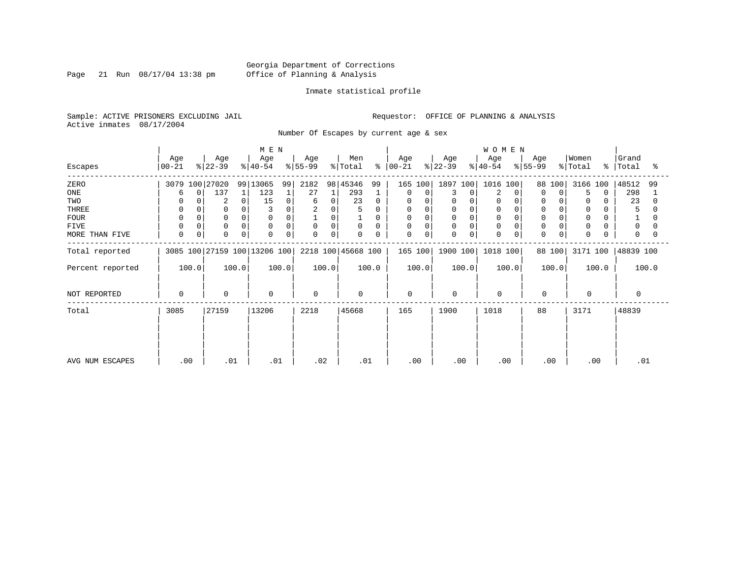Page 21 Run 08/17/04 13:38 pm

#### Inmate statistical profile

Sample: ACTIVE PRISONERS EXCLUDING JAIL **Requestor:** OFFICE OF PLANNING & ANALYSIS Active inmates 08/17/2004

Number Of Escapes by current age & sex

|                  |                  |                 | M E N                        |                         |                                 |                            |                  | <b>WOMEN</b>     |                  |                                               |                     |
|------------------|------------------|-----------------|------------------------------|-------------------------|---------------------------------|----------------------------|------------------|------------------|------------------|-----------------------------------------------|---------------------|
| Escapes          | Age<br>$00 - 21$ | Age<br>$ 22-39$ | Age<br>$ 40-54 $             | Age<br>$ 55-99 $        | Men<br>$\frac{1}{2}$ Total<br>ະ | Age<br>$ 00-21 $           | Age<br>$ 22-39 $ | Age<br>$ 40-54 $ | Age<br>$ 55-99 $ | Women<br>$\frac{1}{2}$ Total<br>$\frac{1}{6}$ | Grand<br>Total<br>ႜ |
| ZERO             | 3079 100 27020   |                 | 99 13065<br>99               | 2182                    | 98 45346<br>99                  | 165 100                    | 1897 100         | 1016<br>100      | 88 100           | 3166 100                                      | 48512<br>99         |
| ONE              | 0<br>6           | 137             | 123                          | 27                      | 293                             | 0<br>0                     | 3<br>$\Omega$    | 2                | $\Omega$<br>0    | 5<br>$\Omega$                                 | 298                 |
| TWO              |                  | $\overline{2}$  | 15<br>0                      | $\Omega$<br>6           | 23<br>$\Omega$                  | 0<br>0                     | 0                | $\Omega$         |                  | 0                                             | 23                  |
| THREE            | 0                |                 |                              | $\overline{c}$<br>0     | 5<br>0                          | 0                          |                  |                  | $\mathbf 0$      | 0                                             | 5                   |
| <b>FOUR</b>      | $\Omega$         |                 |                              | 0                       | $\Omega$                        | $\Omega$                   |                  |                  | $\Omega$         | $\Omega$                                      |                     |
| <b>FIVE</b>      | $\Omega$         | $\mathbf 0$     | 0<br>$\Omega$                | $\mathbf 0$<br>$\Omega$ | 0<br>0                          | 0<br>$\Omega$              | 0                | $\Omega$         | $\Omega$         | 0                                             | 0                   |
| MORE THAN FIVE   | $\mathbf 0$<br>0 | $\Omega$        | 0<br>$\Omega$                | $\Omega$<br>0           | $\Omega$<br>$\Omega$            | $\mathbf 0$<br>$\mathbf 0$ | 0<br>0           | $\Omega$         | 0<br>0           | $\Omega$                                      | 0                   |
| Total reported   |                  |                 | 3085 100 27159 100 13206 100 |                         | 2218 100 45668 100              | 165 100                    | 1900 100         | 1018 100         | 88 100           | 3171 100                                      | 48839 100           |
| Percent reported | 100.0            | 100.0           | 100.0                        | 100.0                   | 100.0                           | 100.0                      | 100.0            | 100.0            | 100.0            | 100.0                                         | 100.0               |
| NOT REPORTED     | $\Omega$         | $\mathbf 0$     | $\mathbf 0$                  | $\Omega$                | $\Omega$                        | 0                          | $\Omega$         | $\mathbf 0$      | $\mathbf 0$      | $\Omega$                                      | $\Omega$            |
| Total            | 3085             | 27159           | 13206                        | 2218                    | 45668                           | 165                        | 1900             | 1018             | 88               | 3171                                          | 48839               |
|                  |                  |                 |                              |                         |                                 |                            |                  |                  |                  |                                               |                     |
|                  |                  |                 |                              |                         |                                 |                            |                  |                  |                  |                                               |                     |
| AVG NUM ESCAPES  | .00              | .01             | .01                          | .02                     | .01                             | .00                        | .00              | .00              | .00              | .00                                           | .01                 |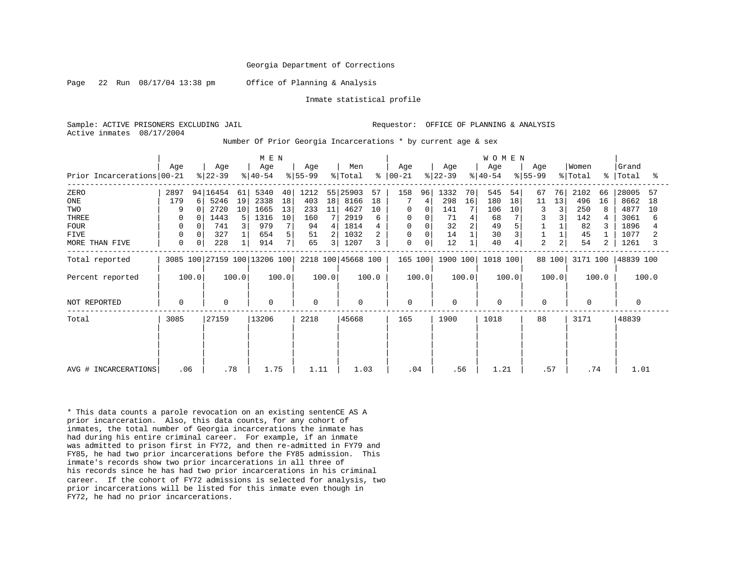Page 22 Run  $08/17/04$  13:38 pm Office of Planning & Analysis

Inmate statistical profile

Sample: ACTIVE PRISONERS EXCLUDING JAIL **Requestor:** OFFICE OF PLANNING & ANALYSIS Active inmates 08/17/2004

Number Of Prior Georgia Incarcerations \* by current age & sex

| Prior Incarcerations 00-21                                                  | Age                                            | Age<br>$ 22-39 $                                                                 | M E N<br>Age<br>$ 40-54 $                                                                                       | Age<br>$ 55-99$                                              | Men<br>$\frac{1}{2}$ Total<br>$\approx$                                                                                        | Age<br>$ 00-21$                              | Age<br>$ 22-39 $                                       | <b>WOMEN</b><br>Age<br>$ 40-54 $                            | Age<br>$ 55-99 $                                              | Women<br>% Total                                                  | Grand<br>%   Total<br>ႜ                                                      |
|-----------------------------------------------------------------------------|------------------------------------------------|----------------------------------------------------------------------------------|-----------------------------------------------------------------------------------------------------------------|--------------------------------------------------------------|--------------------------------------------------------------------------------------------------------------------------------|----------------------------------------------|--------------------------------------------------------|-------------------------------------------------------------|---------------------------------------------------------------|-------------------------------------------------------------------|------------------------------------------------------------------------------|
| ZERO<br>ONE<br>TWO<br>THREE<br><b>FOUR</b><br><b>FIVE</b><br>MORE THAN FIVE | 2897<br>179<br>9<br>0<br>0<br>0<br>$\mathbf 0$ | 94   16454<br>5246<br>6<br>2720<br>$\cap$<br>1443<br>741<br>327<br>0<br>0<br>228 | 5340<br>40<br>61<br>18<br>19<br>2338<br>10<br>13<br>1665<br>10<br>5<br>1316<br>7<br>3<br>979<br>654<br>5<br>914 | 1212<br>18<br>403<br>233<br>11<br>160<br>94<br>51<br>7<br>65 | 55 25903<br>57<br>8166<br>18<br>4627<br>10<br>2919<br>6<br>1814<br>$\overline{4}$<br>2 <sub>1</sub><br>1032<br>3 <br>1207<br>3 | 158<br>96<br>4<br>0<br>0<br>0<br>0<br>0<br>0 | 1332<br>70<br>298<br>16<br>141<br>71<br>32<br>14<br>12 | 545<br>54<br>180<br>18<br>106<br>10<br>68<br>49<br>30<br>40 | 76<br>67<br>13<br>11<br>3<br>$\overline{2}$<br>2 <sub>1</sub> | 2102<br>66<br>496<br>16<br>250<br>8<br>142<br>82<br>45<br>54<br>2 | 28005<br>57<br>8662<br>18<br>4877<br>10<br>3061<br>6<br>1896<br>1077<br>1261 |
| Total reported                                                              |                                                |                                                                                  | 3085 100 27159 100 13206 100                                                                                    |                                                              | 2218 100 45668 100                                                                                                             | 165 100                                      | 1900 100                                               | 1018 100                                                    | 88 100                                                        | 3171 100                                                          | 48839 100                                                                    |
| Percent reported                                                            | 100.0                                          | 100.0                                                                            | 100.0                                                                                                           | 100.0                                                        | 100.0                                                                                                                          | 100.0                                        | 100.0                                                  | 100.0                                                       | 100.0                                                         | 100.0                                                             | 100.0                                                                        |
| NOT REPORTED                                                                | $\mathbf 0$                                    | 0                                                                                | $\mathbf 0$                                                                                                     | $\Omega$                                                     | 0                                                                                                                              | 0                                            | 0                                                      | $\Omega$                                                    | 0                                                             | $\Omega$                                                          | $\Omega$                                                                     |
| Total                                                                       | 3085                                           | 27159                                                                            | 13206                                                                                                           | 2218                                                         | 45668                                                                                                                          | 165                                          | 1900                                                   | 1018                                                        | 88                                                            | 3171                                                              | 48839                                                                        |
| AVG # INCARCERATIONS                                                        | .06                                            | .78                                                                              | 1.75                                                                                                            | 1.11                                                         | 1.03                                                                                                                           | .04                                          | .56                                                    | 1.21                                                        | .57                                                           | .74                                                               | 1.01                                                                         |

\* This data counts a parole revocation on an existing sentenCE AS A prior incarceration. Also, this data counts, for any cohort of inmates, the total number of Georgia incarcerations the inmate has had during his entire criminal career. For example, if an inmate was admitted to prison first in FY72, and then re-admitted in FY79 and FY85, he had two prior incarcerations before the FY85 admission. This inmate's records show two prior incarcerations in all three of his records since he has had two prior incarcerations in his criminal career. If the cohort of FY72 admissions is selected for analysis, two prior incarcerations will be listed for this inmate even though in FY72, he had no prior incarcerations.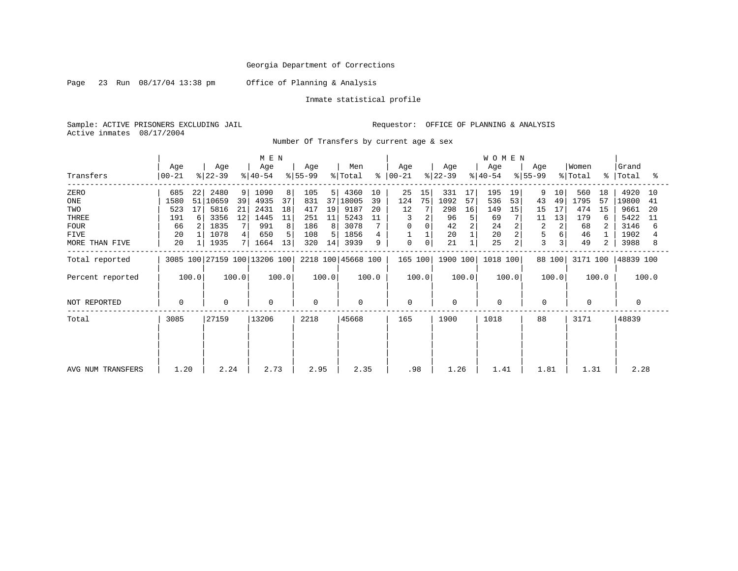Page 23 Run 08/17/04 13:38 pm Office of Planning & Analysis

Inmate statistical profile

Sample: ACTIVE PRISONERS EXCLUDING JAIL Requestor: OFFICE OF PLANNING & ANALYSIS Active inmates 08/17/2004

Number Of Transfers by current age & sex

|                   | M E N            |                 |                  |       |                              |       |                  |       |                    |       |                      |       |                  |                | WOMEN            |       |                  |        |                  |             |                |       |
|-------------------|------------------|-----------------|------------------|-------|------------------------------|-------|------------------|-------|--------------------|-------|----------------------|-------|------------------|----------------|------------------|-------|------------------|--------|------------------|-------------|----------------|-------|
| Transfers         | Age<br>$00 - 21$ |                 | Age<br>$ 22-39 $ |       | Age<br>$ 40-54$              |       | Age<br>$ 55-99 $ |       | Men<br>% Total     |       | Age<br>$8   00 - 21$ |       | Age<br>$ 22-39 $ |                | Age<br>$ 40-54 $ |       | Age<br>$ 55-99 $ |        | Women<br>% Total | $\approx$ 1 | Grand<br>Total | °≈    |
| ZERO              | 685              | 22              | 2480             | 9     | 1090                         | 8     | 105              | 5     | 4360               | 10    | 25                   | 15    | 331              | 17             | 195              | 19    | 9                | 10     | 560              | 18          | 4920           | 10    |
| ONE               | 1580             |                 | 51 10659         | 39    | 4935                         | 37    | 831              |       | 37 18005           | 39    | 124                  | 75    | 1092             | 57             | 536              | 53    | 43               | 49     | 1795             | 57          | 19800          | 41    |
| TWO               | 523              | 17 <sup>1</sup> | 5816             | 21    | 2431                         | 18    | 417              | 19    | 9187               | 20    | 12                   |       | 298              | 16             | 149              | 15    | 15               | 17     | 474              | 15          | 9661           | -20   |
| THREE             | 191              | 6               | 3356             | 12    | 1445                         | 11    | 251              | 11    | 5243               | 11    |                      |       | 96               | 5              | 69               |       | 11               | 13     | 179              | 6           | 5422           | 11    |
| <b>FOUR</b>       | 66               |                 | 1835             |       | 991                          | 8     | 186              | 8     | 3078               |       | $\Omega$             |       | 42               | $\overline{2}$ | 24               | 2     | $\overline{2}$   | 2      | 68               |             | 3146           | 6     |
| FIVE              | 20               |                 | 1078             |       | 650                          | 5     | 108              | 5.    | 1856               |       |                      |       | 20               |                | 20               |       | 5                |        | 46               |             | 1902           |       |
| MORE THAN FIVE    | 20               |                 | 1935             |       | 1664                         | 13    | 320              | 14    | 3939               | 9     | 0                    | 0     | 21               |                | 25               | 2     | 3                |        | 49               | 2           | 3988           | 8     |
| Total reported    |                  |                 |                  |       | 3085 100 27159 100 13206 100 |       |                  |       | 2218 100 45668 100 |       | 165 100              |       | 1900 100         |                | 1018 100         |       |                  | 88 100 | 3171 100         |             | 48839 100      |       |
| Percent reported  |                  | 100.0           |                  | 100.0 |                              | 100.0 |                  | 100.0 |                    | 100.0 |                      | 100.0 |                  | 100.0          |                  | 100.0 |                  | 100.0  |                  | 100.0       |                | 100.0 |
| NOT REPORTED      | 0                |                 | 0                |       | 0                            |       | $\Omega$         |       | $\mathbf 0$        |       | $\mathbf 0$          |       | $\Omega$         |                | $\mathbf 0$      |       | 0                |        | $\Omega$         |             | 0              |       |
| Total             | 3085             |                 | 27159            |       | 13206                        |       | 2218             |       | 45668              |       | 165                  |       | 1900             |                | 1018             |       | 88               |        | 3171             |             | 48839          |       |
|                   |                  |                 |                  |       |                              |       |                  |       |                    |       |                      |       |                  |                |                  |       |                  |        |                  |             |                |       |
| AVG NUM TRANSFERS | 1.20             |                 | 2.24             |       | 2.73                         |       | 2.95             |       | 2.35               |       | .98                  |       | 1.26             |                | 1.41             |       | 1.81             |        | 1.31             |             | 2.28           |       |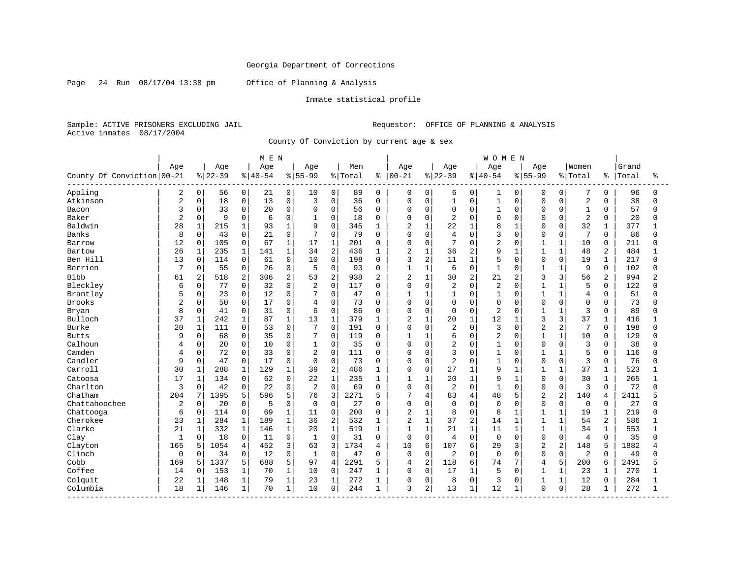Page 24 Run 08/17/04 13:38 pm Office of Planning & Analysis

### Inmate statistical profile

Sample: ACTIVE PRISONERS EXCLUDING JAIL Requestor: OFFICE OF PLANNING & ANALYSIS Active inmates 08/17/2004

County Of Conviction by current age & sex

|                            |                |              |           |              | M E N       |              |                |                |         |             |                |                |                |                | <b>WOMEN</b>   |              |                |                |                |                |       |              |
|----------------------------|----------------|--------------|-----------|--------------|-------------|--------------|----------------|----------------|---------|-------------|----------------|----------------|----------------|----------------|----------------|--------------|----------------|----------------|----------------|----------------|-------|--------------|
|                            | Age            |              | Age       |              | Age         |              | Age            |                | Men     |             | Age            |                | Age            |                | Age            |              | Age            |                | Women          |                | Grand |              |
| County Of Conviction 00-21 |                |              | $8 22-39$ |              | $8140 - 54$ |              | $8155 - 99$    |                | % Total | ៖           | $ 00 - 21$     |                | $8 22-39$      |                | $8140 - 54$    |              | $8155 - 99$    |                | % Total        | ႜ              | Total | ႜ            |
| Appling                    | 2              | 0            | 56        | 0            | 21          | 0            | 10             | 0              | 89      | $\Omega$    | 0              | $\mathbf 0$    | 6              | 0              | 1              | 0            | $\Omega$       | 0              | 7              | $\Omega$       | 96    | n            |
| Atkinson                   | 2              | $\mathbf 0$  | 18        | $\mathbf 0$  | 13          | 0            | 3              | $\mathbf 0$    | 36      | $\Omega$    | 0              | $\mathbf 0$    | $\mathbf{1}$   | $\mathbf 0$    | $\mathbf{1}$   | $\Omega$     | $\mathbf 0$    | $\Omega$       | $\overline{2}$ | $\Omega$       | 38    | $\Omega$     |
| Bacon                      | 3              | $\mathbf 0$  | 33        | $\mathbf 0$  | 20          | 0            | $\Omega$       | $\mathbf 0$    | 56      | $\Omega$    | 0              | $\mathbf 0$    | 0              | $\mathbf 0$    | $\mathbf{1}$   | $\Omega$     | $\Omega$       | 0              | $\mathbf{1}$   | $\mathbf 0$    | 57    |              |
| Baker                      | $\overline{2}$ | $\Omega$     | 9         | $\Omega$     | 6           | $\Omega$     | $\mathbf{1}$   | $\mathbf 0$    | 18      | $\Omega$    | O              | $\mathbf 0$    | 2              | $\Omega$       | $\Omega$       | $\Omega$     | $\Omega$       | $\Omega$       | $\overline{2}$ | $\Omega$       | 20    | U            |
| Baldwin                    | 28             | $\mathbf{1}$ | 215       | $\mathbf 1$  | 93          | $\mathbf 1$  | 9              | $\Omega$       | 345     | 1           | 2              | $\mathbf{1}$   | 22             |                | 8              | -1           | $\Omega$       | U              | 32             | 1              | 377   |              |
| Banks                      | 8              | $\Omega$     | 43        | $\Omega$     | 21          | 0            | 7              | $\Omega$       | 79      | $\Omega$    | $\Omega$       | $\mathbf 0$    | $\overline{4}$ | $\Omega$       | 3              | $\Omega$     | $\Omega$       | $\Omega$       | 7              | $\Omega$       | 86    |              |
| Barrow                     | 12             | $\Omega$     | 105       | $\Omega$     | 67          | $\mathbf{1}$ | 17             | $\mathbf{1}$   | 201     | $\Omega$    | $\Omega$       | $\Omega$       | 7              | $\Omega$       | $\overline{2}$ | $\Omega$     | $\mathbf{1}$   | $\mathbf{1}$   | 10             | $\Omega$       | 211   | U            |
| Bartow                     | 26             | 1            | 235       | $\mathbf 1$  | 141         | $\mathbf 1$  | 34             | $\overline{2}$ | 436     | 1           | 2              | $\mathbf{1}$   | 36             | 2              | 9              | $\mathbf{1}$ | $\overline{1}$ | $\mathbf{1}$   | 48             | 2              | 484   |              |
| Ben Hill                   | 13             | $\Omega$     | 114       | $\Omega$     | 61          | 0            | 10             | $\Omega$       | 198     | $\Omega$    | 3              | 2              | 11             | $\mathbf{1}$   | 5              | $\Omega$     | $\Omega$       | $\Omega$       | 19             | $\mathbf{1}$   | 217   | U            |
| Berrien                    | 7              | $\Omega$     | 55        | $\mathbf 0$  | 26          | 0            | 5              | $\Omega$       | 93      | $\Omega$    | $\mathbf{1}$   | $\mathbf{1}$   | 6              | $\Omega$       | $\mathbf{1}$   | $\Omega$     | $\mathbf{1}$   | $\mathbf{1}$   | 9              | $\Omega$       | 102   |              |
| Bibb                       | 61             | 2            | 518       | 2            | 306         | 2            | 53             | $\overline{2}$ | 938     | 2           | 2              | $\mathbf{1}$   | 30             | 2              | 21             | 2            | 3              | 3              | 56             | 2              | 994   |              |
| Bleckley                   | 6              | $\Omega$     | 77        | $\Omega$     | 32          | $\Omega$     | $\overline{2}$ | $\mathbf 0$    | 117     | $\Omega$    | $\Omega$       | $\mathbf 0$    | $\overline{2}$ | $\Omega$       | $\overline{2}$ | $\Omega$     | 1              | $\mathbf{1}$   | 5              | $\Omega$       | 122   |              |
| Brantley                   | 5              | $\Omega$     | 23        | $\Omega$     | 12          | $\Omega$     | 7              | $\Omega$       | 47      | $\Omega$    | $\mathbf{1}$   | $\mathbf{1}$   | $\mathbf{1}$   | $\Omega$       | $\mathbf{1}$   | $\Omega$     | $\mathbf{1}$   | $\mathbf{1}$   | $\overline{4}$ | $\Omega$       | 51    |              |
| Brooks                     | $\overline{c}$ | $\mathbf 0$  | 50        | $\mathbf 0$  | 17          | 0            | $\overline{4}$ | $\mathbf 0$    | 73      | $\Omega$    | 0              | $\mathbf 0$    | 0              | $\Omega$       | $\mathbf 0$    | $\Omega$     | $\mathbf 0$    | $\Omega$       | $\mathbf 0$    | $\Omega$       | 73    |              |
| Bryan                      | 8              | $\Omega$     | 41        | $\mathbf 0$  | 31          | $\Omega$     | 6              | $\Omega$       | 86      | $\Omega$    | 0              | $\mathbf 0$    | 0              | $\Omega$       | $\overline{2}$ | $\Omega$     | $\mathbf{1}$   | $\mathbf{1}$   | 3              | $\Omega$       | 89    |              |
| Bulloch                    | 37             | $\mathbf{1}$ | 242       | $\mathbf 1$  | 87          | $\mathbf{1}$ | 13             | $\mathbf{1}$   | 379     | 1           | $\overline{2}$ | $\mathbf{1}$   | 20             | $\mathbf{1}$   | 12             | $\mathbf{1}$ | 3              | 3              | 37             | 1              | 416   |              |
| Burke                      | 20             | $\mathbf{1}$ | 111       | 0            | 53          | $\mathbf 0$  | 7              | $\Omega$       | 191     | $\Omega$    | $\Omega$       | $\overline{0}$ | 2              | $\Omega$       | 3              | $\Omega$     | $\overline{a}$ | 2              | 7              | $\Omega$       | 198   |              |
| <b>Butts</b>               | 9              | $\Omega$     | 68        | 0            | 35          | 0            | 7              | $\mathbf 0$    | 119     | 0           | $\mathbf{1}$   | $\mathbf{1}$   | 6              | $\Omega$       | $\overline{2}$ | $\Omega$     | $\mathbf{1}$   | $\mathbf{1}$   | 10             | $\Omega$       | 129   |              |
| Calhoun                    | 4              | 0            | 20        | $\mathbf 0$  | 10          | 0            | $\mathbf{1}$   | $\mathbf 0$    | 35      | 0           | 0              | $\mathbf 0$    | $\overline{2}$ | $\Omega$       | $\mathbf{1}$   | $\Omega$     | $\mathbf 0$    | $\Omega$       | 3              | $\mathbf 0$    | 38    |              |
| Camden                     | 4              | 0            | 72        | $\mathbf 0$  | 33          | 0            | 2              | $\mathbf 0$    | 111     | $\Omega$    | 0              | $\mathbf 0$    | 3              | $\Omega$       | $\mathbf{1}$   | $\Omega$     | $\mathbf{1}$   | $\mathbf{1}$   | 5              | $\Omega$       | 116   |              |
| Candler                    | 9              | $\mathbf 0$  | 47        | $\mathbf 0$  | 17          | 0            | $\mathbf 0$    | $\mathbf 0$    | 73      | 0           | 0              | $\mathbf 0$    | $\overline{a}$ | $\Omega$       | $\mathbf{1}$   | $\Omega$     | $\mathbf 0$    | 0              | 3              | $\Omega$       | 76    | ∩            |
| Carroll                    | 30             | 1            | 288       | $\mathbf{1}$ | 129         | 1            | 39             | $\overline{2}$ | 486     | 1           | 0              | $\mathbf 0$    | 27             | $\mathbf{1}$   | 9              | 1            | $\mathbf{1}$   | $\mathbf{1}$   | 37             | 1              | 523   |              |
| Catoosa                    | 17             | $\mathbf{1}$ | 134       | 0            | 62          | 0            | 22             | $\mathbf{1}$   | 235     | 1           | $\mathbf{1}$   | $\mathbf{1}$   | 20             | $\mathbf{1}$   | 9              | $\mathbf{1}$ | $\Omega$       | $\Omega$       | 30             | $\mathbf{1}$   | 265   |              |
| Charlton                   | 3              | $\Omega$     | 42        | 0            | 22          | $\Omega$     | $\overline{2}$ | $\Omega$       | 69      | $\Omega$    | 0              | $\Omega$       | $\overline{2}$ | $\Omega$       | $\mathbf{1}$   | $\Omega$     | $\Omega$       | $\Omega$       | 3              | $\Omega$       | 72    |              |
| Chatham                    | 204            | 7            | 1395      | 5            | 596         | 5            | 76             | 3              | 2271    | 5           | 7              | $\overline{4}$ | 83             | 4              | 48             | 5            | $\overline{2}$ | $\overline{a}$ | 140            | 4              | 2411  |              |
| Chattahoochee              | $\overline{2}$ | $\mathbf 0$  | 20        | $\mathbf 0$  | 5           | 0            | $\mathbf 0$    | $\mathbf 0$    | 27      | 0           | 0              | $\mathbf 0$    | $\Omega$       | $\mathbf 0$    | $\mathbf 0$    | $\Omega$     | $\mathbf 0$    | 0              | $\mathbf 0$    | $\mathbf 0$    | 27    |              |
| Chattooga                  | 6              | $\mathbf 0$  | 114       | $\mathbf 0$  | 69          | $\mathbf 1$  | 11             | $\mathbf 0$    | 200     | $\mathbf 0$ | 2              | $\mathbf{1}$   | 8              | $\mathbf 0$    | 8              | $\mathbf{1}$ | $\mathbf{1}$   | $\mathbf 1$    | 19             | $\mathbf{1}$   | 219   | U            |
| Cherokee                   | 23             | 1            | 284       | 1            | 189         | $\mathbf{1}$ | 36             | $\overline{2}$ | 532     |             | $\overline{2}$ | $\mathbf{1}$   | 37             | $\overline{a}$ | 14             | -1           | $\mathbf{1}$   | $\mathbf{1}$   | 54             | $\overline{2}$ | 586   |              |
| Clarke                     | 21             | $\mathbf 1$  | 332       | 1            | 146         | 1            | 20             | $\mathbf{1}$   | 519     | 1           | $\mathbf{1}$   | $\mathbf{1}$   | 21             | $\mathbf{1}$   | 11             | $\mathbf{1}$ | $\mathbf{1}$   | $\mathbf{1}$   | 34             | $\mathbf 1$    | 553   |              |
| Clay                       | 1              | 0            | 18        | $\mathbf 0$  | 11          | 0            | 1              | $\Omega$       | 31      | 0           | 0              | $\mathbf 0$    | 4              | $\Omega$       | $\mathbf 0$    | $\Omega$     | $\mathbf 0$    | $\Omega$       | 4              | $\Omega$       | 35    |              |
| Clayton                    | 165            | 5            | 1054      | 4            | 452         | 3            | 63             | 3              | 1734    | 4           | 10             | 6              | 107            | 6              | 29             | 3            | $\overline{2}$ | 2              | 148            | 5              | 1882  |              |
| Clinch                     | $\mathbf 0$    | 0            | 34        | $\mathbf 0$  | 12          | 0            | $\mathbf{1}$   | $\mathbf 0$    | 47      | $\Omega$    | 0              | $\mathbf 0$    | 2              | $\Omega$       | $\mathbf 0$    | $\Omega$     | $\Omega$       | $\Omega$       | $\overline{2}$ | $\Omega$       | 49    |              |
| Cobb                       | 169            | 5            | 1337      | 5            | 688         | 5            | 97             | $\overline{4}$ | 2291    | 5           | 4              | $\overline{c}$ | 118            | 6              | 74             | 7            | 4              | 5              | 200            | 6              | 2491  |              |
| Coffee                     | 14             | $\Omega$     | 153       | $\mathbf{1}$ | 70          | $\mathbf{1}$ | 10             | $\mathbf 0$    | 247     | 1           | 0              | $\mathbf 0$    | 17             | $\mathbf{1}$   | 5              | $\Omega$     | $\mathbf{1}$   | $\mathbf 1$    | 23             | 1              | 270   |              |
| Colquit                    | 22             | 1            | 148       | $\mathbf{1}$ | 79          | $\mathbf{1}$ | 23             | $\mathbf{1}$   | 272     | 1           | 0              | $\mathbf 0$    | 8              | $\mathbf 0$    | 3              | 0            | 1              | 1              | 12             | $\Omega$       | 284   |              |
| Columbia                   | 18             | 1            | 146       | $\mathbf{1}$ | 70          | $\mathbf{1}$ | 10             | $\mathbf 0$    | 244     | 1           | 3              | 2              | 13             | $\mathbf{1}$   | 12             | 1            | $\Omega$       | 0              | 28             | 1              | 272   | $\mathbf{1}$ |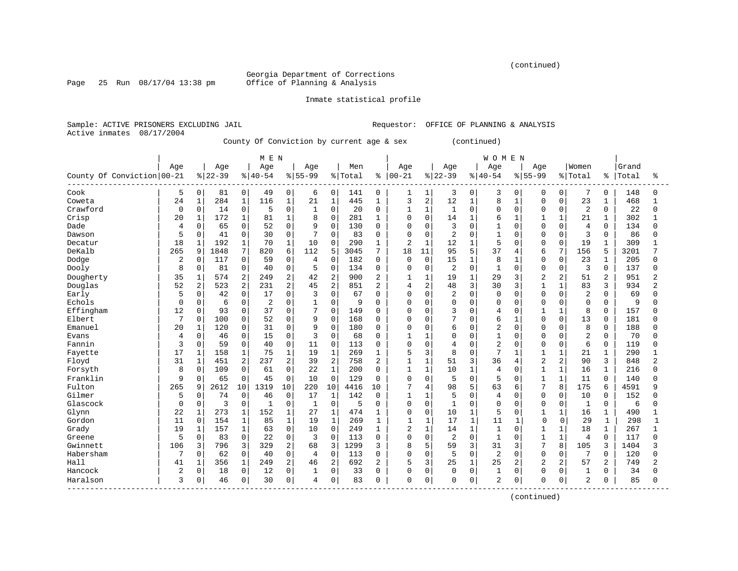(continued)

Georgia Department of Corrections<br>Office of Planning & Analysis

Page 25 Run  $08/17/04$  13:38 pm

#### Inmate statistical profile

Sample: ACTIVE PRISONERS EXCLUDING JAIL Requestor: OFFICE OF PLANNING & ANALYSIS Active inmates 08/17/2004

County Of Conviction by current age & sex (continued)

|                            |             |             |           |                | M E N          |                |              |                |         |                |                |                |                |              | <b>WOMEN</b>   |              |                |                |                |              |       |                |
|----------------------------|-------------|-------------|-----------|----------------|----------------|----------------|--------------|----------------|---------|----------------|----------------|----------------|----------------|--------------|----------------|--------------|----------------|----------------|----------------|--------------|-------|----------------|
|                            | Age         |             | Age       |                | Age            |                | Age          |                | Men     |                | Age            |                | Age            |              | Age            |              | Age            |                | Women          |              | Grand |                |
| County Of Conviction 00-21 |             |             | $8 22-39$ |                | $8140 - 54$    |                | $8155 - 99$  |                | % Total | ႜ              | $ 00 - 21$     |                | $8 22-39$      |              | $8 40-54$      |              | $8155 - 99$    |                | % Total        | %            | Total | ႜ              |
| Cook                       | 5           | $\mathbf 0$ | 81        | 0              | 49             | 0              | 6            | 0              | 141     | 0              | 1              | 1              | 3              | 0            | 3              | 0            | 0              | 0              | 7              | 0            | 148   | O              |
| Coweta                     | 24          | $\mathbf 1$ | 284       | $\mathbf{1}$   | 116            | $\mathbf 1$    | 21           | $\mathbf{1}$   | 445     | $\mathbf{1}$   | 3              | $\overline{a}$ | 12             | $\mathbf{1}$ | 8              | $\mathbf{1}$ | $\Omega$       | $\Omega$       | 23             | 1            | 468   | 1              |
| Crawford                   | 0           | $\mathbf 0$ | 14        | 0              | 5              | $\mathbf 0$    | $\mathbf{1}$ | $\mathbf 0$    | 20      | $\Omega$       | 1              | $\mathbf{1}$   | 1              | $\Omega$     | $\mathbf 0$    | $\Omega$     | $\Omega$       | $\Omega$       | $\overline{2}$ | 0            | 22    | 0              |
| Crisp                      | 20          | 1           | 172       | $\mathbf{1}$   | 81             | $\mathbf{1}$   | 8            | 0              | 281     | $\mathbf{1}$   | $\Omega$       | $\mathbf 0$    | 14             | $\mathbf{1}$ | 6              | $\mathbf{1}$ | $\mathbf{1}$   | $\mathbf{1}$   | 21             | $\mathbf{1}$ | 302   |                |
| Dade                       | 4           | 0           | 65        | 0              | 52             | $\mathbf 0$    | 9            | $\mathbf 0$    | 130     | $\Omega$       | 0              | $\Omega$       | 3              | $\Omega$     | $\mathbf{1}$   | 0            | $\Omega$       | $\Omega$       | $\overline{4}$ | $\Omega$     | 134   | U              |
| Dawson                     | 5           | 0           | 41        | 0              | 30             | $\mathbf 0$    | 7            | $\Omega$       | 83      | $\Omega$       | $\Omega$       | $\mathbf 0$    | 2              | $\cap$       | $\mathbf{1}$   | O            | $\Omega$       | $\Omega$       | 3              | $\Omega$     | 86    | 0              |
| Decatur                    | 18          | 1           | 192       | $\mathbf 1$    | 70             | $\mathbf{1}$   | 10           | $\Omega$       | 290     | 1              | $\overline{2}$ | $\mathbf{1}$   | 12             | 1            | 5              | 0            | $\Omega$       | $\Omega$       | 19             |              | 309   |                |
| DeKalb                     | 265         | 9           | 1848      | 7              | 820            | 6              | 112          | 5              | 3045    | 7              | 18             | 11             | 95             | 5            | 37             | 4            | 6              | 7              | 156            | 5            | 3201  |                |
| Dodge                      | 2           | 0           | 117       | 0              | 59             | $\mathbf 0$    | 4            | 0              | 182     | $\Omega$       | $\Omega$       | $\Omega$       | 15             | 1            | 8              | 1            | $\Omega$       | $\Omega$       | 23             | 1            | 205   | U              |
| Dooly                      | 8           | 0           | 81        | 0              | 40             | $\mathbf 0$    | 5            | $\mathbf 0$    | 134     | $\mathbf 0$    | 0              | $\Omega$       | $\overline{2}$ | $\Omega$     | $\mathbf 1$    | $\Omega$     | $\Omega$       | $\Omega$       | 3              | $\Omega$     | 137   | U              |
| Dougherty                  | 35          | $\mathbf 1$ | 574       | $\overline{a}$ | 249            | $\overline{2}$ | 42           | $\overline{2}$ | 900     | $\overline{2}$ | 1              | $\mathbf{1}$   | 19             | $\mathbf 1$  | 29             | 3            | $\overline{2}$ | $\overline{2}$ | 51             | 2            | 951   | 2              |
| Douglas                    | 52          | 2           | 523       | 2              | 231            | 2              | 45           | $\overline{2}$ | 851     | $\overline{2}$ | 4              | $\overline{c}$ | 48             | 3            | 30             | 3            | $\mathbf{1}$   | 1              | 83             | 3            | 934   | $\overline{2}$ |
| Early                      | 5           | $\Omega$    | 42        | $\Omega$       | 17             | $\Omega$       | 3            | $\Omega$       | 67      | $\Omega$       | $\Omega$       | $\Omega$       | $\overline{2}$ | $\Omega$     | $\mathbf 0$    | O            | $\Omega$       | $\Omega$       | $\overline{2}$ | $\Omega$     | 69    | U              |
| Echols                     | $\Omega$    | $\Omega$    | 6         | 0              | $\overline{2}$ | $\Omega$       | $\mathbf{1}$ | $\Omega$       | 9       | $\Omega$       | 0              | $\Omega$       | $\Omega$       | $\Omega$     | $\Omega$       | 0            | $\Omega$       | $\Omega$       | $\Omega$       | $\Omega$     | 9     | $\cap$         |
| Effingham                  | 12          | 0           | 93        | 0              | 37             | $\mathbf{0}$   | 7            | 0              | 149     | $\Omega$       | $\Omega$       | 0              | 3              | $\Omega$     | 4              | 0            |                | $\mathbf{1}$   | 8              | 0            | 157   |                |
| Elbert                     | 7           | $\Omega$    | 100       | 0              | 52             | $\mathbf{0}$   | 9            | $\mathbf 0$    | 168     | $\Omega$       | $\Omega$       | $\Omega$       | 7              | $\Omega$     | 6              | $\mathbf{1}$ | $\Omega$       | $\Omega$       | 13             | $\Omega$     | 181   |                |
| Emanuel                    | 20          | 1           | 120       | $\Omega$       | 31             | $\Omega$       | 9            | $\Omega$       | 180     | $\Omega$       | $\Omega$       | $\cap$         | 6              | $\Omega$     | $\overline{2}$ | $\Omega$     | $\Omega$       | $\Omega$       | 8              | $\Omega$     | 188   | U              |
| Evans                      | 4           | $\Omega$    | 46        | 0              | 15             | $\mathbf 0$    | 3            | $\Omega$       | 68      | $\Omega$       | 1              | $\mathbf{1}$   | 0              | $\Omega$     | $\mathbf{1}$   | $\Omega$     | $\Omega$       | $\Omega$       | $\overline{2}$ | $\Omega$     | 70    | Λ              |
| Fannin                     | 3           | $\mathbf 0$ | 59        | 0              | 40             | $\mathbf 0$    | 11           | 0              | 113     | $\mathbf 0$    | 0              | $\mathbf 0$    | 4              | $\Omega$     | $\overline{2}$ | 0            | $\Omega$       | $\mathbf 0$    | 6              | $\mathbf 0$  | 119   |                |
| Fayette                    | 17          | 1           | 158       | $\mathbf 1$    | 75             | $\mathbf 1$    | 19           | 1              | 269     | $\mathbf 1$    | 5              | 3              | 8              | $\Omega$     | 7              | $\mathbf{1}$ | $\mathbf{1}$   | $\mathbf{1}$   | 21             | $\mathbf{1}$ | 290   |                |
| Floyd                      | 31          | $\mathbf 1$ | 451       | 2              | 237            | $\overline{a}$ | 39           | $\overline{2}$ | 758     | $\overline{2}$ | 1              | $\mathbf{1}$   | 51             | 3            | 36             | 4            | $\overline{2}$ | $\overline{2}$ | 90             | 3            | 848   | $\overline{2}$ |
| Forsyth                    | 8           | $\mathbf 0$ | 109       | 0              | 61             | 0              | 22           | $\mathbf{1}$   | 200     | $\Omega$       | $\mathbf{1}$   | $\mathbf{1}$   | 10             | $\mathbf{1}$ | $\overline{4}$ | 0            | $\mathbf{1}$   | $\mathbf{1}$   | 16             |              | 216   | 0              |
| Franklin                   | 9           | 0           | 65        | 0              | 45             | 0              | 10           | $\mathbf 0$    | 129     | $\Omega$       | 0              | $\mathbf 0$    | 5              | $\Omega$     | 5              | $\Omega$     |                | 1              | 11             | $\Omega$     | 140   | 0              |
| Fulton                     | 265         | 9           | 2612      | 10             | 1319           | 10             | 220          | 10             | 4416    | 10             | 7              | 4              | 98             | 5            | 63             | 6            | 7              | 8              | 175            | 6            | 4591  | q              |
| Gilmer                     | 5           | 0           | 74        | 0              | 46             | $\mathbf 0$    | 17           | 1              | 142     | $\Omega$       | $\mathbf{1}$   | $\mathbf{1}$   | 5              | $\cap$       | $\overline{4}$ | $\Omega$     | $\Omega$       | $\Omega$       | 10             | $\Omega$     | 152   | ∩              |
| Glascock                   | $\mathbf 0$ | 0           | 3         | 0              | 1              | $\mathbf 0$    | 1            | $\mathbf 0$    | 5       | $\Omega$       | 0              | $\mathbf 0$    | $\mathbf{1}$   | $\Omega$     | $\Omega$       | $\Omega$     | $\Omega$       | $\Omega$       | $\mathbf{1}$   | 0            | 6     | U              |
| Glynn                      | 22          | 1           | 273       | $\mathbf{1}$   | 152            | $\mathbf{1}$   | 27           | 1              | 474     | 1              | 0              | $\mathbf 0$    | 10             | 1            | 5              | $\Omega$     | 1              | 1              | 16             | $\mathbf{1}$ | 490   |                |
| Gordon                     | 11          | $\mathbf 0$ | 154       | $\mathbf{1}$   | 85             | $\mathbf{1}$   | 19           | $\mathbf{1}$   | 269     | $\mathbf{1}$   | 1              | $\mathbf{1}$   | 17             | $\mathbf{1}$ | 11             | 1            | $\Omega$       | $\Omega$       | 29             | $\mathbf{1}$ | 298   | $\mathbf{1}$   |
| Grady                      | 19          | 1           | 157       | $\mathbf{1}$   | 63             | $\mathbf 0$    | 10           | $\mathbf 0$    | 249     | 1              | $\overline{2}$ | $\mathbf{1}$   | 14             | $\mathbf{1}$ | 1              | 0            | 1              | $\mathbf 1$    | 18             | 1            | 267   | $\mathbf{1}$   |
| Greene                     | 5           | 0           | 83        | 0              | 22             | 0              | 3            | $\Omega$       | 113     | 0              | 0              | $\mathbf 0$    | $\overline{2}$ | $\Omega$     | $\mathbf{1}$   | $\Omega$     | $\mathbf{1}$   | $\mathbf{1}$   | $\overline{4}$ | $\Omega$     | 117   | O              |
| Gwinnett                   | 106         | 3           | 796       | 3              | 329            | 2              | 68           | 3              | 1299    | 3              | 8              | 5              | 59             | 3            | 31             | 3            | 7              | 8              | 105            | 3            | 1404  |                |
| Habersham                  | 7           | $\Omega$    | 62        | $\Omega$       | 40             | $\Omega$       | 4            | $\Omega$       | 113     | $\Omega$       | $\Omega$       | $\Omega$       | 5              | $\Omega$     | $\overline{2}$ | $\Omega$     | $\Omega$       | <sup>0</sup>   | 7              | $\Omega$     | 120   | U              |
| Hall                       | 41          | $\mathbf 1$ | 356       | $\mathbf{1}$   | 249            | $\overline{2}$ | 46           | $\overline{2}$ | 692     | $\overline{2}$ | 5              | 3              | 25             | $\mathbf{1}$ | 25             | 2            | $\overline{c}$ | $\overline{2}$ | 57             | 2            | 749   | $\overline{2}$ |
| Hancock                    | 2           | 0           | 18        | 0              | 12             | $\mathbf 0$    |              | 0              | 33      | $\Omega$       | 0              | $\mathbf 0$    | $\mathbf 0$    | $\mathbf 0$  | $\mathbf{1}$   | 0            | $\Omega$       | $\Omega$       | 1              | 0            | 34    | <sup>0</sup>   |
| Haralson                   | 3           | 0           | 46        | 0              | 30             | $\mathbf 0$    | 4            | $\mathbf 0$    | 83      | $\Omega$       | 0              | $\mathbf 0$    | 0              | 0            | $\overline{2}$ | 0            | 0              | 0              | $\overline{2}$ | 0            | 85    | <sup>0</sup>   |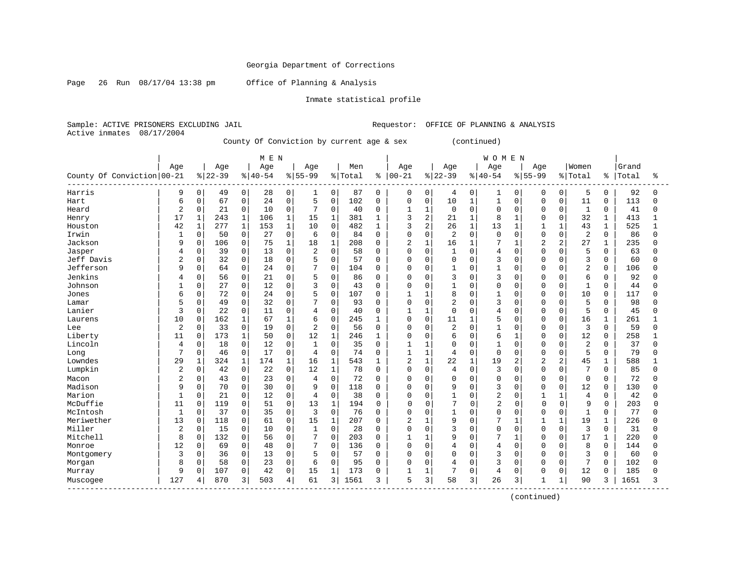Page 26 Run 08/17/04 13:38 pm Office of Planning & Analysis

#### Inmate statistical profile

Sample: ACTIVE PRISONERS EXCLUDING JAIL Requestor: OFFICE OF PLANNING & ANALYSIS Active inmates 08/17/2004

County Of Conviction by current age & sex (continued)

|                            |                |             |          |              | M E N       |                     |                |                |         |              |                |              |                |              | <b>WOMEN</b>   |                |                |                |                |              |       |              |
|----------------------------|----------------|-------------|----------|--------------|-------------|---------------------|----------------|----------------|---------|--------------|----------------|--------------|----------------|--------------|----------------|----------------|----------------|----------------|----------------|--------------|-------|--------------|
|                            | Age            |             | Age      |              | Age         |                     | Age            |                | Men     |              | Age            |              | Age            |              | Age            |                | Age            |                | Women          |              | Grand |              |
| County Of Conviction 00-21 |                |             | $ 22-39$ |              | $8140 - 54$ |                     | $8 55-99$      |                | % Total | ៖            | $ 00 - 21$     |              | $ 22-39$       |              | $ 40-54$       |                | $8 55-99$      |                | % Total        | ိ            | Total | ႜ            |
| Harris                     | 9              | 0           | 49       | 0            | 28          | 0                   | 1              | 0              | 87      | 0            | 0              | 0            | 4              | 0            | 1              | 0              | 0              | 0              | 5              | 0            | 92    | <sup>0</sup> |
| Hart                       | 6              | $\mathbf 0$ | 67       | 0            | 24          | $\mathbf 0$         | 5              | $\mathbf 0$    | 102     | $\Omega$     | 0              | $\mathbf 0$  | 10             | $\mathbf{1}$ | 1              | $\Omega$       | $\Omega$       | 0              | 11             | 0            | 113   | U            |
| Heard                      | 2              | 0           | 21       | 0            | 10          | $\mathbf 0$         | 7              | $\mathbf 0$    | 40      | $\Omega$     | 1              | $\mathbf{1}$ | $\mathsf 0$    | $\Omega$     | $\Omega$       | $\Omega$       | $\Omega$       | $\Omega$       | $\mathbf{1}$   | $\Omega$     | 41    | U            |
| Henry                      | 17             | 1           | 243      | $\mathbf 1$  | 106         | $\mathbf{1}$        | 15             | $\mathbf{1}$   | 381     | 1            | 3              | 2            | 21             | $\mathbf{1}$ | 8              | $\mathbf{1}$   | $\Omega$       | $\Omega$       | 32             | 1            | 413   |              |
| Houston                    | 42             | $\mathbf 1$ | 277      | $\mathbf{1}$ | 153         | $\mathbf{1}$        | 10             | $\mathbf 0$    | 482     | 1            | 3              | 2            | 26             | $\mathbf{1}$ | 13             | $\mathbf 1$    | $\mathbf{1}$   | $\mathbf{1}$   | 43             | $\mathbf{1}$ | 525   | $\mathbf{1}$ |
| Irwin                      |                | 0           | 50       | 0            | 27          | 0                   | 6              | 0              | 84      | 0            | 0              | $\mathbf 0$  | 2              | $\Omega$     | $\mathbf 0$    | $\Omega$       | $\Omega$       | $\Omega$       | $\overline{2}$ | 0            | 86    | U            |
| Jackson                    | 9              | $\Omega$    | 106      | 0            | 75          | 1                   | 18             | $\mathbf{1}$   | 208     | $\Omega$     | 2              | $\mathbf{1}$ | 16             | $\mathbf{1}$ | 7              | $\mathbf{1}$   | $\overline{c}$ | $\overline{c}$ | 27             |              | 235   | U            |
| Jasper                     | 4              | $\Omega$    | 39       | $\Omega$     | 13          | $\Omega$            | $\overline{c}$ | $\Omega$       | 58      | $\Omega$     | $\Omega$       | $\Omega$     | $\mathbf{1}$   | $\Omega$     | 4              | $\Omega$       | $\Omega$       | $\cap$         | 5              | $\Omega$     | 63    | U            |
| Jeff Davis                 | 2              | 0           | 32       | 0            | 18          | $\mathbf 0$         | 5              | 0              | 57      | $\Omega$     | 0              | $\mathbf 0$  | $\mathbf 0$    | $\Omega$     | 3              | $\Omega$       | $\Omega$       | $\Omega$       | 3              | 0            | 60    | Λ            |
| Jefferson                  | 9              | $\mathbf 0$ | 64       | 0            | 24          | $\mathbf 0$         | 7              | $\mathbf 0$    | 104     | $\Omega$     | 0              | $\mathbf 0$  | $\mathbf{1}$   | $\Omega$     | $\mathbf{1}$   | O              | $\Omega$       | $\Omega$       | $\overline{2}$ | $\mathbf 0$  | 106   | U            |
| Jenkins                    |                | $\Omega$    | 56       | 0            | 21          | $\Omega$            | 5              | $\Omega$       | 86      | $\Omega$     | 0              | $\Omega$     | 3              | $\Omega$     | 3              | 0              | 0              | $\Omega$       | 6              | $\Omega$     | 92    |              |
| Johnson                    |                | 0           | 27       | 0            | 12          | $\mathbf 0$         | 3              | 0              | 43      | $\Omega$     | 0              | $\Omega$     | $\mathbf{1}$   | $\Omega$     | $\Omega$       | 0              | $\Omega$       | $\mathbf 0$    | $\mathbf{1}$   | $\Omega$     | 44    | U            |
| Jones                      | 6              | $\Omega$    | 72       | 0            | 24          | $\Omega$            | 5              | $\mathbf 0$    | 107     | $\Omega$     | $\mathbf{1}$   | $\mathbf{1}$ | 8              | $\Omega$     | $\mathbf{1}$   | 0              | $\Omega$       | $\Omega$       | 10             | $\Omega$     | 117   | U            |
| Lamar                      | 5              | $\Omega$    | 49       | 0            | 32          | $\mathbf{0}$        | 7              | $\Omega$       | 93      | $\Omega$     | 0              | $\Omega$     | 2              | $\Omega$     | 3              | O              | $\Omega$       | $\Omega$       | 5              | $\Omega$     | 98    | <sup>0</sup> |
| Lanier                     | 3              | $\Omega$    | 22       | 0            | 11          | $\Omega$            | 4              | $\Omega$       | 40      | $\Omega$     | 1              | $\mathbf{1}$ | $\mathbf 0$    | $\Omega$     | 4              | 0              | $\Omega$       | $\Omega$       | 5              | $\Omega$     | 45    |              |
| Laurens                    | 10             | $\Omega$    | 162      | $\mathbf{1}$ | 67          | $\mathbf{1}$        | 6              | $\Omega$       | 245     | -1           | $\Omega$       | $\mathbf 0$  | 11             | $\mathbf{1}$ | 5              | 0              | $\Omega$       | $\Omega$       | 16             | 1            | 261   |              |
| Lee                        | 2              | $\mathbf 0$ | 33       | 0            | 19          | $\Omega$            | $\overline{2}$ | $\Omega$       | 56      | $\Omega$     | $\Omega$       | $\Omega$     | $\overline{2}$ | $\Omega$     | $\mathbf{1}$   | $\Omega$       | $\Omega$       | $\Omega$       | 3              | $\Omega$     | 59    | U            |
| Liberty                    | 11             | 0           | 173      | $\mathbf{1}$ | 50          | $\mathbf 0$         | 12             | 1              | 246     | $\mathbf{1}$ | 0              | $\mathbf 0$  | 6              | $\Omega$     | 6              | 1              | $\Omega$       | $\Omega$       | 12             | $\mathbf 0$  | 258   |              |
| Lincoln                    | 4              | 0           | 18       | 0            | 12          | $\mathbf 0$         | $\mathbf{1}$   | $\Omega$       | 35      | $\Omega$     | 1              | $\mathbf{1}$ | $\mathbf 0$    | $\Omega$     | 1              | $\Omega$       | $\Omega$       | $\Omega$       | $\overline{2}$ | $\Omega$     | 37    | U            |
| Long                       | 7              | $\Omega$    | 46       | $\Omega$     | 17          | $\Omega$            | $\overline{4}$ | $\Omega$       | 74      | $\Omega$     | $\mathbf{1}$   | $\mathbf{1}$ | 4              | $\Omega$     | $\Omega$       | 0              | $\Omega$       | $\Omega$       | 5              | $\Omega$     | 79    | ∩            |
| Lowndes                    | 29             | 1           | 324      | $\mathbf{1}$ | 174         | $\mathbf{1}$        | 16             | $\mathbf{1}$   | 543     | 1            | $\overline{2}$ | $\mathbf{1}$ | 22             | $\mathbf{1}$ | 19             | 2              | $\overline{c}$ | $\overline{a}$ | 45             | $\mathbf{1}$ | 588   |              |
| Lumpkin                    | $\overline{2}$ | 0           | 42       | 0            | 22          | $\mathsf{O}\xspace$ | 12             | $\mathbf{1}$   | 78      | $\Omega$     | 0              | $\mathbf 0$  | 4              | $\mathbf 0$  | 3              | $\Omega$       | $\Omega$       | $\Omega$       | 7              | $\Omega$     | 85    | U            |
| Macon                      | 2              | $\Omega$    | 43       | 0            | 23          | $\mathbf 0$         | 4              | 0              | 72      | 0            | 0              | $\Omega$     | 0              | 0            | $\Omega$       | 0              | $\Omega$       | $\Omega$       | $\mathbf 0$    | $\Omega$     | 72    | Λ            |
| Madison                    | 9              | $\Omega$    | 70       | 0            | 30          | $\mathbf 0$         | 9              | $\Omega$       | 118     | $\cap$       | $\Omega$       | $\Omega$     | 9              | $\Omega$     | 3              | O              | $\Omega$       | $\Omega$       | 12             | $\Omega$     | 130   | U            |
| Marion                     | $\mathbf{1}$   | $\Omega$    | 21       | 0            | 12          | $\Omega$            | $\overline{4}$ | $\Omega$       | 38      | $\Omega$     | $\Omega$       | $\Omega$     | $\mathbf{1}$   | $\Omega$     | $\overline{2}$ | $\Omega$       | $\mathbf{1}$   | $\mathbf{1}$   | $\overline{4}$ | $\Omega$     | 42    | Λ            |
| McDuffie                   | 11             | 0           | 119      | 0            | 51          | $\Omega$            | 13             | $\mathbf{1}$   | 194     | $\Omega$     | 0              | $\Omega$     | 7              | $\Omega$     | $\overline{c}$ | $\Omega$       | $\Omega$       | $\Omega$       | 9              | $\Omega$     | 203   | O            |
| McIntosh                   | $\mathbf{1}$   | $\Omega$    | 37       | $\Omega$     | 35          | $\mathbf 0$         | 3              | $\Omega$       | 76      | $\Omega$     | 0              | $\Omega$     | $\mathbf{1}$   | $\Omega$     | $\Omega$       | $\Omega$       | $\Omega$       | $\Omega$       | $\mathbf{1}$   | $\Omega$     | 77    |              |
| Meriwether                 | 13             | 0           | 118      | 0            | 61          | $\mathbf 0$         | 15             | $\mathbf{1}$   | 207     | $\Omega$     | 2              | $\mathbf{1}$ | 9              | $\Omega$     | 7              | $\mathbf{1}$   | $\mathbf{1}$   | $\mathbf{1}$   | 19             | $\mathbf{1}$ | 226   | ∩            |
| Miller                     | $\overline{2}$ | 0           | 15       | 0            | 10          | $\mathbf{0}$        | $\mathbf 1$    | $\mathbf 0$    | 28      | $\Omega$     | $\Omega$       | $\mathbf 0$  | 3              | $\Omega$     | $\Omega$       | $\Omega$       | $\Omega$       | $\Omega$       | 3              | $\Omega$     | 31    | U            |
| Mitchell                   | 8              | $\Omega$    | 132      | 0            | 56          | $\mathbf 0$         | 7              | $\mathbf 0$    | 203     | $\Omega$     | 1              | $\mathbf{1}$ | 9              | $\Omega$     | 7              |                | $\Omega$       | $\Omega$       | 17             |              | 220   | U            |
| Monroe                     | 12             | 0           | 69       | 0            | 48          | 0                   | 7              | $\Omega$       | 136     | $\Omega$     | $\Omega$       | 0            | 4              | $\Omega$     | 4              | $\Omega$       | $\Omega$       | O              | 8              | $\Omega$     | 144   |              |
| Montgomery                 | 3              | $\Omega$    | 36       | 0            | 13          | $\Omega$            | 5              | $\Omega$       | 57      | $\Omega$     | $\Omega$       | $\Omega$     | 0              | $\Omega$     | 3              | $\Omega$       | $\Omega$       | $\Omega$       | 3              | $\Omega$     | 60    |              |
| Morgan                     | 8              | 0           | 58       | 0            | 23          | $\mathbf 0$         | 6              | $\mathbf 0$    | 95      | $\Omega$     | $\Omega$       | $\Omega$     | 4              | $\Omega$     | 3              | $\Omega$       | $\Omega$       | $\Omega$       | 7              | 0            | 102   | U            |
| Murray                     | 9              | $\mathbf 0$ | 107      | 0            | 42          | $\mathbf 0$         | 15             | 1              | 173     | <sup>0</sup> |                | $\mathbf{1}$ | 7              | $\Omega$     | 4              | 0              | $\Omega$       | 0              | 12             | 0            | 185   |              |
| Muscogee                   | 127            | 4           | 870      | 3            | 503         | 4                   | 61             | $\overline{3}$ | 1561    | 3            | 5              | 3            | 58             | 3            | 26             | $\overline{3}$ |                | 1              | 90             | 3            | 1651  | 3            |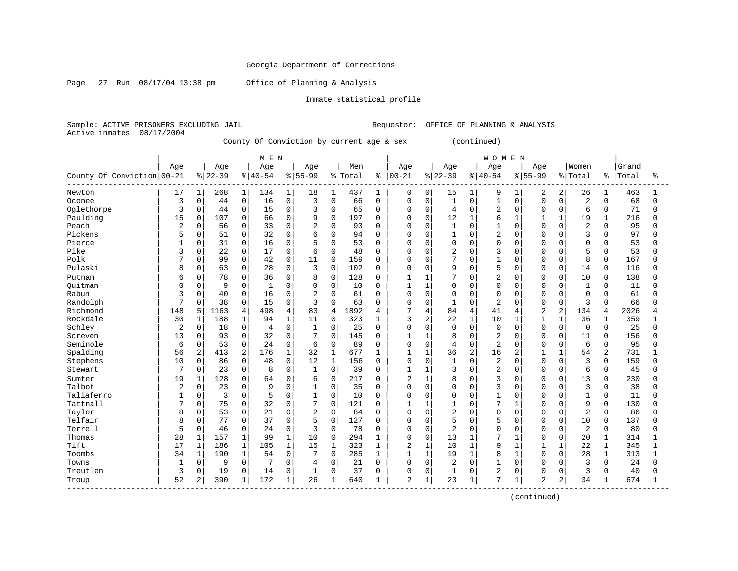Page 27 Run 08/17/04 13:38 pm Office of Planning & Analysis

#### Inmate statistical profile

Sample: ACTIVE PRISONERS EXCLUDING JAIL Requestor: OFFICE OF PLANNING & ANALYSIS Active inmates 08/17/2004

County Of Conviction by current age & sex (continued)

|                            |                |                |           |                | M E N    |              |                |                |         |              |                |                |                |              | <b>WOMEN</b>   |              |                |                |                |                |       |              |
|----------------------------|----------------|----------------|-----------|----------------|----------|--------------|----------------|----------------|---------|--------------|----------------|----------------|----------------|--------------|----------------|--------------|----------------|----------------|----------------|----------------|-------|--------------|
|                            | Age            |                | Age       |                | Age      |              | Age            |                | Men     |              | Age            |                | Age            |              | Age            |              | Age            |                | Women          |                | Grand |              |
| County Of Conviction 00-21 |                |                | $8 22-39$ |                | $ 40-54$ |              | $8155 - 99$    |                | % Total | ៖            | $ 00 - 21$     |                | $8 22-39$      |              | $8140 - 54$    |              | $8155 - 99$    |                | % Total        | ႜၟ             | Total | °            |
| Newton                     | 17             | $\mathbf 1$    | 268       | 1              | 134      | 1            | 18             | 1              | 437     | 1            | $\mathbf 0$    | 0              | 15             | $\mathbf{1}$ | 9              | 1            | $\overline{2}$ | 2              | 26             | 1              | 463   |              |
| Oconee                     | 3              | 0              | 44        | $\mathbf 0$    | 16       | $\mathbf 0$  | 3              | $\Omega$       | 66      | $\Omega$     | $\Omega$       | $\Omega$       | $\mathbf{1}$   | $\Omega$     | $\mathbf{1}$   | $\Omega$     | $\Omega$       | $\Omega$       | $\overline{2}$ | $\Omega$       | 68    | $\Omega$     |
| Oglethorpe                 | 3              | 0              | 44        | $\mathbf 0$    | 15       | $\mathbf 0$  | 3              | $\Omega$       | 65      | 0            | $\mathbf 0$    | $\Omega$       | $\overline{4}$ | $\Omega$     | $\overline{2}$ | $\Omega$     | $\Omega$       | $\Omega$       | 6              | $\Omega$       | 71    | 0            |
| Paulding                   | 15             | $\Omega$       | 107       | $\mathbf 0$    | 66       | $\Omega$     | 9              | $\Omega$       | 197     | $\Omega$     | $\Omega$       | $\mathbf 0$    | 12             | $\mathbf{1}$ | 6              | $\mathbf{1}$ | 1              |                | 19             | $\mathbf{1}$   | 216   | U            |
| Peach                      | $\overline{2}$ | 0              | 56        | $\mathbf 0$    | 33       | 0            | $\overline{2}$ | $\mathbf 0$    | 93      | 0            | 0              | $\mathbf 0$    | 1              | $\Omega$     | $\mathbf{1}$   | $\Omega$     | $\cap$         | $\Omega$       | $\overline{2}$ | $\Omega$       | 95    | U            |
| Pickens                    | 5              | $\Omega$       | 51        | 0              | 32       | $\Omega$     | 6              | $\Omega$       | 94      | $\Omega$     | $\mathbf 0$    | $\Omega$       | $\mathbf{1}$   | $\Omega$     | 2              | $\Omega$     | $\cap$         | $\Omega$       | 3              | $\Omega$       | 97    | $\Omega$     |
| Pierce                     |                | 0              | 31        | $\mathbf 0$    | 16       | $\Omega$     | 5              | $\Omega$       | 53      | 0            | 0              | $\Omega$       | $\Omega$       | 0            | $\Omega$       | $\Omega$     | O              | $\cap$         | $\mathbf 0$    | $\Omega$       | 53    | 0            |
| Pike                       | 3              | 0              | 22        | $\mathbf 0$    | 17       | 0            | 6              | $\Omega$       | 48      | 0            | $\mathbf 0$    | $\Omega$       | $\overline{2}$ | $\Omega$     | 3              | O            | $\cap$         | $\Omega$       | 5              | $\Omega$       | 53    | <sup>0</sup> |
| Polk                       | 7              | $\Omega$       | 99        | $\mathbf 0$    | 42       | $\Omega$     | 11             | $\Omega$       | 159     | $\Omega$     | $\Omega$       | $\Omega$       | 7              | $\Omega$     | $\mathbf{1}$   | $\cap$       | $\Omega$       | $\Omega$       | 8              | $\Omega$       | 167   | U            |
| Pulaski                    | 8              | $\Omega$       | 63        | $\mathbf 0$    | 28       | $\Omega$     | 3              | $\Omega$       | 102     | $\mathbf 0$  | $\mathbf 0$    | $\Omega$       | 9              | $\Omega$     | 5              | $\Omega$     | $\Omega$       | $\Omega$       | 14             | $\Omega$       | 116   | $\Omega$     |
| Putnam                     | 6              | $\Omega$       | 78        | $\mathbf 0$    | 36       | $\Omega$     | 8              | $\mathbf 0$    | 128     | $\mathbf 0$  | $\mathbf{1}$   | -1             | 7              | $\Omega$     | $\overline{c}$ | $\Omega$     | $\Omega$       | $\Omega$       | 10             | $\Omega$       | 138   | O            |
| Ouitman                    |                | $\Omega$       | 9         | $\mathbf 0$    | 1        | $\Omega$     | $\mathbf 0$    | $\mathbf 0$    | 10      | $\Omega$     | $\mathbf{1}$   | $\mathbf{1}$   | $\Omega$       | $\Omega$     | $\Omega$       | $\Omega$     | $\Omega$       | $\Omega$       | $\mathbf{1}$   | $\Omega$       | 11    | $\Omega$     |
| Rabun                      |                | $\Omega$       | 40        | $\mathbf 0$    | 16       | $\Omega$     | $\overline{2}$ | $\Omega$       | 61      | $\Omega$     | $\Omega$       | $\Omega$       | $\Omega$       | $\Omega$     | $\Omega$       | $\Omega$     | $\Omega$       | $\Omega$       | $\mathbf 0$    | $\Omega$       | 61    | <sup>0</sup> |
| Randolph                   | 7              | 0              | 38        | $\mathbf 0$    | 15       | 0            | 3              | $\Omega$       | 63      | 0            | $\mathbf 0$    | $\Omega$       | $\mathbf{1}$   | $\Omega$     | $\overline{c}$ | $\Omega$     | $\Omega$       | $\Omega$       | $\overline{3}$ | $\Omega$       | 66    | 0            |
| Richmond                   | 148            | 5              | 1163      | $\overline{4}$ | 498      | 4            | 83             | $\overline{4}$ | 1892    | 4            | 7              | $\overline{4}$ | 84             | 4            | 41             | 4            | $\overline{2}$ | $\overline{2}$ | 134            | 4              | 2026  | 4            |
| Rockdale                   | 30             | 1              | 188       | $\mathbf{1}$   | 94       | $\mathbf{1}$ | 11             | $\Omega$       | 323     | 1            | 3              | $\overline{a}$ | 22             | $\mathbf{1}$ | 10             | 1            | 1              |                | 36             | $\mathbf{1}$   | 359   |              |
| Schley                     | $\overline{2}$ | 0              | 18        | $\mathbf 0$    | 4        | $\Omega$     | $\mathbf{1}$   | $\Omega$       | 25      | 0            | $\Omega$       | $\Omega$       | $\mathbf 0$    | $\Omega$     | $\Omega$       | $\Omega$     | $\Omega$       | $\Omega$       | $\mathbf{0}$   | $\Omega$       | 25    | 0            |
| Screven                    | 13             | $\Omega$       | 93        | $\mathbf 0$    | 32       | $\Omega$     | 7              | $\Omega$       | 145     | 0            | $\mathbf{1}$   | $\mathbf{1}$   | 8              | $\Omega$     | $\overline{c}$ | $\Omega$     | $\Omega$       | $\Omega$       | 11             | $\Omega$       | 156   | U            |
| Seminole                   | 6              | 0              | 53        | $\mathbf 0$    | 24       | 0            | 6              | $\Omega$       | 89      | $\mathbf 0$  | $\mathbf 0$    | $\mathbf 0$    | $\overline{4}$ | $\mathbf 0$  | $\overline{2}$ | $\Omega$     | $\Omega$       | $\Omega$       | 6              | $\Omega$       | 95    | $\Omega$     |
| Spalding                   | 56             | $\overline{a}$ | 413       | $\overline{c}$ | 176      | $\mathbf 1$  | 32             | $\mathbf{1}$   | 677     | 1            | $\mathbf{1}$   | $\mathbf{1}$   | 36             | 2            | 16             | 2            | $\mathbf{1}$   |                | 54             | $\overline{a}$ | 731   | $\mathbf{1}$ |
| Stephens                   | 10             | 0              | 86        | $\mathbf 0$    | 48       | 0            | 12             | $\mathbf{1}$   | 156     | $\mathbf 0$  | $\mathbf 0$    | $\mathbf 0$    | $\mathbf{1}$   | $\Omega$     | $\overline{2}$ | $\Omega$     | $\Omega$       | $\Omega$       | 3              | $\Omega$       | 159   | $\Omega$     |
| Stewart                    | 7              | 0              | 23        | 0              | 8        | $\mathbf 0$  | $\mathbf{1}$   | $\mathbf 0$    | 39      | $\mathbf 0$  | $\mathbf{1}$   | 1              | 3              | $\Omega$     | $\overline{c}$ | $\Omega$     | $\Omega$       | $\Omega$       | 6              | $\Omega$       | 45    | 0            |
| Sumter                     | 19             | 1              | 128       | $\mathsf 0$    | 64       | 0            | 6              | $\Omega$       | 217     | 0            | 2              | 1              | 8              | $\Omega$     | 3              | $\Omega$     | $\cap$         | $\Omega$       | 13             | $\Omega$       | 230   | $\Omega$     |
| Talbot                     | 2              | $\Omega$       | 23        | $\mathbf 0$    | 9        | $\Omega$     | 1              | $\Omega$       | 35      | $\mathbf 0$  | $\Omega$       | $\Omega$       | $\Omega$       | $\Omega$     | 3              | $\Omega$     | $\cap$         | $\Omega$       | $\overline{3}$ | $\Omega$       | 38    | <sup>0</sup> |
| Taliaferro                 | $\mathbf{1}$   | $\Omega$       | 3         | $\Omega$       | 5        | $\Omega$     | $\mathbf{1}$   | $\Omega$       | 10      | $\Omega$     | $\Omega$       | $\Omega$       | $\Omega$       | U            | $\mathbf{1}$   | $\cap$       | $\cap$         | $\cap$         | $\mathbf{1}$   | $\Omega$       | 11    | $\cap$       |
| Tattnall                   |                | 0              | 75        | $\mathbf 0$    | 32       | $\Omega$     | 7              | $\Omega$       | 121     | 0            | $\mathbf{1}$   | $\mathbf{1}$   | $\mathbf{1}$   | $\Omega$     | 7              | 1            | $\cap$         | $\Omega$       | 9              | $\Omega$       | 130   | U            |
| Taylor                     | 8              | 0              | 53        | 0              | 21       | 0            | $\overline{2}$ | $\mathbf 0$    | 84      | $\mathbf 0$  | $\Omega$       | $\Omega$       | $\overline{2}$ | $\Omega$     | $\Omega$       | $\Omega$     | $\Omega$       | $\Omega$       | $\overline{2}$ | $\Omega$       | 86    | <sup>0</sup> |
| Telfair                    | 8              | 0              | 77        | $\mathbf 0$    | 37       | 0            | 5              | $\mathbf 0$    | 127     | 0            | 0              | 0              | 5              | $\Omega$     | 5              | 0            | $\Omega$       | $\Omega$       | 10             | $\Omega$       | 137   | $\Omega$     |
| Terrell                    | 5              | $\Omega$       | 46        | $\Omega$       | 2.4      | $\Omega$     | 3              | $\Omega$       | 78      | $\Omega$     | $\Omega$       | $\Omega$       | $\overline{a}$ | $\Omega$     | $\Omega$       | $\Omega$     | $\Omega$       | $\Omega$       | 2              | $\Omega$       | 80    | U            |
| Thomas                     | 28             | $\mathbf{1}$   | 157       | $\mathbf{1}$   | 99       | $\mathbf{1}$ | 10             | $\mathbf{0}$   | 294     | 1            | $\mathbf 0$    | 0              | 13             | $\mathbf{1}$ | 7              |              | $\Omega$       | $\Omega$       | 20             | 1              | 314   |              |
| Tift                       | 17             | $\mathbf{1}$   | 186       | $\mathbf{1}$   | 105      | $\mathbf{1}$ | 15             | $\mathbf 1$    | 323     | 1            | 2              | $\mathbf{1}$   | 10             | $\mathbf{1}$ | 9              | $\mathbf{1}$ | $\mathbf 1$    |                | 22             | 1              | 345   |              |
| Toombs                     | 34             | $\mathbf{1}$   | 190       | $\mathbf{1}$   | 54       | $\Omega$     | 7              | $\Omega$       | 285     | $\mathbf{1}$ | $\mathbf{1}$   | $\mathbf{1}$   | 19             | $\mathbf{1}$ | 8              | $\mathbf{1}$ | $\Omega$       | $\Omega$       | 28             | 1              | 313   | 1            |
| Towns                      | $\mathbf{1}$   | 0              | 9         | $\mathbf 0$    |          | $\mathbf 0$  | 4              | $\mathbf 0$    | 21      | $\Omega$     | $\mathbf 0$    | $\Omega$       | $\overline{2}$ | $\Omega$     | $\mathbf{1}$   | $\mathbf 0$  | $\Omega$       | $\Omega$       | 3              | $\Omega$       | 24    | $\Omega$     |
| Treutlen                   | 3              | 0              | 19        | 0              | 14       | 0            | 1              | $\Omega$       | 37      | 0            | 0              | 0              | $\mathbf{1}$   | $\Omega$     | $\overline{c}$ | 0            | O              | $\Omega$       | 3              | $\Omega$       | 40    | <sup>0</sup> |
| Troup                      | 52             | 2              | 390       | $\mathbf{1}$   | 172      | 1            | 26             | 1              | 640     | 1            | $\overline{2}$ | 1              | 23             | $\mathbf{1}$ | 7              | 1            | 2              | $\overline{2}$ | 34             |                | 674   |              |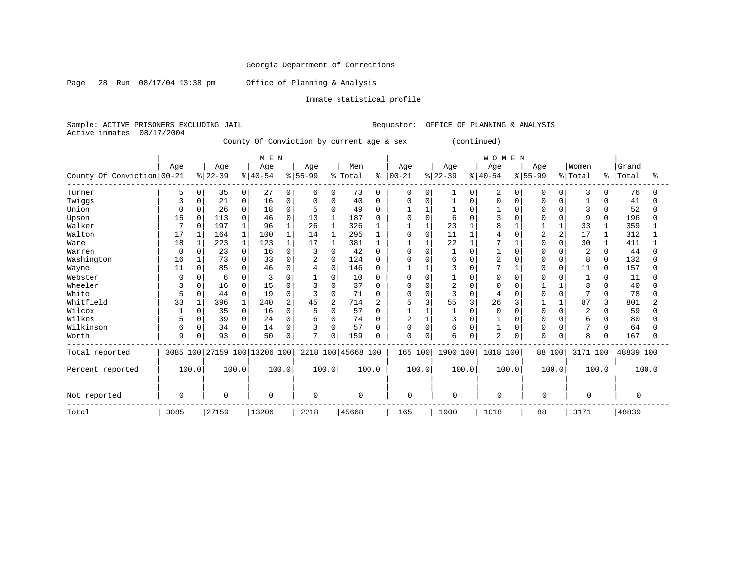Page 28 Run 08/17/04 13:38 pm Office of Planning & Analysis

### Inmate statistical profile

Sample: ACTIVE PRISONERS EXCLUDING JAIL Requestor: OFFICE OF PLANNING & ANALYSIS Active inmates 08/17/2004

County Of Conviction by current age & sex (continued)

|                            |           |          |           |                | M E N                        |                |              |                |                    |              |                |       |                |          | WOMEN          |          |             |             |                |          |           |          |
|----------------------------|-----------|----------|-----------|----------------|------------------------------|----------------|--------------|----------------|--------------------|--------------|----------------|-------|----------------|----------|----------------|----------|-------------|-------------|----------------|----------|-----------|----------|
|                            | Age       |          | Age       |                | Age                          |                | Age          |                | Men                |              | Age            |       | Age            |          | Age            |          | Age         |             | Women          |          | Grand     |          |
| County Of Conviction 00-21 |           |          | $ 22-39 $ |                | $ 40-54$                     |                | $8 55-99$    |                | % Total            | ៖            | $ 00-21$       |       | $ 22-39$       |          | $8140 - 54$    |          | $8155 - 99$ |             | % Total        | ိ        | Total     | ႜ        |
| Turner                     | 5         | 0        | 35        | $\overline{0}$ | 27                           | 0              | 6            | 0              | 73                 | 0            | 0              |       |                | 0        | $\overline{2}$ | 0        | 0           | 0           | 3              | 0        | 76        | 0        |
| Twiggs                     | 3         | $\Omega$ | 21        | 0              | 16                           | 0              | $\Omega$     | $\Omega$       | 40                 | $\Omega$     | $\Omega$       |       |                | $\Omega$ | $\Omega$       | $\Omega$ | ∩           | 0           |                | 0        | 41        | O        |
| Union                      | $\bigcap$ | 0        | 26        | 0              | 18                           | 0              |              | $\Omega$       | 49                 | <sup>0</sup> |                |       |                |          |                |          |             | O           | 3              | 0        | 52        | U        |
| Upson                      | 15        | $\Omega$ | 113       | $\Omega$       | 46                           | $\Omega$       | 13           |                | 187                | <sup>0</sup> |                |       | 6              |          |                |          |             |             | 9              | U        | 196       |          |
| Walker                     |           | $\Omega$ | 197       | 1              | 96                           |                | 26           |                | 326                |              |                |       | 23             |          | 8              |          |             |             | 33             |          | 359       |          |
| Walton                     | 17        |          | 164       | 1              | 100                          |                | 14           | $\mathbf{1}$   | 295                |              | $\Omega$       |       | 11             |          |                |          | 2           | 2           | 17             |          | 312       |          |
| Ware                       | 18        |          | 223       | $\mathbf{1}$   | 123                          |                | 17           |                | 381                |              |                |       | 22             |          |                |          |             | $\cap$      | 30             |          | 411       |          |
| Warren                     | $\Omega$  |          | 23        | $\Omega$       | 16                           | $\Omega$       | 3            | $\Omega$       | 42                 | 0            | $\Omega$       |       |                |          |                |          |             |             | $\overline{2}$ | 0        | 44        |          |
| Washington                 | 16        |          | 73        | 0              | 33                           | $\Omega$       | 2            | $\mathbf{0}$   | 124                | 0            | $\Omega$       |       | 6              |          | $\overline{2}$ |          |             | $\Omega$    | 8              | 0        | 132       |          |
| Wayne                      | 11        | $\Omega$ | 85        | 0              | 46                           | 0              | 4            | $\mathbf 0$    | 146                | <sup>0</sup> |                |       | 3              | $\Omega$ |                |          | $\Omega$    | $\mathbf 0$ | 11             | $\Omega$ | 157       | $\Omega$ |
| Webster                    |           |          | 6         | $\Omega$       |                              | $\Omega$       |              | $\Omega$       | 10                 |              | 0              |       |                |          | O              |          |             | O           |                | N        | 11        |          |
| Wheeler                    | 3         |          | 16        | 0              | 15                           | $\Omega$       | ς            | $\Omega$       | 37                 | 0            | O              |       | $\overline{c}$ |          | $\cap$         |          |             |             | 3              | U        | 40        |          |
| White                      | 5         | 0        | 44        | 0              | 19                           | $\Omega$       |              | $\Omega$       | 71                 | <sup>0</sup> | $\Omega$       |       | 3              | $\Omega$ |                |          |             | $\Omega$    |                | 0        | 78        |          |
| Whitfield                  | 33        |          | 396       | 1              | 240                          | $\mathfrak{D}$ | 45           | $\overline{2}$ | 714                | 2            | 5              |       | 55             |          | 26             |          |             |             | 87             | 3        | 801       |          |
| Wilcox                     |           | $\Omega$ | 35        | 0              | 16                           | $\Omega$       |              | $\Omega$       | 57                 | 0            |                |       |                | $\Omega$ | $\Omega$       |          | $\Omega$    |             | 2              | O        | 59        | ∩        |
| Wilkes                     |           | 0        | 39        | 0              | 24                           | $\Omega$       | 6            | $\Omega$       | 74                 | 0            | $\overline{2}$ |       | 3              |          |                |          |             | $\Omega$    | 6              | O        | 80        |          |
| Wilkinson                  | 6         | 0        | 34        | 0              | 14                           | $\Omega$       | 3            | $\Omega$       | 57                 | ∩            | $\Omega$       | U     | 6              | $\Omega$ |                | $\Omega$ | ∩           | 0           | 7              | O        | 64        |          |
| Worth                      | 9         | 0        | 93        | 0              | 50                           | 0              | $\mathbf{r}$ | $\mathbf 0$    | 159                | 0            | $\mathbf 0$    |       | 6              | 0        | $\overline{2}$ | $\Omega$ | $\Omega$    | 0           | 8              | U        | 167       | $\cap$   |
| Total reported             |           |          |           |                | 3085 100 27159 100 13206 100 |                |              |                | 2218 100 45668 100 |              | 165 100        |       | 1900 100       |          | 1018 100       |          | 88 100      |             | 3171 100       |          | 48839 100 |          |
| Percent reported           | 100.0     |          |           | 100.0          |                              | 100.0          | 100.0        |                |                    | 100.0        |                | 100.0 | 100.0          |          | 100.0          |          |             | 100.0       |                | 100.0    |           | 100.0    |
| Not reported               | $\Omega$  |          | $\Omega$  |                | $\Omega$                     |                | $\Omega$     |                | $\Omega$           |              | $\Omega$       |       | $\mathbf 0$    |          | $\Omega$       |          | $\Omega$    |             | $\Omega$       |          | $\Omega$  |          |
| Total                      | 3085      |          | 27159     |                | 13206                        |                | 2218         |                | 45668              |              | 165            |       | 1900           |          | 1018           |          | 88          |             | 3171           |          | 48839     |          |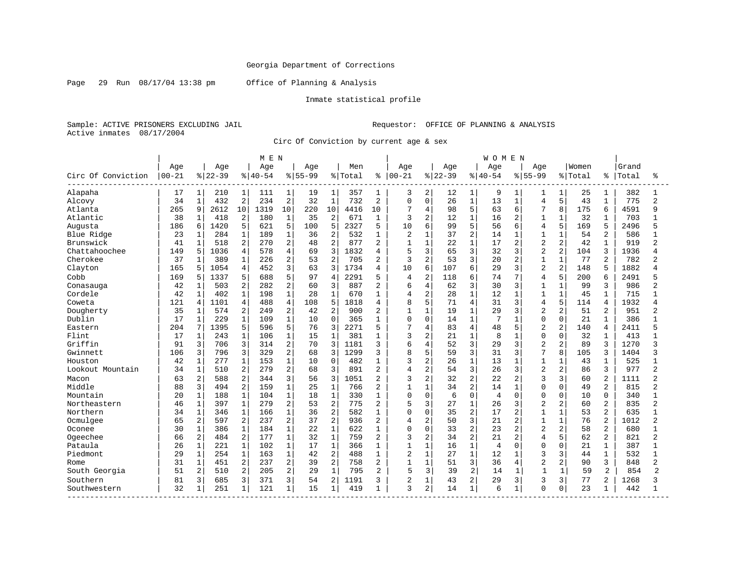Page 29 Run 08/17/04 13:38 pm Office of Planning & Analysis

### Inmate statistical profile

Sample: ACTIVE PRISONERS EXCLUDING JAIL Requestor: OFFICE OF PLANNING & ANALYSIS Active inmates 08/17/2004

Circ Of Conviction by current age & sex

|                    |            |              |           |                | M E N     |                |             |                |         |                |                |                |          |                | <b>WOMEN</b>   |                |                |                |         |                |       |                |
|--------------------|------------|--------------|-----------|----------------|-----------|----------------|-------------|----------------|---------|----------------|----------------|----------------|----------|----------------|----------------|----------------|----------------|----------------|---------|----------------|-------|----------------|
|                    | Age        |              | Age       |                | Age       |                | Age         |                | Men     |                | Age            |                | Age      |                | Age            |                | Age            |                | Women   |                | Grand |                |
| Circ Of Conviction | $ 00 - 21$ |              | $8 22-39$ |                | $8 40-54$ |                | $8155 - 99$ |                | % Total | ႜ              | $ 00 - 21$     |                | $ 22-39$ |                | $8140 - 54$    |                | $8155 - 99$    |                | % Total | ៖              | Total | ፠              |
| Alapaha            | 17         | 1            | 210       | 1              | 111       | 1              | 19          | 1              | 357     | 1              | 3              | 2              | 12       | 1              | 9              | 1              |                | 1              | 25      |                | 382   |                |
| Alcovy             | 34         | 1            | 432       | $\overline{2}$ | 234       | $\overline{2}$ | 32          | $\mathbf{1}$   | 732     | $\overline{2}$ | $\Omega$       | $\Omega$       | 26       | $\mathbf{1}$   | 13             | $\mathbf{1}$   | $\overline{4}$ | 5              | 43      | $\mathbf{1}$   | 775   | $\overline{2}$ |
| Atlanta            | 265        | 9            | 2612      | 10             | 1319      | 10             | 220         | 10             | 4416    | 10             | 7              | 4              | 98       | 5              | 63             | 6              | 7              | 8              | 175     | 6              | 4591  | 9              |
| Atlantic           | 38         | $\mathbf{1}$ | 418       | $\overline{2}$ | 180       | $\mathbf{1}$   | 35          | $\overline{2}$ | 671     | $\mathbf{1}$   | 3              | $\overline{2}$ | 12       | $\mathbf{1}$   | 16             | 2              | $\mathbf{1}$   | $\mathbf{1}$   | 32      | $\mathbf{1}$   | 703   | 1              |
| Augusta            | 186        | 6            | 1420      | 5              | 621       | 5              | 100         | 5              | 2327    | 5              | 10             | 6              | 99       | 5              | 56             | 6              | $\overline{4}$ | 5              | 169     | 5              | 2496  | 5              |
| Blue Ridge         | 23         | 1            | 284       | $\mathbf{1}$   | 189       | $1\,$          | 36          | $\overline{2}$ | 532     | $\mathbf{1}$   | $\overline{a}$ | $\mathbf{1}$   | 37       | $\overline{2}$ | 14             | $\mathbf{1}$   | $\mathbf{1}$   | 1              | 54      | $\overline{2}$ | 586   |                |
| Brunswick          | 41         | $\mathbf 1$  | 518       | $\overline{2}$ | 270       | $\overline{2}$ | 48          | $\overline{a}$ | 877     | $\overline{2}$ | $\mathbf{1}$   | $\mathbf{1}$   | 22       | $\mathbf{1}$   | 17             | 2              | $\overline{2}$ | $\overline{2}$ | 42      | $\mathbf{1}$   | 919   | $\overline{2}$ |
| Chattahoochee      | 149        | 5            | 1036      | 4              | 578       | $\overline{4}$ | 69          | 3              | 1832    | 4              | 5              | 3              | 65       | 3              | 32             | 3              | $\overline{2}$ | $\overline{2}$ | 104     | 3              | 1936  | 4              |
| Cherokee           | 37         | $\mathbf{1}$ | 389       | $\mathbf{1}$   | 226       | 2              | 53          | $\overline{2}$ | 705     | $\overline{2}$ | 3              | 2              | 53       | 3              | 20             | $\overline{a}$ | $\mathbf{1}$   | $\mathbf{1}$   | 77      | $\overline{2}$ | 782   | 2              |
| Clayton            | 165        | 5            | 1054      | 4              | 452       | 3              | 63          | 3              | 1734    | 4              | 10             | 6              | 107      | 6              | 29             | 3              | $\overline{2}$ | $\overline{2}$ | 148     | 5              | 1882  | 4              |
| Cobb               | 169        | 5            | 1337      | 5              | 688       | 5              | 97          | $\overline{4}$ | 2291    | 5              | $\overline{4}$ | $\overline{c}$ | 118      | 6              | 74             | 7              | $\overline{4}$ | 5              | 200     | 6              | 2491  |                |
| Conasauga          | 42         | 1            | 503       | 2              | 282       | $\overline{2}$ | 60          | 3              | 887     | $\overline{2}$ | 6              | $\overline{4}$ | 62       | 3              | 30             | 3              | $\mathbf{1}$   | 1              | 99      | 3              | 986   | 2              |
| Cordele            | 42         | $\mathbf 1$  | 402       | $\mathbf 1$    | 198       | $\mathbf{1}$   | 28          | $\mathbf 1$    | 670     | 1              | 4              | 2              | 28       | $\mathbf{1}$   | 12             | $\mathbf{1}$   | $\mathbf{1}$   | $\mathbf{1}$   | 45      | $\mathbf{1}$   | 715   |                |
| Coweta             | 121        | 4            | 1101      | 4              | 488       | $\overline{4}$ | 108         | 5              | 1818    | $\overline{4}$ | 8              | 5              | 71       | 4              | 31             | 3              | 4              | 5              | 114     | $\overline{4}$ | 1932  |                |
| Dougherty          | 35         | $\mathbf{1}$ | 574       | $\overline{a}$ | 249       | 2              | 42          | $\overline{2}$ | 900     | $\overline{2}$ | $\mathbf{1}$   | $\mathbf{1}$   | 19       | $\mathbf 1$    | 29             | 3              | $\overline{2}$ | $\overline{2}$ | 51      | $\overline{2}$ | 951   | 2              |
| Dublin             | 17         | $\mathbf 1$  | 229       | $\mathbf{1}$   | 109       | $\mathbf{1}$   | 10          | $\Omega$       | 365     | 1              | 0              | $\mathbf 0$    | 14       | $\mathbf{1}$   | 7              | 1              | $\Omega$       | $\Omega$       | 21      | $\mathbf{1}$   | 386   |                |
| Eastern            | 204        | 7            | 1395      | 5              | 596       | 5              | 76          | 3              | 2271    | 5              | 7              | 4              | 83       | 4              | 48             | 5              | $\overline{c}$ | $\overline{a}$ | 140     | 4              | 2411  |                |
| Flint              | 17         | 1            | 243       | $\mathbf{1}$   | 106       | $\mathbf 1$    | 15          | $\mathbf{1}$   | 381     | -1             | 3              | $\overline{2}$ | 21       | $\mathbf{1}$   | 8              | 1              | $\Omega$       | $\Omega$       | 32      | $\mathbf{1}$   | 413   |                |
| Griffin            | 91         | 3            | 706       | 3              | 314       | $\overline{2}$ | 70          | 3              | 1181    | ζ              | 6              | 4              | 52       | 3              | 29             | 3              | $\overline{2}$ | $\overline{2}$ | 89      | 3              | 1270  | 3              |
| Gwinnett           | 106        | 3            | 796       | 3              | 329       | 2              | 68          | 3              | 1299    | ζ              | 8              | 5              | 59       | $\overline{3}$ | 31             | 3              | 7              | 8              | 105     | 3              | 1404  | 3              |
| Houston            | 42         | $\mathbf 1$  | 277       | $\mathbf{1}$   | 153       | $1\,$          | 10          | $\Omega$       | 482     | 1              | 3              | 2              | 26       | $\mathbf{1}$   | 13             | $\mathbf{1}$   | $\mathbf{1}$   | 1              | 43      | $\mathbf{1}$   | 525   | 1              |
| Lookout Mountain   | 34         | $\mathbf 1$  | 510       | $\overline{2}$ | 279       | 2              | 68          | 3              | 891     | $\overline{2}$ | $\overline{4}$ | $\overline{2}$ | 54       | 3              | 26             | 3              | $\overline{2}$ | $\overline{2}$ | 86      | 3              | 977   | $\overline{a}$ |
| Macon              | 63         | 2            | 588       | $\overline{a}$ | 344       | 3              | 56          | 3              | 1051    | $\overline{c}$ | 3              | $\overline{2}$ | 32       | $\overline{a}$ | 22             | 2              | 3              | 3              | 60      | 2              | 1111  | 2              |
| Middle             | 88         | 3            | 494       | $\overline{2}$ | 159       | $\mathbf{1}$   | 25          | $\mathbf{1}$   | 766     | $\overline{2}$ | $\mathbf{1}$   | $\mathbf{1}$   | 34       | $\overline{2}$ | 14             | $\mathbf{1}$   | $\Omega$       | $\Omega$       | 49      | 2              | 815   | $\overline{2}$ |
| Mountain           | 20         | $\mathbf{1}$ | 188       | $\mathbf{1}$   | 104       | $\mathbf{1}$   | 18          | $\mathbf 1$    | 330     | $\mathbf{1}$   | 0              | $\mathbf 0$    | 6        | $\Omega$       | $\overline{4}$ | $\Omega$       | $\Omega$       | $\Omega$       | 10      | $\Omega$       | 340   | 1              |
| Northeastern       | 46         | $\mathbf 1$  | 397       | $\mathbf{1}$   | 279       | 2              | 53          | $\overline{c}$ | 775     | $\overline{a}$ | 5              | 3              | 27       | $\mathbf{1}$   | 26             | 3              | $\overline{c}$ | 2              | 60      | $\overline{2}$ | 835   | $\overline{a}$ |
| Northern           | 34         | $\mathbf 1$  | 346       | $\mathbf{1}$   | 166       | $1\,$          | 36          | $\overline{2}$ | 582     | 1              | 0              | $\Omega$       | 35       | $\overline{a}$ | 17             | $\overline{2}$ | $\mathbf{1}$   | $\mathbf{1}$   | 53      | 2              | 635   | $\mathbf{1}$   |
| Ocmulgee           | 65         | 2            | 597       | $\overline{2}$ | 237       | 2              | 37          | $\overline{2}$ | 936     | $\overline{2}$ | 4              | $\overline{2}$ | 50       | 3              | 21             | $\overline{2}$ | $\mathbf{1}$   | $\mathbf{1}$   | 76      | 2              | 1012  | $\overline{a}$ |
| Oconee             | 30         | $\mathbf 1$  | 386       | $\mathbf{1}$   | 184       | $\mathbf{1}$   | 22          | $\mathbf{1}$   | 622     | 1              | $\Omega$       | $\Omega$       | 33       | $\overline{2}$ | 23             | $\overline{2}$ | $\overline{2}$ | $\overline{a}$ | 58      | 2              | 680   |                |
| Ogeechee           | 66         | 2            | 484       | $\overline{2}$ | 177       | $\mathbf{1}$   | 32          | $\mathbf{1}$   | 759     | $\overline{2}$ | 3              | $\overline{2}$ | 34       | 2              | 21             | 2              | $\overline{4}$ | 5              | 62      | 2              | 821   | 2              |
| Pataula            | 26         | $\mathbf{1}$ | 221       | $\mathbf{1}$   | 102       | $\mathbf{1}$   | 17          | $\mathbf{1}$   | 366     | 1              | $\mathbf{1}$   | $\mathbf{1}$   | 16       | $\mathbf{1}$   | $\overline{4}$ | 0              | $\Omega$       | $\Omega$       | 21      | $\mathbf{1}$   | 387   | 1              |
| Piedmont           | 29         | 1            | 254       | $\mathbf{1}$   | 163       | $1\,$          | 42          | $\overline{2}$ | 488     | 1              | 2              | $\mathbf{1}$   | 27       | $\mathbf{1}$   | 12             | 1              | 3              | 3              | 44      | 1              | 532   | 1              |
| Rome               | 31         | 1            | 451       | 2              | 237       | 2              | 39          | $\overline{2}$ | 758     | 2              | $\mathbf{1}$   | $\mathbf{1}$   | 51       | 3              | 36             | 4              | $\overline{2}$ | 2              | 90      | 3              | 848   | $\overline{2}$ |
| South Georgia      | 51         | 2            | 510       | $\overline{a}$ | 205       | $\overline{2}$ | 29          | $\mathbf{1}$   | 795     | 2              | 5              | 3              | 39       | 2              | 14             | 1              | $\mathbf{1}$   | 1              | 59      | 2              | 854   | $\mathcal{D}$  |
| Southern           | 81         | 3            | 685       | 3              | 371       | 3              | 54          | $\overline{2}$ | 1191    | κ              | 2              | $\mathbf{1}$   | 43       | 2              | 29             | 3              | 3              | 3              | 77      | 2              | 1268  | ς              |
| Southwestern       | 32         | 1            | 251       | $\mathbf{1}$   | 121       | 1              | 15          | 1              | 419     | $\mathbf{1}$   | 3              | 2              | 14       | $\mathbf{1}$   | 6              | 1              | $\Omega$       | 0              | 23      |                | 442   | 1              |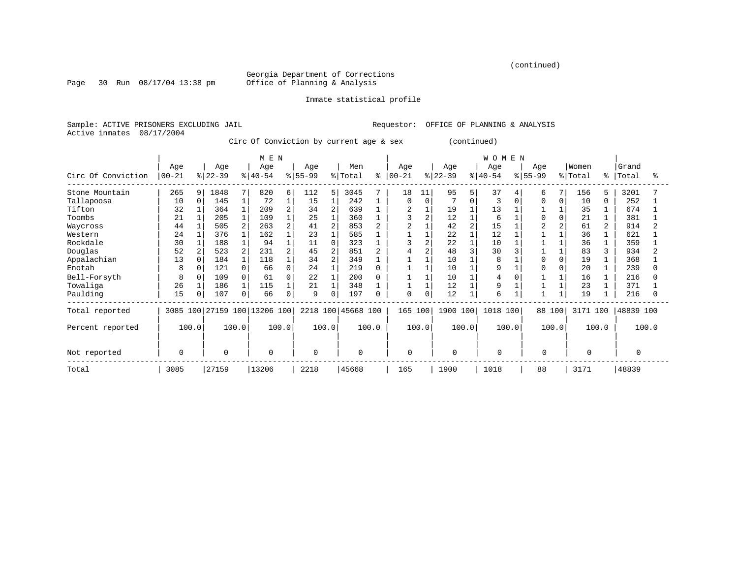(continued)

Georgia Department of Corrections<br>Office of Planning & Analysis

Page 30 Run 08/17/04 13:38 pm

#### Inmate statistical profile

Sample: ACTIVE PRISONERS EXCLUDING JAIL Requestor: OFFICE OF PLANNING & ANALYSIS Active inmates 08/17/2004

Circ Of Conviction by current age & sex (continued)

|                    |             |          |             |                | M E N               |                |           |                |             |       |                |       |             |          | WOMEN    |          |           |          |              |       |           |       |
|--------------------|-------------|----------|-------------|----------------|---------------------|----------------|-----------|----------------|-------------|-------|----------------|-------|-------------|----------|----------|----------|-----------|----------|--------------|-------|-----------|-------|
|                    | Age         |          | Age         |                | Age                 |                | Age       |                | Men         |       | Age            |       | Age         |          | Age      |          | Age       |          | Women        |       | Grand     |       |
| Circ Of Conviction | $ 00 - 21$  |          | $ 22-39$    |                | $ 40-54 $           |                | $8 55-99$ |                | % Total     | ⊱     | $ 00-21$       |       | $ 22-39 $   |          | $ 40-54$ |          | $8 55-99$ |          | % Total      | ∻     | Total     | °     |
| Stone Mountain     | 265         | 9        | 1848        | 7              | 820                 | 6              | 112       | 5              | 3045        |       | 18             | 11    | 95          | 5        | 37       |          | 6         | 7        | 156          | 5     | 3201      |       |
| Tallapoosa         | 10          | $\Omega$ | 145         |                | 72                  |                | 15        |                | 242         |       | $\Omega$       |       |             | $\Omega$ | 3        | $\Omega$ | $\Omega$  | $\Omega$ | 10           | 0     | 252       |       |
| Tifton             | 32          |          | 364         |                | 209                 | $\overline{a}$ | 34        | $\overline{2}$ | 639         |       | $\overline{a}$ |       | 19          |          | 13       |          |           |          | 35           |       | 674       |       |
| Toombs             | 21          |          | 205         |                | 109                 |                | 25        |                | 360         |       | 3              |       | 12          |          | 6        |          | $\Omega$  | 0        | 21           |       | 381       |       |
| Waycross           | 44          |          | 505         | 2              | 263                 |                | 41        | 2              | 853         |       |                |       | 42          |          | 15       |          |           | 2        | 61           | 2     | 914       |       |
| Western            | 24          |          | 376         |                | 162                 |                | 23        |                | 585         |       |                |       | 22          |          | 12       |          |           |          | 36           |       | 621       |       |
| Rockdale           | 30          |          | 188         |                | 94                  |                | 11        | $\Omega$       | 323         |       |                |       | 22          |          | 10       |          |           |          | 36           |       | 359       |       |
| Douglas            | 52          | 2        | 523         | $\overline{2}$ | 231                 |                | 45        | $\overline{2}$ | 851         |       |                |       | 48          |          | 30       |          |           |          | 83           | 3     | 934       |       |
| Appalachian        | 13          | $\Omega$ | 184         |                | 118                 |                | 34        | $\overline{2}$ | 349         |       |                |       | 10          |          | 8        |          |           | $\Omega$ | 19           |       | 368       |       |
| Enotah             | 8           | $\Omega$ | 121         | 0              | 66                  | 0              | 24        |                | 219         |       |                |       | 10          |          | 9        |          |           |          | 20           |       | 239       |       |
| Bell-Forsyth       | 8           | $\Omega$ | 109         | 0              | 61                  | 0              | 22        |                | 200         |       |                |       | 10          |          |          |          |           |          | 16           |       | 216       |       |
| Towaliga           | 26          |          | 186         |                | 115                 |                | 21        |                | 348         |       |                |       | 12          |          | 9        |          |           |          | 23           |       | 371       |       |
| Paulding           | 15          | O        | 107         | 0              | 66                  | 0              | 9         | 0              | 197         |       | $\mathbf 0$    | 0     | 12          |          | 6        |          |           |          | 19           |       | 216       |       |
| Total reported     | 3085        | 100      |             |                | 27159 100 13206 100 |                | 2218 100  |                | 45668 100   |       | 165 100        |       | 1900 100    |          | 1018 100 |          | 88 100    |          | 3171 100     |       | 48839 100 |       |
| Percent reported   | 100.0       |          |             | 100.0          | 100.0               |                |           | 100.0          |             | 100.0 |                | 100.0 | 100.0       |          | 100.0    |          |           | 100.0    |              | 100.0 |           | 100.0 |
|                    | $\mathbf 0$ |          | $\mathbf 0$ |                | $\mathbf 0$         |                | $\Omega$  |                | $\mathbf 0$ |       | $\mathbf 0$    |       | $\mathbf 0$ |          | $\Omega$ |          | 0         |          | <sup>0</sup> |       | $\Omega$  |       |
| Not reported       |             |          |             |                |                     |                |           |                |             |       |                |       |             |          |          |          |           |          |              |       |           |       |
| Total              | 3085        |          | 27159       |                | 13206               |                | 2218      |                | 45668       |       | 165            |       | 1900        |          | 1018     |          | 88        |          | 3171         |       | 48839     |       |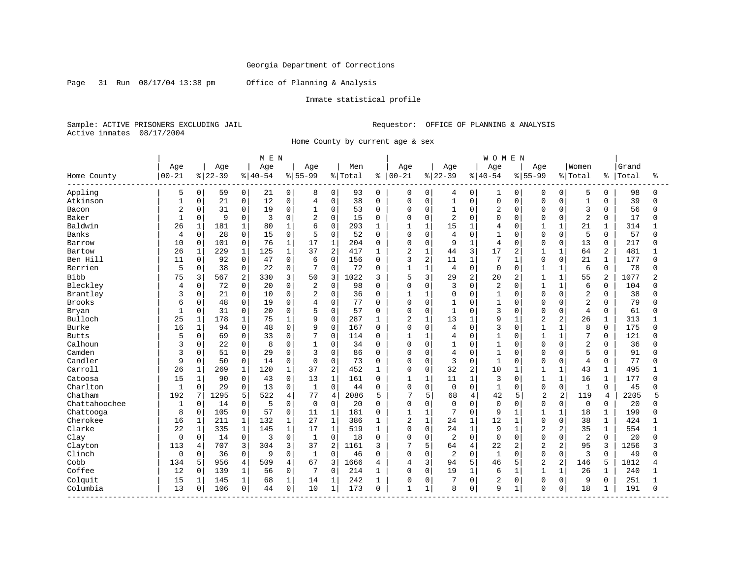Page 31 Run 08/17/04 13:38 pm Office of Planning & Analysis

### Inmate statistical profile

Sample: ACTIVE PRISONERS EXCLUDING JAIL Requestor: OFFICE OF PLANNING & ANALYSIS Active inmates 08/17/2004

Home County by current age & sex

|               |                |              |           |              | M E N    |                |                |                |         |              |                |                |              |                | WOMEN          |                |                |                |                |                |       |          |
|---------------|----------------|--------------|-----------|--------------|----------|----------------|----------------|----------------|---------|--------------|----------------|----------------|--------------|----------------|----------------|----------------|----------------|----------------|----------------|----------------|-------|----------|
|               | Age            |              | Age       |              | Age      |                | Age            |                | Men     |              | Age            |                | Age          |                | Age            |                | Age            |                | Women          |                | Grand |          |
| Home County   | $ 00 - 21$     |              | $8 22-39$ |              | $ 40-54$ |                | $8155 - 99$    |                | % Total | ႜ            | $ 00 - 21$     |                | $ 22-39$     |                | $8 40-54$      |                | $8155 - 99$    |                | % Total        | ిక             | Total | ႜ        |
| Appling       | 5              | $\mathbf 0$  | 59        | 0            | 21       | 0              | 8              | 0              | 93      | 0            | 0              | 0              | 4            | 0              | $\mathbf{1}$   | 0              | 0              | 0              | 5              | 0              | 98    | ∩        |
| Atkinson      | $\mathbf{1}$   | $\Omega$     | 21        | $\mathbf 0$  | 12       | 0              | $\overline{4}$ | $\mathbf 0$    | 38      | $\Omega$     | 0              | $\mathbf 0$    | $\mathbf{1}$ | $\Omega$       | $\mathbf 0$    | $\Omega$       | $\Omega$       | $\Omega$       | $\mathbf{1}$   | $\Omega$       | 39    | $\Omega$ |
| Bacon         | 2              | 0            | 31        | $\mathsf 0$  | 19       | 0              |                | $\mathsf 0$    | 53      | $\Omega$     | 0              | $\mathbf 0$    | $\mathbf{1}$ | $\Omega$       | $\overline{2}$ | $\Omega$       | $\mathbf 0$    | $\Omega$       | 3              | $\Omega$       | 56    | U        |
| Baker         | $\overline{1}$ | $\Omega$     | 9         | $\Omega$     | 3        | $\Omega$       | $\overline{2}$ | $\Omega$       | 15      | $\Omega$     | O              | $\mathbf 0$    | 2            | $\Omega$       | $\Omega$       | $\Omega$       | $\Omega$       | $\Omega$       | $\overline{2}$ | $\Omega$       | 17    | U        |
| Baldwin       | 26             | $\mathbf{1}$ | 181       | $\mathbf 1$  | 80       | $\mathbf 1$    | 6              | $\mathbf 0$    | 293     | 1            | 1              | $\mathbf{1}$   | 15           | $\mathbf{1}$   | 4              | $\Omega$       | $\mathbf{1}$   | 1              | 21             | 1              | 314   |          |
| Banks         | 4              | $\Omega$     | 28        | $\mathbf 0$  | 15       | 0              | 5              | $\Omega$       | 52      | $\Omega$     | 0              | $\mathbf 0$    | 4            | $\Omega$       | $\mathbf{1}$   | $\Omega$       | $\Omega$       | $\Omega$       | 5              | $\Omega$       | 57    |          |
| Barrow        | 10             | $\Omega$     | 101       | $\Omega$     | 76       | $\mathbf{1}$   | 17             | $\mathbf{1}$   | 204     | $\Omega$     | $\Omega$       | $\Omega$       | 9            | $\mathbf{1}$   | 4              | $\Omega$       | $\Omega$       | $\Omega$       | 13             | $\Omega$       | 217   | U        |
| Bartow        | 26             | $\mathbf 1$  | 229       | $\mathbf 1$  | 125      | $\mathbf{1}$   | 37             | $\overline{2}$ | 417     | 1            | 2              | $\mathbf{1}$   | 44           | 3              | 17             | $\overline{a}$ | 1              | $\mathbf{1}$   | 64             | $\overline{a}$ | 481   |          |
| Ben Hill      | 11             | 0            | 92        | $\mathbf 0$  | 47       | 0              | 6              | $\mathbf 0$    | 156     | 0            | 3              | $\overline{c}$ | 11           | $\mathbf{1}$   | 7              | $\mathbf{1}$   | $\mathbf 0$    | 0              | 21             | $\mathbf{1}$   | 177   | $\Omega$ |
| Berrien       | 5              | 0            | 38        | $\mathbf 0$  | 22       | 0              | 7              | $\mathbf 0$    | 72      | 0            | $\mathbf{1}$   | $\mathbf{1}$   | 4            | $\mathbf 0$    | $\mathbf 0$    | $\Omega$       | $\mathbf{1}$   | 1              | 6              | $\mathbf 0$    | 78    | ∩        |
| <b>Bibb</b>   | 75             | 3            | 567       | 2            | 330      | 3              | 50             | 3              | 1022    | 3            | 5              | 3              | 29           | $\overline{a}$ | 20             | $\overline{a}$ | $\mathbf{1}$   | $\mathbf{1}$   | 55             | $\overline{a}$ | 1077  |          |
| Bleckley      | 4              | $\Omega$     | 72        | 0            | 20       | 0              | 2              | $\mathbf 0$    | 98      | $\Omega$     | 0              | $\mathbf 0$    | 3            | $\Omega$       | $\overline{2}$ | $\Omega$       | $\mathbf{1}$   | $\mathbf{1}$   | 6              | $\Omega$       | 104   |          |
| Brantley      | 3              | $\mathbf 0$  | 21        | 0            | 10       | 0              | $\overline{2}$ | $\mathbf 0$    | 36      | 0            | $\mathbf{1}$   | $\mathbf{1}$   | 0            | $\Omega$       | $\mathbf{1}$   | $\Omega$       | $\Omega$       | $\Omega$       | $\overline{2}$ | $\Omega$       | 38    |          |
| Brooks        | 6              | 0            | 48        | $\mathbf 0$  | 19       | 0              | $\overline{4}$ | $\mathbf 0$    | 77      | $\Omega$     | 0              | $\mathbf 0$    | 1            | $\Omega$       | $\mathbf{1}$   | $\Omega$       | $\Omega$       | $\Omega$       | $\overline{2}$ | $\mathbf 0$    | 79    |          |
| Bryan         | $\mathbf{1}$   | $\mathbf 0$  | 31        | $\mathbf 0$  | 20       | 0              | 5              | $\mathbf 0$    | 57      | $\Omega$     | 0              | $\mathbf 0$    | $\mathbf{1}$ | $\Omega$       | 3              | $\Omega$       | $\Omega$       | $\Omega$       | $\overline{4}$ | $\mathbf 0$    | 61    |          |
| Bulloch       | 25             | 1            | 178       | $\mathbf{1}$ | 75       | $\mathbf{1}$   | 9              | $\mathbf 0$    | 287     | 1            | 2              | $\mathbf{1}$   | 13           | $\mathbf{1}$   | 9              | $\mathbf{1}$   | $\overline{2}$ | 2              | 26             | 1              | 313   |          |
| Burke         | 16             | 1            | 94        | $\mathbf 0$  | 48       | 0              | 9              | $\mathbf 0$    | 167     | 0            | 0              | $\overline{0}$ | 4            | $\Omega$       | 3              | $\Omega$       | 1              | 1              | 8              | $\Omega$       | 175   |          |
| <b>Butts</b>  | 5              | $\Omega$     | 69        | $\mathbf 0$  | 33       | $\Omega$       | 7              | $\Omega$       | 114     | 0            | $\mathbf{1}$   | 1              | 4            | $\Omega$       | $\overline{1}$ | $\cap$         | 1              | $\mathbf{1}$   | 7              | $\Omega$       | 121   |          |
| Calhoun       | 3              | 0            | 22        | $\mathbf 0$  | 8        | $\Omega$       | $\mathbf{1}$   | $\mathbf 0$    | 34      | 0            | 0              | $\mathbf 0$    | 1            | $\Omega$       | $\mathbf{1}$   | $\Omega$       | $\Omega$       | $\Omega$       | $\overline{2}$ | $\Omega$       | 36    |          |
| Camden        | 3              | $\mathbf 0$  | 51        | $\mathbf 0$  | 29       | 0              | 3              | $\mathbf 0$    | 86      | $\Omega$     | 0              | $\mathbf 0$    | 4            | $\Omega$       | $\mathbf{1}$   | $\Omega$       | $\Omega$       | $\Omega$       | 5              | $\Omega$       | 91    |          |
| Candler       | 9              | $\Omega$     | 50        | $\mathbf 0$  | 14       | 0              | $\Omega$       | $\mathbf 0$    | 73      | $\Omega$     | $\Omega$       | $\mathbf 0$    | 3            | $\Omega$       | $\mathbf{1}$   | $\Omega$       | $\Omega$       | $\Omega$       | $\overline{4}$ | $\Omega$       | 77    | n        |
| Carroll       | 26             | 1            | 269       | 1            | 120      | 1              | 37             | $\overline{2}$ | 452     | 1            | 0              | $\mathbf 0$    | 32           | 2              | 10             | 1              | $\mathbf{1}$   | $\mathbf{1}$   | 43             | $\mathbf 1$    | 495   |          |
| Catoosa       | 15             | 1            | 90        | $\mathbf 0$  | 43       | 0              | 13             | $\mathbf{1}$   | 161     | $\Omega$     | $\mathbf{1}$   | $\mathbf{1}$   | 11           | $\mathbf{1}$   | 3              | $\cap$         | $\mathbf{1}$   | $\mathbf{1}$   | 16             | 1              | 177   |          |
| Charlton      | $\mathbf{1}$   | $\Omega$     | 29        | $\Omega$     | 13       | $\Omega$       | $\mathbf{1}$   | $\Omega$       | 44      | $\Omega$     | 0              | $\mathbf 0$    | 0            | $\Omega$       | $\mathbf{1}$   | $\cap$         | $\Omega$       | $\Omega$       | $\mathbf{1}$   | $\Omega$       | 45    |          |
| Chatham       | 192            | 7            | 1295      | 5            | 522      | $\overline{4}$ | 77             | $\overline{4}$ | 2086    | 5            | 7              | 5              | 68           | 4              | 42             | 5              | $\overline{2}$ | $\overline{c}$ | 119            | 4              | 2205  | 5        |
| Chattahoochee | 1              | $\mathbf 0$  | 14        | $\mathbf 0$  | 5        | 0              | $\mathbf 0$    | $\mathbf 0$    | 20      | $\Omega$     | 0              | $\mathbf 0$    | $\mathbf 0$  | $\Omega$       | $\mathbf 0$    | $\Omega$       | $\mathbf 0$    | 0              | $\mathbf 0$    | $\Omega$       | 20    |          |
| Chattooga     | 8              | $\Omega$     | 105       | $\mathbf 0$  | 57       | 0              | 11             | $1\,$          | 181     | $\Omega$     | 1              | $\mathbf{1}$   | 7            | $\Omega$       | 9              | $\mathbf{1}$   | $\mathbf{1}$   | $\mathbf{1}$   | 18             | $\mathbf{1}$   | 199   | $\cap$   |
| Cherokee      | 16             | $\mathbf{1}$ | 211       | 1            | 132      | $\mathbf{1}$   | 27             | $\mathbf{1}$   | 386     |              | $\overline{2}$ | $\mathbf{1}$   | 24           | $\mathbf{1}$   | 12             | -1             | $\Omega$       | $\Omega$       | 38             | $\mathbf 1$    | 424   |          |
| Clarke        | 22             | $\mathbf 1$  | 335       | $\mathbf{1}$ | 145      | $\mathbf{1}$   | 17             | $\mathbf{1}$   | 519     | 1            | 0              | $\Omega$       | 24           | $\mathbf{1}$   | 9              | $\overline{1}$ | $\overline{a}$ | $\overline{2}$ | 35             | $\mathbf 1$    | 554   |          |
| Clay          | $\mathbf 0$    | $\mathbf 0$  | 14        | $\mathbf 0$  | 3        | 0              | $\mathbf{1}$   | $\mathbf 0$    | 18      | 0            | 0              | $\mathbf 0$    | 2            | $\Omega$       | $\mathbf 0$    | $\Omega$       | $\mathbf 0$    | $\Omega$       | 2              | $\mathbf 0$    | 20    | $\Omega$ |
| Clayton       | 113            | 4            | 707       | 3            | 304      | 3              | 37             | $\overline{2}$ | 1161    | 3            | 7              | 5              | 64           | 4              | 22             | $\overline{a}$ | $\overline{2}$ | $\overline{a}$ | 95             | 3              | 1256  |          |
| Clinch        | 0              | 0            | 36        | $\mathbf 0$  | 9        | 0              | 1              | $\mathbf 0$    | 46      | $\Omega$     | 0              | $\mathbf 0$    | 2            | $\Omega$       | $\mathbf{1}$   | $\Omega$       | $\Omega$       | $\Omega$       | 3              | $\Omega$       | 49    | $\cap$   |
| Cobb          | 134            | 5            | 956       | 4            | 509      | 4              | 67             | 3              | 1666    | 4            | 4              | 3              | 94           | 5              | 46             | 5              | $\overline{2}$ | 2              | 146            | 5              | 1812  |          |
| Coffee        | 12             | 0            | 139       | $\mathbf{1}$ | 56       | 0              | 7              | $\Omega$       | 214     | 1            | 0              | $\mathbf 0$    | 19           | $\mathbf 1$    | 6              | $\mathbf{1}$   | $\mathbf{1}$   | $\mathbf{1}$   | 26             | 1              | 240   |          |
| Colquit       | 15             | $\mathbf{1}$ | 145       | $\mathbf{1}$ | 68       | 1              | 14             | $\mathbf{1}$   | 242     | $\mathbf{1}$ | 0              | $\Omega$       | 7            | $\mathbf 0$    | 2              | $\mathbf 0$    | $\Omega$       | 0              | 9              | $\Omega$       | 251   |          |
| Columbia      | 13             | $\mathbf 0$  | 106       | 0            | 44       | 0              | 10             | $\mathbf{1}$   | 173     | 0            | $\mathbf{1}$   | 1              | 8            | $\mathbf 0$    | 9              | 1              | $\mathbf 0$    | 0              | 18             | 1              | 191   | $\Omega$ |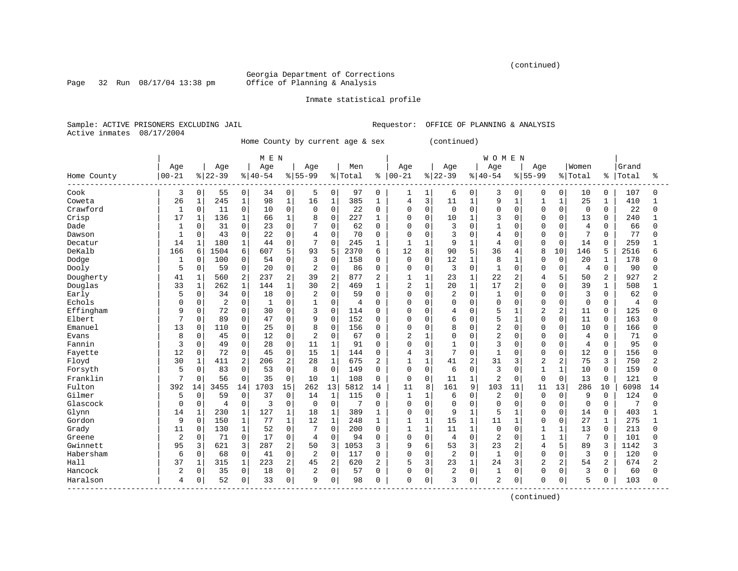(continued)

Georgia Department of Corrections<br>Office of Planning & Analysis

Page 32 Run 08/17/04 13:38 pm

#### Inmate statistical profile

Sample: ACTIVE PRISONERS EXCLUDING JAIL Requestor: OFFICE OF PLANNING & ANALYSIS Active inmates 08/17/2004

Home County by current age & sex (continued)

|                                  |              |              |                |                | M E N        |                |                |                |         |                |                |              |                |              | <b>WOMEN</b>   |              |                |                |                |                |                |          |
|----------------------------------|--------------|--------------|----------------|----------------|--------------|----------------|----------------|----------------|---------|----------------|----------------|--------------|----------------|--------------|----------------|--------------|----------------|----------------|----------------|----------------|----------------|----------|
|                                  | Age          |              | Age            |                | Age          |                | Age            |                | Men     |                | Age            |              | Age            |              | Age            |              | Age            |                | Women          |                | Grand          |          |
| Home County<br>-------------     | $00 - 21$    |              | $8 22-39$      |                | $8140 - 54$  |                | $8155 - 99$    |                | % Total | ៖              | $ 00 - 21$     |              | $ 22-39$       |              | $8 40-54$      |              | $8155 - 99$    |                | % Total        | ႜ              | Total          | ႜ        |
| Cook                             | 3            | $\mathbf 0$  | 55             | 0              | 34           | 0              | 5              | 0              | 97      | $\mathbf 0$    | 1              |              | 6              | 0            | 3              | 0            | $\Omega$       | $\Omega$       | 10             | $\Omega$       | 107            | $\Omega$ |
| Coweta                           | 26           | $1\,$        | 245            | $\mathbf 1$    | 98           | $\mathbf{1}$   | 16             | $1\,$          | 385     | 1              | 4              | 3            | 11             | $\mathbf{1}$ | 9              | $\mathbf{1}$ | $\mathbf{1}$   | $\mathbf{1}$   | 25             | 1              | 410            |          |
| Crawford                         | $\mathbf{1}$ | $\mathbf 0$  | 11             | 0              | 10           | $\Omega$       | $\Omega$       | $\Omega$       | 22      | $\Omega$       | $\Omega$       | $\Omega$     | $\Omega$       | $\Omega$     | $\Omega$       | $\Omega$     | $\Omega$       | $\Omega$       | $\Omega$       | $\Omega$       | 22             | Λ        |
| Crisp                            | 17           | $\mathbf{1}$ | 136            | $\mathbf{1}$   | 66           | $\mathbf{1}$   | 8              | $\Omega$       | 227     | 1              | 0              | $\Omega$     | 10             | 1            | 3              | $\Omega$     | $\Omega$       | $\Omega$       | 13             | $\Omega$       | 240            |          |
| Dade                             |              | 0            | 31             | $\mathbf 0$    | 23           | $\Omega$       |                | $\Omega$       | 62      | $\mathbf 0$    | $\Omega$       | $\mathbf 0$  | 3              | $\Omega$     | $\mathbf{1}$   | O            | $\Omega$       | $\Omega$       | $\overline{4}$ | 0              | 66             |          |
| Dawson                           | $\mathbf{1}$ | 0            | 43             | $\mathbf 0$    | 22           | $\Omega$       | $\overline{4}$ | $\Omega$       | 70      | $\mathbf 0$    | $\mathbf 0$    | $\mathbf 0$  | 3              | $\Omega$     | 4              | 0            | $\Omega$       | $\Omega$       | 7              | $\Omega$       | 77             |          |
| Decatur                          | 14           | $\mathbf{1}$ | 180            | $\mathbf{1}$   | 44           | $\mathbf{0}$   | 7              | $\Omega$       | 245     | 1              | $\mathbf{1}$   | 1            | 9              | 1            | 4              | 0            | $\Omega$       | $\mathbf 0$    | 14             | $\Omega$       | 259            |          |
| DeKalb                           | 166          | 6            | 1504           | 6              | 607          | 5              | 93             | 5              | 2370    | 6              | 12             | 8            | 90             | 5            | 36             | 4            | 8              | 10             | 146            | 5              | 2516           | б        |
| Dodge                            | 1            | $\mathbf 0$  | 100            | 0              | 54           | $\Omega$       | 3              | $\Omega$       | 158     | 0              | $\mathbf 0$    | 0            | 12             | 1            | 8              | 1            | $\Omega$       | $\Omega$       | 20             |                | 178            |          |
| Dooly                            | 5            | $\mathbf 0$  | 59             | $\mathbf 0$    | 20           | $\mathbf 0$    | $\overline{2}$ | $\Omega$       | 86      | 0              | $\Omega$       | $\Omega$     | 3              | $\Omega$     | $\mathbf{1}$   | $\Omega$     | $\Omega$       | $\Omega$       | $\overline{4}$ | $\Omega$       | 90             | Λ        |
| Dougherty                        | 41           | $\mathbf{1}$ | 560            | $\overline{2}$ | 237          | $\overline{2}$ | 39             | $\overline{2}$ | 877     | $\overline{2}$ | $\mathbf{1}$   | 1            | 23             | $\mathbf 1$  | 22             | 2            | 4              | 5              | 50             | 2              | 927            | 2        |
| Douglas                          | 33           | $\mathbf{1}$ | 262            | $\mathbf 1$    | 144          | $\mathbf{1}$   | 30             | 2              | 469     | 1              | $\overline{2}$ | $\mathbf{1}$ | 20             | $\mathbf{1}$ | 17             | 2            | $\Omega$       | $\Omega$       | 39             | $\mathbf{1}$   | 508            |          |
| Early                            | 5            | 0            | 34             | $\mathbf 0$    | 18           | $\mathbf 0$    | $\overline{c}$ | $\Omega$       | 59      | $\Omega$       | $\Omega$       | $\mathbf 0$  | $\overline{2}$ | $\Omega$     | $\mathbf{1}$   | 0            | $\Omega$       | $\Omega$       | 3              | $\Omega$       | 62             |          |
| Echols                           | $\Omega$     | $\mathbf 0$  | $\overline{2}$ | $\mathbf 0$    | $\mathbf{1}$ | $\mathbf 0$    | $\mathbf{1}$   | $\mathbf 0$    | 4       | $\Omega$       | 0              | $\mathbf 0$  | $\mathbf 0$    | $\Omega$     | $\Omega$       | 0            | $\Omega$       | $\mathbf 0$    | $\mathbf 0$    | $\Omega$       | $\overline{4}$ | U        |
| Effingham                        | 9            | $\mathbf 0$  | 72             | $\mathbf 0$    | 30           | $\Omega$       | 3              | $\Omega$       | 114     | 0              | $\Omega$       | $\mathbf 0$  | 4              | $\Omega$     | 5              | 1            | $\overline{2}$ | 2              | 11             | $\Omega$       | 125            | U        |
| Elbert                           |              | $\Omega$     | 89             | $\Omega$       | 47           | $\Omega$       | 9              | $\Omega$       | 152     | 0              | 0              | 0            | 6              | $\Omega$     | 5              | 1            | $\Omega$       | $\Omega$       | 11             | $\Omega$       | 163            |          |
| Emanuel                          | 13           | $\mathbf 0$  | 110            | 0              | 25           | $\mathbf{0}$   | 8              | $\mathbf 0$    | 156     | 0              | $\mathbf 0$    | $\Omega$     | 8              | $\Omega$     | $\overline{c}$ | $\Omega$     | $\Omega$       | $\Omega$       | 10             | $\Omega$       | 166            |          |
| Evans                            | 8            | $\Omega$     | 45             | $\Omega$       | 12           | $\Omega$       | $\overline{2}$ | $\Omega$       | 67      | $\Omega$       | $\overline{a}$ | $\mathbf{1}$ | $\Omega$       | $\Omega$     | $\overline{a}$ | $\Omega$     | $\Omega$       | $\Omega$       | 4              | $\Omega$       | 71             |          |
| Fannin                           | 3            | 0            | 49             | $\mathbf 0$    | 28           | $\mathbf 0$    | 11             | $\mathbf{1}$   | 91      | 0              | $\Omega$       | $\mathbf{0}$ | $\mathbf{1}$   | $\Omega$     | 3              | $\Omega$     | $\Omega$       | $\mathbf 0$    | 4              | 0              | 95             |          |
| Fayette                          | 12           | $\mathsf 0$  | 72             | $\mathsf 0$    | 45           | $\mathbf 0$    | 15             | $\mathbf{1}$   | 144     | 0              | 4              | 3            | 7              | $\Omega$     | $\mathbf{1}$   | O            | $\Omega$       | 0              | 12             | $\Omega$       | 156            |          |
| Floyd                            | 30           | $1\,$        | 411            | 2              | 206          | $\overline{2}$ | 28             | $\mathbf 1$    | 675     | 2              | $\mathbf{1}$   | $\mathbf{1}$ | 41             | 2            | 31             | 3            | $\overline{c}$ | 2              | 75             | 3              | 750            | 2        |
| Forsyth                          | 5            | $\mathbf 0$  | 83             | $\mathbf 0$    | 53           | $\mathbf 0$    | 8              | $\Omega$       | 149     | $\mathbf 0$    | $\mathbf 0$    | $\mathbf 0$  | 6              | 0            | 3              | 0            | 1              | $\mathbf{1}$   | 10             | 0              | 159            | $\cap$   |
| Franklin                         |              | $\mathbf 0$  | 56             | $\mathbf 0$    | 35           | $\mathbf 0$    | 10             | $\mathbf{1}$   | 108     | $\mathbf 0$    | $\mathbf 0$    | $\mathbf 0$  | 11             | $\mathbf{1}$ | $\overline{2}$ | 0            | $\Omega$       | 0              | 13             | 0              | 121            | $\Omega$ |
| Fulton                           | 392          | 14           | 3455           | 14             | 1703         | 15             | 262            | 13             | 5812    | 14             | 11             | 8            | 161            | 9            | 103            | 11           | 11             | 13             | 286            | 10             | 6098           | 14       |
| Gilmer                           | 5            | $\mathbf 0$  | 59             | $\mathbf 0$    | 37           | $\Omega$       | 14             | 1              | 115     | 0              | $\mathbf{1}$   | -1           | 6              | $\Omega$     | 2              | $\Omega$     | $\Omega$       | $\Omega$       | 9              | $\Omega$       | 124            | $\Omega$ |
| Glascock                         | $\Omega$     | $\mathbf 0$  | $\overline{4}$ | $\mathbf 0$    | 3            | $\mathbf 0$    | $\overline{0}$ | $\mathbf 0$    | 7       | $\Omega$       | $\mathbf 0$    | $\Omega$     | $\mathbf 0$    | $\Omega$     | $\mathbf 0$    | $\Omega$     | $\Omega$       | $\Omega$       | $\Omega$       | $\Omega$       | 7              | U        |
| Glynn                            | 14           | $\mathbf{1}$ | 230            | $\mathbf 1$    | 127          | $\mathbf{1}$   | 18             | $\mathbf{1}$   | 389     | 1              | $\mathbf 0$    | $\mathbf 0$  | 9              | $\mathbf{1}$ | 5              | $\mathbf{1}$ | $\Omega$       | $\Omega$       | 14             | $\mathbf 0$    | 403            |          |
| Gordon                           | 9            | $\mathbf 0$  | 150            | $\mathbf{1}$   | 77           | $\mathbf{1}$   | 12             | $\mathbf{1}$   | 248     | 1              | $\mathbf{1}$   | $\mathbf{1}$ | 15             | $\mathbf 1$  | 11             | $\mathbf{1}$ | $\Omega$       | $\Omega$       | 27             | $\mathbf{1}$   | 275            |          |
| Grady                            | 11           | $\mathsf 0$  | 130            | $\mathbf 1$    | 52           | $\mathbf 0$    | 7              | $\Omega$       | 200     | $\mathbf 0$    | $\mathbf{1}$   | $\mathbf{1}$ | 11             | $\mathbf 1$  | $\mathbf 0$    | 0            | $\mathbf{1}$   | $\mathbf{1}$   | 13             | $\Omega$       | 213            | $\cap$   |
| Greene                           | 2            | 0            | 71             | $\Omega$       | 17           | $\mathbf 0$    | 4              | $\Omega$       | 94      | $\mathbf 0$    | $\mathbf 0$    | $\mathbf 0$  | 4              | $\Omega$     | $\overline{c}$ | $\Omega$     | $\mathbf{1}$   | $\mathbf{1}$   | 7              | $\Omega$       | 101            | U        |
| Gwinnett                         | 95           | 3            | 621            | 3              | 287          | 2              | 50             | 3              | 1053    | 3              | 9              | 6            | 53             | 3            | 23             | 2            | $\overline{4}$ | 5              | 89             | 3              | 1142           |          |
| Habersham                        | 6            | $\mathbf 0$  | 68             | $\mathbf 0$    | 41           | $\mathbf 0$    | $\overline{2}$ | $\Omega$       | 117     | 0              | $\Omega$       | $\Omega$     | $\overline{2}$ | $\Omega$     | $\mathbf{1}$   | $\Omega$     | $\Omega$       | $\Omega$       | 3              | $\Omega$       | 120            | U        |
| Hall                             | 37           | $\mathbf 1$  | 315            | $\mathbf{1}$   | 223          | $\overline{2}$ | 45             | $\overline{2}$ | 620     | $\overline{2}$ | 5              | 3            | 23             | $\mathbf{1}$ | 24             | 3            | $\overline{2}$ | $\overline{a}$ | 54             | $\overline{a}$ | 674            | 2        |
| Hancock                          | 2            | $\mathbf 0$  | 35             | $\mathbf 0$    | 18           | $\mathbf 0$    | 2              | $\mathbf 0$    | 57      | 0              | 0              | $\mathbf 0$  | $\overline{2}$ | 0            | 1              | 0            | $\Omega$       | $\Omega$       | 3              | 0              | 60             |          |
| Haralson<br>-------------------- | 4            | 0            | 52             | $\mathbf 0$    | 33           | $\mathbf 0$    | 9              | $\mathbf 0$    | 98      | 0              | $\mathbf 0$    | 0            | 3              | 0            | $\overline{2}$ | 0            | 0              | 0              | 5              | 0              | 103            | U        |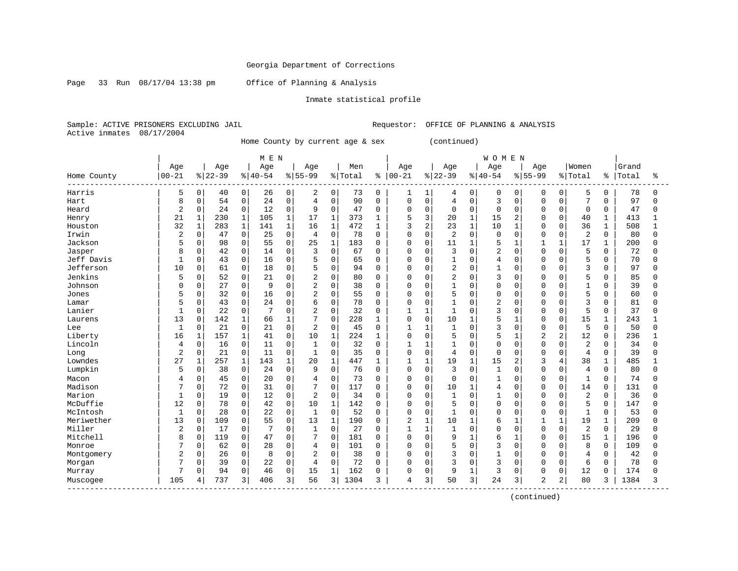Page 33 Run 08/17/04 13:38 pm Office of Planning & Analysis

#### Inmate statistical profile

Sample: ACTIVE PRISONERS EXCLUDING JAIL Requestor: OFFICE OF PLANNING & ANALYSIS Active inmates 08/17/2004

Home County by current age & sex (continued)

|                           |                |              |           |              | M E N       |              |                |                |         |          |                |                |                |              | <b>WOMEN</b>   |                |                |                |                |              |       |          |
|---------------------------|----------------|--------------|-----------|--------------|-------------|--------------|----------------|----------------|---------|----------|----------------|----------------|----------------|--------------|----------------|----------------|----------------|----------------|----------------|--------------|-------|----------|
|                           | Age            |              | Age       |              | Age         |              | Age            |                | Men     |          | Age            |                | Age            |              | Age            |                | Age            |                | Women          |              | Grand |          |
| Home County               | $00 - 21$      |              | $8 22-39$ |              | $8140 - 54$ |              | $8155 - 99$    |                | % Total | ႜႜ       | $ 00 - 21$     |                | $8 22-39$      |              | $8 40-54$      |                | $8155 - 99$    |                | % Total        | န့           | Total | ႜ        |
| Harris                    | 5              | 0            | 40        | $\mathbf 0$  | 26          | 0            | 2              | $\mathbf{0}$   | 73      | 0        | 1              |                | 4              | $\mathbf 0$  | $\mathbf 0$    | 0              | $\Omega$       | 0              | 5              | 0            | 78    | ∩        |
| Hart                      | 8              | $\Omega$     | 54        | $\mathbf 0$  | 24          | $\mathbf 0$  | $\overline{4}$ | $\mathbf 0$    | 90      | $\Omega$ | 0              | $\mathbf 0$    | 4              | $\Omega$     | 3              | $\Omega$       | $\Omega$       | $\Omega$       | 7              | $\Omega$     | 97    | $\Omega$ |
| Heard                     | 2              | 0            | 24        | $\mathbf 0$  | 12          | $\mathbf 0$  | 9              | $\Omega$       | 47      | $\Omega$ | 0              | $\mathbf 0$    | $\mathbf 0$    | $\Omega$     | $\mathbf 0$    | $\Omega$       | $\Omega$       | $\Omega$       | 0              | $\Omega$     | 47    |          |
| Henry                     | 21             | $\mathbf{1}$ | 230       | $\mathbf 1$  | 105         | $\mathbf{1}$ | 17             | $\mathbf{1}$   | 373     | 1        | 5              | 3              | 20             | $\mathbf{1}$ | 15             | 2              | $\Omega$       | $\Omega$       | 40             | $\mathbf{1}$ | 413   |          |
| Houston                   | 32             | $\mathbf{1}$ | 283       | $\mathbf 1$  | 141         | $\mathbf{1}$ | 16             | $\mathbf{1}$   | 472     | 1        | 3              | $\overline{2}$ | 23             | $\mathbf{1}$ | 10             | $\mathbf{1}$   | $\cap$         | $\Omega$       | 36             | $\mathbf 1$  | 508   |          |
| Irwin                     | $\overline{c}$ | 0            | 47        | 0            | 25          | $\mathbf 0$  | $\overline{4}$ | $\Omega$       | 78      | $\Omega$ | $\Omega$       | $\mathbf 0$    | 2              | $\Omega$     | $\mathbf 0$    | $\Omega$       | $\Omega$       | $\Omega$       | $\overline{2}$ | $\Omega$     | 80    | U        |
| Jackson                   | 5              | 0            | 98        | 0            | 55          | $\mathbf 0$  | 25             | $\mathbf{1}$   | 183     | $\Omega$ | <sup>0</sup>   | 0              | 11             | $\mathbf{1}$ | 5              |                | $\mathbf{1}$   | 1              | 17             | 1            | 200   |          |
| Jasper                    | 8              | 0            | 42        | $\mathbf 0$  | 14          | $\Omega$     | 3              | $\Omega$       | 67      | $\Omega$ | O              | $\Omega$       | 3              | $\Omega$     | $\overline{2}$ | $\Omega$       | $\Omega$       | $\Omega$       | 5              | $\Omega$     | 72    |          |
| Jeff Davis                | $\mathbf{1}$   | 0            | 43        | $\mathbf 0$  | 16          | $\Omega$     | 5              | $\mathbf 0$    | 65      | $\Omega$ | $\Omega$       | $\Omega$       | $\mathbf{1}$   | $\Omega$     | 4              | $\Omega$       | $\Omega$       | $\Omega$       | 5              | $\Omega$     | 70    |          |
| Jefferson                 | 10             | $\Omega$     | 61        | $\mathbf 0$  | 18          | $\mathbf 0$  | 5              | $\mathbf 0$    | 94      | $\Omega$ | $\Omega$       | $\mathbf 0$    | $\overline{2}$ | $\Omega$     | $\mathbf{1}$   | $\Omega$       | $\Omega$       | $\Omega$       | 3              | $\Omega$     | 97    |          |
| Jenkins                   | 5              | 0            | 52        | $\mathbf 0$  | 21          | 0            | 2              | $\mathbf 0$    | 80      | $\Omega$ | 0              | 0              | $\overline{2}$ | $\Omega$     | 3              | $\Omega$       | $\Omega$       | 0              | 5              | $\Omega$     | 85    |          |
| Johnson                   | O              | 0            | 27        | $\mathbf 0$  | 9           | $\mathbf 0$  | $\overline{2}$ | $\mathbf 0$    | 38      | $\Omega$ | O              | $\mathbf 0$    | $\mathbf{1}$   | $\Omega$     | $\mathbf 0$    | $\Omega$       | $\Omega$       | $\Omega$       | $\mathbf{1}$   | $\Omega$     | 39    |          |
| Jones                     | 5              | 0            | 32        | $\mathbf 0$  | 16          | $\Omega$     | 2              | $\Omega$       | 55      | $\Omega$ | O              | $\Omega$       | 5              | $\Omega$     | $\Omega$       | 0              | $\Omega$       | O              | 5              | $\Omega$     | 60    |          |
| Lamar                     | 5              | 0            | 43        | $\mathbf 0$  | 2.4         | $\Omega$     | 6              | $\Omega$       | 78      | $\Omega$ | O              | $\Omega$       | $\mathbf{1}$   | $\Omega$     | $\overline{a}$ | 0              | $\Omega$       | $\Omega$       | 3              | $\Omega$     | 81    |          |
| Lanier                    | $\mathbf{1}$   | 0            | 22        | $\mathbf 0$  |             | $\Omega$     | $\overline{2}$ | $\mathbf 0$    | 32      | 0        |                | $\mathbf{1}$   | 1              | $\Omega$     | 3              | 0              | $\Omega$       | $\Omega$       | 5              | $\Omega$     | 37    |          |
| Laurens                   | 13             | 0            | 142       | $\mathbf{1}$ | 66          | $\mathbf{1}$ | 7              | $\Omega$       | 228     | 1        | $\Omega$       | $\Omega$       | 10             | $\mathbf{1}$ | 5              | $\mathbf{1}$   | $\Omega$       | $\Omega$       | 15             | $\mathbf{1}$ | 243   |          |
| Lee                       | $\mathbf{1}$   | $\Omega$     | 21        | $\Omega$     | 21          | $\Omega$     | 2              | $\Omega$       | 45      | $\Omega$ | 1              | $\mathbf{1}$   | $\mathbf{1}$   | $\Omega$     | ζ              | $\Omega$       | $\Omega$       | $\Omega$       | 5              | $\Omega$     | 50    |          |
| Liberty                   | 16             | $\mathbf 1$  | 157       | $\mathbf{1}$ | 41          | $\Omega$     | 10             | $\mathbf{1}$   | 224     | 1        | 0              | $\Omega$       | 5              | $\Omega$     | 5              | 1              | $\overline{2}$ | $\overline{2}$ | 12             | $\Omega$     | 236   |          |
| Lincoln                   | 4              | 0            | 16        | $\mathsf 0$  | 11          | $\mathbf 0$  | $\mathbf{1}$   | $\mathbf 0$    | 32      | $\Omega$ | 1              | $\mathbf{1}$   | $\mathbf{1}$   | $\Omega$     | $\Omega$       | $\Omega$       | $\Omega$       | $\mathbf 0$    | 2              | $\Omega$     | 34    |          |
| Long                      | $\overline{2}$ | 0            | 21        | $\mathbf 0$  | 11          | 0            | $\mathbf{1}$   | $\Omega$       | 35      | $\Omega$ | 0              | $\mathbf 0$    | $\overline{4}$ | $\Omega$     | $\Omega$       | $\Omega$       | $\Omega$       | $\Omega$       | 4              | $\Omega$     | 39    |          |
| Lowndes                   | 27             | 1            | 257       | 1            | 143         | 1            | 20             | $\mathbf{1}$   | 447     | 1        | $\mathbf{1}$   | 1              | 19             | 1            | 15             | 2              | 3              | 4              | 38             | $\mathbf{1}$ | 485   |          |
| Lumpkin                   | 5              | 0            | 38        | $\mathbf 0$  | 24          | 0            | 9              | $\Omega$       | 76      | $\Omega$ | $\Omega$       | $\mathbf 0$    | 3              | $\Omega$     | $\mathbf{1}$   | 0              | $\Omega$       | O              | 4              | $\Omega$     | 80    |          |
| Macon                     | 4              | 0            | 45        | $\mathbf 0$  | 20          | $\Omega$     | 4              | $\Omega$       | 73      | $\Omega$ | 0              | 0              | 0              | $\Omega$     | 1              | 0              | $\Omega$       | $\Omega$       | 1              | $\Omega$     | 74    |          |
| Madison                   |                | $\Omega$     | 72        | $\mathbf 0$  | 31          | $\Omega$     | 7              | $\Omega$       | 117     | O        | $\Omega$       | $\mathbf 0$    | 10             | $\mathbf{1}$ | 4              | <sup>0</sup>   | $\Omega$       | $\Omega$       | 14             | $\Omega$     | 131   |          |
| Marion                    | $\mathbf{1}$   | $\Omega$     | 19        | $\mathbf 0$  | 12          | $\Omega$     | 2              | $\Omega$       | 34      | $\Omega$ | $\Omega$       | $\Omega$       | $\mathbf{1}$   | $\Omega$     | $\mathbf{1}$   | $\Omega$       | $\Omega$       | U              | $\overline{2}$ | $\Omega$     | 36    |          |
| McDuffie                  | 12             | 0            | 78        | $\mathbf 0$  | 42          | 0            | 10             | $\mathbf{1}$   | 142     | 0        | $\Omega$       | $\mathbf 0$    | 5              | $\Omega$     | $\mathbf 0$    | $\Omega$       | $\Omega$       | $\Omega$       | 5              | $\Omega$     | 147   |          |
| McIntosh                  | $\mathbf{1}$   | 0            | 28        | $\mathsf 0$  | 22          | $\mathbf 0$  | $\mathbf{1}$   | $\mathbf 0$    | 52      | $\Omega$ | 0              | $\mathbf 0$    | $\mathbf{1}$   | $\Omega$     | $\Omega$       | $\Omega$       | $\Omega$       | $\Omega$       | $\mathbf{1}$   | 0            | 53    |          |
| Meriwether                | 13             | 0            | 109       | $\mathbf 0$  | 55          | $\Omega$     | 13             | $\mathbf{1}$   | 190     | $\Omega$ | $\overline{2}$ | $\mathbf{1}$   | 10             | $\mathbf{1}$ | 6              | $\mathbf{1}$   | $\mathbf{1}$   | $\mathbf{1}$   | 19             | $\mathbf{1}$ | 209   |          |
| Miller                    | $\overline{2}$ | 0            | 17        | $\mathbf 0$  |             | 0            | 1              | $\mathbf 0$    | 27      | $\Omega$ | 1              | $\mathbf{1}$   | $\mathbf{1}$   | $\Omega$     | $\mathbf 0$    | $\Omega$       | $\Omega$       | $\Omega$       | 2              | $\Omega$     | 29    |          |
| Mitchell                  | 8              | 0            | 119       | $\mathbf 0$  | 47          | $\Omega$     | 7              | $\mathbf 0$    | 181     | $\Omega$ | 0              | $\mathbf 0$    | 9              | -1           | 6              | 1              | $\Omega$       | $\Omega$       | 15             | 1            | 196   |          |
| Monroe                    |                | $\Omega$     | 62        | $\mathbf 0$  | 28          | $\mathbf 0$  | 4              | $\Omega$       | 101     | $\Omega$ | $\Omega$       | $\Omega$       | 5              | $\Omega$     | 3              | $\Omega$       | $\Omega$       | U              | 8              | $\Omega$     | 109   |          |
| Montgomery                | $\overline{c}$ | $\Omega$     | 26        | $\Omega$     | 8           | $\Omega$     | 2              | $\Omega$       | 38      | $\Omega$ | $\Omega$       | $\Omega$       | 3              | $\Omega$     | $\mathbf{1}$   | $\Omega$       | $\Omega$       | O              | 4              | $\Omega$     | 42    |          |
| Morgan                    | 7              | 0            | 39        | $\mathbf 0$  | 22          | $\mathbf 0$  | $\overline{4}$ | $\Omega$       | 72      | $\Omega$ | 0              | $\mathbf 0$    | 3              | $\Omega$     | 3              | $\Omega$       | $\Omega$       | $\Omega$       | 6              | $\Omega$     | 78    |          |
| Murray                    | 7              | 0            | 94        | $\mathbf 0$  | 46          | $\mathbf 0$  | 15             | $\mathbf{1}$   | 162     | O        | 0              | 0              | 9              |              | 3              | 0              | $\Omega$       | 0              | 12             | $\Omega$     | 174   |          |
| Muscogee<br>------------- | 105            | 4            | 737       | 3            | 406         | 3            | 56             | $\overline{3}$ | 1304    | 3        | 4              | 3              | 50             | 3            | 24             | $\overline{3}$ | $\overline{2}$ | 2              | 80             | 3            | 1384  | 3        |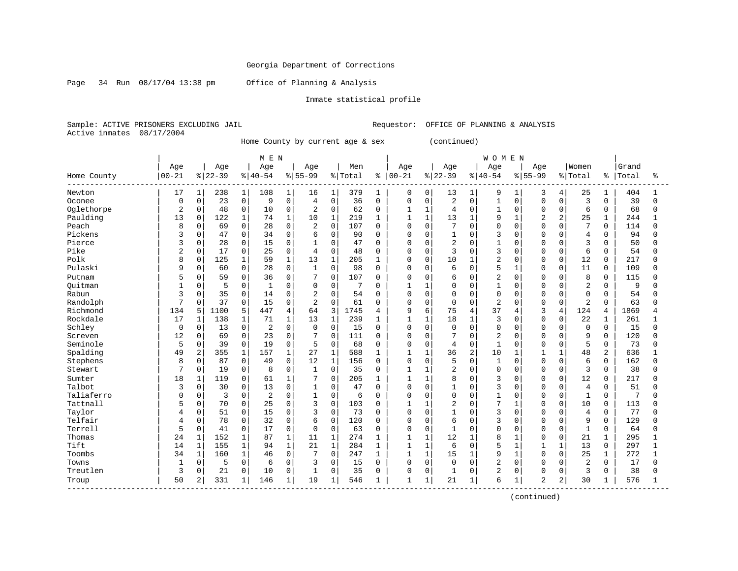Page 34 Run 08/17/04 13:38 pm Office of Planning & Analysis

#### Inmate statistical profile

Sample: ACTIVE PRISONERS EXCLUDING JAIL Requestor: OFFICE OF PLANNING & ANALYSIS Active inmates 08/17/2004

Home County by current age & sex (continued)

|                          |                |              |           |              | M E N       |              |                 |                |         |              |              |              |                |                | <b>WOMEN</b>   |              |                |                |                |              |       |          |
|--------------------------|----------------|--------------|-----------|--------------|-------------|--------------|-----------------|----------------|---------|--------------|--------------|--------------|----------------|----------------|----------------|--------------|----------------|----------------|----------------|--------------|-------|----------|
|                          | Age            |              | Age       |              | Age         |              | Age             |                | Men     |              | Age          |              | Age            |                | Age            |              | Age            |                | Women          |              | Grand |          |
| Home County<br>--------- | $00 - 21$      |              | $8 22-39$ |              | $ 40-54$    |              | $8155 - 99$     |                | % Total | ៖            | $ 00-21$     |              | $ 22-39$       |                | $8140 - 54$    |              | $8155 - 99$    |                | % Total        | ႜ            | Total | ႜ        |
| Newton                   | 17             | 1            | 238       | 1            | 108         | 1            | 16              | 1              | 379     | 1            | 0            | 0            | 13             | $\mathbf{1}$   | 9              | 1            | 3              | 4              | 25             |              | 404   |          |
| Oconee                   | $\Omega$       | $\mathbf 0$  | 23        | $\mathsf 0$  | 9           | $\mathbf 0$  | $\overline{4}$  | $\Omega$       | 36      | $\mathbf 0$  | $\Omega$     | $\Omega$     | $\overline{2}$ | $\Omega$       | $\mathbf{1}$   | $\Omega$     | $\Omega$       | $\Omega$       | 3              | $\Omega$     | 39    | $\Omega$ |
| Oglethorpe               | $\overline{2}$ | $\mathbf 0$  | 48        | $\mathbf 0$  | 10          | $\Omega$     | 2               | $\mathbf 0$    | 62      | $\Omega$     | $\mathbf{1}$ | $\mathbf{1}$ | 4              | $\Omega$       | 1              | $\Omega$     | $\Omega$       | $\Omega$       | 6              | $\Omega$     | 68    | $\Omega$ |
| Paulding                 | 13             | $\mathbf 0$  | 122       | $\mathbf{1}$ | 74          | $\mathbf{1}$ | 10              | $\mathbf{1}$   | 219     | $\mathbf{1}$ | $\mathbf{1}$ | $\mathbf{1}$ | 13             | $\mathbf{1}$   | 9              | $\mathbf{1}$ | $\overline{2}$ | $\overline{2}$ | 25             | $\mathbf{1}$ | 244   |          |
| Peach                    | 8              | $\mathsf 0$  | 69        | $\mathbf 0$  | 28          | $\mathbf 0$  | $\overline{c}$  | $\mathbf 0$    | 107     | 0            | $\mathbf 0$  | $\mathbf 0$  | 7              | $\Omega$       | $\Omega$       | $\mathbf 0$  | $\Omega$       | $\mathbf 0$    | 7              | $\Omega$     | 114   | O        |
| Pickens                  | 3              | $\mathbf 0$  | 47        | $\mathbf 0$  | 34          | $\Omega$     | 6               | $\mathbf 0$    | 90      | $\Omega$     | $\Omega$     | $\Omega$     | 1              | $\Omega$       | 3              | $\Omega$     | $\Omega$       | $\Omega$       | 4              | $\Omega$     | 94    | Λ        |
| Pierce                   | 3              | $\Omega$     | 28        | $\mathbf 0$  | 15          | $\Omega$     | $\mathbf{1}$    | $\Omega$       | 47      | $\Omega$     | $\mathbf 0$  | $\Omega$     | $\overline{2}$ | 0              | $\mathbf{1}$   | $\Omega$     | $\Omega$       | $\cap$         | 3              | $\Omega$     | 50    | $\Omega$ |
| Pike                     | $\overline{2}$ | $\mathbf 0$  | 17        | $\mathbf 0$  | 25          | $\mathbf{0}$ | $\overline{4}$  | $\mathbf 0$    | 48      | 0            | $\mathbf 0$  | $\Omega$     | 3              | $\Omega$       | 3              | $\Omega$     | $\Omega$       | $\Omega$       | 6              | $\Omega$     | 54    |          |
| Polk                     | $\mathsf{R}$   | $\Omega$     | 125       | 1            | 59          | $\mathbf{1}$ | 13              | $\mathbf{1}$   | 205     | 1            | $\Omega$     | $\Omega$     | 10             | $\mathbf{1}$   | $\overline{2}$ | $\Omega$     | $\Omega$       | $\Omega$       | 12             | $\Omega$     | 217   | U        |
| Pulaski                  | 9              | $\Omega$     | 60        | $\Omega$     | 28          | $\Omega$     | $\mathbf{1}$    | $\Omega$       | 98      | $\Omega$     | $\Omega$     | $\Omega$     | 6              | $\Omega$       | 5              | $\mathbf{1}$ | $\Omega$       | $\Omega$       | 11             | $\Omega$     | 109   | U        |
| Putnam                   |                | $\Omega$     | 59        | $\Omega$     | 36          | $\Omega$     | 7               | $\Omega$       | 107     | $\Omega$     | $\Omega$     | $\Omega$     | 6              | $\Omega$       | $\overline{a}$ | $\Omega$     | $\Omega$       | $\Omega$       | 8              | $\Omega$     | 115   |          |
| Ouitman                  |                | $\Omega$     | 5         | $\mathbf 0$  | $\mathbf 1$ | $\Omega$     | $\Omega$        | $\Omega$       | 7       | $\Omega$     | $\mathbf{1}$ | $\mathbf{1}$ | $\Omega$       | $\Omega$       | $\mathbf{1}$   | $\Omega$     | $\Omega$       | $\Omega$       | $\overline{2}$ | $\Omega$     | 9     | U        |
| Rabun                    | 3              | $\mathsf 0$  | 35        | $\mathsf 0$  | 14          | $\mathbf 0$  | 2               | $\mathbf 0$    | 54      | $\Omega$     | $\mathsf 0$  | $\mathbf 0$  | $\Omega$       | 0              | $\Omega$       | $\mathbf 0$  | $\Omega$       | $\mathbf 0$    | $\mathbf 0$    | 0            | 54    |          |
| Randolph                 | 7              | $\Omega$     | 37        | $\Omega$     | 15          | $\Omega$     | $\overline{a}$  | $\Omega$       | 61      | $\Omega$     | $\Omega$     | $\Omega$     | $\Omega$       | $\Omega$       | $\overline{a}$ | $\Omega$     | $\Omega$       | $\Omega$       | $\overline{2}$ | $\Omega$     | 63    |          |
| Richmond                 | 134            | 5            | 1100      | 5            | 447         | 4            | 64              | $\overline{3}$ | 1745    | 4            | 9            | 6            | 75             | 4              | 37             | 4            | 3              | 4              | 124            | 4            | 1869  |          |
| Rockdale                 | 17             | 1            | 138       | $\mathbf{1}$ | 71          | $\mathbf{1}$ | 13              | $\mathbf{1}$   | 239     | 1            | $\mathbf{1}$ | $\mathbf{1}$ | 18             | $\mathbf{1}$   | 3              | $\Omega$     | $\Omega$       | $\Omega$       | 22             | 1            | 261   |          |
| Schley                   | $\mathbf 0$    | $\mathbf 0$  | 13        | $\mathbf 0$  | 2           | $\Omega$     | $\Omega$        | $\Omega$       | 15      | $\Omega$     | $\Omega$     | $\Omega$     | $\Omega$       | $\Omega$       | $\Omega$       | $\Omega$     | $\Omega$       | $\Omega$       | $\Omega$       | $\Omega$     | 15    |          |
| Screven                  | 12             | $\Omega$     | 69        | $\Omega$     | 23          | $\Omega$     | $7\phantom{.0}$ | $\Omega$       | 111     | $\Omega$     | $\Omega$     | $\Omega$     | 7              | $\Omega$       | $\overline{a}$ | $\Omega$     | $\Omega$       | $\Omega$       | 9              | $\Omega$     | 120   |          |
| Seminole                 | 5              | $\mathbf 0$  | 39        | $\mathbf 0$  | 19          | $\mathbf 0$  | 5               | $\mathbf 0$    | 68      | 0            | 0            | $\mathbf 0$  | $\overline{4}$ | $\Omega$       | $\mathbf{1}$   | $\mathbf 0$  | $\Omega$       | $\Omega$       | 5              | $\mathbf 0$  | 73    | U        |
| Spalding                 | 49             | 2            | 355       | $1\,$        | 157         | $\mathbf{1}$ | 27              | $\mathbf{1}$   | 588     | $\mathbf{1}$ | $\mathbf{1}$ | $\mathbf{1}$ | 36             | $\overline{a}$ | 10             | $\mathbf{1}$ |                | $\mathbf{1}$   | 48             | 2            | 636   |          |
| Stephens                 | 8              | $\mathbf 0$  | 87        | $\Omega$     | 49          | $\Omega$     | 12              | $\mathbf{1}$   | 156     | $\Omega$     | $\Omega$     | $\Omega$     | 5              | $\Omega$       | $\mathbf{1}$   | $\Omega$     | $\Omega$       | $\Omega$       | 6              | $\Omega$     | 162   | $\Omega$ |
| Stewart                  |                | $\mathbf 0$  | 19        | $\mathbf 0$  | 8           | 0            | $\mathbf{1}$    | $\mathbf 0$    | 35      | 0            | $\mathbf{1}$ | 1            | $\overline{2}$ | 0              | $\Omega$       | 0            | $\Omega$       | $\Omega$       | 3              | $\mathbf 0$  | 38    | ∩        |
| Sumter                   | 18             | 1            | 119       | $\mathbf 0$  | 61          | 1            | 7               | $\mathbf 0$    | 205     | 1            | $\mathbf{1}$ | $\mathbf{1}$ | 8              | $\Omega$       | 3              | $\Omega$     | $\Omega$       | $\Omega$       | 12             | $\Omega$     | 217   | U        |
| Talbot                   | 3              | $\mathbf 0$  | 30        | $\mathbf 0$  | 13          | $\Omega$     | $\mathbf{1}$    | $\mathbf 0$    | 47      | 0            | $\mathbf 0$  | $\Omega$     | $\mathbf{1}$   | 0              | 3              | $\Omega$     | $\Omega$       | $\Omega$       | 4              | $\Omega$     | 51    |          |
| Taliaferro               | U              | $\Omega$     | 3         | $\Omega$     | 2           | $\Omega$     | $\mathbf{1}$    | $\Omega$       | 6       | $\Omega$     | $\Omega$     | $\Omega$     | $\Omega$       | $\Omega$       | 1              | $\Omega$     | $\Omega$       | $\Omega$       | $\mathbf{1}$   | $\Omega$     | 7     |          |
| Tattnall                 |                | $\Omega$     | 70        | $\Omega$     | 25          | $\Omega$     | 3               | $\Omega$       | 103     | $\Omega$     | $\mathbf{1}$ | -1           | $\overline{a}$ | $\Omega$       | 7              | $\mathbf{1}$ | $\Omega$       | $\Omega$       | 10             | $\Omega$     | 113   |          |
| Taylor                   |                | $\mathbf 0$  | 51        | $\mathbf 0$  | 15          | $\Omega$     | 3               | $\mathbf 0$    | 73      | 0            | $\mathbf 0$  | $\Omega$     | $\mathbf{1}$   | $\Omega$       | 3              | $\Omega$     | $\Omega$       | $\Omega$       | $\overline{4}$ | $\mathbf 0$  | 77    |          |
| Telfair                  |                | $\mathsf 0$  | 78        | $\mathbf 0$  | 32          | $\Omega$     | 6               | $\mathbf 0$    | 120     | $\Omega$     | $\Omega$     | $\mathbf 0$  | 6              | $\Omega$       | 3              | $\mathbf 0$  | $\Omega$       | $\mathbf 0$    | 9              | $\Omega$     | 129   |          |
| Terrell                  | 5              | $\mathbf 0$  | 41        | $\mathbf 0$  | 17          | $\Omega$     | $\mathbf 0$     | $\mathbf 0$    | 63      | $\Omega$     | $\Omega$     | $\Omega$     | $1\,$          | $\Omega$       | $\Omega$       | $\Omega$     | $\Omega$       | $\Omega$       | $\mathbf{1}$   | $\Omega$     | 64    | Λ        |
| Thomas                   | 24             | $\mathbf{1}$ | 152       | $\mathbf{1}$ | 87          | 1            | 11              | $\mathbf{1}$   | 274     | 1            | $\mathbf{1}$ | 1            | 12             | $\mathbf{1}$   | 8              | -1           | $\Omega$       | $\Omega$       | 21             | 1            | 295   |          |
| Tift                     | 14             | 1            | 155       | $1\,$        | 94          | $\mathbf 1$  | 21              | $\mathbf{1}$   | 284     | 1            | $\mathbf{1}$ | $\mathbf{1}$ | 6              | 0              | 5              | $\mathbf{1}$ |                | $\mathbf{1}$   | 13             | $\Omega$     | 297   |          |
| Toombs                   | 34             | $\mathbf 1$  | 160       | $\mathbf{1}$ | 46          | $\Omega$     | 7               | $\Omega$       | 247     | 1            | $\mathbf{1}$ | $\mathbf{1}$ | 15             | $\mathbf{1}$   | 9              | $\mathbf{1}$ | $\Omega$       | $\Omega$       | 25             | 1            | 272   |          |
| Towns                    | $\mathbf{1}$   | $\Omega$     | 5         | $\Omega$     | 6           | $\Omega$     | 3               | $\Omega$       | 15      | $\Omega$     | $\Omega$     | $\Omega$     | $\Omega$       | $\Omega$       | $\overline{a}$ | $\Omega$     | $\Omega$       | $\Omega$       | $\overline{2}$ | $\Omega$     | 17    | $\Omega$ |
| Treutlen                 | 3              | $\mathbf 0$  | 21        | $\mathbf 0$  | 10          | $\mathbf 0$  | 1               | 0              | 35      | 0            | 0            | 0            | $\mathbf{1}$   | $\Omega$       | $\overline{2}$ | 0            | $\Omega$       | $\Omega$       | 3              | 0            | 38    |          |
| Troup<br>--------------  | 50             | 2            | 331       | 1            | 146         | 1            | 19              | $\mathbf{1}$   | 546     | 1            | $\mathbf{1}$ | 1            | 21             | $\mathbf{1}$   | 6              | 1            | $\overline{2}$ | 2              | 30             |              | 576   |          |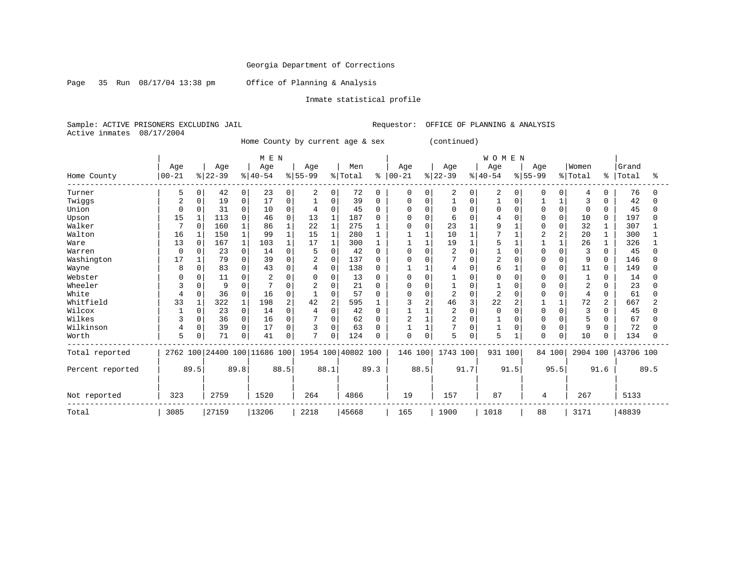Page 35 Run 08/17/04 13:38 pm Office of Planning & Analysis

### Inmate statistical profile

Sample: ACTIVE PRISONERS EXCLUDING JAIL Requestor: OFFICE OF PLANNING & ANALYSIS Active inmates 08/17/2004

Home County by current age & sex (continued)

|                  |           |              |           |              | M E N                        |                |                |                |                    |          |             |          |                |          | <b>WOMEN</b>   |          |             |          |                |              |           |      |
|------------------|-----------|--------------|-----------|--------------|------------------------------|----------------|----------------|----------------|--------------------|----------|-------------|----------|----------------|----------|----------------|----------|-------------|----------|----------------|--------------|-----------|------|
|                  | Age       |              | Age       |              | Age                          |                | Age            |                | Men                |          | Age         |          | Age            |          | Age            |          | Age         |          | Women          |              | Grand     |      |
| Home County      | $00 - 21$ |              | $ 22-39 $ |              | $ 40-54$                     |                | $8 55-99$      |                | % Total            | ి        | $ 00 - 21$  |          | $8 22-39$      |          | $8 40-54$      |          | $8155 - 99$ |          | %   Total      | ៖            | Total     | ႜ    |
| Turner           | 5         | 0            | 42        | 0            | 23                           | 0              | 2              | $\mathbf 0$    | 72                 | $\Omega$ | $\mathbf 0$ | $\Omega$ | 2              | 0        | 2              | 0        | $\Omega$    | $\Omega$ | 4              | 0            | 76        | 0    |
| Twiggs           | 2         | 0            | 19        | 0            | 17                           | 0              |                | 0              | 39                 | $\Omega$ | 0           | $\Omega$ |                | $\Omega$ |                | $\Omega$ |             |          | 3              |              | 42        | U    |
| Union            | $\Omega$  |              | 31        | 0            | 10                           | 0              |                | 0              | 45                 | $\Omega$ |             | $\Omega$ | O              |          | $\Omega$       | $\Omega$ |             |          | $\mathbf 0$    | 0            | 45        |      |
| Upson            | 15        |              | 113       | 0            | 46                           | O              | 13             | $\mathbf{1}$   | 187                |          |             | $\cap$   | 6              |          |                |          |             | $\Omega$ | 10             | $\Omega$     | 197       |      |
| Walker           |           | $\Omega$     | 160       |              | 86                           |                | 22             | $\mathbf{1}$   | 275                |          |             | $\Omega$ | 23             |          | 9              |          |             |          | 32             |              | 307       |      |
| Walton           | 16        |              | 150       | $\mathbf{1}$ | 99                           |                | 15             | $\mathbf{1}$   | 280                |          |             |          | 10             |          |                |          |             |          | 20             |              | 300       |      |
| Ware             | 13        | $\Omega$     | 167       |              | 103                          |                | 17             | $\mathbf{1}$   | 300                |          |             |          | 19             |          |                |          |             |          | 26             |              | 326       |      |
| Warren           | $\Omega$  |              | 23        | 0            | 14                           | 0              |                | $\Omega$       | 42                 |          | U           | O        | 2              |          |                | O        |             |          | 3              | U            | 45        |      |
| Washington       | 17        |              | 79        | 0            | 39                           | $\Omega$       | 2              | 0              | 137                |          |             | C        | 7              |          | $\overline{2}$ |          |             | U        | 9              |              | 146       |      |
| Wayne            | 8         | <sup>0</sup> | 83        | 0            | 43                           | O              | 4              | $\mathbf 0$    | 138                |          |             |          | 4              |          | 6              |          | n           | 0        | 11             | <sup>n</sup> | 149       | U    |
| Webster          |           |              | 11        | 0            |                              |                |                | $\Omega$       | 13                 |          | Ω           | O        |                |          | <sup>0</sup>   |          |             |          |                |              | 14        |      |
| Wheeler          | 3         | $\Omega$     | 9         | 0            |                              |                | 2              | $\Omega$       | 21                 | ∩        | O           | $\Omega$ |                | O        |                |          |             |          | $\overline{2}$ |              | 23        |      |
| White            | 4         | 0            | 36        | 0            | 16                           | 0              |                | 0              | 57                 |          | U           | $\Omega$ | $\overline{2}$ | $\Omega$ | $\overline{c}$ | O        |             |          | 4              | 0            | 61        |      |
| Whitfield        | 33        |              | 322       |              | 198                          | $\overline{2}$ | 42             | $\overline{2}$ | 595                |          | ς           | 2        | 46             |          | 22             | 2        |             |          | 72             | 2            | 667       |      |
| Wilcox           |           | 0            | 23        | 0            | 14                           | 0              |                | $\Omega$       | 42                 |          |             |          | 2              | O        | $\Omega$       |          |             |          | 3              |              | 45        |      |
| Wilkes           | 3         | 0            | 36        | 0            | 16                           | 0              |                | $\Omega$       | 62                 |          | 2           |          | $\overline{2}$ | O        |                |          |             |          | 5              |              | 67        |      |
| Wilkinson        | 4         | 0            | 39        | 0            | 17                           | $\Omega$       | 3              | $\Omega$       | 63                 |          |             |          | 7              | $\Omega$ |                | 0        |             |          | 9              |              | 72        |      |
| Worth            | 5         |              | 71        | 0            | 41                           | 0              | $\overline{ }$ | 0              | 124                |          | 0           | 0        | 5              | 0        | 5              |          | $\Omega$    | 0        | 10             |              | 134       |      |
| Total reported   |           |              |           |              | 2762 100 24400 100 11686 100 |                |                |                | 1954 100 40802 100 |          | 146 100     |          | 1743 100       |          | 931 100        |          | 84 100      |          | 2904 100       |              | 43706 100 |      |
| Percent reported |           | 89.5         |           | 89.8         |                              | 88.5           |                | 88.1           |                    | 89.3     |             | 88.5     |                | 91.7     |                | 91.5     |             | 95.5     |                | 91.6         |           | 89.5 |
| Not reported     | 323       |              | 2759      |              | 1520                         |                | 264            |                | 4866               |          | 19          |          | 157            |          | 87             |          | 4           |          | 267            |              | 5133      |      |
| Total            | 3085      |              | 27159     |              | 13206                        |                | 2218           |                | 45668              |          | 165         |          | 1900           |          | 1018           |          | 88          |          | 3171           |              | 48839     |      |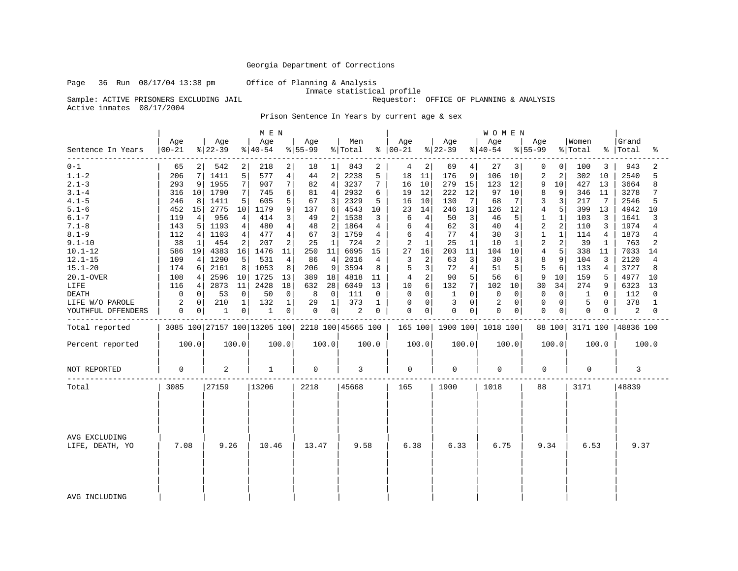Page 36 Run 08/17/04 13:38 pm Office of Planning & Analysis

Requestor: OFFICE OF PLANNING & ANALYSIS

Inmate statistical profile<br>Sample: ACTIVE PRISONERS EXCLUDING JAIL **Inmate** statistical profile Active inmates 08/17/2004

Prison Sentence In Years by current age & sex

|                                  |                  |             |                 |                | MEN             |             |                                                 |                |                |       |                      |              |                  |                 | <b>WOMEN</b>     |              |                         |                |                  |       |                |       |
|----------------------------------|------------------|-------------|-----------------|----------------|-----------------|-------------|-------------------------------------------------|----------------|----------------|-------|----------------------|--------------|------------------|-----------------|------------------|--------------|-------------------------|----------------|------------------|-------|----------------|-------|
| Sentence In Years                | Age<br>$00 - 21$ |             | Age<br>$ 22-39$ |                | Age<br>$ 40-54$ |             | Age<br>$8 55-99$                                |                | Men<br>% Total |       | Age<br>$8   00 - 21$ |              | Age<br>$ 22-39$  |                 | Age<br>$ 40-54 $ |              | Age<br>$ 55-99$         |                | Women<br>% Total | ႜ     | Grand<br>Total | ႜ     |
| $0 - 1$                          | 65               | 2           | 542             | 2              | 218             | 2           | 18                                              | $\perp$        | 843            | 2     | 4                    | 2            | 69               | 4               | 27               | 3            | 0                       | 0              | 100              | 3     | 943            | 2     |
| $1.1 - 2$                        | 206              | 7           | 1411            | 5              | 577             | 4           | 44                                              | $\mathbf 2$    | 2238           | 5     | 18                   | 11           | 176              | 9               | 106              | 10           | $\overline{c}$          | $\overline{2}$ | 302              | 10    | 2540           | 5     |
| $2.1 - 3$                        | 293              | 9           | 1955            | 7              | 907             | 7           | 82                                              | $\overline{4}$ | 3237           | 7     | 16                   | 10           | 279              | 15              | 123              | 12           | 9                       | 10             | 427              | 13    | 3664           | 8     |
| $3.1 - 4$                        | 316              | 10          | 1790            | 7              | 745             | 6           | 81                                              | 4              | 2932           | 6     | 19                   | 12           | 222              | 12              | 97               | 10           | 8                       | 9              | 346              | 11    | 3278           | 7     |
| $4.1 - 5$                        | 246              | 8           | 1411            | 5              | 605             | 5           | 67                                              | 3              | 2329           | 5     | 16                   | 10           | 130              | $7\phantom{.0}$ | 68               | 7            | 3                       | 3              | 217              | 7     | 2546           | 5     |
| $5.1 - 6$                        | 452              | 15          | 2775            | 10             | 1179            | 9           | 137                                             | 6              | 4543           | 10    | 23                   | 14           | 246              | 13              | 126              | 12           | 4                       | 5              | 399              | 13    | 4942           | 10    |
| $6.1 - 7$                        | 119              | 4           | 956             | 4              | 414             | 3           | 49                                              | 2              | 1538           | 3     | 6                    | 4            | 50               | 3               | 46               | 5            | 1                       | 1              | 103              | 3     | 1641           | 3     |
| $7.1 - 8$                        | 143              | 5           | 1193            | 4              | 480             | 4           | 48                                              | 2              | 1864           | 4     | 6                    | 4            | 62               | $\mathbf{3}$    | 40               | 4            | $\overline{\mathbf{c}}$ | 2              | 110              | 3     | 1974           | 4     |
| $8.1 - 9$                        | 112              | 4           | 1103            | 4              | 477             | 4           | 67                                              | 3              | 1759           | 4     | 6                    | 4            | 77               | $\overline{4}$  | 30               | 3            | 1                       | 1              | 114              | 4     | 1873           | 4     |
| $9.1 - 10$                       | 38               | $\mathbf 1$ | 454             | 2              | 207             | 2           | 25                                              | $\mathbf{1}$   | 724            | 2     | 2                    | $\mathbf{1}$ | 25               | $\mathbf{1}$    | 10               | $\mathbf{1}$ | $\overline{2}$          | 2              | 39               | 1     | 763            | 2     |
| $10.1 - 12$                      | 586              | 19          | 4383            | 16             | 1476            | 11          | 250                                             | 11             | 6695           | 15    | 27                   | 16           | 203              | 11              | 104              | 10           | $\overline{4}$          | 5              | 338              | 11    | 7033           | 14    |
| $12.1 - 15$                      | 109              | 4           | 1290            | 5              | 531             | 4           | 86                                              | $\overline{4}$ | 2016           | 4     | 3                    | 2            | 63               | 3               | 30               | 3            | 8                       | 9              | 104              | 3     | 2120           | 4     |
| $15.1 - 20$                      | 174              | 6           | 2161            | 8              | 1053            | 8           | 206                                             | 9              | 3594           | 8     | 5                    | 3            | 72               | $\overline{4}$  | 51               | 5            | 5                       | 6              | 133              | 4     | 3727           | 8     |
| 20.1-OVER                        | 108              | 4           | 2596            | 10             | 1725            | 13          | 389                                             | 18             | 4818           | 11    | 4                    | 2            | 90               | 5               | 56               | 6            | 9                       | 10             | 159              | 5     | 4977           | 10    |
| LIFE                             | 116              | 4           | 2873            | 11             | 2428            | 18          | 632                                             | 28             | 6049           | 13    | 10                   | 6            | 132              | 7 <sup>1</sup>  | 102              | 10           | 30                      | 34             | 274              | 9     | 6323           | 13    |
| <b>DEATH</b>                     | 0                | 0           | 53              | 0              | 50              | $\mathbf 0$ | 8                                               | 0              | 111            | 0     | 0                    | 0            | 1                | $\overline{0}$  | 0                | 0            | 0                       | 0              | 1                | 0     | 112            | 0     |
| LIFE W/O PAROLE                  | 2                | 0           | 210             | 1              | 132             | $\mathbf 1$ | 29                                              | 1              | 373            | 1     | 0                    | 0            | 3                | 0               | 2                | 0            | 0                       | 0              | 5                | 0     | 378            | 1     |
| YOUTHFUL OFFENDERS               | 0                | 0           | 1               | 0 <sup>1</sup> | 1               | 0           | 0                                               | 0              | 2              | 0     | 0                    | 0            | $\mathbf 0$      | $\overline{0}$  | $\mathbf 0$      | 0            | 0                       | 0              | 0                | 0     | 2              | 0     |
| Total reported                   |                  |             |                 |                |                 |             | 3085 100 27157 100 13205 100 2218 100 45665 100 |                |                |       |                      |              | 165 100 1900 100 |                 | 1018 100         |              |                         | 88 100         | 3171 100         |       | 48836 100      |       |
| Percent reported                 |                  | 100.0       |                 | 100.0          |                 | 100.0       |                                                 | 100.0          |                | 100.0 |                      | 100.0        |                  | 100.0           |                  | 100.0        |                         | 100.0          |                  | 100.0 |                | 100.0 |
| NOT REPORTED                     | 0                |             | 2               |                | 1               |             | 0                                               |                | 3              |       | 0                    |              | 0                |                 | $\mathbf 0$      |              | 0                       |                | 0                |       | 3              |       |
| Total                            | 3085             |             | 27159           |                | 13206           |             | 2218                                            |                | 45668          |       | 165                  |              | 1900             |                 | 1018             |              | 88                      |                | 3171             |       | 48839          |       |
| AVG EXCLUDING<br>LIFE, DEATH, YO | 7.08             |             | 9.26            |                | 10.46           |             | 13.47                                           |                | 9.58           |       | 6.38                 |              | 6.33             |                 | 6.75             |              | 9.34                    |                | 6.53             |       | 9.37           |       |
| AVG INCLUDING                    |                  |             |                 |                |                 |             |                                                 |                |                |       |                      |              |                  |                 |                  |              |                         |                |                  |       |                |       |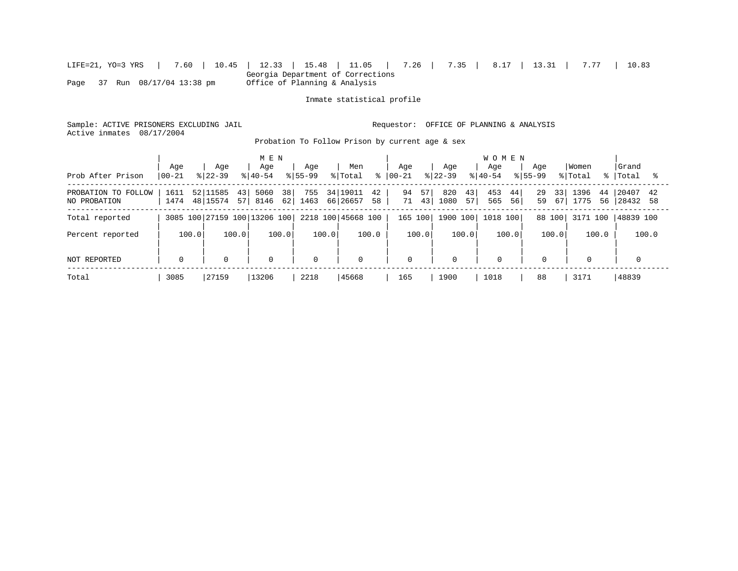|                               |  |  |  | LIFE=21, YO=3 YRS   7.60   10.45   12.33   15.48   11.05   7.26   7.35   8.17   13.31   7.77   10.83 |  |  |  |  |  |  |  |  |
|-------------------------------|--|--|--|------------------------------------------------------------------------------------------------------|--|--|--|--|--|--|--|--|
|                               |  |  |  | Georgia Department of Corrections                                                                    |  |  |  |  |  |  |  |  |
| Page 37 Run 08/17/04 13:38 pm |  |  |  | Office of Planning & Analysis                                                                        |  |  |  |  |  |  |  |  |

Inmate statistical profile

Sample: ACTIVE PRISONERS EXCLUDING JAIL Requestor: OFFICE OF PLANNING & ANALYSIS Active inmates 08/17/2004

Probation To Follow Prison by current age & sex

|                                     | Age          | Aqe                              | M E N<br>Age                 | Aqe         | Men                              | Aqe                  | Age                     | <b>WOMEN</b><br>Age        | Aqe                   | Women                    | l Grand                 |
|-------------------------------------|--------------|----------------------------------|------------------------------|-------------|----------------------------------|----------------------|-------------------------|----------------------------|-----------------------|--------------------------|-------------------------|
| Prob After Prison                   | $ 00-21 $    | $8122 - 39$                      | $8140 - 54$                  | $8155 - 99$ | % Total<br>∻                     | $ 00-21 $            | $8122 - 39$             | $8140 - 54$<br>$8155 - 99$ |                       | % Total                  | %   Total               |
| PROBATION TO FOLLOW<br>NO PROBATION | 1611<br>1474 | 52 11585<br>43<br>48 15574<br>57 | 38<br>5060<br>62 <br>8146    | 755<br>1463 | 34 19011<br>42<br>66 26657<br>58 | 94<br>57<br>71<br>43 | 820<br>43<br>1080<br>57 | 453<br>44<br>565<br>56     | 29<br>33<br>59<br>67' | 1396<br>44<br>1775<br>56 | 20407<br>42<br>28432 58 |
| Total reported                      |              |                                  | 3085 100 27159 100 13206 100 |             | 2218 100 45668 100               | 165 100              | 1900 100                | 1018 100                   | 88 100                | 3171 100                 | 48839 100               |
| Percent reported                    | 100.0        | 100.0                            | 100.0                        | 100.0       | 100.0                            | 100.0                | 100.0                   | 100.0                      | 100.0                 | 100.0                    | 100.0                   |
| NOT REPORTED                        | $\mathbf 0$  | $\mathbf 0$                      | 0                            | $\Omega$    | $\mathbf{0}$                     | $\mathbf 0$          | $\Omega$                | $\mathbf 0$                | 0                     | $\Omega$                 | $\Omega$                |
| Total                               | 3085         | 27159                            | 13206                        | 2218        | 45668                            | 165                  | 1900                    | 1018                       | 88                    | 3171                     | 48839                   |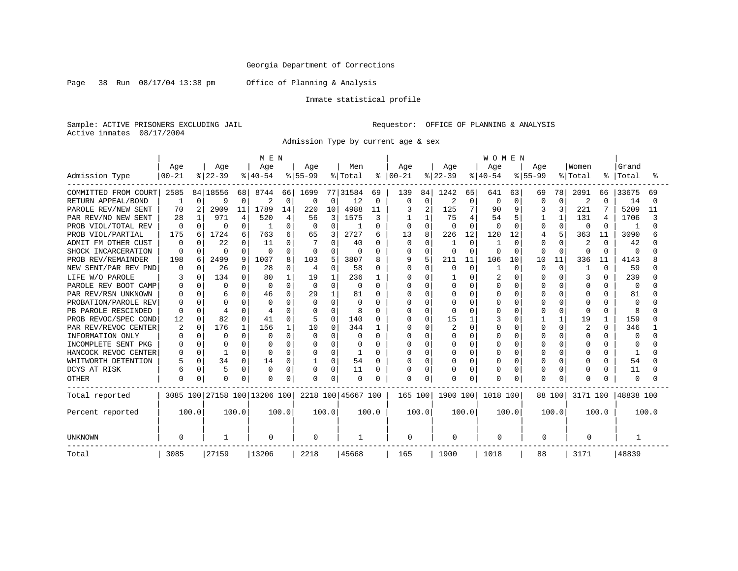Page 38 Run 08/17/04 13:38 pm Office of Planning & Analysis

### Inmate statistical profile

Sample: ACTIVE PRISONERS EXCLUDING JAIL Requestor: OFFICE OF PLANNING & ANALYSIS Active inmates 08/17/2004

Admission Type by current age & sex

|                      |              |              |              |              | M E N                        |                |                |          |                    |       |               |                |           |                | <b>WOMEN</b> |             |              |              |                |              |              |       |
|----------------------|--------------|--------------|--------------|--------------|------------------------------|----------------|----------------|----------|--------------------|-------|---------------|----------------|-----------|----------------|--------------|-------------|--------------|--------------|----------------|--------------|--------------|-------|
|                      | Age          |              | Age          |              | Age                          |                | Age            |          | Men                |       | Age           |                | Age       |                | Age          |             | Age          |              | Women          |              | Grand        |       |
| Admission Type       | $00 - 21$    |              | $8 22-39$    |              | $ 40-54$                     |                | $8 55-99$      |          | % Total            |       | $8   00 - 21$ |                | $ 22-39 $ |                | $ 40-54 $    |             | $8155 - 99$  |              | % Total        | ి            | Total        |       |
| COMMITTED FROM COURT | 2585         |              | 84 18556     | 68           | 8744                         | 66             | 1699           |          | 77 31584           | 69    | 139           | 84             | 1242      | 65             | 641          | 63          | 69           | 78           | 2091           | 66           | 33675        | 69    |
| RETURN APPEAL/BOND   |              | $\Omega$     | 9            | $\Omega$     | 2                            | $\mathbf 0$    | 0              | 0        | 12                 | 0     | <sup>0</sup>  | 0              | 2         | 0              | 0            | 0           | 0            | 0            | $\overline{2}$ | $\Omega$     | 14           |       |
| PAROLE REV/NEW SENT  | 70           | 2            | 2909         | 11           | 1789                         | 14             | 220            | 10       | 4988               | 11    |               | $\overline{2}$ | 125       | 7              | 90           | 9           |              | 3            | 221            | 7            | 5209         | 11    |
| PAR REV/NO NEW SENT  | 28           | $\mathbf{1}$ | 971          | 4            | 520                          | $\overline{4}$ | 56             | 3        | 1575               | 3     |               | $\mathbf{1}$   | 75        | $\overline{4}$ | 54           | 5           |              | $\mathbf{1}$ | 131            | 4            | 1706         |       |
| PROB VIOL/TOTAL REV  | <sup>0</sup> | 0            | $\Omega$     | $\Omega$     |                              | $\Omega$       | $\Omega$       | 0        |                    | 0     | 0             | $\mathbf 0$    | n         | $\Omega$       | O            | $\Omega$    | U            | $\Omega$     | 0              | $\Omega$     | -1           |       |
| PROB VIOL/PARTIAL    | 175          | 6            | 1724         | 6            | 763                          | 6              | 65             | 3        | 2727               | 6     | 13            | 8              | 226       | 12             | 120          | 12          |              | 5            | 363            | 11           | 3090         |       |
| ADMIT FM OTHER CUST  | U            |              | 22           | $\Omega$     | 11                           | O              |                | 0        | 40                 | 0     |               | $\mathbf 0$    |           | $\Omega$       |              | $\mathbf 0$ | U            | $\Omega$     | 2              | $\Omega$     | 42           |       |
| SHOCK INCARCERATION  | U            | U            | $\Omega$     | $\Omega$     | $\Omega$                     | $\Omega$       | 0              | O        |                    | O     |               | $\mathbf 0$    | $\Omega$  | $\Omega$       | O            | $\mathbf 0$ | 0            | $\Omega$     | 0              | $\Omega$     | $\Omega$     |       |
| PROB REV/REMAINDER   | 198          | 6            | 2499         | 9            | 1007                         | 8              | 103            | 5        | 3807               | 8     | 9             | 5              | 211       | 11             | 106          | 10          | 10           | 11           | 336            | 11           | 4143         |       |
| NEW SENT/PAR REV PND | U            | <sup>0</sup> | 26           | $\Omega$     | 28                           | $\Omega$       | $\overline{4}$ | 0        | 58                 | 0     | $\Omega$      | $\Omega$       | $\Omega$  | $\Omega$       |              | $\Omega$    | <sup>0</sup> | $\Omega$     | 1              | $\Omega$     | 59           |       |
| LIFE W/O PAROLE      |              | U            | 134          | U            | 80                           |                | 19             |          | 236                |       |               | $\Omega$       |           | ∩              |              | $\Omega$    |              | U            | κ              | $\Omega$     | 239          |       |
| PAROLE REV BOOT CAMP | U            | ∩            | $\Omega$     | O            | $\Omega$                     | $\Omega$       | $\Omega$       | $\Omega$ | $\Omega$           | O     |               | $\Omega$       |           | $\Omega$       | U            | $\mathbf 0$ |              | U            | $\Omega$       | O            | 0            |       |
| PAR REV/RSN UNKNOWN  |              | <sup>0</sup> | 6            | O            | 46                           |                | 29             |          | 81                 | O     |               | $\Omega$       |           | $\Omega$       | O            | $\mathbf 0$ | U            | O            | <sup>0</sup>   | O            | 81           |       |
| PROBATION/PAROLE REV |              | N            | <sup>0</sup> |              |                              |                | $\Omega$       | O        |                    | O     |               | $\Omega$       |           | O              |              | 0           |              |              | O              |              | $\Omega$     |       |
| PB PAROLE RESCINDED  |              |              | 4            | O            |                              |                | 0              | O        | 8                  | O     |               | $\Omega$       |           |                |              | 0           |              | O            | $\Omega$       | O            | 8            |       |
| PROB REVOC/SPEC COND | 12           | 0            | 82           | <sup>0</sup> | 41                           | <sup>0</sup>   | 5              | 0        | 140                | 0     |               | $\Omega$       | 15        |                |              | 0           |              |              | 19             | -1           | 159          |       |
| PAR REV/REVOC CENTER | 2            | $\Omega$     | 176          | 1            | 156                          |                | 10             | $\Omega$ | 344                |       |               | $\Omega$       |           | $\Omega$       |              | $\Omega$    |              | $\Omega$     | 2              | <sup>0</sup> | 346          |       |
| INFORMATION ONLY     |              | 0            | $\Omega$     | $\Omega$     |                              | O              | 0              | O        |                    | O     |               | O              |           | $\Omega$       |              | $\Omega$    |              | $\Omega$     | O              | U            | <sup>0</sup> |       |
| INCOMPLETE SENT PKG  |              | 0            | O            |              |                              | O              | 0              | 0        |                    | O     |               | $\Omega$       |           | $\Omega$       |              | $\Omega$    |              | $\Omega$     | O              | O            | C            |       |
| HANCOCK REVOC CENTER |              | 0            | $\mathbf{1}$ | $\Omega$     | $\Omega$                     | $\Omega$       | 0              | 0        |                    | O     |               | $\Omega$       |           | $\Omega$       |              | $\mathbf 0$ |              | $\Omega$     | $\Omega$       | O            |              |       |
| WHITWORTH DETENTION  |              | $\Omega$     | 34           | 0            | 14                           | 0              |                | 0        | 54                 | 0     |               | $\Omega$       |           | $\Omega$       |              | $\mathbf 0$ | U            | $\Omega$     | 0              | O            | 54           |       |
| DCYS AT RISK         | б            | $\Omega$     | 5            | $\Omega$     | $\Omega$                     | $\Omega$       | 0              | 0        | 11                 | O     |               | $\Omega$       |           | $\Omega$       |              | 0           |              | O            | 0              |              | 11           |       |
| <b>OTHER</b>         |              | $\Omega$     | <sup>0</sup> |              | n                            | $\Omega$       | $\Omega$       | 0        | $\Omega$           | O     | $\Omega$      | $\Omega$       |           | $\Omega$       | O            | $\Omega$    |              | O            | $\Omega$       |              | $\Omega$     |       |
| Total reported       |              |              |              |              | 3085 100 27158 100 13206 100 |                |                |          | 2218 100 45667 100 |       | 165 100       |                | 1900 100  |                | 1018 100     |             | 88 100       |              | 3171 100       |              | 48838 100    |       |
| Percent reported     | 100.0        |              |              | 100.0        |                              | 100.0          |                | 100.0    |                    | 100.0 |               | 100.0          |           | 100.0          |              | 100.0       |              | 100.0        |                | 100.0        |              | 100.0 |
| <b>UNKNOWN</b>       | O            |              |              |              | 0                            |                | 0              |          | -1                 |       | 0             |                | 0         |                | 0            |             | 0            |              | 0              |              |              |       |
| Total                | 3085         |              | 27159        |              | 13206                        |                | 2218           |          | 45668              |       | 165           |                | 1900      |                | 1018         |             | 88           |              | 3171           |              | 48839        |       |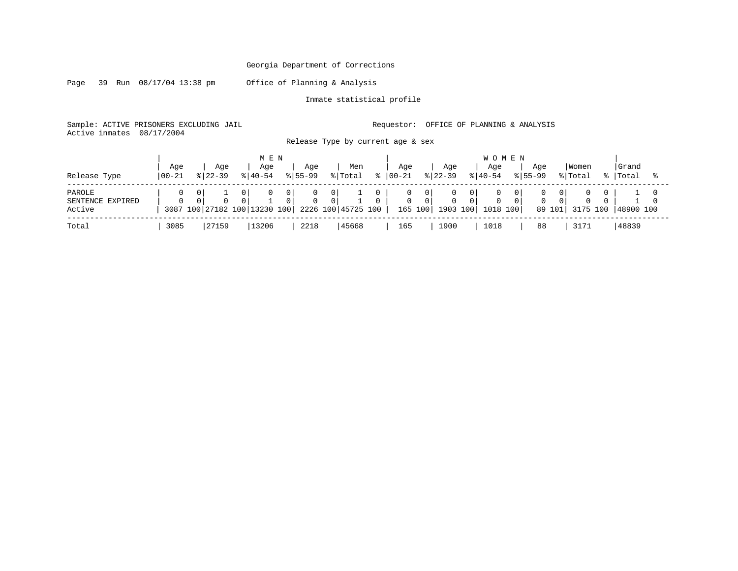Page 39 Run 08/17/04 13:38 pm Office of Planning & Analysis

Inmate statistical profile

Sample: ACTIVE PRISONERS EXCLUDING JAIL Requestor: OFFICE OF PLANNING & ANALYSIS Active inmates 08/17/2004

Release Type by current age & sex

| Release Type                         | Age<br>  00-21 |   | Age<br>$8122 - 39$ | Age<br>$8140 - 54$                       | M E N                            | Aqe<br>$ 55-99 $ |                            | Men<br>% Total     | ះ | Age<br>$ 00 - 21$ |          | Aqe<br>$ 22-39 $             | <b>WOMEN</b><br>Aqe<br>$ 40-54 $ |          | Aqe<br>$8155 - 99$ |             | Women<br>% Total | Grand<br>%   Total |  |
|--------------------------------------|----------------|---|--------------------|------------------------------------------|----------------------------------|------------------|----------------------------|--------------------|---|-------------------|----------|------------------------------|----------------------------------|----------|--------------------|-------------|------------------|--------------------|--|
| PAROLE<br>SENTENCE EXPIRED<br>Active | $\Omega$       | 0 | $\Omega$           | $\Omega$<br>3087 100 27182 100 13230 100 | 0 <sup>1</sup><br>0 <sup>1</sup> | $\Omega$         | 0 <sup>1</sup><br>$\Omega$ | 2226 100 45725 100 |   | $\mathbf{0}$      | $\Omega$ | $\Omega$<br>165 100 1903 100 | $\Omega$<br>1018 100             | $\Omega$ | $\Omega$           | 0<br>89 101 | 3175 100         | 148900 100         |  |
| Total                                | 3085           |   | 27159              | 13206                                    |                                  | 2218             |                            | 45668              |   | 165               |          | 1900                         | 1018                             |          | 88                 |             | 3171             | 48839              |  |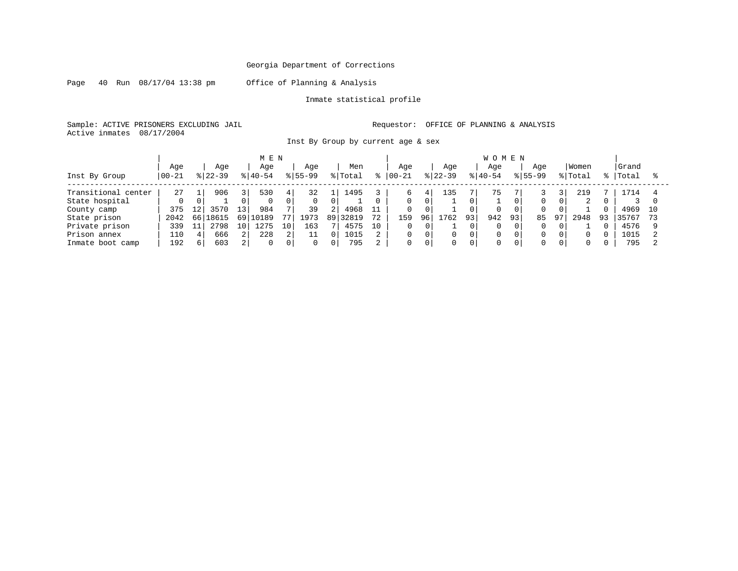Page 40 Run 08/17/04 13:38 pm Office of Planning & Analysis

Inmate statistical profile

Sample: ACTIVE PRISONERS EXCLUDING JAIL Requestor: OFFICE OF PLANNING & ANALYSIS Active inmates 08/17/2004

Inst By Group by current age & sex

|                        |             |     |           |                 | MEN       |    |             |     |         |    |           |     |           |    | <b>WOMEN</b> |    |             |                |          |    |       |    |
|------------------------|-------------|-----|-----------|-----------------|-----------|----|-------------|-----|---------|----|-----------|-----|-----------|----|--------------|----|-------------|----------------|----------|----|-------|----|
|                        | Age         |     | Age       |                 | Aqe       |    | Aqe         |     | Men     |    | Aqe       |     | Age       |    | Age          |    | Aqe         |                | Women    |    | Grand |    |
| Inst By Group          | $ 00 - 21 $ |     | $ 22-39 $ |                 | $8 40-54$ |    | $8155 - 99$ |     | % Total |    | $00 - 21$ |     | $ 22-39 $ |    | $ 40-54$     |    | $8155 - 99$ |                | % Total  | %  | Total |    |
| Transitional<br>center | 27          |     | 906       | 3               | 530       | 4  | 32          |     | 1495    |    | 6.        | 4   | 135       |    | 75           |    |             |                | 219      |    | 1714  |    |
| State hospital         |             |     |           |                 | $\Omega$  |    |             |     |         |    |           |     |           |    |              |    |             | 0              | 2        |    |       |    |
| County camp            | 375         | 12  | 3570      | 13 <sub>1</sub> | 984       |    | 39          |     | 4968    |    | 0         |     |           |    |              |    |             | 0              |          |    | 4969  | 10 |
| State prison           | 2042        | 661 | 18615     | 69              | 10189     | 77 | 1973        | 891 | 32819   | 72 | 159       | 96  | 762       | 93 | 942          | 93 | 85          | 97             | 2948     | 93 | 35767 |    |
| Private prison         | 339         |     | 2798      | 10              | 1275      | 10 | 163         |     | 4575    | 10 |           |     |           |    |              |    | 0           | 0              |          |    | 4576  |    |
| Prison annex           | 110         | 4   | 666       | 2 <sup>1</sup>  | 228       | 2  | 11          |     | 1015    |    |           |     |           |    |              |    |             | 0              | $\Omega$ |    | 1015  |    |
| Inmate boot camp       | 192         | 6   | 603       | $\overline{2}$  | $\Omega$  | 0  |             |     | 795     | ົ  | 0         | 0 I | 0         |    |              |    |             | 0 <sub>1</sub> | 0        |    | 795   |    |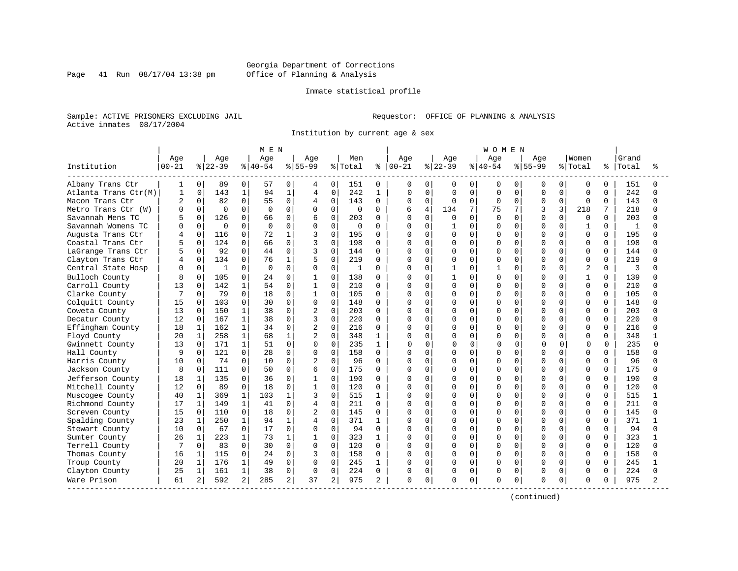### Georgia Department of Corrections Page 41 Run 08/17/04 13:38 pm Office of Planning & Analysis

#### Inmate statistical profile

Sample: ACTIVE PRISONERS EXCLUDING JAIL **Requestor:** OFFICE OF PLANNING & ANALYSIS Active inmates 08/17/2004

Institution by current age & sex

|                      |               |              |              |              | M E N     |              |                |                |         |              |           |                |           |                | <b>WOMEN</b> |             |           |              |                |          |       |   |
|----------------------|---------------|--------------|--------------|--------------|-----------|--------------|----------------|----------------|---------|--------------|-----------|----------------|-----------|----------------|--------------|-------------|-----------|--------------|----------------|----------|-------|---|
|                      | Age           |              | Age          |              | Age       |              | Aqe            |                | Men     |              | Age       |                | Age       |                | Age          |             | Aqe       |              | Women          |          | Grand |   |
| Institution          | $00 - 21$     |              | $8 22-39$    |              | $8 40-54$ |              | $8155 - 99$    |                | % Total | %            | $00 - 21$ |                | $8 22-39$ |                | $ 40-54$     |             | $8 55-99$ |              | % Total        | ి        | Total |   |
| Albany Trans Ctr     | 1             | 0            | 89           | $\Omega$     | 57        | 0            | 4              | $\Omega$       | 151     | 0            | 0         | 0              | 0         | $\mathbf{0}$   | 0            | 0           | 0         | 0            | 0              | $\Omega$ | 151   |   |
| Atlanta Trans Ctr(M) | $\mathbf{1}$  | $\mathbf 0$  | 143          | $\mathbf{1}$ | 94        | $\mathbf{1}$ | 4              | 0              | 242     | $\mathbf{1}$ | $\Omega$  | $\mathbf 0$    | $\Omega$  | $\mathbf 0$    | $\Omega$     | $\mathbf 0$ | 0         | $\Omega$     | $\Omega$       | 0        | 242   |   |
| Macon Trans Ctr      | $\mathcal{D}$ | $\Omega$     | 82           | $\Omega$     | 55        | $\mathbf 0$  | 4              | $\Omega$       | 143     | $\Omega$     | 0         | $\Omega$       | $\Omega$  | $\Omega$       | $\Omega$     | $\Omega$    | $\Omega$  | $\Omega$     | $\Omega$       | $\Omega$ | 143   | ∩ |
| Metro Trans Ctr (W)  | $\Omega$      | $\Omega$     | $\Omega$     | $\Omega$     | $\Omega$  | $\Omega$     | 0              | $\Omega$       | 0       | 0            |           | $\overline{4}$ | 134       | 7 <sup>1</sup> | 75           |             | ς         | 3            | 218            |          | 218   |   |
| Savannah Mens TC     |               | $\cap$       | 126          | $\Omega$     | 66        | $\Omega$     | 6              | 0              | 203     | U            | ∩         | $\Omega$       | $\cap$    | $\Omega$       | $\Omega$     | $\cap$      | O         | $\cap$       | $\Omega$       | $\cap$   | 203   |   |
| Savannah Womens TC   | n             | $\Omega$     | $\Omega$     | $\Omega$     | $\Omega$  | $\Omega$     | $\Omega$       | $\Omega$       | 0       | 0            |           | $\Omega$       |           | $\Omega$       | $\Omega$     | $\cap$      | O         | $\Omega$     | 1              | $\Omega$ | 1     |   |
| Augusta Trans Ctr    |               | 0            | 116          | $\Omega$     | 72        | $\mathbf{1}$ | 3              | $\Omega$       | 195     | $\Omega$     |           | $\Omega$       | $\Omega$  | $\Omega$       | O            | $\Omega$    | U         | $\Omega$     | $\Omega$       | $\Omega$ | 195   |   |
| Coastal Trans Ctr    |               | $\Omega$     | 124          | $\Omega$     | 66        | $\Omega$     | 3              | 0              | 198     | U            |           | $\Omega$       | U         | $\Omega$       | O            | $\Omega$    | U         | $\Omega$     | $\Omega$       | $\Omega$ | 198   |   |
| LaGrange Trans Ctr   |               | $\Omega$     | 92           | $\Omega$     | 44        | $\Omega$     | 3              | O              | 144     | $\Omega$     |           | 0              | O         | $\Omega$       | <sup>0</sup> | $\Omega$    | U         | U            | 0              | $\Omega$ | 144   |   |
| Clayton Trans Ctr    |               | $\Omega$     | 134          | $\Omega$     | 76        | 1            | 5              | 0              | 219     | U            |           | $\Omega$       | O         | $\Omega$       | $\Omega$     | $\Omega$    | U         | $\cap$       | $\Omega$       | $\Omega$ | 219   |   |
| Central State Hosp   | $\Omega$      | $\Omega$     | $\mathbf{1}$ | $\Omega$     | $\Omega$  | $\Omega$     | $\Omega$       | $\Omega$       | -1      | 0            | U         | $\Omega$       | 1         | $\Omega$       | 1            | $\Omega$    | U         | $\Omega$     | $\overline{c}$ | $\Omega$ | 3     |   |
| Bulloch County       | 8             | $\Omega$     | 105          | $\Omega$     | 24        | $\Omega$     | -1             | $\Omega$       | 138     | U            |           | $\Omega$       |           | $\Omega$       | $\Omega$     | $\Omega$    | U         | $\Omega$     | 1              | $\Omega$ | 139   |   |
| Carroll County       | 13            | $\Omega$     | 142          |              | 54        | $\Omega$     | 1              | $\Omega$       | 210     | U            | O         | $\Omega$       | $\Omega$  | $\Omega$       | $\Omega$     | $\Omega$    | U         | $\Omega$     | $\Omega$       | $\Omega$ | 210   |   |
| Clarke County        |               | $\Omega$     | 79           | $\Omega$     | 18        | $\Omega$     | $\mathbf{1}$   | 0              | 105     | $\Omega$     |           | $\mathbf 0$    | O         | $\Omega$       | <sup>0</sup> | $\Omega$    | U         | $\Omega$     | $\Omega$       | $\Omega$ | 105   |   |
| Colquitt County      | 15            | $\Omega$     | 103          | $\Omega$     | 30        | $\Omega$     | $\Omega$       | $\Omega$       | 148     | $\Omega$     | O         | $\Omega$       | O         | $\Omega$       | $\Omega$     | $\Omega$    | U         | $\cap$       | $\Omega$       | $\Omega$ | 148   |   |
| Coweta County        | 13            | $\Omega$     | 150          |              | 38        | 0            | $\overline{c}$ | $\Omega$       | 203     | U            | O         | $\Omega$       |           | $\Omega$       | O            | $\Omega$    | U         |              | $\Omega$       | $\Omega$ | 203   |   |
| Decatur County       | 12            | $\Omega$     | 167          | 1            | 38        | 0            | 3              | $\Omega$       | 220     | U            | U         | $\Omega$       | U         | $\Omega$       | $\cap$       | $\cap$      | U         | ∩            | $\Omega$       | $\Omega$ | 220   |   |
| Effingham County     | 18            | 1            | 162          |              | 34        | $\Omega$     | $\overline{2}$ | $\Omega$       | 216     | 0            | U         | $\Omega$       | O         | $\Omega$       | $\Omega$     | $\Omega$    | U         | $\Omega$     | $\Omega$       | $\Omega$ | 216   |   |
| Floyd County         | 20            | $\mathbf 1$  | 258          | 1            | 68        | 1            | $\overline{2}$ | 0              | 348     | 1            |           | $\mathbf 0$    |           | $\mathbf 0$    | O            | 0           | U         | $\Omega$     | 0              | 0        | 348   |   |
| Gwinnett County      | 13            | $\mathbf 0$  | 171          | 1            | 51        | $\Omega$     | $\mathbf 0$    | $\Omega$       | 235     | 1            | U         | 0              | O         | 0              | O            | $\Omega$    | $\cap$    | <sup>0</sup> | $\Omega$       | $\Omega$ | 235   | ∩ |
| Hall County          | 9             | $\Omega$     | 121          | $\Omega$     | 28        | $\Omega$     | $\Omega$       | 0              | 158     | $\Omega$     | በ         | 0              | O         | $\Omega$       | O            | $\Omega$    | U         | U            | <sup>0</sup>   | $\Omega$ | 158   |   |
| Harris County        | 10            | $\Omega$     | 74           | $\Omega$     | 10        | $\Omega$     | 2              | $\Omega$       | 96      | 0            | U         | $\Omega$       | U         | $\mathbf 0$    | O            | $\cap$      | U         | U            | $\Omega$       | $\Omega$ | 96    |   |
| Jackson County       | 8             | $\Omega$     | 111          | $\Omega$     | 50        | $\Omega$     | 6              | $\Omega$       | 175     | 0            | U         | $\Omega$       | O         | $\Omega$       | $\Omega$     | $\Omega$    | U         | $\Omega$     | $\Omega$       | $\Omega$ | 175   |   |
| Jefferson County     | 18            | $\mathbf{1}$ | 135          | $\Omega$     | 36        | $\Omega$     | -1             | $\Omega$       | 190     | U            | U         | $\Omega$       | O         | $\Omega$       | $\Omega$     | $\Omega$    | O         | $\Omega$     | <sup>0</sup>   | $\Omega$ | 190   |   |
| Mitchell County      | 12            | $\mathbf 0$  | 89           | $\Omega$     | 18        | $\mathbf 0$  | 1              | $\Omega$       | 120     | $\Omega$     |           | $\mathbf{0}$   | O         | $\overline{0}$ | O            | $\mathbf 0$ | U         | $\Omega$     | $\Omega$       | $\Omega$ | 120   |   |
| Muscogee County      | 40            | $\mathbf 1$  | 369          | 1            | 103       | 1            | 3              | $\Omega$       | 515     | 1            | በ         | $\Omega$       | U         | $\Omega$       | O            | $\Omega$    | U         | $\cap$       | $\Omega$       | $\Omega$ | 515   |   |
| Richmond County      | 17            | $\mathbf{1}$ | 149          | 1            | 41        | $\Omega$     | 4              | $\Omega$       | 211     | $\Omega$     | O         | $\Omega$       | O         | $\Omega$       | O            | $\Omega$    | U         | U            | 0              | $\Omega$ | 211   |   |
| Screven County       | 15            | 0            | 110          | $\Omega$     | 18        | $\Omega$     | 2              | $\Omega$       | 145     | U            | O         | $\Omega$       | U         | $\Omega$       | U            | $\cap$      | U         |              | $\Omega$       | $\Omega$ | 145   |   |
| Spalding County      | 23            | 1            | 250          | $\mathbf{1}$ | 94        | 1            | 4              | $\Omega$       | 371     | $\mathbf{1}$ | U         | $\Omega$       | U         | $\Omega$       | $\Omega$     | $\cap$      | U         | <sup>n</sup> | <sup>0</sup>   | $\Omega$ | 371   |   |
| Stewart County       | 10            | 0            | 67           | $\Omega$     | 17        | $\Omega$     | $\Omega$       | 0              | 94      | $\Omega$     | O         | $\Omega$       | O         | $\Omega$       | $\Omega$     | $\Omega$    | O         | $\Omega$     | $\Omega$       | $\Omega$ | 94    |   |
| Sumter County        | 26            | $\mathbf 1$  | 223          | 1            | 73        | 1            | 1              | 0              | 323     | 1            |           | 0              | O         | $\mathbf 0$    | O            | $\Omega$    | U         | $\Omega$     | 0              | 0        | 323   |   |
| Terrell County       | 7             | $\Omega$     | 83           | $\Omega$     | 30        | $\Omega$     | $\Omega$       | $\Omega$       | 120     | $\Omega$     | U         | $\Omega$       | O         | $\Omega$       | $\Omega$     | $\Omega$    | U         | <sup>0</sup> | $\Omega$       | $\Omega$ | 120   |   |
| Thomas County        | 16            | $\mathbf 1$  | 115          | $\Omega$     | 24        | $\Omega$     | 3              | $\Omega$       | 158     | $\Omega$     | $\Omega$  | $\Omega$       | O         | $\Omega$       | $\Omega$     | $\Omega$    | U         | O            | $\Omega$       | $\Omega$ | 158   |   |
| Troup County         | 20            | $\mathbf 1$  | 176          | $\mathbf{1}$ | 49        | $\Omega$     | $\Omega$       | $\Omega$       | 245     | 1            | O         | $\Omega$       | U         | $\Omega$       | $\Omega$     | $\Omega$    | O         | $\Omega$     | $\Omega$       | $\Omega$ | 245   |   |
| Clayton County       | 25            | $\mathbf{1}$ | 161          | 1            | 38        | $\Omega$     | $\Omega$       | $\Omega$       | 224     | 0            | $\Omega$  | $\mathbf{0}$   | 0         | $\circ$        | $\Omega$     | $\mathbf 0$ | 0         | $\Omega$     | $\mathbf 0$    | $\Omega$ | 224   |   |
| Ware Prison          | 61            | 2            | 592          | 2            | 285       | 2            | 37             | $\overline{a}$ | 975     | 2            | 0         | 0              | O         | 0              | $\Omega$     | $\mathbf 0$ | O         | 0            | 0              | 0        | 975   |   |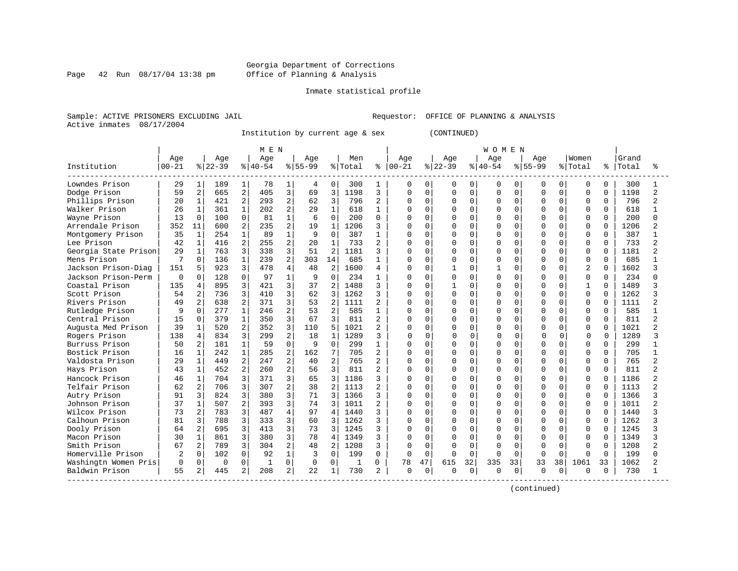Page 42 Run 08/17/04 13:38 pm

#### Inmate statistical profile

Sample: ACTIVE PRISONERS EXCLUDING JAIL **Requestor:** OFFICE OF PLANNING & ANALYSIS Active inmates 08/17/2004

Institution by current age & sex (CONTINUED)

|                      |           |                |           |                | M E N        |                |           |                |         |                |          |             |          |             | <b>WOMEN</b> |          |             |              |                |          |       |   |
|----------------------|-----------|----------------|-----------|----------------|--------------|----------------|-----------|----------------|---------|----------------|----------|-------------|----------|-------------|--------------|----------|-------------|--------------|----------------|----------|-------|---|
|                      | Age       |                | Age       |                | Age          |                | Age       |                | Men     |                | Age      |             | Age      |             | Age          |          | Age         |              | Women          |          | Grand |   |
| Institution          | $00 - 21$ |                | $8 22-39$ |                | $8 40-54$    |                | $8 55-99$ |                | % Total | ႜ              | $ 00-21$ |             | $ 22-39$ |             | $8 40-54$    |          | $8155 - 99$ |              | % Total        | ႜ        | Total |   |
| Lowndes Prison       | 29        |                | 189       | 1              | 78           | 1              | 4         | 0              | 300     | 1              | 0        | $\Omega$    | 0        | 0           | 0            | 0        | 0           | 0            | 0              | $\Omega$ | 300   |   |
| Dodge Prison         | 59        | 2              | 665       | 2              | 405          | 3              | 69        | 3              | 1198    | 3              | U        | $\Omega$    | O        | $\Omega$    | $\Omega$     | $\Omega$ | O           | 0            | $\Omega$       | $\Omega$ | 1198  |   |
| Phillips Prison      | 20        | 1              | 421       | $\overline{2}$ | 293          | 2              | 62        | 3              | 796     | $\overline{a}$ | Ω        | $\Omega$    | O        | $\Omega$    | U            | $\Omega$ | O           | $\Omega$     | $\Omega$       | $\Omega$ | 796   |   |
| Walker Prison        | 26        |                | 361       | $\mathbf{1}$   | 202          | 2              | 29        | $\mathbf{1}$   | 618     | 1              | Ω        | $\Omega$    | O        | $\Omega$    | U            | $\Omega$ | O           | $\Omega$     | 0              | $\Omega$ | 618   |   |
| Wayne Prison         | 13        | $\Omega$       | 100       | 0              | 81           | $\mathbf{1}$   | 6         | $\Omega$       | 200     | $\Omega$       |          | $\Omega$    | $\Omega$ | $\mathbf 0$ | O            | $\Omega$ | O           | 0            | $\Omega$       | $\Omega$ | 200   |   |
| Arrendale Prison     | 352       | 11             | 600       | 2              | 235          | 2              | 19        | $\mathbf{1}$   | 1206    | 3              | U        | $\Omega$    | O        | $\Omega$    | O            | $\Omega$ | U           | U            | $\Omega$       | $\Omega$ | 1206  |   |
| Montgomery Prison    | 35        | $\mathbf{1}$   | 254       | $\mathbf{1}$   | 89           |                | 9         | $\Omega$       | 387     | $\mathbf{1}$   | Λ        | $\Omega$    | O        | $\Omega$    | U            | $\Omega$ | U           | U            | $\Omega$       | $\Omega$ | 387   |   |
| Lee Prison           | 42        |                | 416       | $\overline{a}$ | 255          | $\overline{2}$ | 20        | 1              | 733     | $\overline{c}$ | Ω        | 0           | 0        | $\mathbf 0$ | O            | $\Omega$ | O           | U            | $\Omega$       | $\Omega$ | 733   |   |
| Georgia State Prison | 29        |                | 763       | 3              | 338          | 3              | 51        | 2              | 1181    | 3              | U        | $\mathbf 0$ | ი        | $\Omega$    | O            | $\Omega$ | U           | U            | $\Omega$       | $\Omega$ | 1181  |   |
| Mens Prison          |           | $\Omega$       | 136       | 1              | 239          | 2              | 303       | 14             | 685     | 1              | Λ        | $\Omega$    | 0        | $\Omega$    | U            | $\Omega$ | U           | U            | $\Omega$       | $\Omega$ | 685   |   |
| Jackson Prison-Diag  | 151       | 5              | 923       | 3              | 478          | 4              | 48        | $\overline{a}$ | 1600    | 4              | Ω        | $\Omega$    |          | $\Omega$    | 1            | $\Omega$ | O           | 0            | $\overline{2}$ | $\Omega$ | 1602  |   |
| Jackson Prison-Perm  | $\Omega$  | $\Omega$       | 128       | $\cap$         | 97           | $\mathbf{1}$   | 9         | $\cap$         | 234     | $\mathbf{1}$   | N        | $\cap$      | 0        | $\Omega$    | O            | $\Omega$ | U           | 0            | $\Omega$       | $\Omega$ | 234   |   |
| Coastal Prison       | 135       | $\overline{4}$ | 895       | 3              | 421          | 3              | 37        | 2              | 1488    | 3              | Ω        | $\Omega$    |          | $\Omega$    | U            | $\Omega$ | $\Omega$    | $\Omega$     | $\mathbf{1}$   | $\Omega$ | 1489  |   |
| Scott Prison         | 54        | $\overline{2}$ | 736       | 3              | 410          | 3              | 62        | 3              | 1262    | 3              |          | $\mathbf 0$ | $\Omega$ | $\mathbf 0$ | U            | 0        | U           | $\Omega$     | $\Omega$       | $\Omega$ | 1262  |   |
| Rivers Prison        | 49        | 2              | 638       | $\overline{a}$ | 371          | 3              | 53        | $\overline{2}$ | 1111    | $\overline{a}$ | በ        | $\Omega$    | O        | $\Omega$    | U            | $\Omega$ | U           | <sup>0</sup> | $\Omega$       | $\Omega$ | 1111  |   |
| Rutledge Prison      | 9         | $\Omega$       | 277       | $\mathbf{1}$   | 246          | 2              | 53        | $\overline{a}$ | 585     | $\mathbf{1}$   | Λ        | $\Omega$    | U        | $\Omega$    |              | $\Omega$ | O           | U            | $\Omega$       | $\Omega$ | 585   |   |
| Central Prison       | 15        | $\Omega$       | 379       | 1              | 350          | 3              | 67        | 3              | 811     | $\mathbf{2}$   | Ω        | $\Omega$    | U        | $\Omega$    | O            | O        | O           | U            | $\Omega$       | $\Omega$ | 811   |   |
| Augusta Med Prison   | 39        |                | 520       | 2              | 352          | 3              | 110       | 5              | 1021    | 2              | Ω        | $\Omega$    | Ω        | $\Omega$    | O            | $\Omega$ | O           |              | $\Omega$       | U        | 1021  |   |
| Rogers Prison        | 138       | 4              | 834       | 3              | 299          | 2              | 18        | 1              | 1289    | 3              | U        | $\Omega$    | O        | 0           | $\Omega$     | $\Omega$ | $\cap$      |              | $\Omega$       |          | 1289  | ς |
| Burruss Prison       | 50        | $\mathfrak{D}$ | 181       | $\mathbf{1}$   | 59           | 0              | 9         | $\Omega$       | 299     | 1              | Λ        | $\Omega$    | 0        | $\Omega$    | O            | $\Omega$ | U           | U            | $\Omega$       | $\Omega$ | 299   |   |
| Bostick Prison       | 16        |                | 242       | $\mathbf{1}$   | 285          | 2              | 162       | 7              | 705     | $\overline{c}$ | Ω        | $\Omega$    | O        | $\Omega$    | U            | $\Omega$ | $\Omega$    | U            | $\Omega$       | $\Omega$ | 705   |   |
| Valdosta Prison      | 29        |                | 449       | 2              | 247          | 2              | 40        | $\overline{a}$ | 765     | $\overline{c}$ | Ω        | $\Omega$    | 0        | $\Omega$    | O            | 0        | $\Omega$    | $\Omega$     | $\Omega$       | $\Omega$ | 765   |   |
| Hays Prison          | 43        | $\mathbf{1}$   | 452       | $\overline{a}$ | 260          | 2              | 56        | 3              | 811     | $\overline{c}$ |          | $\mathbf 0$ | O        | $\mathbf 0$ | O            | 0        | $\Omega$    | 0            | $\Omega$       | $\Omega$ | 811   |   |
| Hancock Prison       | 46        | $\mathbf{1}$   | 704       | $\overline{3}$ | 371          | 3              | 65        | 3              | 1186    | 3              |          | 0           | O        | $\Omega$    | O            | $\Omega$ | U           | $\Omega$     | 0              | $\Omega$ | 1186  |   |
| Telfair Prison       | 62        | 2              | 706       | 3              | 307          | 2              | 38        | 2              | 1113    | 2              | በ        | $\Omega$    | O        | $\Omega$    | O            | $\Omega$ | U           | <sup>0</sup> | 0              | $\Omega$ | 1113  |   |
| Autry Prison         | 91        | 3              | 824       | 3              | 380          | 3              | 71        | 3              | 1366    | 3              | O        | $\Omega$    | O        | $\Omega$    | O            | $\Omega$ | U           | U            | $\Omega$       | $\Omega$ | 1366  |   |
| Johnson Prison       | 37        |                | 507       | 2              | 393          | 3              | 74        | 3              | 1011    | 2              | Ω        | $\Omega$    | O        | $\Omega$    | O            | $\Omega$ | O           | <sup>0</sup> | $\Omega$       | $\Omega$ | 1011  |   |
| Wilcox Prison        | 73        | $\overline{2}$ | 783       | 3              | 487          | 4              | 97        | 4              | 1440    | 3              | U        | $\mathbf 0$ |          | $\mathbf 0$ | O            | $\Omega$ | U           | U            | $\Omega$       | $\Omega$ | 1440  |   |
| Calhoun Prison       | 81        |                | 788       | 3              | 333          | 3              | 60        | ζ              | 1262    | 3              | U        | $\Omega$    | O        | $\Omega$    | O            | $\cap$   | U           | ∩            | $\Omega$       | $\Omega$ | 1262  |   |
| Dooly Prison         | 64        | 2              | 695       | 3              | 413          | 3              | 73        | 3              | 1245    | 3              | U        | $\Omega$    | ი        | $\Omega$    | U            | $\Omega$ | U           | U            | <sup>0</sup>   | $\Omega$ | 1245  |   |
| Macon Prison         | 30        | 1              | 861       | 3              | 380          | 3              | 78        | 4              | 1349    | 3              | Ω        | $\Omega$    | ი        | $\Omega$    | U            | $\Omega$ | O           | U            | 0              | $\Omega$ | 1349  |   |
| Smith Prison         | 67        | 2              | 789       | 3              | 304          | 2              | 48        | 2              | 1208    | 3              | Ω        | $\Omega$    | Ω        | $\Omega$    | O            | $\Omega$ | 0           | <sup>0</sup> | 0              | $\Omega$ | 1208  |   |
| Homerville Prison    |           | $\Omega$       | 102       | $\Omega$       | 92           | $\mathbf{1}$   | 3         | $\Omega$       | 199     | $\Omega$       | 0        | $\Omega$    |          | $\Omega$    | U            | $\Omega$ | U           | 0            | $\Omega$       | $\Omega$ | 199   |   |
| Washingtn Women Pris | $\Omega$  | $\Omega$       | $\Omega$  | $\Omega$       | $\mathbf{1}$ | $\Omega$       | 0         | 0              | 1       | 0              | 78       | 47          | 615      | 32          | 335          | 33       | 33          | 38           | 1061           | 33       | 1062  |   |
| Baldwin Prison       | 55        | 2              | 445       | 2              | 208          | 2              | 22        | 1              | 730     | 2              | 0        | $\Omega$    | U        | 0           | $\Omega$     | $\Omega$ | $\Omega$    | 0            | $\Omega$       | 0        | 730   |   |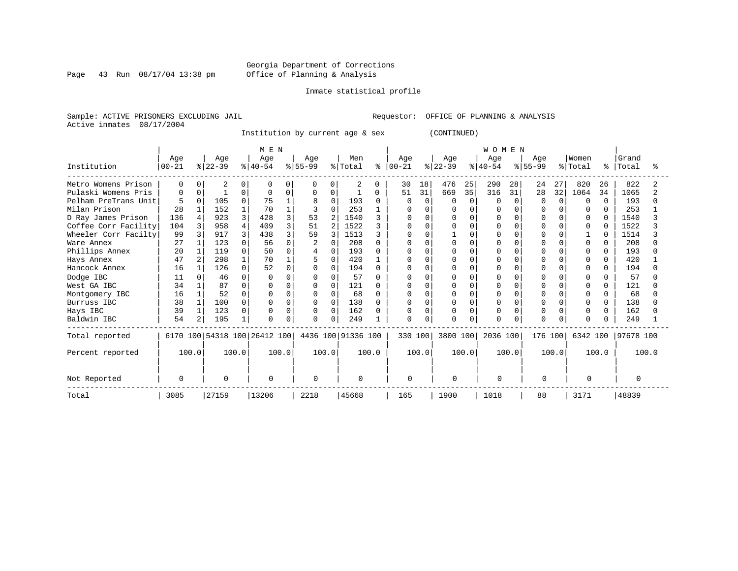Page 43 Run 08/17/04 13:38 pm

#### Inmate statistical profile

Sample: ACTIVE PRISONERS EXCLUDING JAIL **Requestor:** OFFICE OF PLANNING & ANALYSIS Active inmates 08/17/2004

Institution by current age & sex (CONTINUED)

|                      |                   |              |                  |          | M E N                        |       |                 |                |                    |              |                   |              |                  |             | WOMEN           |          |                  |              |                  |              |                |       |
|----------------------|-------------------|--------------|------------------|----------|------------------------------|-------|-----------------|----------------|--------------------|--------------|-------------------|--------------|------------------|-------------|-----------------|----------|------------------|--------------|------------------|--------------|----------------|-------|
| Institution          | Age<br>$ 00 - 21$ |              | Age<br>$ 22-39 $ |          | Age<br>$ 40-54 $             |       | Age<br>$ 55-99$ |                | Men<br>% Total     | နွ           | Age<br>$ 00 - 21$ |              | Age<br>$ 22-39 $ |             | Age<br>$ 40-54$ |          | Age<br>$8 55-99$ |              | Women<br>% Total | ⊱            | Grand<br>Total |       |
| Metro Womens Prison  |                   |              | 2                |          |                              |       |                 | 0              | 2                  | 0            | 30                | 18           | 476              | 25          | 290             | 28       | 24               | 27           | 820              | 26           | 822            |       |
| Pulaski Womens Pris  | 0                 | $\Omega$     |                  | 0        | <sup>0</sup>                 | 0     | $\Omega$        | 0              |                    | 0            | 51                | 31           | 669              | 35          | 316             | 31       | 28               | 32           | 1064             | 34           | 1065           |       |
| Pelham PreTrans Unit | 5                 | $\Omega$     | 105              | 0        | 75                           |       | 8               | $\mathbf 0$    | 193                | 0            | O                 | $\Omega$     | O                | $\mathbf 0$ | $\Omega$        | $\Omega$ | U                | $\Omega$     | 0                | $\Omega$     | 193            |       |
| Milan Prison         | 28                |              | 152              |          | 70                           |       |                 | O              | 253                |              | O                 | O            | O                | $\Omega$    |                 | U        |                  | U            | $\Omega$         | $\cap$       | 253            |       |
| D Ray James Prison   | 136               |              | 923              | 3        | 428                          | ζ     | 53              | $\overline{2}$ | 1540               | २            | O                 | <sup>0</sup> | U                | $\Omega$    |                 | O        | O                | $\Omega$     | 0                | $\Omega$     | 1540           |       |
| Coffee Corr Facility | 104               |              | 958              | 4        | 409                          | 3     | 51              | $\mathfrak{D}$ | 1522               |              | O                 | $\Omega$     | U                | $\Omega$    |                 | U        |                  | $\cap$       | $\Omega$         |              | 1522           |       |
| Wheeler Corr Facilty | 99                |              | 917              | 3        | 438                          | ζ     | 59              | 3              | 1513               |              | U                 | <sup>0</sup> |                  | $\Omega$    |                 |          |                  |              |                  |              | 1514           |       |
| Ware Annex           | 27                |              | 123              | 0        | 56                           |       |                 | O              | 208                | <sup>0</sup> |                   | O            |                  | $\Omega$    |                 | U        |                  | U            | O                |              | 208            |       |
| Phillips Annex       | 20                |              | 119              | $\Omega$ | 50                           | U     | 4               | $\Omega$       | 193                | n            | U                 |              |                  | $\Omega$    |                 | O        |                  | $\cap$       | $\Omega$         | 0            | 193            |       |
| Hays Annex           | 47                | 2            | 298              |          | 70                           |       |                 | $\Omega$       | 420                |              | 0                 | $\Omega$     |                  | $\Omega$    |                 | $\Omega$ |                  | $\Omega$     | 0                | 0            | 420            |       |
| Hancock Annex        | 16                |              | 126              | $\Omega$ | 52                           | 0     | $\Omega$        | 0              | 194                | n            | U                 | $\Omega$     | O                | $\Omega$    | U               | $\cap$   |                  | <sup>n</sup> | $\Omega$         | <sup>n</sup> | 194            |       |
| Dodge IBC            | 11                |              | 46               | 0        | $\Omega$                     |       |                 | 0              | 57                 | ∩            |                   |              |                  | $\Omega$    |                 | U        |                  |              | <sup>0</sup>     |              | 57             |       |
| West GA IBC          | 34                |              | 87               | 0        |                              |       | $\Omega$        | $\Omega$       | 121                | <sup>0</sup> | $\Omega$          |              |                  | $\Omega$    |                 | $\cap$   |                  | <sup>0</sup> | <sup>0</sup>     | <sup>n</sup> | 121            |       |
| Montgomery IBC       | 16                |              | 52               | 0        | O                            | U     | $\Omega$        | $\mathbf 0$    | 68                 | $\Omega$     | $\Omega$          | $\Omega$     | U                | $\Omega$    |                 | $\Omega$ |                  | $\Omega$     | 0                | $\Omega$     | 68             |       |
| Burruss IBC          | 38                | $\mathbf{1}$ | 100              | $\Omega$ | $\Omega$                     |       | $\Omega$        | $\mathbf 0$    | 138                | <sup>0</sup> | $\Omega$          | $\Omega$     | O                | $\Omega$    |                 | $\Omega$ |                  | $\Omega$     | $\Omega$         | 0            | 138            |       |
| Hays IBC             | 39                | 1            | 123              | 0        | O                            | 0     | 0               | $\mathbf 0$    | 162                | <sup>0</sup> | 0                 | 0            |                  | $\mathbf 0$ | 0               | 0        |                  | $\Omega$     | 0                | 0            | 162            |       |
| Baldwin IBC          | 54                | 2            | 195              |          | U                            | O     | 0               | $\Omega$       | 249                |              | $\Omega$          | $\Omega$     | 0                | $\Omega$    | U               | $\Omega$ |                  |              | <sup>0</sup>     |              | 249            |       |
| Total reported       |                   |              |                  |          | 6170 100 54318 100 26412 100 |       |                 |                | 4436 100 91336 100 |              | 330 100           |              | 3800 100         |             | 2036 100        |          | 176 100          |              | 6342 100         |              | 97678 100      |       |
| Percent reported     | 100.0             |              |                  | 100.0    |                              | 100.0 |                 | 100.0          |                    | 100.0        |                   | 100.0        |                  | 100.0       |                 | 100.0    |                  | 100.0        |                  | 100.0        |                | 100.0 |
| Not Reported         | O                 |              | $\Omega$         |          | $\Omega$                     |       |                 |                | $\Omega$           |              | $\Omega$          |              | <sup>0</sup>     |             | $\Omega$        |          | $\cap$           |              | $\Omega$         |              | $\Omega$       |       |
| Total                | 3085              |              | 27159            |          | 13206                        |       | 2218            |                | 45668              |              | 165               |              | 1900             |             | 1018            |          | 88               |              | 3171             |              | 48839          |       |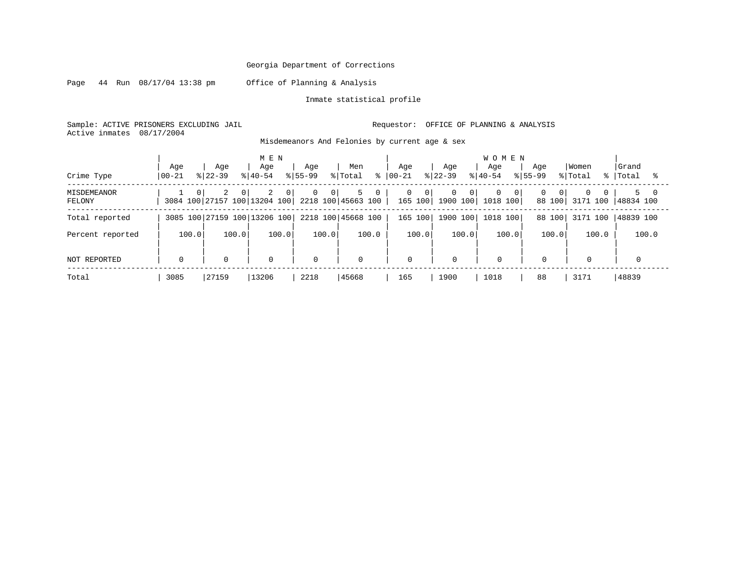Page 44 Run 08/17/04 13:38 pm Office of Planning & Analysis

Inmate statistical profile

Sample: ACTIVE PRISONERS EXCLUDING JAIL Requestor: OFFICE OF PLANNING & ANALYSIS Active inmates 08/17/2004

Misdemeanors And Felonies by current age & sex

| Crime Type            | Age<br>$ 00-21 $ | Age<br>$8122 - 39$ | M E N<br>Age<br>$ 40-54 $                                              | Aqe<br>$8155 - 99$               | Men<br>% Total     | Aqe<br>$8   00 - 21$                      | Age<br>$8 22-39$                     | <b>WOMEN</b><br>Age<br>$8140 - 54$     | Aqe<br>$8155 - 99$      | Women<br>% Total                 | Grand<br>%   Total |
|-----------------------|------------------|--------------------|------------------------------------------------------------------------|----------------------------------|--------------------|-------------------------------------------|--------------------------------------|----------------------------------------|-------------------------|----------------------------------|--------------------|
| MISDEMEANOR<br>FELONY | $\Omega$         | 2<br>$\Omega$      | $\overline{2}$<br>0<br>3084 100 27157 100 13204 100 2218 100 45663 100 | $\overline{0}$<br>0 <sup>1</sup> | 5<br>$\mathbf{0}$  | $\mathbf{0}$<br>0 <sup>1</sup><br>165 100 | $\Omega$<br>$\mathbf{0}$<br>1900 100 | $\Omega$<br>$\overline{0}$<br>1018 100 | 0<br>$\Omega$<br>88 100 | $\Omega$<br>$\Omega$<br>3171 100 | $5 -$<br>48834 100 |
| Total reported        |                  |                    | 3085 100 27159 100 13206 100                                           |                                  | 2218 100 45668 100 | 165 100                                   | 1900 100                             | 1018 100                               | 88 100                  | 3171 100                         | 48839 100          |
| Percent reported      | 100.0            | 100.0              | 100.0                                                                  | 100.0                            | 100.0              | 100.0                                     | 100.0                                | 100.0                                  | 100.0                   | 100.0                            | 100.0              |
| NOT REPORTED          | $\mathbf 0$      | $\mathbf 0$        | 0                                                                      | 0                                | $\mathbf{0}$       | $\mathbf 0$                               | $\Omega$                             | $\mathbf 0$                            | 0                       | 0                                | $\Omega$           |
| Total                 | 3085             | 27159              | 13206                                                                  | 2218                             | 45668              | 165                                       | 1900                                 | 1018                                   | 88                      | 3171                             | 48839              |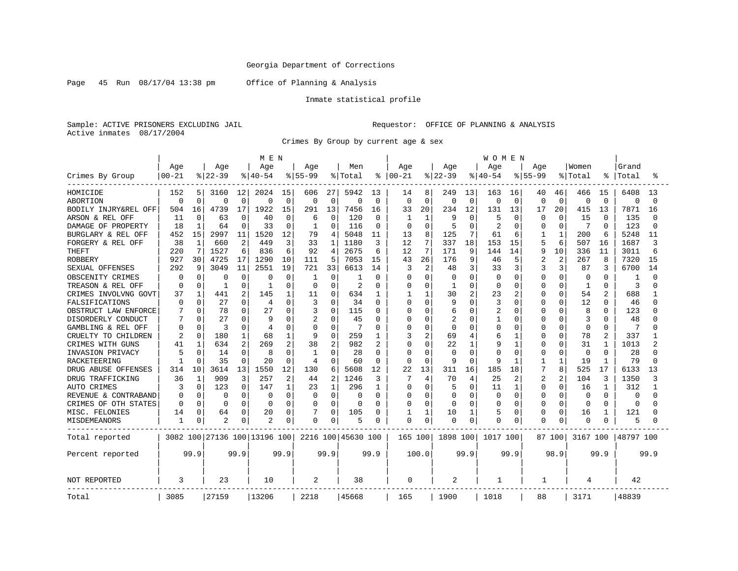Page 45 Run 08/17/04 13:38 pm Office of Planning & Analysis

### Inmate statistical profile

Sample: ACTIVE PRISONERS EXCLUDING JAIL Requestor: OFFICE OF PLANNING & ANALYSIS Active inmates 08/17/2004

Crimes By Group by current age & sex

|                      |              |              |           |                | M E N                        |              |                |              |                    |                |              |                |              |              | WOMEN        |              |              |              |          |                |           |          |  |
|----------------------|--------------|--------------|-----------|----------------|------------------------------|--------------|----------------|--------------|--------------------|----------------|--------------|----------------|--------------|--------------|--------------|--------------|--------------|--------------|----------|----------------|-----------|----------|--|
|                      | Age          |              | Age       |                | Age                          |              | Aqe            |              | Men                |                | Age          |                | Age          |              | Age          |              | Aqe          |              | Women    |                | Grand     |          |  |
| Crimes By Group      | $00 - 21$    |              | $8 22-39$ |                | $8 40-54$                    |              | $8155 - 99$    |              | % Total            | ి              | $00 - 21$    |                | $8 22-39$    |              | $8 40-54$    |              | $8155 - 99$  |              | % Total  | ి              | Total     |          |  |
| HOMICIDE             | 152          | 5            | 3160      | 12             | 2024                         | 15           | 606            | 27           | 5942               | 13             | 14           | 8              | 249          | 13           | 163          | 16           | 40           | 46           | 466      | 15             | 6408      | 13       |  |
| ABORTION             | $\Omega$     | $\Omega$     | $\Omega$  | $\Omega$       | $\mathbf 0$                  | $\mathbf 0$  | $\mathbf 0$    | $\Omega$     | 0                  | 0              | $\Omega$     | $\mathbf 0$    | $\Omega$     | $\mathbf 0$  | 0            | $\mathbf 0$  | $\mathbf 0$  | $\Omega$     | 0        | $\Omega$       | 0         | $\Omega$ |  |
| BODILY INJRY&REL OFF | 504          | 16           | 4739      | 17             | 1922                         | 15           | 291            | 13           | 7456               | 16             | 33           | 20             | 234          | 12           | 131          | 13           | 17           | 20           | 415      | 13             | 7871      | 16       |  |
| ARSON & REL OFF      | 11           | $\Omega$     | 63        | $\Omega$       | 40                           | $\Omega$     | 6              | $\Omega$     | 120                | $\Omega$       | 1            | 1              | 9            | $\Omega$     | 5            | $\Omega$     | $\Omega$     | $\Omega$     | 15       | $\Omega$       | 135       | n        |  |
| DAMAGE OF PROPERTY   | 18           | $\mathbf{1}$ | 64        | $\Omega$       | 33                           | 0            | 1              | O            | 116                | 0              | $\Omega$     | $\Omega$       |              | $\Omega$     | 2            | $\Omega$     | O            | $\sqrt{ }$   | 7        | $\Omega$       | 123       |          |  |
| BURGLARY & REL OFF   | 452          | 15           | 2997      | 11             | 1520                         | 12           | 79             | 4            | 5048               | 11             | 13           | 8              | 125          | 7            | 61           | 6            | $\mathbf{1}$ | $\mathbf{1}$ | 200      | 6              | 5248      | 11       |  |
| FORGERY & REL OFF    | 38           | $\mathbf{1}$ | 660       | $\overline{c}$ | 449                          | 3            | 33             |              | 1180               | 3              | 12           | 7              | 337          | 18           | 153          | 15           | 5            | 6            | 507      | 16             | 1687      | 3        |  |
| <b>THEFT</b>         | 220          | 7            | 1527      | 6              | 836                          | 6            | 92             | 4            | 2675               | 6              | 12           | 7              | 171          | 9            | 144          | 14           | 9            | 10           | 336      | 11             | 3011      |          |  |
| <b>ROBBERY</b>       | 927          | 30           | 4725      | 17             | 1290                         | 10           | 111            | 5            | 7053               | 15             | 43           | 26             | 176          | 9            | 46           | 5            | 2            | 2            | 267      | 8              | 7320      | 15       |  |
| SEXUAL OFFENSES      | 292          | 9            | 3049      | 11             | 2551                         | 19           | 721            | 33           | 6613               | 14             | 3            | $\overline{2}$ | 48           | 3            | 33           | 3            | 3            | 3            | 87       | 3              | 6700      | 14       |  |
| OBSCENITY CRIMES     | <sup>0</sup> | O            | $\Omega$  | $\Omega$       | C                            | $\Omega$     | 1              | $\Omega$     | -1                 | $\Omega$       | O            | $\Omega$       | C            | $\Omega$     | $\Omega$     | $\Omega$     | O            | $\cap$       | $\Omega$ | U              | -1        |          |  |
| TREASON & REL OFF    | <sup>0</sup> | $\Omega$     | 1         | $\Omega$       | -1                           | $\Omega$     | $\Omega$       | 0            | $\overline{2}$     | 0              | U            | $\Omega$       |              | $\Omega$     | $\Omega$     | $\Omega$     | 0            | $\Omega$     | 1        | $\Omega$       | 3         |          |  |
| CRIMES INVOLVNG GOVT | 37           | 1            | 441       | $\overline{2}$ | 145                          | $\mathbf{1}$ | 11             | 0            | 634                | 1              |              | $\mathbf{1}$   | 30           | 2            | 23           | 2            | 0            | $\Omega$     | 54       | $\overline{2}$ | 688       |          |  |
| FALSIFICATIONS       | $\Omega$     | U            | 27        | $\Omega$       | 4                            | $\Omega$     | 3              | 0            | 34                 | $\Omega$       | O            | $\Omega$       | 9            | $\Omega$     | 3            | $\Omega$     | O            | O            | 12       | $\Omega$       | 46        |          |  |
| OBSTRUCT LAW ENFORCE |              | 0            | 78        | $\Omega$       | 27                           | $\Omega$     | 3              | U            | 115                | O              |              | $\Omega$       | 6            | $\Omega$     | 2            | O            |              | C            | 8        | 0              | 123       |          |  |
| DISORDERLY CONDUCT   |              | U            | 27        | ∩              |                              | O            | 2              | 0            | 45                 | O              |              | $\Omega$       |              | $\Omega$     |              | $\Omega$     | O            | U            | 3        | U              | 48        |          |  |
| GAMBLING & REL OFF   | O            | $\Omega$     | 3         | <sup>0</sup>   | 4                            | $\Omega$     | $\Omega$       | O            | 7                  | 0              |              | $\Omega$       | $\Omega$     | $\Omega$     | $\Omega$     | $\Omega$     | O            | $\Omega$     | $\Omega$ | $\Omega$       | 7         |          |  |
| CRUELTY TO CHILDREN  | 2            | $\Omega$     | 180       |                | 68                           | $\mathbf{1}$ | 9              | 0            | 259                | 1              |              | $\overline{2}$ | 69           | 4            | 6            | 1            | Ω            | $\Omega$     | 78       | $\overline{2}$ | 337       |          |  |
| CRIMES WITH GUNS     | 41           | $\mathbf{1}$ | 634       | 2              | 269                          | 2            | 38             | 2            | 982                | $\overline{2}$ |              | $\Omega$       | 22           | $\mathbf{1}$ | 9            | 1            | O            | $\Omega$     | 31       | $\mathbf{1}$   | 1013      |          |  |
| INVASION PRIVACY     |              | U            | 14        | $\Omega$       | 8                            | 0            | 1              | 0            | 28                 | $\Omega$       |              | $\Omega$       | O            | $\Omega$     | ſ            | $\Omega$     | O            | O            | 0        | $\Omega$       | 28        |          |  |
| RACKETEERING         |              | U            | 35        | ∩              | 20                           | $\Omega$     | $\overline{4}$ | U            | 60                 | 0              | U            | $\Omega$       | q            | $\Omega$     | 9            |              |              | $\mathbf{1}$ | 19       | 1              | 79        |          |  |
| DRUG ABUSE OFFENSES  | 314          | 10           | 3614      | 13             | 1550                         | 12           | 130            | 6            | 5608               | 12             | 22           | 13             | 311          | 16           | 185          | 18           | 7            | 8            | 525      | 17             | 6133      | 1 ว      |  |
| DRUG TRAFFICKING     | 36           | 1            | 909       | 3              | 257                          | 2            | 44             | 2            | 1246               | 3              | 7            | 4              | 70           | 4            | 25           | 2            | 2            | 2            | 104      | 3              | 1350      |          |  |
| AUTO CRIMES          | 3            | $\Omega$     | 123       | $\cap$         | 147                          | $\mathbf{1}$ | 23             | $\mathbf{1}$ | 296                | 1              | U            | $\Omega$       | 5            | $\Omega$     | 11           | $\mathbf{1}$ | O            | $\cap$       | 16       | 1              | 312       |          |  |
| REVENUE & CONTRABAND | <sup>0</sup> | $\Omega$     | ∩         | $\Omega$       | n                            | $\Omega$     | $\Omega$       | $\Omega$     | $\Omega$           | 0              | U            | $\Omega$       | U            | $\Omega$     | O            | $\Omega$     | O            | O            | $\Omega$ | <sup>0</sup>   | $\Omega$  |          |  |
| CRIMES OF OTH STATES | <sup>0</sup> | $\Omega$     | $\Omega$  |                | n                            | $\Omega$     | $\Omega$       | $\Omega$     | $\Omega$           | N              |              | $\Omega$       | <sup>0</sup> | $\Omega$     | $\Omega$     | $\Omega$     | 0            | N            | $\Omega$ | $\Omega$       | $\Omega$  |          |  |
| MISC. FELONIES       | 14           | $\Omega$     | 64        | $\Omega$       | 20                           | 0            |                | O            | 105                | U              |              | $\mathbf{1}$   | 10           | $\mathbf 1$  | 5            | $\Omega$     | O            | O            | 16       | 1              | 121       |          |  |
| MISDEMEANORS         | 1            | 0            | 2         | $\Omega$       | 2                            | 0            | 0              | 0            | 5                  | 0              | <sup>0</sup> | $\Omega$       | $\Omega$     | 0            | $\Omega$     | 0            | O            | $\Omega$     | 0        | O              | 5         |          |  |
| Total reported       |              |              |           |                | 3082 100 27136 100 13196 100 |              |                |              | 2216 100 45630 100 |                | 165 100      |                | 1898 100     |              | 1017 100     |              |              | 87 100       | 3167 100 |                | 48797 100 |          |  |
| Percent reported     |              | 99.9         |           | 99.9           |                              | 99.9         |                | 99.9         |                    | 99.9           |              | 100.0          |              | 99.9         |              | 99.9         |              | 98.9         |          | 99.9           |           | 99.9     |  |
| <b>NOT REPORTED</b>  | 3            |              | 23        |                | 10                           |              | 2              |              | 38                 |                | 0            |                | 2            |              | $\mathbf{1}$ |              | 1            |              | 4        |                | 42        |          |  |
| Total                | 3085         |              | 27159     |                | 13206                        |              | 2218           |              | 45668              |                | 165          |                | 1900         |              | 1018         |              | 88           |              | 3171     |                | 48839     |          |  |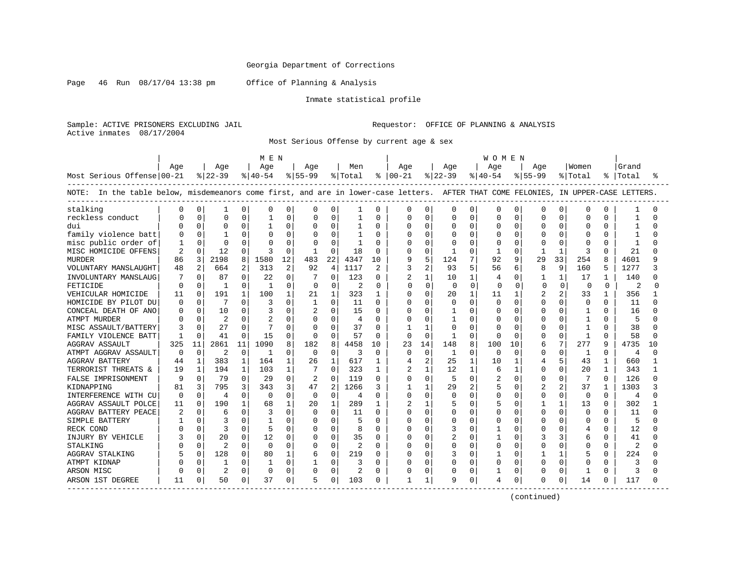Page 46 Run 08/17/04 13:38 pm Office of Planning & Analysis

#### Inmate statistical profile

Sample: ACTIVE PRISONERS EXCLUDING JAIL Requestor: OFFICE OF PLANNING & ANALYSIS Active inmates 08/17/2004

Most Serious Offense by current age & sex

|                                                                                                                                    |                |              |                |              | M E N        |          |                |              |         |          |               |                |              |              | W O M E N |              |                |              |                |              |           |     |
|------------------------------------------------------------------------------------------------------------------------------------|----------------|--------------|----------------|--------------|--------------|----------|----------------|--------------|---------|----------|---------------|----------------|--------------|--------------|-----------|--------------|----------------|--------------|----------------|--------------|-----------|-----|
|                                                                                                                                    | Age            |              | Aqe            |              | Age          |          | Aqe            |              | Men     |          | Aqe           |                | Age          |              | Aqe       |              | Aqe            |              | Women          |              | Grand     |     |
| Most Serious Offense 00-21                                                                                                         |                |              | $ 22-39 $      |              | $ 40-54$     |          | $ 55-99$       |              | % Total |          | $8   00 - 21$ |                | $ 22-39 $    |              | $ 40-54$  |              | $8155 - 99$    |              | % Total        |              | %   Total |     |
| NOTE: In the table below, misdemeanors come first, and are in lower-case letters. AFTER THAT COME FELONIES, IN UPPER-CASE LETTERS. |                |              |                |              |              |          |                |              |         |          |               |                |              |              |           |              |                |              |                |              |           |     |
| stalking                                                                                                                           | O              | 0            | 1              | 0            | O            | 0        | 0              | 0            |         | 0        | 0             | 0              | 0            | 0            | 0         | O            | O              | O            | 0              | 0            |           |     |
| reckless conduct                                                                                                                   |                | 0            | $\Omega$       | 0            | $\mathbf{1}$ | $\Omega$ | $\Omega$       | 0            |         | $\Omega$ | O             | 0              | O            | 0            | $\Omega$  | $\cap$       | $\cap$         | U            | $\Omega$       | <sup>0</sup> | -1        |     |
| dui                                                                                                                                |                | $\cap$       | $\Omega$       | $\Omega$     | -1           | 0        | $\Omega$       | $\Omega$     | 1       | $\Omega$ | U             | $\Omega$       | U            | $\Omega$     | U         | $\Omega$     | U              | U            | $\cap$         | 0            | -1        |     |
| family violence batt                                                                                                               |                | $\Omega$     |                | O            |              | $\Omega$ | 0              | U            |         | 0        | Ω             | $\Omega$       | Ω            | $\Omega$     | 0         | $\Omega$     | $\Omega$       | 0            | $\Omega$       | 0            |           |     |
| misc public order of                                                                                                               |                | $\Omega$     | $\Omega$       | U            |              | $\Omega$ | 0              | $\Omega$     |         | $\cap$   |               | $\mathbf 0$    | Ω            | $\cap$       | $\Omega$  | $\Omega$     |                | O            | $\Omega$       | $\Omega$     | -1        |     |
| MISC HOMICIDE OFFENS                                                                                                               | $\overline{2}$ | $\Omega$     | 12             | $\Omega$     | 3            | $\Omega$ | -1             | $\Omega$     | 18      | $\Omega$ | በ             | $\Omega$       |              | $\Omega$     | -1        | $\Omega$     | 1              | $\mathbf{1}$ | 3              | $\Omega$     | 21        |     |
| <b>MURDER</b>                                                                                                                      | 86             | 3            | 2198           | 8            | 1580         | 12       | 483            | 22           | 4347    | 10       | 9             | 5              | 124          | 7            | 92        | q            | 29             | 33           | 254            | 8            | 4601      | Q   |
| VOLUNTARY MANSLAUGHT                                                                                                               | 48             | 2            | 664            | 2            | 313          | 2        | 92             | 4            | 1117    | 2        | 3             | $\overline{2}$ | 93           | 5            | 56        | 6            | 8              | 9            | 160            | 5            | 1277      |     |
| INVOLUNTARY MANSLAUG                                                                                                               |                |              | 87             | $\Omega$     | 22           | $\Omega$ |                | $\Omega$     | 123     | 0        | 2             | $\mathbf{1}$   | 10           | $\mathbf{1}$ | 4         | O            | 1              | $\mathbf{1}$ | 17             |              | 140       |     |
| FETICIDE                                                                                                                           | $\cap$         | $\Omega$     | -1             | $\Omega$     | -1           | $\Omega$ | $\Omega$       | $\Omega$     | 2       | $\Omega$ | U             | $\Omega$       | $\Omega$     | $\Omega$     | $\cap$    | <sup>0</sup> | $\Omega$       | $\Omega$     | $\Omega$       | 0            |           |     |
| VEHICULAR HOMICIDE                                                                                                                 | 11             | $\Omega$     | 191            | 1            | 100          |          | 21             | $\mathbf{1}$ | 323     | 1        | N             | $\Omega$       | 20           | $\mathbf{1}$ | 11        | $\mathbf{1}$ | $\overline{c}$ |              | 33             | 1.           | 356       |     |
| HOMICIDE BY PILOT DU                                                                                                               | ∩              | $\Omega$     |                | $\Omega$     | 3            | $\Omega$ | $\mathbf{1}$   | $\Omega$     | 11      | $\Omega$ | O             | $\Omega$       | O            | $\Omega$     | $\Omega$  | $\Omega$     | $\Omega$       | $\Omega$     | $\mathbf 0$    | 0            | 11        |     |
| CONCEAL DEATH OF ANO                                                                                                               |                | $\Omega$     | 10             | $\Omega$     |              | 0        | 2              | $\Omega$     | 15      | $\Omega$ | በ             | $\Omega$       |              | $\Omega$     | O         | $\Omega$     | <sup>0</sup>   | O            | 1              | $\Omega$     | 16        |     |
| <b>ATMPT MURDER</b>                                                                                                                |                |              | 2              | 0            |              | O        | 0              | $\Omega$     | 4       | $\Omega$ | U             | 0              |              | U            | O         | O            | U              | U            | -1             | 0            | 5         |     |
| MISC ASSAULT/BATTERY                                                                                                               |                |              | 27             | $\Omega$     |              | O        | $\Omega$       | $\Omega$     | 37      | $\Omega$ |               | $\mathbf{1}$   | U            | $\Omega$     | O         | O            | <sup>0</sup>   | O            |                | O            | 38        |     |
| FAMILY VIOLENCE BATT                                                                                                               |                | n            | 41             | $\Omega$     | 15           | 0        | $\Omega$       | U            | 57      | $\Omega$ | $\Omega$      | $\Omega$       |              | $\Omega$     | $\Omega$  | ∩            | <sup>0</sup>   | O            | $\mathbf{1}$   | 0            | 58        |     |
| AGGRAV ASSAULT                                                                                                                     | 325            | 11           | 2861           | 11           | 1090         | 8        | 182            | R            | 4458    | 10       | 23            | 14             | 148          | 8            | 100       | 10           | 6              | 7            | 277            | q            | 4735      | 1 ດ |
| ATMPT AGGRAV ASSAULT                                                                                                               | ∩              | $\Omega$     | 2              | $\Omega$     | -1           | $\Omega$ | $\Omega$       | $\Omega$     | 3       | $\Omega$ | $\Omega$      | $\Omega$       | 1            | $\Omega$     | $\Omega$  | $\Omega$     | $\Omega$       | 0            | -1             | $\Omega$     | 4         | U   |
| <b>AGGRAV BATTERY</b>                                                                                                              | 44             | 1            | 383            | 1            | 164          | 1        | 26             | $\mathbf{1}$ | 617     | 1        | 4             | 2              | 25           | $\mathbf 1$  | 10        | 1            | 4              | 5            | 43             | $\mathbf{1}$ | 660       |     |
| TERRORIST THREATS &                                                                                                                | 19             | $\mathbf{1}$ | 194            | $\mathbf{1}$ | 103          | 1        | 7              | $\Omega$     | 323     | 1        | 2             | $\mathbf{1}$   | 12           | 1            | 6         | 1            | <sup>0</sup>   | $\Omega$     | 20             | $\mathbf{1}$ | 343       |     |
| FALSE IMPRISONMENT                                                                                                                 | q              | $\Omega$     | 79             | $\Omega$     | 29           | $\Omega$ | $\overline{2}$ | $\Omega$     | 119     | $\Omega$ | O             | $\Omega$       | 5            | $\Omega$     | 2         | $\Omega$     | <sup>0</sup>   | 0            | 7              | $\Omega$     | 126       | ∩   |
| KIDNAPPING                                                                                                                         | 81             | 3            | 795            | 3            | 343          | 3        | 47             | 2            | 1266    | 3        |               | 1              | 29           | 2            | 5         | O            |                | 2            | 37             |              | 1303      |     |
| INTERFERENCE WITH CU                                                                                                               | $\Omega$       | $\Omega$     | 4              | $\Omega$     | $\Omega$     | 0        | $\Omega$       | $\Omega$     | 4       | $\Omega$ | 0             | $\Omega$       | 0            | $\Omega$     | 0         | O            | $\Omega$       | $\Omega$     | $\Omega$       | $\Omega$     | 4         |     |
| AGGRAV ASSAULT POLCE                                                                                                               | 11             | $\cap$       | 190            | 1            | 68           |          | 20             | $\mathbf{1}$ | 289     | 1        | 2             | $\mathbf{1}$   | 5            | <sup>0</sup> | 5         | $\cap$       | 1              | $\mathbf{1}$ | 13             | 0            | 302       |     |
| AGGRAV BATTERY PEACE                                                                                                               | 2              | $\Omega$     | 6              | $\Omega$     | 3            | $\Omega$ | $\Omega$       | $\Omega$     | 11      | O        | <sup>0</sup>  | $\Omega$       | O            | $\Omega$     | O         | $\cap$       | $\Omega$       | $\Omega$     | $\Omega$       | $\Omega$     | 11        | ∩   |
| SIMPLE BATTERY                                                                                                                     |                | $\Omega$     | 3              | $\Omega$     |              | $\Omega$ | $\Omega$       | $\Omega$     | 5       | $\Omega$ | ი             | $\mathbf 0$    | 0            | $\Omega$     | $\Omega$  | O            | $\Omega$       | 0            | $\Omega$       | 0            | 5         |     |
| RECK COND                                                                                                                          |                | $\Omega$     | 3              | $\Omega$     | 5            | $\Omega$ | $\Omega$       | $\Omega$     | 8       | $\Omega$ |               | $\Omega$       | 3            | $\Omega$     |           | $\Omega$     | $\Omega$       | $\Omega$     | $\overline{4}$ | $\Omega$     | 12        |     |
| INJURY BY VEHICLE                                                                                                                  |                | <sup>0</sup> | 20             | 0            | 12           | 0        | 0              | $\Omega$     | 35      | $\Omega$ | N             | 0              | 2            | $\Omega$     |           | O            | 3              | 3            | 6              | 0            | 41        |     |
| STALKING                                                                                                                           |                |              | $\overline{c}$ | $\Omega$     | $\Omega$     | $\Omega$ | $\Omega$       | $\Omega$     | 2       | $\Omega$ | O             | 0              | U            | $\Omega$     | $\Omega$  | O            | $\Omega$       | O            | $\Omega$       | 0            | 2         |     |
| <b>AGGRAV STALKING</b>                                                                                                             |                | $\Omega$     | 128            | 0            | 80           |          | 6              | 0            | 219     | O        | N             | 0              | 3            | $\Omega$     | 1         | O            |                | 1            |                | 0            | 224       |     |
| ATMPT KIDNAP                                                                                                                       |                | $\Omega$     | -1             | $\Omega$     |              | $\Omega$ | $\mathbf{1}$   | $\Omega$     | 3       | $\Omega$ | U             | $\Omega$       | <sup>0</sup> | $\Omega$     | $\Omega$  | $\Omega$     | $\cap$         | $\Omega$     | $\cap$         | 0            | 3         |     |
| ARSON MISC                                                                                                                         |                | $\Omega$     | $\overline{c}$ | $\mathbf 0$  | $\Omega$     | $\Omega$ | $\Omega$       | $\Omega$     | 2       | O        | Ω             | $\Omega$       | 0            | $\Omega$     | 1         | $\Omega$     | $\Omega$       | 0            | $\mathbf{1}$   | $\Omega$     | 3         |     |
| ARSON 1ST DEGREE<br>. <u>.</u> .                                                                                                   | 11             | $\Omega$     | 50             | 0            | 37           | 0        | 5              | 0            | 103     | 0        | 1             | $\mathbf{1}$   | 9            | 0            | 4         | $\Omega$     | <sup>0</sup>   | 0            | 14             | U            | 117       |     |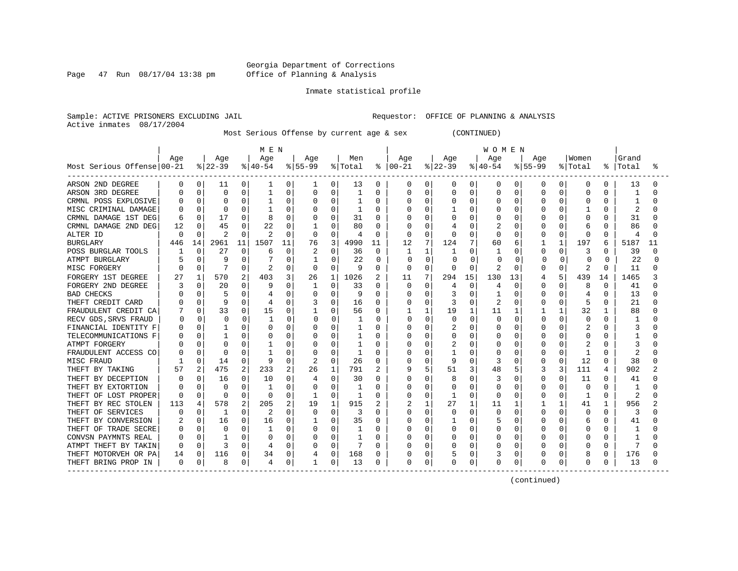Page 47 Run 08/17/04 13:38 pm

#### Inmate statistical profile

Sample: ACTIVE PRISONERS EXCLUDING JAIL **Requestor:** OFFICE OF PLANNING & ANALYSIS Active inmates 08/17/2004

Most Serious Offense by current age & sex (CONTINUED)

|                            |     |              |           |          | M E N    |          |                |              |              |          |               |              |           |                | <b>WOMEN</b> |             |             |          |              |          |       |    |
|----------------------------|-----|--------------|-----------|----------|----------|----------|----------------|--------------|--------------|----------|---------------|--------------|-----------|----------------|--------------|-------------|-------------|----------|--------------|----------|-------|----|
|                            | Age |              | Age       |          | Age      |          | Age            |              | Men          |          | Age           |              | Age       |                | Age          |             | Age         |          | Women        |          | Grand |    |
| Most Serious Offense 00-21 |     |              | $ 22-39 $ |          | $ 40-54$ |          | $8 55-99$      |              | % Total      |          | $8   00 - 21$ |              | $ 22-39 $ |                | $ 40-54 $    |             | $8155 - 99$ |          | % Total      | ႜ        | Total |    |
| ARSON 2ND DEGREE           | 0   | 0            | 11        | 0        |          | 0        | 1              | 0            | 13           | 0        | 0             | 0            | 0         | $\overline{0}$ | 0            | 0           | 0           | 0        | 0            | 0        | 13    |    |
| ARSON 3RD DEGREE           |     | $\Omega$     | 0         | 0        |          | 0        | $\Omega$       | 0            | 1            | 0        |               | $\Omega$     | 0         | $\mathbf 0$    | 0            | 0           | 0           | 0        | 0            | U        |       |    |
| CRMNL POSS EXPLOSIVE       |     | $\Omega$     | $\Omega$  | 0        |          | U        | $\Omega$       | 0            |              | O        |               | $\Omega$     | U         | $\Omega$       | 0            | $\Omega$    | 0           | O        | 0            | U        |       |    |
| MISC CRIMINAL DAMAGE       |     | 0            | $\Omega$  | $\Omega$ |          | U        | O              | O            | 1            | O        |               | $\Omega$     |           | $\Omega$       | O            | $\Omega$    |             | O        |              | O        |       |    |
| CRMNL DAMAGE 1ST DEG       |     | $\Omega$     | 17        | $\Omega$ |          | O        | 0              | 0            | 31           | O        |               | $\Omega$     |           | <sup>n</sup>   | O            | $\Omega$    |             | O        | <sup>0</sup> | 0        | 31    |    |
| CRMNL DAMAGE 2ND DEG       | 12  |              | 45        | 0        | 22       | 0        |                | U            | 80           | 0        |               | $\Omega$     |           | U              |              | $\Omega$    |             | $\Omega$ | 6            | U        | 86    |    |
| ALTER ID                   | O   |              | 2         | $\Omega$ |          | $\Omega$ | O              | O            | 4            | $\Omega$ |               | $\Omega$     |           | $\Omega$       | O            | $\Omega$    |             | $\Omega$ | $\Omega$     | 0        |       |    |
| <b>BURGLARY</b>            | 446 | 14           | 2961      | 11       | 1507     | 11       | 76             | 3            | 4990         | 11       | 12            | 7            | 124       | 7              | 60           | 6           |             | 1        | 197          | 6        | 5187  | 11 |
| POSS BURGLAR TOOLS         |     | 0            | 27        | 0        | 6        | $\Omega$ |                | 0            | 36           | 0        |               | 1            |           | 0              |              | $\Omega$    | 0           | $\Omega$ | 3            | 0        | 39    |    |
| ATMPT BURGLARY             |     | $\Omega$     | q         | 0        |          | $\Omega$ | 1              | $\Omega$     | 22           | $\Omega$ | O             | $\Omega$     | $\Omega$  | 0              | O            | $\Omega$    |             | $\Omega$ | $\Omega$     | 0        | 2.2   |    |
| MISC FORGERY               |     | $\Omega$     | 7         | 0        | 2        | 0        | 0              | 0            | 9            | 0        | 0             | 0            | $\Omega$  | $\Omega$       | 2            | $\Omega$    | U           | 0        | 2            | 0        | 11    |    |
| FORGERY 1ST DEGREE         | 27  |              | 570       | 2        | 403      | 3        | 26             | 1            | 1026         | 2        | 11            | 7            | 294       | 15             | 130          | 13          |             | 5        | 439          | 14       | 1465  |    |
| FORGERY 2ND DEGREE         |     | 0            | 20        | 0        | 9        | O        | 1              | 0            | 33           | 0        | <sup>0</sup>  | $\Omega$     | 4         | 0              | 4            | $\Omega$    | U           | O        | 8            | 0        | 41    |    |
| <b>BAD CHECKS</b>          |     |              | 5         | $\Omega$ |          | U        | 0              | 0            | 9            | O        |               | $\Omega$     | 3         | O              |              | $\Omega$    |             | 0        | 4            | O        | 13    |    |
| THEFT CREDIT CARD          |     |              | q         | 0        |          | U        |                | 0            | 16           | O        |               | $\Omega$     |           | $\Omega$       | 2            | 0           |             | O        | 5            | O        | 21    |    |
| FRAUDULENT CREDIT CA       |     |              | 33        | 0        | 15       | U        | -1             | O            | 56           | O        |               | 1            | 19        | $\mathbf{1}$   | 11           | 1           |             |          | 32           | -1       | 88    |    |
| RECV GDS, SRVS FRAUD       |     | O            | $\Omega$  | $\Omega$ |          | U        | <sup>0</sup>   | <sup>0</sup> |              | ∩        | U             | $\Omega$     | U         | $\Omega$       | <sup>0</sup> | n           | U           | U        | $\Omega$     | U        |       |    |
| FINANCIAL IDENTITY F       |     |              |           | $\Omega$ |          | O        | O              | O            |              | O        |               | <sup>0</sup> |           | 0              | O            | $\Omega$    |             | O        |              | U        |       |    |
| TELECOMMUNICATIONS F       |     |              |           | $\Omega$ |          | U        | 0              | 0            |              | O        |               | $\Omega$     | Ω         | $\Omega$       | O            | $\Omega$    |             | O        | $\Omega$     | U        |       |    |
| ATMPT FORGERY              |     |              | $\Omega$  | 0        |          | U        | 0              | 0            |              | O        |               | $\Omega$     |           | $\Omega$       | Ω            | $\Omega$    |             | O        |              |          | 3     |    |
| FRAUDULENT ACCESS CO       |     |              | C         | O        |          | 0        | 0              | O            | $\mathbf{1}$ | U        |               | $\Omega$     |           | $\Omega$       |              | $\Omega$    |             | $\Omega$ | $\mathbf{1}$ | U        | 2     |    |
| MISC FRAUD                 |     | $\Omega$     | 14        | 0        | 9        | $\Omega$ | $\overline{2}$ | 0            | 26           | 0        |               | $\mathbf 0$  | 9         | $\Omega$       | 3            | 0           | 0           | $\Omega$ | 12           | $\Omega$ | 38    |    |
| THEFT BY TAKING            | 57  | 2            | 475       | 2        | 233      | 2        | 26             | 1            | 791          | 2        |               | 5            | 51        | 3              | 48           | 5           | 3           | 3        | 111          | 4        | 902   |    |
| THEFT BY DECEPTION         |     | <sup>0</sup> | 16        | 0        | 10       | 0        | 4              | 0            | 30           | $\Omega$ |               | $\Omega$     | 8         | $\Omega$       | 3            | 0           | 0           | $\Omega$ | 11           | $\cap$   | 41    |    |
| THEFT BY EXTORTION         |     | O            | $\Omega$  | $\Omega$ |          | O        | O              | O            | 1            | O        |               | $\Omega$     | U         | $\Omega$       | O            | $\Omega$    | U           | O        | $\Omega$     | 0        | -1    |    |
| THEFT OF LOST PROPER       | ∩   | $\Omega$     | $\Omega$  | 0        | 0        | 0        | -1             | 0            | 1            | 0        |               | 0            |           | $\Omega$       | O            | $\Omega$    | O           | O        | 1            | 0        | 2     |    |
| THEFT BY REC STOLEN        | 113 | 4            | 578       | 2        | 205      | 2        | 19             | 1            | 915          | 2        |               | 1            | 27        | $\mathbf{1}$   | 11           | 1           |             |          | 41           | 1        | 956   |    |
| THEFT OF SERVICES          |     |              | 1         | 0        | 2        | 0        | 0              | 0            | 3            | O        |               | 0            |           | $\Omega$       | $\Omega$     | 0           |             | 0        | $\Omega$     | U        | 3     |    |
| THEFT BY CONVERSION        |     | $\Omega$     | 16        | 0        | 16       | 0        |                | 0            | 35           | 0        |               | $\Omega$     |           | $\Omega$       | 5            | 0           | Ω           | O        | 6            | U        | 41    |    |
| THEFT OF TRADE SECRE       |     |              | $\Omega$  | $\Omega$ |          | 0        | $\Omega$       | O            |              | O        |               | $\Omega$     | U         | $\Omega$       | O            | $\Omega$    | O           | O        | O            | U        |       |    |
| CONVSN PAYMNTS REAL        |     |              |           | 0        | O        | O        | 0              | 0            | 1            | O        |               | $\Omega$     | Λ         | $\Omega$       | O            | $\Omega$    |             | $\Omega$ | O            | U        |       |    |
| ATMPT THEFT BY TAKIN       |     | $\Omega$     | 3         | 0        |          | $\Omega$ | U              | O            |              | O        |               | $\Omega$     |           | $\Omega$       | O            | $\Omega$    | U           | $\Omega$ | O            | 0        | 7     |    |
| THEFT MOTORVEH OR PA       | 14  | 0            | 116       | 0        | 34       | 0        |                | 0            | 168          | 0        |               | $\Omega$     | 5         | 0              | 3            | $\mathbf 0$ |             | 0        | 8            | 0        | 176   |    |
| THEFT BRING PROP IN        | 0   | $\Omega$     | 8         | 0        | 4        | 0        |                | 0            | 13           | 0        | $\Omega$      | 0            | Ω         | 0              | 0            | 0           | U           | 0        | 0            | 0        | 13    |    |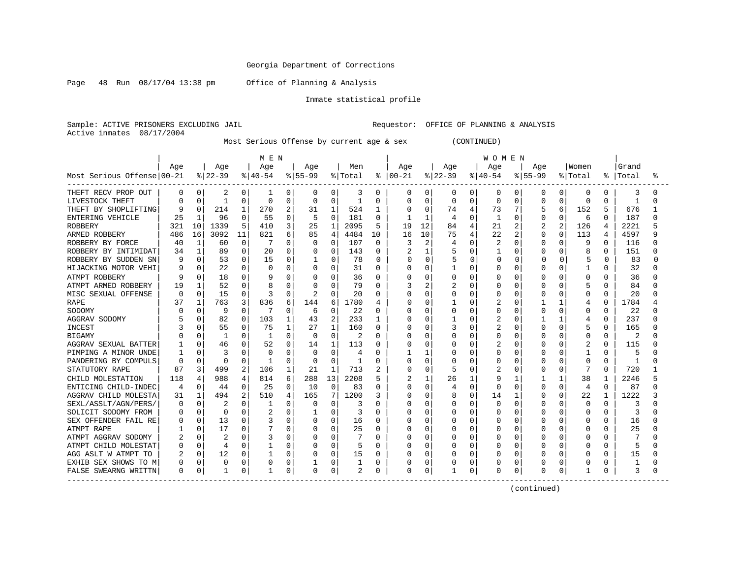Page 48 Run 08/17/04 13:38 pm Office of Planning & Analysis

#### Inmate statistical profile

Sample: ACTIVE PRISONERS EXCLUDING JAIL Requestor: OFFICE OF PLANNING & ANALYSIS Active inmates 08/17/2004

Most Serious Offense by current age & sex (CONTINUED)

|                            |          |              |           |          | M E N    |          |             |          |                |              |               |                |          |              | <b>WOMEN</b>   |          |              |              |              |              |           |   |
|----------------------------|----------|--------------|-----------|----------|----------|----------|-------------|----------|----------------|--------------|---------------|----------------|----------|--------------|----------------|----------|--------------|--------------|--------------|--------------|-----------|---|
|                            | Age      |              | Age       |          | Age      |          | Age         |          | Men            |              | Age           |                | Aqe      |              | Age            |          | Aqe          |              | Women        |              | Grand     |   |
| Most Serious Offense 00-21 |          |              | $8 22-39$ |          | $ 40-54$ |          | $8155 - 99$ |          | % Total        |              | $8   00 - 21$ |                | $ 22-39$ |              | $ 40-54$       |          | $8155 - 99$  |              | % Total      |              | %   Total | ° |
| THEFT RECV PROP OUT        | 0        | 0            | 2         | 0        | -1       | 0        | 0           | 0        | 3              | 0            | 0             | 0              | 0        | $\mathbf 0$  | 0              | 0        | O            | $\Omega$     | $\mathbf 0$  | 0            | 3         | U |
| LIVESTOCK THEFT            |          | $\Omega$     |           | $\Omega$ | $\Omega$ | $\Omega$ | $\Omega$    | $\Omega$ |                | 0            | 0             | $\Omega$       | 0        | $\Omega$     | $\Omega$       | 0        | $\Omega$     | O            | $\Omega$     | 0            | -1        | O |
| THEFT BY SHOPLIFTING       | 9        |              | 214       | 1        | 270      | 2        | 31          | 1        | 524            | 1            | O             | 0              | 74       | 4            | 73             |          |              | 6            | 152          | 5            | 676       |   |
| ENTERING VEHICLE           | 25       |              | 96        | 0        | 55       | 0        | 5           | $\Omega$ | 181            | $\Omega$     |               | 1              | 4        | $\Omega$     | $\mathbf{1}$   | O        | $\Omega$     | U            | 6            | 0            | 187       |   |
| <b>ROBBERY</b>             | 321      | 10           | 1339      | 5        | 410      | 3        | 25          | 1        | 2095           | 5            | 19            | 12             | 84       |              | 21             | 2        | 2            | 2            | 126          | 4            | 2221      |   |
| ARMED ROBBERY              | 486      | 16           | 3092      | 11       | 821      | 6        | 85          | 4        | 4484           | 10           | 16            | 10             | 75       | 4            | 22             | 2        | O            | $\Omega$     | 113          | 4            | 4597      |   |
| ROBBERY BY FORCE           | 40       | 1            | 60        | $\Omega$ |          | O        | $\Omega$    | $\Omega$ | 107            | $\Omega$     | 3             | $\overline{2}$ | 4        | $\Omega$     | $\overline{2}$ | 0        | O            | U            | 9            | $\Omega$     | 116       |   |
| ROBBERY BY INTIMIDAT       | 34       |              | 89        | 0        | 20       | 0        | 0           | U        | 143            | 0            | 2             | 1              | 5        | $\Omega$     |                | 0        | 0            | 0            | 8            | 0            | 151       |   |
| ROBBERY BY SUDDEN SN       |          | $\Omega$     | 53        | 0        | 15       | 0        |             | 0        | 78             | $\Omega$     | N             | 0              | 5        | N            | $\Omega$       | $\Omega$ |              | $\Omega$     | 5            | 0            | 83        |   |
| HIJACKING MOTOR VEHI       |          | 0            | 22        | 0        | $\Omega$ | $\Omega$ | 0           | 0        | 31             | $\Omega$     | ი             | 0              |          | O            | U              | $\Omega$ | <sup>0</sup> | O            |              | $\Omega$     | 32        |   |
| ATMPT ROBBERY              |          |              | 18        | 0        |          | O        | 0           | 0        | 36             | $\Omega$     |               | 0              | Ω        | O            | 0              | $\Omega$ | O            | O            | $\Omega$     | $\Omega$     | 36        |   |
| ATMPT ARMED ROBBERY        | 19       |              | 52        | $\Omega$ |          | O        | $\Omega$    | $\Omega$ | 79             | $\Omega$     |               | 2              | 2        | <sup>0</sup> | O              | O        | U            | O            |              | 0            | 84        |   |
| MISC SEXUAL OFFENSE        | ∩        | 0            | 15        | 0        | 3        | 0        | 2           | $\Omega$ | 20             | 0            | ი             | 0              | 0        | $\Omega$     | U              | O        | O            | O            | $\Omega$     | 0            | 20        |   |
| <b>RAPE</b>                | 37       |              | 763       | 3        | 836      | 6        | 144         | б        | 1780           | 4            | U             | $\Omega$       |          | O            |                | O        |              | -1           | 4            | O            | 1784      |   |
| SODOMY                     |          |              | 9         | 0        |          | 0        | 6           | $\Omega$ | 22             | 0            |               | 0              | Ω        | O            | 0              | O        | <sup>0</sup> | O            | <sup>0</sup> | O            | 22        |   |
| AGGRAV SODOMY              |          |              | 82        | $\Omega$ | 103      |          | 43          | 2        | 233            | 1            | Ω             | 0              |          | C            |                | O        |              | 1            | 4            | <sup>0</sup> | 237       |   |
| INCEST                     |          |              | 55        | $\Omega$ | 75       |          | 27          | 1        | 160            | 0            | N             | $\Omega$       | 3        | $\cap$       | 2              | $\cap$   | U            | U            | 5            | 0            | 165       |   |
| <b>BIGAMY</b>              |          |              | -1        | $\Omega$ |          | 0        | $\Omega$    | $\Omega$ | 2              | O            |               | $\Omega$       | Ω        | <sup>0</sup> | 0              | O        | U            | O            | $\Omega$     | 0            | 2         |   |
| AGGRAV SEXUAL BATTER       |          | $\Omega$     | 46        | $\Omega$ | 52       | $\Omega$ | 14          | 1        | 113            | <sup>0</sup> | U             | $\Omega$       | Ω        | $\Omega$     | 2              | $\Omega$ | U            | 0            | 2            | 0            | 115       |   |
| PIMPING A MINOR UNDE       |          |              | 3         | 0        | 0        | 0        | $\Omega$    | $\Omega$ | 4              | 0            |               | 1              | Ω        | $\Omega$     | 0              | 0        | O            | 0            |              | O            | 5         |   |
| PANDERING BY COMPULS       |          | $\Omega$     | $\Omega$  | 0        | -1       | O        | $\Omega$    | $\Omega$ |                | 0            |               | 0              | Ω        | $\Omega$     | 0              | $\Omega$ | $\cap$       | 0            | $\Omega$     | $\Omega$     | -1        |   |
| STATUTORY RAPE             | 87       | 3            | 499       | 2        | 106      | 1        | 21          | 1        | 713            | 2            | ი             | $\Omega$       | 5        | C            | 2              | 0        | O            | 0            | 7            | $\Omega$     | 720       |   |
| CHILD MOLESTATION          | 118      | 4            | 988       | 4        | 814      | 6        | 288         | 13       | 2208           | 5            | 2             | 1              | 26       |              | 9              | 1        |              | $\mathbf{1}$ | 38           | 1            | 2246      |   |
| ENTICING CHILD-INDEC       |          | $\Omega$     | 44        | $\Omega$ | 25       | 0        | 10          | $\Omega$ | 83             | 0            | U             | $\Omega$       | 4        | $\Omega$     | U              | $\cap$   | $\Omega$     | O            | 4            | $\Omega$     | 87        |   |
| AGGRAV CHILD MOLESTA       | 31       |              | 494       | 2        | 510      | 4        | 165         | 7        | 1200           | 3            | Λ             | $\Omega$       | 8        | $\Omega$     | 14             | -1       | O            | O            | 22           | 1            | 1222      |   |
| SEXL/ASSLT/AGN/PERS/       |          | $\Omega$     | 2         | 0        |          | 0        | 0           | $\Omega$ | 3              | O            | በ             | 0              | 0        | $\Omega$     | 0              | O        | U            | U            | $\Omega$     | 0            | 3         |   |
| SOLICIT SODOMY FROM        |          |              | $\Omega$  | $\Omega$ |          | O        |             | 0        | 3              | 0            |               | 0              | Ω        | O            | 0              | 0        |              |              | $\Omega$     | O            | 3         |   |
| SEX OFFENDER FAIL RE       |          | 0            | 13        | 0        |          | U        | $\Omega$    | $\Omega$ | 16             | $\Omega$     |               | 0              | Ω        | O            | U              | O        | O            |              | <sup>0</sup> | O            | 16        |   |
| ATMPT RAPE                 |          | <sup>0</sup> | 17        | 0        |          | U        | 0           | 0        | 25             | $\Omega$     | በ             | $\Omega$       | U        | n            | U              | O        | U            |              | <sup>0</sup> | 0            | 25        |   |
| ATMPT AGGRAV SODOMY        |          | $\Omega$     | 2         | $\Omega$ |          | O        | O           | $\Omega$ |                | <sup>0</sup> | ი             | $\Omega$       | U        | <sup>0</sup> | O              | O        | O            | O            | $\Omega$     | 0            |           |   |
| ATMPT CHILD MOLESTAT       |          | $\Omega$     | 4         | 0        |          | 0        | $\Omega$    | 0        | 5              | $\Omega$     |               | $\Omega$       | Ω        | $\Omega$     | O              | $\Omega$ | U            | O            | $\cap$       | 0            | 5         |   |
| AGG ASLT W ATMPT TO        | 2        | $\Omega$     | 12        | $\Omega$ |          | O        | 0           | 0        | 15             | $\Omega$     |               | 0              | Ω        | $\Omega$     | U              | 0        | U            | 0            | <sup>0</sup> | 0            | 15        |   |
| EXHIB SEX SHOWS TO M       | U        | $\mathbf 0$  | 0         | 0        |          | $\Omega$ |             | 0        |                | 0            |               | $\mathbf 0$    | Ω        | $\Omega$     | 0              | $\Omega$ |              |              | $\Omega$     |              |           |   |
| FALSE SWEARNG WRITTN       | $\Omega$ | 0            |           | 0        | -1       | 0        | 0           | 0        | $\overline{c}$ | 0            | O             | 0              |          | 0            | 0              | 0        | O            | 0            | $\mathbf{1}$ | O            | 3         | U |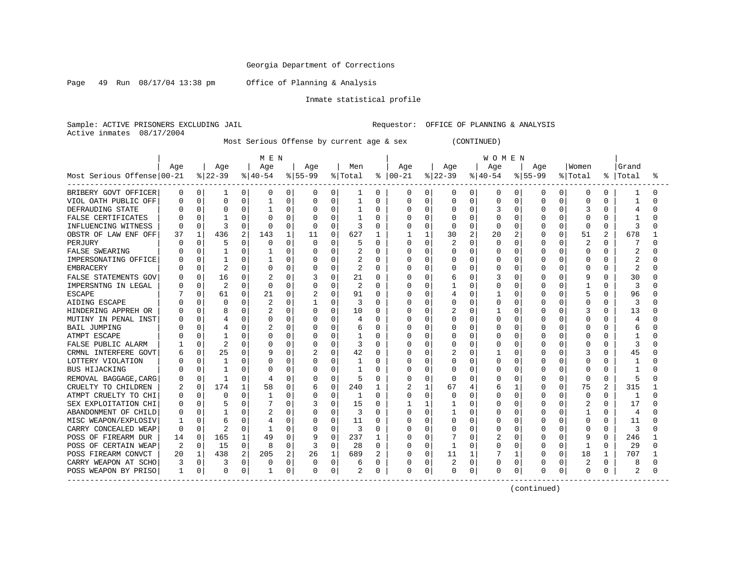Page 49 Run 08/17/04 13:38 pm Office of Planning & Analysis

#### Inmate statistical profile

Sample: ACTIVE PRISONERS EXCLUDING JAIL Requestor: OFFICE OF PLANNING & ANALYSIS Active inmates 08/17/2004

Most Serious Offense by current age & sex (CONTINUED)

|                            |     |          |                |          | M E N    |          |          | <b>WOMEN</b> |         |          |               |              |          |          |          |          |              |              |                |              |           |   |
|----------------------------|-----|----------|----------------|----------|----------|----------|----------|--------------|---------|----------|---------------|--------------|----------|----------|----------|----------|--------------|--------------|----------------|--------------|-----------|---|
|                            | Age |          | Age            |          | Age      |          | Age      |              | Men     |          | Age           |              | Age      |          | Age      |          | Age          |              | Women          |              | Grand     |   |
| Most Serious Offense 00-21 |     |          | $ 22-39$       |          | $ 40-54$ |          | $ 55-99$ |              | % Total |          | $8   00 - 21$ |              | $ 22-39$ |          | $ 40-54$ |          | $8 55-99$    |              | % Total        |              | %   Total | ° |
| BRIBERY GOVT OFFICER       | 0   | $\Omega$ | 1              | 0        | 0        | 0        | 0        | 0            | 1       | 0        | 0             | 0            | 0        | 0        | 0        | 0        | 0            | 0            | 0              | 0            |           | O |
| VIOL OATH PUBLIC OFF       |     | 0        | $\mathbf 0$    | U        |          | O        | 0        | 0            |         | 0        | 0             | $\mathbf 0$  | 0        | 0        | $\Omega$ | U        | $\Omega$     | O            | 0              |              |           |   |
| DEFRAUDING STATE           |     |          | ∩              | U        |          | O        | 0        | $\Omega$     |         | O        | Ω             | 0            | ი        | O        |          | U        | ∩            |              | 3              |              |           |   |
| <b>FALSE CERTIFICATES</b>  |     |          |                | ∩        |          | $\cap$   | $\Omega$ | $\Omega$     |         | O        |               | $\Omega$     | U        | U        | $\cap$   | U        | ∩            |              | $\Omega$       |              |           |   |
| INFLUENCING WITNESS        |     |          | 3              | U        | $\Omega$ | 0        | O        | $\Omega$     | 3       | O        |               | $\Omega$     | O        | O        | $\Omega$ | 0        |              | U            | $\Omega$       | <sup>0</sup> | 3         |   |
| OBSTR OF LAW ENF OFF       | 37  |          | 436            | 2        | 143      | 1        | 11       | 0            | 627     | 1        |               | $\mathbf{1}$ | 30       | 2        | 20       | 2        |              | $\Omega$     | 51             | 2            | 678       |   |
| PERJURY                    |     | 0        | 5              | U        | $\Omega$ | $\Omega$ | O        | $\Omega$     | 5       | O        |               | $\Omega$     | 2        | 0        | $\Omega$ | 0        |              | 0            | $\overline{c}$ | O            |           |   |
| <b>FALSE SWEARING</b>      |     |          |                | 0        |          | O        | 0        | $\Omega$     |         | $\Omega$ |               | $\mathbf 0$  | 0        | U        | $\Omega$ | 0        |              | $\Omega$     | $\Omega$       | $\Omega$     | 2         |   |
| IMPERSONATING OFFICE       |     |          |                | U        |          | 0        | 0        | 0            |         | $\Omega$ |               | 0            | Ω        | O        | O        | 0        |              | O            | 0              | O            |           |   |
| <b>EMBRACERY</b>           |     | 0        | 2              | O        | O        | $\Omega$ | 0        | $\Omega$     | 2       | $\Omega$ | Λ             | 0            | Ω        | O        | 0        | 0        | ∩            | O            | $\Omega$       | $\Omega$     | 2         | U |
| FALSE STATEMENTS GOV       |     | 0        | 16             | 0        |          | $\Omega$ | 3        | $\Omega$     | 21      | $\Omega$ |               | $\Omega$     | 6        | U        | 3        | 0        | n            | U            |                | O            | 30        |   |
| IMPERSNTNG IN LEGAL        |     | $\Omega$ | $\overline{2}$ | $\Omega$ | $\cap$   | $\Omega$ | O        | $\Omega$     | 2       | $\Omega$ | Λ             | 0            |          | $\Omega$ | $\Omega$ | O        | ∩            | U            | -1             | <sup>0</sup> | κ         | N |
| <b>ESCAPE</b>              |     | 0        | 61             | 0        | 21       | 0        | 2        | $\Omega$     | 91      | $\Omega$ | O             | 0            | 4        | 0        |          | 0        | O            | O            | 5              | 0            | 96        | U |
| AIDING ESCAPE              |     |          | $\mathbf 0$    |          |          | U        |          | 0            | 3       | O        |               | 0            | Ω        | O        | $\Omega$ | U        |              |              | $\Omega$       |              | κ         |   |
| HINDERING APPREH OR        |     |          |                |          |          | N        | 0        | $\Omega$     | 10      | 0        |               | 0            |          | 0        |          | U        |              |              | 3              |              | 13        |   |
| MUTINY IN PENAL INST       |     |          |                | U        |          | U        | O        | $\Omega$     | 4       | O        |               | 0            | ი        | $\cap$   | $\Omega$ | U        |              |              | $\Omega$       |              |           |   |
| <b>BAIL JUMPING</b>        |     |          |                | U        |          | U        | O        | $\Omega$     |         | O        |               | $\Omega$     | Ω        | O        | O        | U        |              |              | $\Omega$       |              |           |   |
| ATMPT ESCAPE               |     |          |                | $\cap$   | U        | U        | $\Omega$ | $\Omega$     |         | $\Omega$ |               | $\Omega$     | ი        | $\Omega$ | $\Omega$ | $\Omega$ |              | <sup>n</sup> | $\cap$         | U            |           |   |
| FALSE PUBLIC ALARM         |     | 0        | $\overline{c}$ | U        |          | $\Omega$ | 0        | $\Omega$     | 3       | $\Omega$ |               | $\Omega$     | Ω        | 0        | 0        | O        |              | $\Omega$     | $\Omega$       | O            | 3         |   |
| CRMNL INTERFERE GOVT       |     |          | 25             | U        |          | $\Omega$ | 2        | 0            | 42      | $\Omega$ |               | 0            | 2        | $\Omega$ |          | O        |              | O            | 3              | O            | 45        |   |
| LOTTERY VIOLATION          |     |          | 1              | 0        |          | $\Omega$ | 0        | $\Omega$     |         | O        |               | $\mathbf 0$  | Ω        | $\Omega$ | $\Omega$ | 0        |              | O            | $\Omega$       |              |           |   |
| BUS HIJACKING              |     | 0        | $\mathbf{1}$   | $\cap$   | O        | $\Omega$ | 0        | $\Omega$     |         | O        | Λ             | 0            | U        | $\Omega$ | $\Omega$ | 0        |              | $\Omega$     | $\Omega$       | U            |           |   |
| REMOVAL BAGGAGE, CARG      |     | $\Omega$ |                | O        |          | 0        | 0        | 0            | 5       | $\Omega$ | U             | 0            | O        | U        | $\Omega$ | 0        |              | $\Omega$     | 0              | $\Omega$     | 5         |   |
| CRUELTY TO CHILDREN        |     | 0        | 174            | 1        | 58       | 0        | 6        | 0            | 240     | 1        | 2             | 1            | 67       |          | 6        | 1        | <sup>0</sup> | 0            | 75             | 2            | 315       |   |
| ATMPT CRUELTY TO CHI       |     | 0        | $\mathbf 0$    | O        |          | U        | 0        | 0            | 1       | $\Omega$ | Ω             | 0            | U        | U        | $\Omega$ | $\Omega$ | ∩            | $\Omega$     | $\Omega$       | U            | -1        | U |
| SEX EXPLOITATION CHI       |     | 0        | 5              | U        |          | N        | 3        | 0            | 15      | $\Omega$ |               | 1            |          | 0        | 0        | 0        | O            | O            | 2              |              | 17        |   |
| ABANDONMENT OF CHILD       |     |          |                |          |          | N        | 0        | $\Omega$     | 3       | O        |               | 0            |          | U        | $\Omega$ | U        |              |              |                |              | 4         |   |
| MISC WEAPON/EXPLOSIV       |     |          | 6              |          |          | 0        | $\Omega$ | $\Omega$     | 11      | 0        |               | 0            | 0        | O        | $\Omega$ | U        | n            |              | $\Omega$       | O            | 11        |   |
| CARRY CONCEALED WEAP       | n   | U        | 2              | $\cap$   |          | $\Omega$ | O        | $\Omega$     | 3       | O        | Λ             | $\Omega$     | ი        | U        | $\Omega$ | O        | ∩            | U            | $\Omega$       | U            | 3         | U |
| POSS OF FIREARM DUR        | 14  | 0        | 165            | 1        | 49       | U        | 9        | $\Omega$     | 237     | 1        | C             | $\Omega$     |          | U        |          | 0        | <sup>0</sup> | O            | 9              | <sup>0</sup> | 246       |   |
| POSS OF CERTAIN WEAP       | 2   | 0        | 15             | $\Omega$ | 8        | $\Omega$ | 3        | $\Omega$     | 28      | $\Omega$ |               | 0            |          | U        | O        | $\Omega$ |              | $\Omega$     | -1             | <sup>0</sup> | 29        | U |
| POSS FIREARM CONVCT        | 20  |          | 438            | 2        | 205      | 2        | 26       | 1            | 689     | 2        |               | $\mathbf 0$  | 11       |          |          | 1        |              | 0            | 18             |              | 707       |   |
| CARRY WEAPON AT SCHO       | 3   | 0        |                | $\Omega$ | O        | 0        |          | 0            | 6       | 0        |               | $\mathbf 0$  | 2        | $\Omega$ | $\Omega$ | 0        |              |              | $\overline{c}$ |              | 8         |   |
| POSS WEAPON BY PRISO       | 1   | 0        | $\mathbf 0$    | 0        | 1        | 0        | 0        | 0            |         | 0        | Ω             | 0            | 0        | 0        | $\Omega$ | 0        | $\Omega$     | 0            | 0              |              | 2         | U |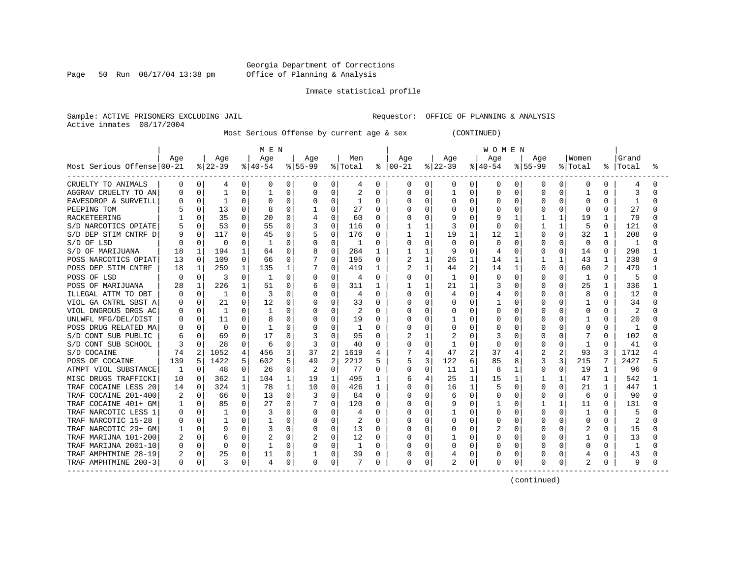Page 50 Run 08/17/04 13:38 pm

#### Inmate statistical profile

Sample: ACTIVE PRISONERS EXCLUDING JAIL **Requestor:** OFFICE OF PLANNING & ANALYSIS Active inmates 08/17/2004

Most Serious Offense by current age & sex (CONTINUED)

|                            | M E N |              |           |          |          |          |           |                |         |              |               | WOMEN        |             |                |          |              |          |                |                |              |       |   |  |
|----------------------------|-------|--------------|-----------|----------|----------|----------|-----------|----------------|---------|--------------|---------------|--------------|-------------|----------------|----------|--------------|----------|----------------|----------------|--------------|-------|---|--|
|                            | Age   |              | Age       |          | Age      |          | Aqe       |                | Men     |              | Aqe           |              | Age         |                | Aqe      |              | Aqe      |                | Women          |              | Grand |   |  |
| Most Serious Offense 00-21 |       |              | $ 22-39 $ |          | $ 40-54$ |          | $8 55-99$ |                | % Total |              | $8   00 - 21$ |              | $ 22-39 $   |                | $ 40-54$ |              | $ 55-99$ |                | % Total        | ႜ            | Total | ° |  |
| CRUELTY TO ANIMALS         | 0     | 0            | 4         | 0        | 0        | 0        | 0         | 0              | 4       | 0            | 0             | 0            | 0           | 0 <sup>1</sup> | 0        | 0            | 0        | 0              | 0              | 0            | 4     |   |  |
| AGGRAV CRUELTY TO AN       |       | 0            | 1         | 0        |          | 0        | 0         | 0              | 2       | O            |               | $\Omega$     |             | $\Omega$       | O        | $\Omega$     | U        | $\Omega$       | 1              | O            | 3     |   |  |
| EAVESDROP & SURVEILL       |       | 0            |           | 0        |          | 0        | 0         | 0              |         | 0            |               | 0            | 0           | $\mathbf 0$    | 0        | 0            | 0        | O              | 0              | U            | -1    |   |  |
| PEEPING TOM                |       | <sup>0</sup> | 13        | $\Omega$ |          | $\Omega$ | -1        | O              | 27      | <sup>0</sup> |               | $\Omega$     | U           | $\Omega$       | U        | $\Omega$     | U        | $\Omega$       | <sup>0</sup>   | 0            | 27    |   |  |
| RACKETEERING               |       |              | 35        | $\Omega$ | 20       | 0        | 4         | 0              | 60      | 0            |               | $\cap$       | q           | <sup>n</sup>   | 9        | $\mathbf{1}$ |          | $\mathbf{1}$   | 19             | -1           | 79    |   |  |
| S/D NARCOTICS OPIATE       |       | <sup>0</sup> | 53        | 0        | 55       | $\Omega$ | 3         | 0              | 116     | 0            |               | $\mathbf{1}$ | 3           | $\Omega$       | U        | $\Omega$     |          | $\mathbf{1}$   | 5              | $\Omega$     | 121   |   |  |
| S/D DEP STIM CNTRF D       |       | $\Omega$     | 117       | $\Omega$ | 45       | $\Omega$ | 5         | 0              | 176     | 0            |               | $\mathbf{1}$ | 19          | $\mathbf{1}$   | 12       | 1            | 0        | $\Omega$       | 32             | -1           | 208   |   |  |
| S/D OF LSD                 |       | $\Omega$     | 0         | 0        |          | 0        | 0         | 0              | 1       | O            |               | 0            | $\mathbf C$ | 0              | 0        | $\mathbf 0$  |          | 0              | $\mathbf 0$    | $\Omega$     | 1     |   |  |
| S/D OF MARIJUANA           | 18    | 1            | 194       | 1        | 64       | 0        | 8         | 0              | 284     | $\mathbf{1}$ |               | 1            | 9           | $\Omega$       | 4        | 0            | 0        | $\Omega$       | 14             | 0            | 298   |   |  |
| POSS NARCOTICS OPIAT       | 13    | $\Omega$     | 109       | $\Omega$ | 66       | 0        |           | 0              | 195     | $\Omega$     |               | $\mathbf{1}$ | 26          | $\mathbf{1}$   | 14       | 1            |          | 1              | 43             | $\mathbf{1}$ | 238   |   |  |
| POSS DEP STIM CNTRF        | 18    | 1            | 259       | 1        | 135      | 1        | 7         | 0              | 419     | 1            |               | 1            | 44          | 2              | 14       | 1            | U        | $\Omega$       | 60             | 2            | 479   |   |  |
| POSS OF LSD                | n     | $\Omega$     | 3         | $\Omega$ | 1        | $\Omega$ | 0         | 0              | 4       | $\Omega$     |               | $\Omega$     |             | $\Omega$       | $\Omega$ | $\Omega$     | U        | $\Omega$       | 1              | $\Omega$     | 5     |   |  |
| POSS OF MARIJUANA          | 28    | 1            | 226       | 1        | 51       | 0        | 6         | $\Omega$       | 311     | 1            |               | 1            | 21          | $\mathbf{1}$   | 3        | $\Omega$     | 0        | $\Omega$       | 25             | -1           | 336   |   |  |
| ILLEGAL ATTM TO OBT        | O     | $\Omega$     | 1         | 0        | 3        | 0        | 0         | 0              | 4       | 0            |               | $\Omega$     | 4           | $\Omega$       | 4        | 0            | 0        | $\Omega$       | 8              | 0            | 12    |   |  |
| VIOL GA CNTRL SBST A       |       |              | 21        | 0        | 12       | O        |           | O              | 33      | O            |               | $\Omega$     |             | $\Omega$       |          | 0            |          | $\Omega$       |                |              | 34    |   |  |
| VIOL DNGROUS DRGS AC       |       |              |           | 0        |          | O        |           | O              | 2       | O            |               | $\Omega$     |             | $\Omega$       | O        | 0            |          | $\Omega$       | 0              | U            |       |   |  |
| UNLWFL MFG/DEL/DIST        |       | <sup>0</sup> | 11        | 0        |          | 0        | U         | O              | 19      | O            |               | $\Omega$     |             | <sup>0</sup>   | U        | $\Omega$     |          | $\Omega$       |                | 0            | 20    |   |  |
| POSS DRUG RELATED MA       |       |              | - 0       | $\Omega$ |          | O        | O         | O              | 1       | O            |               | $\Omega$     | U           | $\Omega$       | O        | $\Omega$     |          | $\Omega$       | O              | 0            | 1     |   |  |
| S/D CONT SUB PUBLIC        |       |              | 69        | 0        | 17       | O        | 3         | U              | 95      | O            |               | $\mathbf{1}$ |             | <sup>n</sup>   |          | $\Omega$     | U        | $\Omega$       |                | 0            | 102   |   |  |
| S/D CONT SUB SCHOOL        | 3     |              | 28        | $\Omega$ | 6        | $\Omega$ | 3         | O              | 40      | 0            |               | $\Omega$     |             | $\Omega$       | 0        | $\Omega$     | 0        | $\Omega$       | 1              | 0            | 41    |   |  |
| S/D COCAINE                | 74    | 2            | 1052      | 4        | 456      | 3        | 37        | 2              | 1619    | 4            |               | 4            | 47          | 2              | 37       | 4            | 2        | $\overline{2}$ | 93             | κ            | 1712  |   |  |
| POSS OF COCAINE            | 139   |              | 1422      | 5        | 602      | 5        | 49        | $\overline{2}$ | 2212    | 5            |               | 3            | 122         | 6              | 85       | 8            | 3        | 3              | 215            | 7            | 2427  |   |  |
| ATMPT VIOL SUBSTANCE       | 1     | $\Omega$     | 48        | 0        | 26       | 0        | 2         | $\mathbf 0$    | 77      | $\Omega$     | U             | $\mathbf 0$  | 11          | $\mathbf{1}$   | 8        | 1            | 0        | $\Omega$       | 19             | 1            | 96    |   |  |
| MISC DRUGS TRAFFICKI       | 10    | $\Omega$     | 362       | 1        | 104      | 1        | 19        | $\mathbf{1}$   | 495     | 1            | 6             | 4            | 25          | $\mathbf{1}$   | 15       | 1            |          | $\mathbf{1}$   | 47             | 1            | 542   |   |  |
| TRAF COCAINE LESS 20       | 14    | $\Omega$     | 324       | 1        | 78       | 1        | 10        | $\Omega$       | 426     | 1            |               | $\Omega$     | 16          | $\mathbf{1}$   | 5        | $\Omega$     | U        | $\Omega$       | 21             | $\mathbf{1}$ | 447   |   |  |
| TRAF COCAINE 201-400       |       | 0            | 66        | 0        | 13       | 0        | 3         | 0              | 84      | 0            |               | $\Omega$     | 6           | $\Omega$       | 0        | $\Omega$     | 0        | $\Omega$       | 6              | $\Omega$     | 90    |   |  |
| TRAF COCAINE 401+ GM       |       | $\Omega$     | 85        | 0        | 27       | $\Omega$ |           | 0              | 120     | 0            |               | $\Omega$     | 9           | $\Omega$       |          | 0            |          | 1              | 11             | $\Omega$     | 131   |   |  |
| TRAF NARCOTIC LESS 1       |       |              | 1         | 0        | 3        | O        | 0         | 0              | 4       | O            |               | $\Omega$     |             | $\Omega$       | 0        | 0            |          | $\Omega$       | 1              | U            | 5     |   |  |
| TRAF NARCOTIC 15-28        |       |              |           | 0        |          | 0        | 0         | 0              |         | 0            |               | $\Omega$     | 0           | $\Omega$       | 0        | 0            |          | $\Omega$       | 0              | U            |       |   |  |
| TRAF NARCOTIC 29+ GM       |       | <sup>o</sup> |           | 0        | 3        | 0        | 0         | $\Omega$       | 13      | 0            |               | $\Omega$     | U           | $\Omega$       |          | $\Omega$     | U        | $\Omega$       |                | 0            | 15    |   |  |
| TRAF MARIJNA 101-200       |       | $\Omega$     | 6         | $\Omega$ |          | $\Omega$ | 2         | 0              | 12      | 0            |               | $\Omega$     |             | $\Omega$       | U        | $\Omega$     | U        | $\Omega$       | 1              | 0            | 13    |   |  |
| TRAF MARIJNA 2001-10       |       | $\Omega$     | $\Omega$  | 0        | -1       | $\Omega$ | $\Omega$  | 0              | 1       | O            |               | $\Omega$     | O           | $\Omega$       | O        | $\Omega$     | 0        | $\Omega$       | $\Omega$       | 0            | 1     |   |  |
| TRAF AMPHTMINE 28-19       | 2     | $\Omega$     | 25        | 0        | 11       | 0        |           | 0              | 39      | 0            |               | 0            |             | $\Omega$       | 0        | $\mathbf 0$  |          | 0              | 4              | 0            | 43    |   |  |
| TRAF AMPHTMINE 200-3       | 0     | 0            | 3         | 0        | 4        | 0        | 0         | 0              |         | 0            | $\Omega$      | 0            | 2           | $\mathbf 0$    | 0        | 0            |          | 0              | $\overline{2}$ | 0            | 9     |   |  |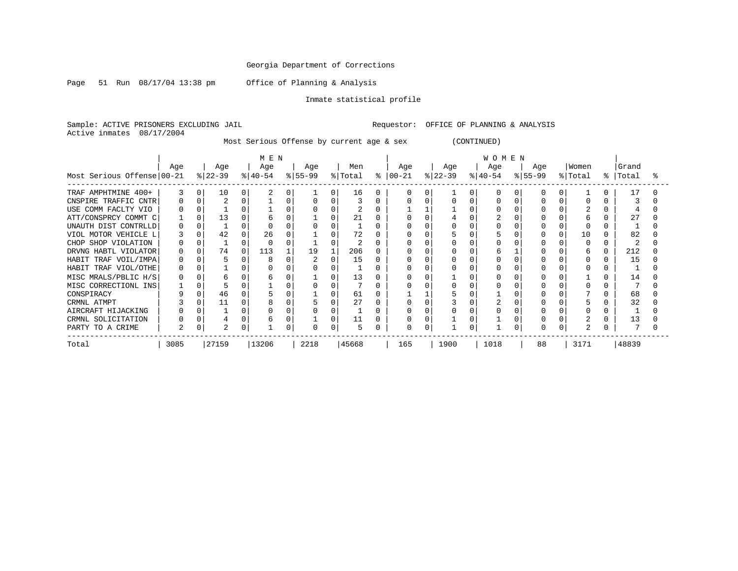Page 51 Run 08/17/04 13:38 pm Office of Planning & Analysis

### Inmate statistical profile

Sample: ACTIVE PRISONERS EXCLUDING JAIL Requestor: OFFICE OF PLANNING & ANALYSIS Active inmates 08/17/2004

Most Serious Offense by current age & sex (CONTINUED)

|                            |      |   |           |   | MEN       |   |           |          |         |    |           |           |   |           |           |   |         |   |       |   |
|----------------------------|------|---|-----------|---|-----------|---|-----------|----------|---------|----|-----------|-----------|---|-----------|-----------|---|---------|---|-------|---|
|                            | Age  |   | Age       |   | Age       |   | Age       |          | Men     |    | Age       | Age       |   | Age       | Age       |   | Women   |   | Grand |   |
| Most Serious Offense 00-21 |      |   | $ 22-39 $ |   | $ 40-54 $ |   | $ 55-99 $ |          | % Total | ႜၟ | $ 00-21 $ | $ 22-39 $ |   | $ 40-54 $ | $ 55-99 $ |   | % Total | ႜ | Total | ° |
| TRAF AMPHTMINE 400+        |      | U | 10        | 0 |           |   |           | 0        | 16      |    |           |           |   |           |           |   |         |   | 17    |   |
| CNSPIRE TRAFFIC CNTR       |      |   |           |   |           |   |           |          |         |    |           |           |   |           |           |   |         |   |       |   |
| USE COMM FACLTY VIO        |      |   |           |   |           |   |           |          |         |    |           |           |   |           |           |   |         |   |       |   |
| ATT/CONSPRCY COMMT C       |      |   | 13        |   |           |   |           |          | 21      |    |           |           |   |           |           |   |         |   | 27    |   |
| UNAUTH DIST CONTRLLD       |      |   |           |   |           |   |           |          |         |    |           |           |   |           |           |   |         |   |       |   |
| VIOL MOTOR VEHICLE L       |      |   | 42        | O | 26        |   |           |          | 72      |    |           |           |   |           |           |   | 10      |   | 82    |   |
| CHOP SHOP VIOLATION        |      |   |           |   | $\Omega$  |   |           |          | 2       |    |           |           |   |           |           |   |         |   |       |   |
| DRVNG HABTL VIOLATOR       |      |   | 74        | O | 113       |   | 19        |          | 206     |    |           |           |   |           |           |   | h       |   | 212   |   |
| HABIT TRAF VOIL/IMPA       |      |   |           |   | 8         |   |           |          | 15      |    |           |           |   |           |           |   |         |   | 15    |   |
| HABIT TRAF VIOL/OTHE       |      |   |           |   |           |   |           |          |         |    |           |           |   |           |           |   |         |   |       |   |
| MISC MRALS/PBLIC H/S       |      |   | h         | 0 | h         |   |           |          | 13      |    |           |           |   |           |           |   |         |   | 14    |   |
| MISC CORRECTIONL INS       |      |   |           | 0 |           |   |           | $\Omega$ |         |    |           |           |   |           |           |   |         |   |       |   |
| CONSPIRACY                 |      |   | 46        |   |           |   |           |          | 61      |    |           |           |   |           |           |   |         |   | 68    |   |
| CRMNL ATMPT                |      |   | 11        |   |           |   |           |          | 27      |    |           |           |   |           |           |   |         |   | 32    |   |
| AIRCRAFT HIJACKING         |      |   |           | 0 |           |   |           |          |         |    |           |           |   |           |           |   |         |   |       |   |
| CRMNL SOLICITATION         |      |   |           | 0 |           |   |           | $\Omega$ |         |    |           |           |   |           |           |   |         |   | 13    |   |
| PARTY TO A CRIME           | 2    | 0 | 2         | 0 |           | 0 |           | 0        | 5       |    | 0         |           | 0 |           | $\Omega$  | 0 | 2       |   |       |   |
| Total                      | 3085 |   | 27159     |   | 13206     |   | 2218      |          | 45668   |    | 165       | 1900      |   | 1018      | 88        |   | 3171    |   | 48839 |   |